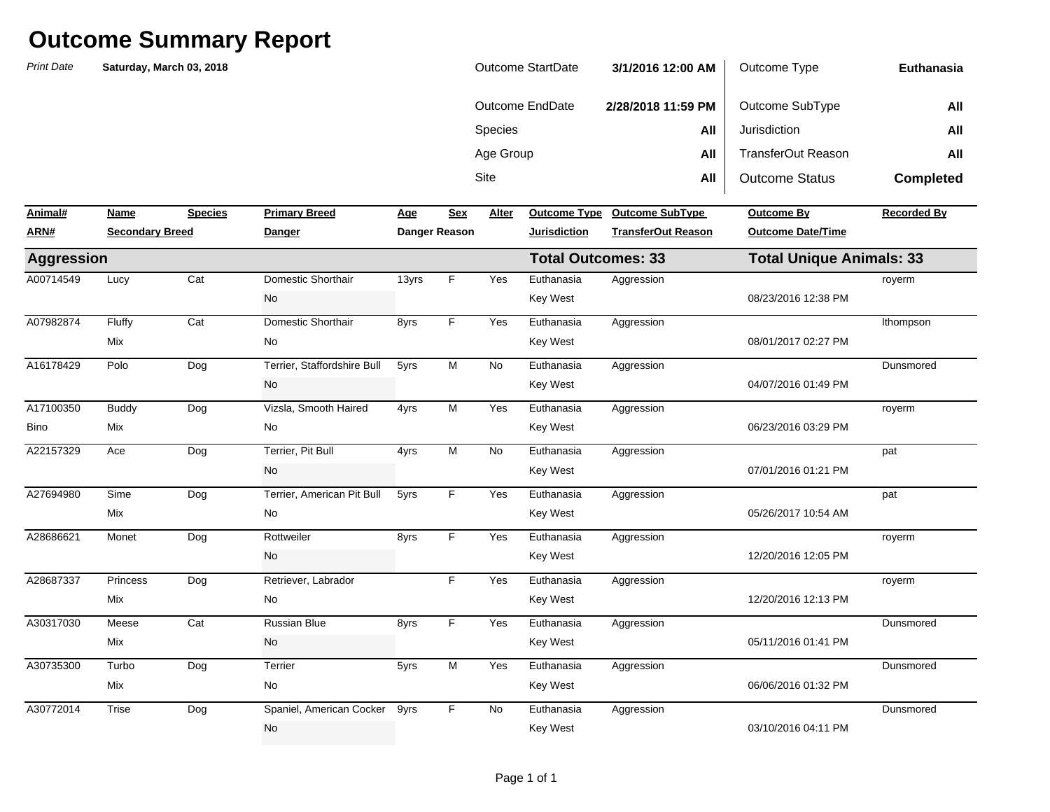*Print Date***NameSpecies Primary Breed Age Sex** Alter Lucy Cat 13yrs Yes A00714549 Domestic Shorthair F Euthanasia Aggression A07982874 Fluffy Cat Domestic Shorthair 8yrs F Yes Euthanasia Aggression A16178429 Polo Dog Terrier, Staffordshire Bull 5yrs M No Euthanasia Aggression A17100350 Buddy Dog Vizsla, Smooth Haired 4yrs M Yes Euthanasia Aggression Ace Dog Terrier, Pit Bull 4yrs M No A27694980 Sime Dog Terrier, American Pit Bull 5yrs F Yes Euthanasia Aggression Monet Dog Rottweiler - 8yrs F Yes A28687337 Princess Dog Retriever, Labrador F Yes Euthanasia Aggression Meese Cat Russian Blue 8yrs F Yes Turbo Dog 5yrs Yes A30772014 Trise Dog Spaniel, American Cocker 9yrs F No Euthanasia Aggression Dunsmored No Key West 03/10/2016 04:11 PM DunsmoredMix No Key West 06/06/2016 01:32 PM A30735300 Turbo Dog Terrier 5yrs M Yes Euthanasia Aggression DunsmoredMix 1992 105/11/2016 01:41 PM No 2012 12:00 12:41 PM No 2013 12:00 12:41 PM No 2013 12:00 12:41 PM No 2013 12:00 12:41 PM No 2012 12:00 12:41 PM No 2012 12:00 12:41 PM No 2012 12:00 12:41 PM No 2012 12:00 12:00 12:00 12:00 A30317030 Russian Blue F Euthanasia Aggression royerm Mix 12/20/2016 12:13 PM royerm No Key West 12/20/2016 12:05 PM A28686621 Rottweiler F Euthanasia Aggression pat Mix No Key West 05/26/2017 10:54 AM pat No Key West 07/01/2016 01:21 PM A22157329 Ace Dog Terrier, Pit Bull 4yrs M No Euthanasia Aggression royerm Bino Mix No Key West 06/23/2016 03:29 PM DunsmoredNo No Rev West  $\sim$  Key West 04/07/2016 01:49 PM lthompson Mix No Key West 08/01/2017 02:27 PM royerm No **Key West** 68/23/2016 12:38 PM **TransferOut Reason Outcome Date/Time Aggression Total Outcomes: 33 Total Unique Animals: 33 ARN# Secondary Breed Danger Danger Reason Jurisdiction** Sitee **All** All | Outcome Status **Completed Animal#Primary Breedom Breedom Breedom Breedom Breeda By Recorded By Recorded By** Species **All** Jurisdiction **All** Age Group **All** TransferOut Reason **All Euthanasia**Outcome EndDate **2/28/2018 11:59 PM** Outcome SubType **All Saturday, March 03, 2018** Outcome StartDate **3/1/2016 12:00 AM**Outcome Type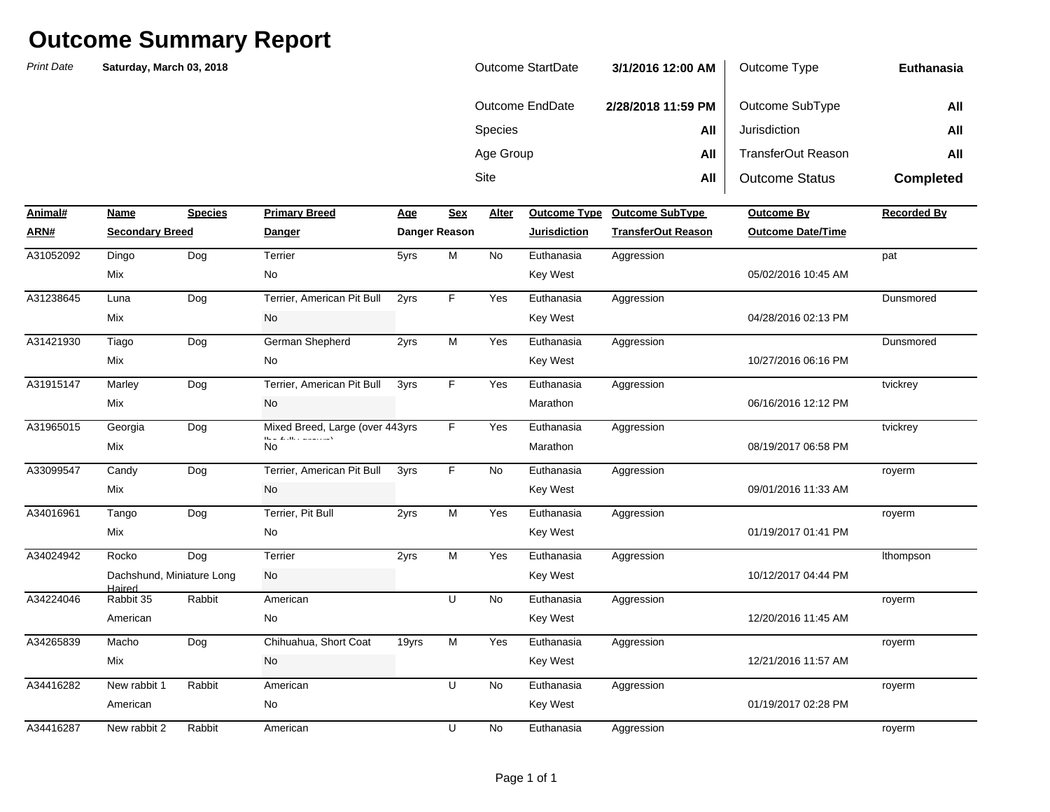| Outcome StartDate | 3/1/2016 12:00 AM  | Outcome Type          | Euthanasia       |
|-------------------|--------------------|-----------------------|------------------|
| Outcome EndDate   | 2/28/2018 11:59 PM | Outcome SubType       | All              |
| <b>Species</b>    | All                | Jurisdiction          | All              |
| Age Group         | All                | TransferOut Reason    | All              |
| Site              | All                | <b>Outcome Status</b> | <b>Completed</b> |

| Animal#   | Name                                | <b>Species</b> | <b>Primary Breed</b>                                                                                                     | Age   | <b>Sex</b>    | Alter     | <b>Outcome Type</b> | <b>Outcome SubType</b>    | <b>Outcome By</b>        | <b>Recorded By</b> |
|-----------|-------------------------------------|----------------|--------------------------------------------------------------------------------------------------------------------------|-------|---------------|-----------|---------------------|---------------------------|--------------------------|--------------------|
| ARN#      | <b>Secondary Breed</b>              |                | <b>Danger</b>                                                                                                            |       | Danger Reason |           | <b>Jurisdiction</b> | <b>TransferOut Reason</b> | <b>Outcome Date/Time</b> |                    |
| A31052092 | Dingo                               | Dog            | Terrier                                                                                                                  | 5yrs  | M             | <b>No</b> | Euthanasia          | Aggression                |                          | pat                |
|           | Mix                                 |                | No                                                                                                                       |       |               |           | Key West            |                           | 05/02/2016 10:45 AM      |                    |
| A31238645 | Luna                                | Dog            | Terrier, American Pit Bull                                                                                               | 2yrs  | F.            | Yes       | Euthanasia          | Aggression                |                          | Dunsmored          |
|           | Mix                                 |                | No                                                                                                                       |       |               |           | Key West            |                           | 04/28/2016 02:13 PM      |                    |
| A31421930 | Tiago                               | Dog            | German Shepherd                                                                                                          | 2yrs  | M             | Yes       | Euthanasia          | Aggression                |                          | Dunsmored          |
|           | Mix                                 |                | No                                                                                                                       |       |               |           | <b>Key West</b>     |                           | 10/27/2016 06:16 PM      |                    |
| A31915147 | Marley                              | Dog            | Terrier, American Pit Bull                                                                                               | 3yrs  | F.            | Yes       | Euthanasia          | Aggression                |                          | tvickrey           |
|           | Mix                                 |                | No                                                                                                                       |       |               |           | Marathon            |                           | 06/16/2016 12:12 PM      |                    |
| A31965015 | Georgia                             | Dog            | Mixed Breed, Large (over 443yrs                                                                                          |       | F.            | Yes       | Euthanasia          | Aggression                |                          | tvickrey           |
|           | Mix                                 |                | $\mathbf{H}^{\prime}$ , $\mathbf{H}^{\prime}$ , $\mathbf{H}^{\prime}$ , $\mathbf{H}^{\prime}$<br><b>Contractor</b><br>No |       |               |           | Marathon            |                           | 08/19/2017 06:58 PM      |                    |
| A33099547 | Candy                               | Dog            | Terrier, American Pit Bull                                                                                               | 3yrs  | F.            | No        | Euthanasia          | Aggression                |                          | royerm             |
|           | Mix                                 |                | No                                                                                                                       |       |               |           | <b>Key West</b>     |                           | 09/01/2016 11:33 AM      |                    |
| A34016961 | Tango                               | Dog            | Terrier, Pit Bull                                                                                                        | 2yrs  | М             | Yes       | Euthanasia          | Aggression                |                          | royerm             |
|           | Mix                                 |                | No                                                                                                                       |       |               |           | <b>Key West</b>     |                           | 01/19/2017 01:41 PM      |                    |
| A34024942 | Rocko                               | Dog            | Terrier                                                                                                                  | 2yrs  | М             | Yes       | Euthanasia          | Aggression                |                          | Ithompson          |
|           | Dachshund, Miniature Long<br>Haired |                | No                                                                                                                       |       |               |           | <b>Key West</b>     |                           | 10/12/2017 04:44 PM      |                    |
| A34224046 | Rabbit 35                           | Rabbit         | American                                                                                                                 |       | U             | <b>No</b> | Euthanasia          | Aggression                |                          | royerm             |
|           | American                            |                | No                                                                                                                       |       |               |           | Key West            |                           | 12/20/2016 11:45 AM      |                    |
| A34265839 | Macho                               | Dog            | Chihuahua, Short Coat                                                                                                    | 19yrs | M             | Yes       | Euthanasia          | Aggression                |                          | royerm             |
|           | Mix                                 |                | No                                                                                                                       |       |               |           | <b>Key West</b>     |                           | 12/21/2016 11:57 AM      |                    |
| A34416282 | New rabbit 1                        | Rabbit         | American                                                                                                                 |       | U             | No        | Euthanasia          | Aggression                |                          | royerm             |
|           | American                            |                | No                                                                                                                       |       |               |           | <b>Key West</b>     |                           | 01/19/2017 02:28 PM      |                    |
| A34416287 | New rabbit 2                        | Rabbit         | American                                                                                                                 |       | U             | No        | Euthanasia          | Aggression                |                          | royerm             |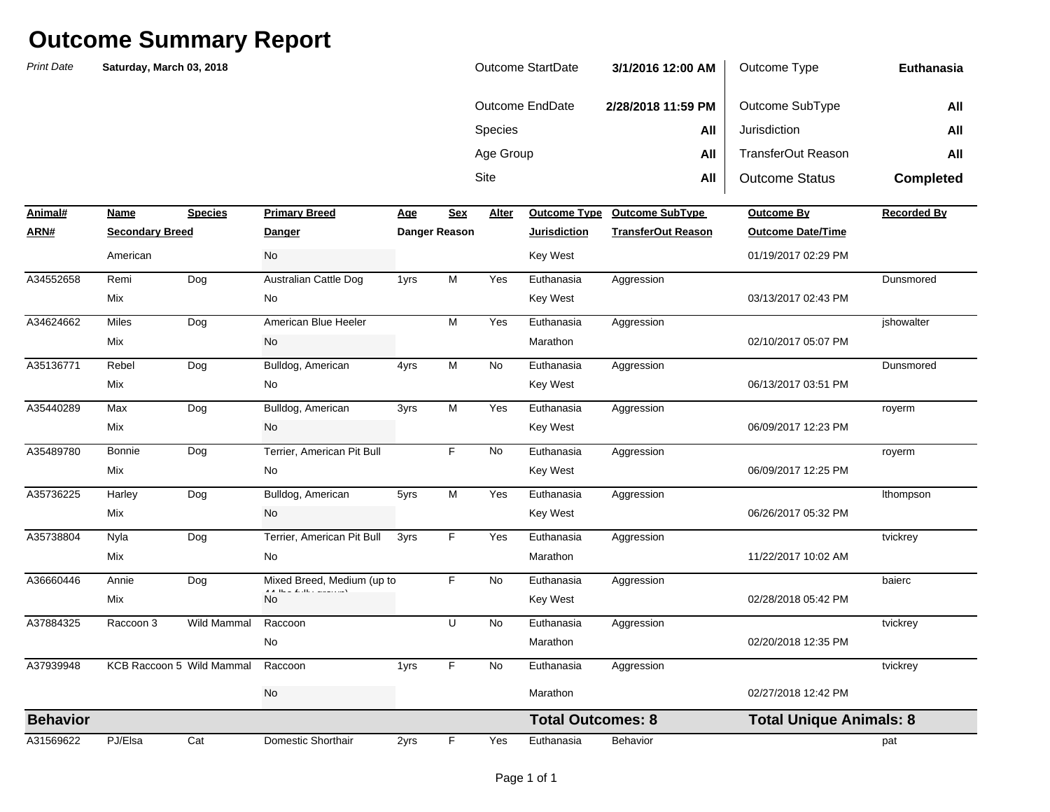| Outcome StartDate | 3/1/2016 12:00 AM  | Outcome Type          | Euthanasia       |
|-------------------|--------------------|-----------------------|------------------|
| Outcome EndDate   | 2/28/2018 11:59 PM | Outcome SubType       | All              |
| <b>Species</b>    | All                | Jurisdiction          | All              |
| Age Group         | All                | TransferOut Reason    | All              |
| Site              | All                | <b>Outcome Status</b> | <b>Completed</b> |

| Animal#         | Name                   | <b>Species</b>            | <b>Primary Breed</b>                   | Age  | <b>Sex</b>    | Alter     | <b>Outcome Type</b>      | <b>Outcome SubType</b>    | <b>Outcome By</b>              | <b>Recorded By</b> |
|-----------------|------------------------|---------------------------|----------------------------------------|------|---------------|-----------|--------------------------|---------------------------|--------------------------------|--------------------|
| ARN#            | <b>Secondary Breed</b> |                           | Danger                                 |      | Danger Reason |           | <b>Jurisdiction</b>      | <b>TransferOut Reason</b> | <b>Outcome Date/Time</b>       |                    |
|                 | American               |                           | No                                     |      |               |           | <b>Key West</b>          |                           | 01/19/2017 02:29 PM            |                    |
| A34552658       | Remi                   | Dog                       | Australian Cattle Dog                  | 1yrs | M             | Yes       | Euthanasia               | Aggression                |                                | Dunsmored          |
|                 | Mix                    |                           | No                                     |      |               |           | <b>Key West</b>          |                           | 03/13/2017 02:43 PM            |                    |
| A34624662       | <b>Miles</b>           | Dog                       | American Blue Heeler                   |      | M             | Yes       | Euthanasia               | Aggression                |                                | jshowalter         |
|                 | Mix                    |                           | No                                     |      |               |           | Marathon                 |                           | 02/10/2017 05:07 PM            |                    |
| A35136771       | Rebel                  | Dog                       | Bulldog, American                      | 4yrs | M             | <b>No</b> | Euthanasia               | Aggression                |                                | Dunsmored          |
|                 | Mix                    |                           | No                                     |      |               |           | <b>Key West</b>          |                           | 06/13/2017 03:51 PM            |                    |
| A35440289       | Max                    | Dog                       | Bulldog, American                      | 3yrs | M             | Yes       | Euthanasia               | Aggression                |                                | royerm             |
|                 | Mix                    |                           | No                                     |      |               |           | <b>Key West</b>          |                           | 06/09/2017 12:23 PM            |                    |
| A35489780       | Bonnie                 | Dog                       | Terrier, American Pit Bull             |      | F             | No        | Euthanasia               | Aggression                |                                | royerm             |
|                 | Mix                    |                           | No                                     |      |               |           | <b>Key West</b>          |                           | 06/09/2017 12:25 PM            |                    |
| A35736225       | Harley                 | Dog                       | Bulldog, American                      | 5yrs | M             | Yes       | Euthanasia               | Aggression                |                                | Ithompson          |
|                 | Mix                    |                           | No                                     |      |               |           | <b>Key West</b>          |                           | 06/26/2017 05:32 PM            |                    |
| A35738804       | Nyla                   | Dog                       | Terrier, American Pit Bull             | 3yrs | F             | Yes       | Euthanasia               | Aggression                |                                | tvickrey           |
|                 | Mix                    |                           | No                                     |      |               |           | Marathon                 |                           | 11/22/2017 10:02 AM            |                    |
| A36660446       | Annie                  | Dog                       | Mixed Breed, Medium (up to             |      | E             | No        | Euthanasia               | Aggression                |                                | baierc             |
|                 | Mix                    |                           | A A There Really, and a complete<br>No |      |               |           | Key West                 |                           | 02/28/2018 05:42 PM            |                    |
| A37884325       | Raccoon 3              | Wild Mammal               | Raccoon                                |      | $\cup$        | No        | Euthanasia               | Aggression                |                                | tvickrey           |
|                 |                        |                           | No                                     |      |               |           | Marathon                 |                           | 02/20/2018 12:35 PM            |                    |
| A37939948       |                        | KCB Raccoon 5 Wild Mammal | Raccoon                                | 1yrs | E             | No        | Euthanasia               | Aggression                |                                | tvickrey           |
|                 |                        |                           | <b>No</b>                              |      |               |           | Marathon                 |                           | 02/27/2018 12:42 PM            |                    |
| <b>Behavior</b> |                        |                           |                                        |      |               |           | <b>Total Outcomes: 8</b> |                           | <b>Total Unique Animals: 8</b> |                    |
| A31569622       | PJ/Elsa                | Cat                       | Domestic Shorthair                     | 2yrs | F             | Yes       | Euthanasia               | Behavior                  |                                | pat                |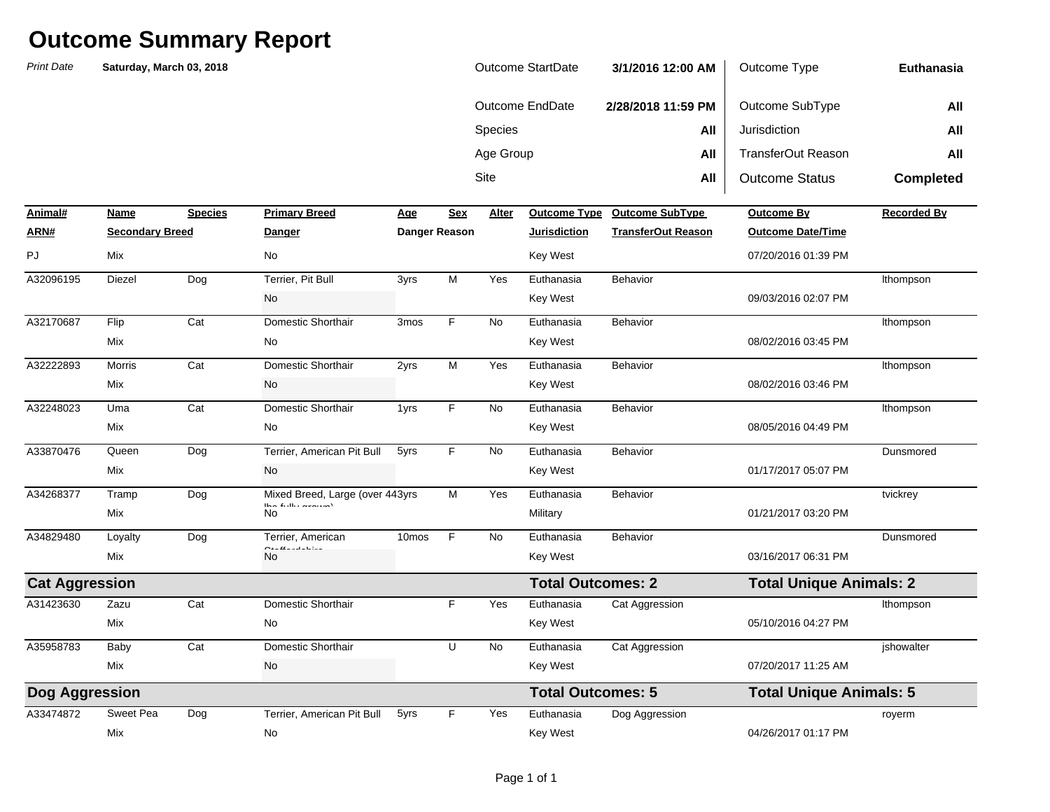| Outcome StartDate | 3/1/2016 12:00 AM  | Outcome Type          | Euthanasia       |
|-------------------|--------------------|-----------------------|------------------|
| Outcome EndDate   | 2/28/2018 11:59 PM | Outcome SubType       | All              |
| <b>Species</b>    | All                | Jurisdiction          | All              |
| Age Group         | All                | TransferOut Reason    | All              |
| Site              | All                | <b>Outcome Status</b> | <b>Completed</b> |

| Animal#               | Name                   | <b>Species</b> | <b>Primary Breed</b>                                                         | <u>Age</u>        | <b>Sex</b> | Alter     | <b>Outcome Type</b>      | <b>Outcome SubType</b>    | <b>Outcome By</b>              | <b>Recorded By</b> |
|-----------------------|------------------------|----------------|------------------------------------------------------------------------------|-------------------|------------|-----------|--------------------------|---------------------------|--------------------------------|--------------------|
| ARN#                  | <b>Secondary Breed</b> |                | Danger                                                                       | Danger Reason     |            |           | <b>Jurisdiction</b>      | <b>TransferOut Reason</b> | <b>Outcome Date/Time</b>       |                    |
| PJ                    | Mix                    |                | No                                                                           |                   |            |           | <b>Key West</b>          |                           | 07/20/2016 01:39 PM            |                    |
| A32096195             | Diezel                 | Dog            | Terrier, Pit Bull                                                            | 3yrs              | M          | Yes       | Euthanasia               | Behavior                  |                                | Ithompson          |
|                       |                        |                | No                                                                           |                   |            |           | <b>Key West</b>          |                           | 09/03/2016 02:07 PM            |                    |
| A32170687             | Flip                   | Cat            | Domestic Shorthair                                                           | 3 <sub>mos</sub>  | F.         | <b>No</b> | Euthanasia               | Behavior                  |                                | Ithompson          |
|                       | Mix                    |                | No                                                                           |                   |            |           | <b>Key West</b>          |                           | 08/02/2016 03:45 PM            |                    |
| A32222893             | <b>Morris</b>          | Cat            | Domestic Shorthair                                                           | 2yrs              | M          | Yes       | Euthanasia               | Behavior                  |                                | Ithompson          |
|                       | Mix                    |                | No                                                                           |                   |            |           | <b>Key West</b>          |                           | 08/02/2016 03:46 PM            |                    |
| A32248023             | Uma                    | Cat            | Domestic Shorthair                                                           | 1yrs              | F.         | <b>No</b> | Euthanasia               | Behavior                  |                                | Ithompson          |
|                       | Mix                    |                | No                                                                           |                   |            |           | Key West                 |                           | 08/05/2016 04:49 PM            |                    |
| A33870476             | Queen                  | Dog            | Terrier, American Pit Bull                                                   | 5yrs              | F.         | <b>No</b> | Euthanasia               | Behavior                  |                                | Dunsmored          |
|                       | Mix                    |                | No                                                                           |                   |            |           | Key West                 |                           | 01/17/2017 05:07 PM            |                    |
| A34268377             | Tramp                  | Dog            | Mixed Breed, Large (over 443yrs)<br>The set of a strict constraint $\lambda$ |                   | М          | Yes       | Euthanasia               | Behavior                  |                                | tvickrey           |
|                       | Mix                    |                | No                                                                           |                   |            |           | Military                 |                           | 01/21/2017 03:20 PM            |                    |
| A34829480             | Loyalty                | Dog            | Terrier, American<br>والمستعمل                                               | 10 <sub>mos</sub> | F          | No        | Euthanasia               | Behavior                  |                                | Dunsmored          |
|                       | Mix                    |                | $\sim$<br><b>No</b>                                                          |                   |            |           | <b>Key West</b>          |                           | 03/16/2017 06:31 PM            |                    |
| <b>Cat Aggression</b> |                        |                |                                                                              |                   |            |           | <b>Total Outcomes: 2</b> |                           | <b>Total Unique Animals: 2</b> |                    |
| A31423630             | Zazu                   | Cat            | Domestic Shorthair                                                           |                   | F.         | Yes       | Euthanasia               | Cat Aggression            |                                | Ithompson          |
|                       | Mix                    |                | No                                                                           |                   |            |           | <b>Key West</b>          |                           | 05/10/2016 04:27 PM            |                    |
| A35958783             | Baby                   | Cat            | Domestic Shorthair                                                           |                   | U          | No        | Euthanasia               | Cat Aggression            |                                | jshowalter         |
|                       | Mix                    |                | No                                                                           |                   |            |           | <b>Key West</b>          |                           | 07/20/2017 11:25 AM            |                    |
| Dog Aggression        |                        |                |                                                                              |                   |            |           | <b>Total Outcomes: 5</b> |                           | <b>Total Unique Animals: 5</b> |                    |
| A33474872             | Sweet Pea              | Dog            | Terrier, American Pit Bull                                                   | 5yrs              | F.         | Yes       | Euthanasia               | Dog Aggression            |                                | royerm             |
|                       | Mix                    |                | No                                                                           |                   |            |           | Key West                 |                           | 04/26/2017 01:17 PM            |                    |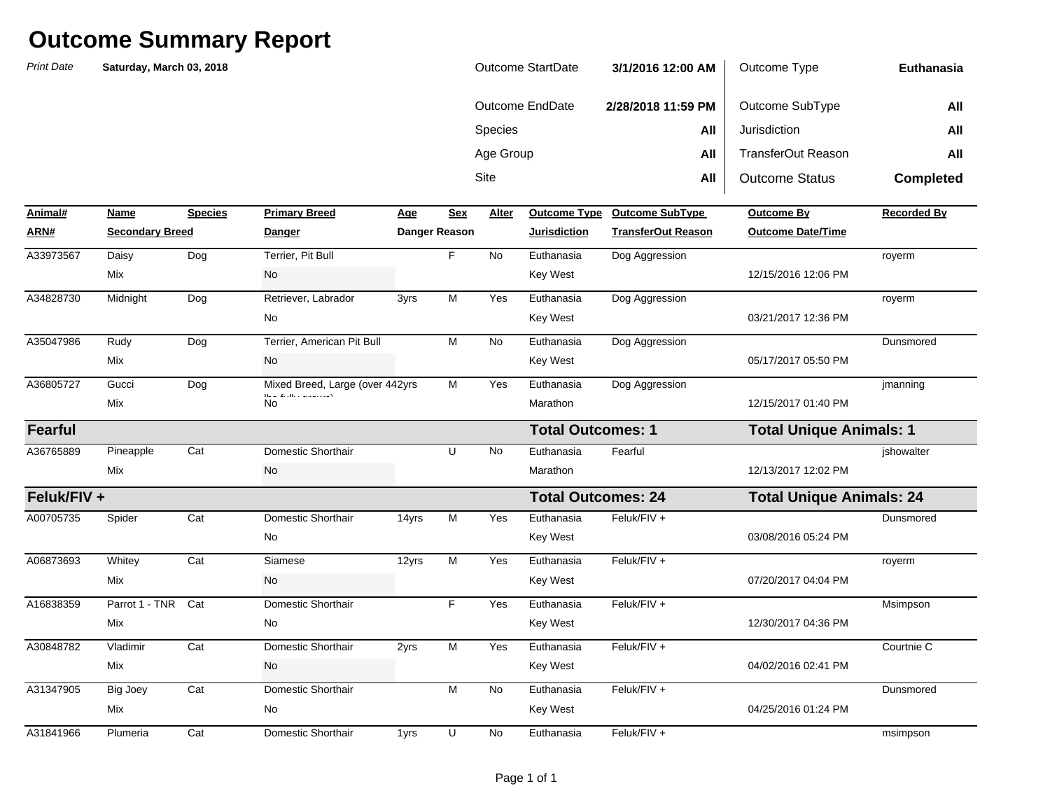| Outcome StartDate | 3/1/2016 12:00 AM  | Outcome Type          | Euthanasia       |
|-------------------|--------------------|-----------------------|------------------|
| Outcome EndDate   | 2/28/2018 11:59 PM | Outcome SubType       | All              |
| <b>Species</b>    | All                | Jurisdiction          | All              |
| Age Group         | All                | TransferOut Reason    | All              |
| <b>Site</b>       | All                | <b>Outcome Status</b> | <b>Completed</b> |

| Animal#        | Name                   | <b>Species</b> | <b>Primary Breed</b>                                                                | Age   | <b>Sex</b>    | Alter     | <b>Outcome Type</b>       | <b>Outcome SubType</b>    | <b>Outcome By</b>              | <b>Recorded By</b>              |  |
|----------------|------------------------|----------------|-------------------------------------------------------------------------------------|-------|---------------|-----------|---------------------------|---------------------------|--------------------------------|---------------------------------|--|
| ARN#           | <b>Secondary Breed</b> |                | <b>Danger</b>                                                                       |       | Danger Reason |           | <b>Jurisdiction</b>       | <b>TransferOut Reason</b> | <b>Outcome Date/Time</b>       |                                 |  |
| A33973567      | Daisy                  | Dog            | Terrier, Pit Bull                                                                   |       | F             | No        | Euthanasia                | Dog Aggression            |                                | royerm                          |  |
|                | Mix                    |                | <b>No</b>                                                                           |       |               |           | <b>Key West</b>           |                           | 12/15/2016 12:06 PM            |                                 |  |
| A34828730      | Midnight               | Dog            | Retriever, Labrador                                                                 | 3yrs  | M             | Yes       | Euthanasia                | Dog Aggression            |                                | royerm                          |  |
|                |                        |                | No                                                                                  |       |               |           | <b>Key West</b>           |                           | 03/21/2017 12:36 PM            |                                 |  |
| A35047986      | Rudy                   | Dog            | Terrier, American Pit Bull                                                          |       | M             | <b>No</b> | Euthanasia                | Dog Aggression            |                                | Dunsmored                       |  |
|                | Mix                    |                | <b>No</b>                                                                           |       |               |           | <b>Key West</b>           |                           | 05/17/2017 05:50 PM            |                                 |  |
| A36805727      | Gucci                  | Dog            | Mixed Breed, Large (over 442yrs                                                     |       | M             | Yes       | Euthanasia                | Dog Aggression            |                                | jmanning                        |  |
|                | Mix                    |                | $\mathbf{H}_{\text{max}}$ of $\mathbf{H}_{\text{max}}$ . The matrix is simply<br>No |       |               |           | Marathon                  |                           | 12/15/2017 01:40 PM            |                                 |  |
| <b>Fearful</b> |                        |                |                                                                                     |       |               |           | <b>Total Outcomes: 1</b>  |                           | <b>Total Unique Animals: 1</b> |                                 |  |
| A36765889      | Pineapple              | Cat            | Domestic Shorthair                                                                  |       | U             | No        | Euthanasia                | Fearful                   |                                | jshowalter                      |  |
|                | Mix                    |                | No                                                                                  |       |               |           | Marathon                  |                           | 12/13/2017 12:02 PM            |                                 |  |
| Feluk/FIV +    |                        |                |                                                                                     |       |               |           | <b>Total Outcomes: 24</b> |                           |                                | <b>Total Unique Animals: 24</b> |  |
| A00705735      | Spider                 | Cat            | Domestic Shorthair                                                                  | 14yrs | M             | Yes       | Euthanasia                | Feluk/FIV +               |                                | Dunsmored                       |  |
|                |                        |                | No                                                                                  |       |               |           | <b>Key West</b>           |                           | 03/08/2016 05:24 PM            |                                 |  |
| A06873693      | Whitey                 | Cat            | Siamese                                                                             | 12yrs | M             | Yes       | Euthanasia                | Feluk/FIV +               |                                | royerm                          |  |
|                | Mix                    |                | No                                                                                  |       |               |           | <b>Key West</b>           |                           | 07/20/2017 04:04 PM            |                                 |  |
| A16838359      | Parrot 1 - TNR         | Cat            | <b>Domestic Shorthair</b>                                                           |       | F             | Yes       | Euthanasia                | Feluk/FIV +               |                                | Msimpson                        |  |
|                | Mix                    |                | No                                                                                  |       |               |           | <b>Key West</b>           |                           | 12/30/2017 04:36 PM            |                                 |  |
| A30848782      | Vladimir               | Cat            | Domestic Shorthair                                                                  | 2yrs  | M             | Yes       | Euthanasia                | Feluk/FIV +               |                                | Courtnie C                      |  |
|                | Mix                    |                | No                                                                                  |       |               |           | <b>Key West</b>           |                           | 04/02/2016 02:41 PM            |                                 |  |
| A31347905      | <b>Big Joey</b>        | Cat            | Domestic Shorthair                                                                  |       | M             | <b>No</b> | Euthanasia                | Feluk/FIV +               |                                | Dunsmored                       |  |
|                | Mix                    |                | No                                                                                  |       |               |           | <b>Key West</b>           |                           | 04/25/2016 01:24 PM            |                                 |  |
| A31841966      | Plumeria               | Cat            | Domestic Shorthair                                                                  | 1yrs  | U             | No        | Euthanasia                | Feluk/FIV +               |                                | msimpson                        |  |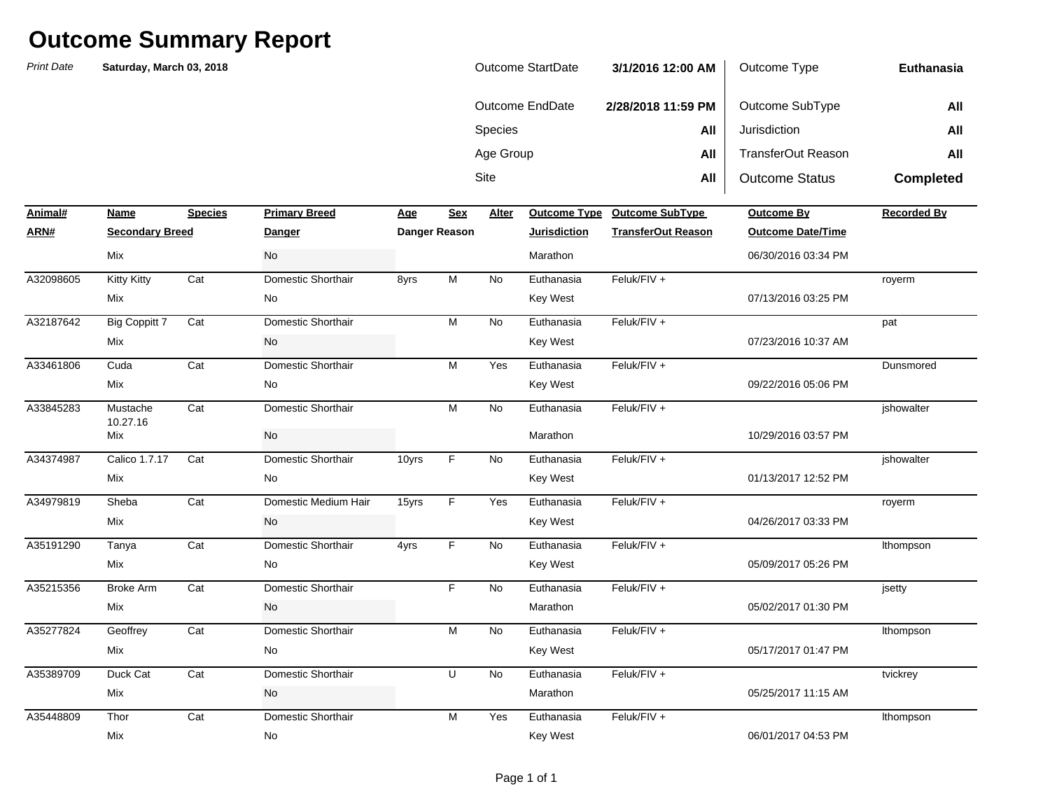| Outcome StartDate | 3/1/2016 12:00 AM  | Outcome Type          | Euthanasia       |
|-------------------|--------------------|-----------------------|------------------|
| Outcome EndDate   | 2/28/2018 11:59 PM | Outcome SubType       | All              |
| <b>Species</b>    | All                | Jurisdiction          | All              |
| Age Group         | All                | TransferOut Reason    | All              |
| Site              | All                | <b>Outcome Status</b> | <b>Completed</b> |

| Animal#   | Name                   | <b>Species</b> | <b>Primary Breed</b> | Age   | <b>Sex</b>    | Alter     | <b>Outcome Type</b> | <b>Outcome SubType</b>    | <b>Outcome By</b>        | <b>Recorded By</b> |
|-----------|------------------------|----------------|----------------------|-------|---------------|-----------|---------------------|---------------------------|--------------------------|--------------------|
| ARN#      | <b>Secondary Breed</b> |                | <b>Danger</b>        |       | Danger Reason |           | <b>Jurisdiction</b> | <b>TransferOut Reason</b> | <b>Outcome Date/Time</b> |                    |
|           | Mix                    |                | No                   |       |               |           | Marathon            |                           | 06/30/2016 03:34 PM      |                    |
| A32098605 | <b>Kitty Kitty</b>     | Cat            | Domestic Shorthair   | 8yrs  | M             | <b>No</b> | Euthanasia          | Feluk/FIV +               |                          | royerm             |
|           | Mix                    |                | No                   |       |               |           | <b>Key West</b>     |                           | 07/13/2016 03:25 PM      |                    |
| A32187642 | <b>Big Coppitt 7</b>   | Cat            | Domestic Shorthair   |       | M             | No        | Euthanasia          | Feluk/FIV +               |                          | pat                |
|           | Mix                    |                | No                   |       |               |           | <b>Key West</b>     |                           | 07/23/2016 10:37 AM      |                    |
| A33461806 | Cuda                   | Cat            | Domestic Shorthair   |       | M             | Yes       | Euthanasia          | Feluk/FIV +               |                          | Dunsmored          |
|           | Mix                    |                | No                   |       |               |           | Key West            |                           | 09/22/2016 05:06 PM      |                    |
| A33845283 | Mustache               | Cat            | Domestic Shorthair   |       | M             | No        | Euthanasia          | Feluk/FIV +               |                          | jshowalter         |
|           | 10.27.16<br>Mix        |                | <b>No</b>            |       |               |           | Marathon            |                           | 10/29/2016 03:57 PM      |                    |
| A34374987 | Calico 1.7.17          | Cat            | Domestic Shorthair   | 10yrs | F.            | <b>No</b> | Euthanasia          | Feluk/FIV +               |                          | ishowalter         |
|           | Mix                    |                | No                   |       |               |           | <b>Key West</b>     |                           | 01/13/2017 12:52 PM      |                    |
| A34979819 | Sheba                  | Cat            | Domestic Medium Hair | 15yrs | F.            | Yes       | Euthanasia          | Feluk/FIV +               |                          | royerm             |
|           | Mix                    |                | No                   |       |               |           | <b>Key West</b>     |                           | 04/26/2017 03:33 PM      |                    |
| A35191290 | Tanya                  | Cat            | Domestic Shorthair   | 4yrs  | F.            | No        | Euthanasia          | Feluk/FIV +               |                          | Ithompson          |
|           | Mix                    |                | No                   |       |               |           | <b>Key West</b>     |                           | 05/09/2017 05:26 PM      |                    |
| A35215356 | <b>Broke Arm</b>       | Cat            | Domestic Shorthair   |       | F.            | No        | Euthanasia          | Feluk/FIV +               |                          | jsetty             |
|           | Mix                    |                | No                   |       |               |           | Marathon            |                           | 05/02/2017 01:30 PM      |                    |
| A35277824 | Geoffrey               | Cat            | Domestic Shorthair   |       | M             | <b>No</b> | Euthanasia          | Feluk/FIV +               |                          | Ithompson          |
|           | Mix                    |                | No                   |       |               |           | <b>Key West</b>     |                           | 05/17/2017 01:47 PM      |                    |
| A35389709 | Duck Cat               | Cat            | Domestic Shorthair   |       | U             | <b>No</b> | Euthanasia          | Feluk/FIV +               |                          | tvickrey           |
|           | Mix                    |                | No                   |       |               |           | Marathon            |                           | 05/25/2017 11:15 AM      |                    |
| A35448809 | Thor                   | Cat            | Domestic Shorthair   |       | M             | Yes       | Euthanasia          | Feluk/FIV +               |                          | Ithompson          |
|           | Mix                    |                | No                   |       |               |           | Key West            |                           | 06/01/2017 04:53 PM      |                    |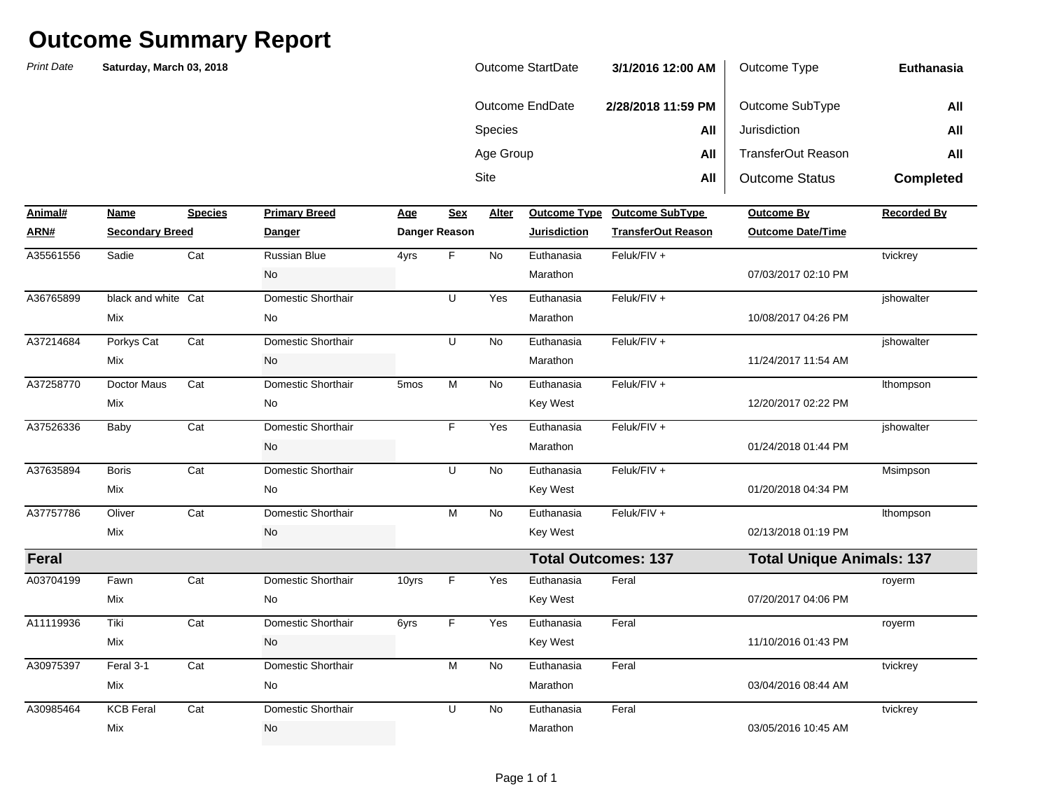| <b>Outcome StartDate</b> | 3/1/2016 12:00 AM  | Outcome Type              | Euthanasia       |
|--------------------------|--------------------|---------------------------|------------------|
| Outcome EndDate          | 2/28/2018 11:59 PM | Outcome SubType           | All              |
| <b>Species</b>           | All                | Jurisdiction              | All              |
| Age Group                | All                | <b>TransferOut Reason</b> | All              |
| Site                     | All                | <b>Outcome Status</b>     | <b>Completed</b> |

| Animal#      | Name                   | <b>Species</b> | <b>Primary Breed</b> | Age              | <b>Sex</b>    | Alter     |                            | Outcome Type Outcome SubType | <b>Outcome By</b>                | <b>Recorded By</b> |
|--------------|------------------------|----------------|----------------------|------------------|---------------|-----------|----------------------------|------------------------------|----------------------------------|--------------------|
| ARN#         | <b>Secondary Breed</b> |                | <b>Danger</b>        |                  | Danger Reason |           | <b>Jurisdiction</b>        | <b>TransferOut Reason</b>    | <b>Outcome Date/Time</b>         |                    |
| A35561556    | Sadie                  | Cat            | <b>Russian Blue</b>  | 4yrs             | F.            | <b>No</b> | Euthanasia                 | Feluk/FIV +                  |                                  | tvickrey           |
|              |                        |                | No                   |                  |               |           | Marathon                   |                              | 07/03/2017 02:10 PM              |                    |
| A36765899    | black and white Cat    |                | Domestic Shorthair   |                  | U             | Yes       | Euthanasia                 | Feluk/FIV +                  |                                  | jshowalter         |
|              | Mix                    |                | No                   |                  |               |           | Marathon                   |                              | 10/08/2017 04:26 PM              |                    |
| A37214684    | Porkys Cat             | Cat            | Domestic Shorthair   |                  | U             | <b>No</b> | Euthanasia                 | Feluk/FIV +                  |                                  | jshowalter         |
|              | Mix                    |                | No                   |                  |               |           | Marathon                   |                              | 11/24/2017 11:54 AM              |                    |
| A37258770    | Doctor Maus            | Cat            | Domestic Shorthair   | 5 <sub>mos</sub> | M             | No        | Euthanasia                 | Feluk/FIV +                  |                                  | Ithompson          |
|              | Mix                    |                | No                   |                  |               |           | <b>Key West</b>            |                              | 12/20/2017 02:22 PM              |                    |
| A37526336    | Baby                   | Cat            | Domestic Shorthair   |                  | F.            | Yes       | Euthanasia                 | Feluk/FIV +                  |                                  | jshowalter         |
|              |                        |                | No                   |                  |               |           | Marathon                   |                              | 01/24/2018 01:44 PM              |                    |
| A37635894    | <b>Boris</b>           | Cat            | Domestic Shorthair   |                  | U             | <b>No</b> | Euthanasia                 | Feluk/FIV +                  |                                  | Msimpson           |
|              | Mix                    |                | No                   |                  |               |           | <b>Key West</b>            |                              | 01/20/2018 04:34 PM              |                    |
| A37757786    | Oliver                 | Cat            | Domestic Shorthair   |                  | M             | No        | Euthanasia                 | Feluk/FIV +                  |                                  | Ithompson          |
|              | Mix                    |                | No                   |                  |               |           | <b>Key West</b>            |                              | 02/13/2018 01:19 PM              |                    |
| <b>Feral</b> |                        |                |                      |                  |               |           | <b>Total Outcomes: 137</b> |                              | <b>Total Unique Animals: 137</b> |                    |
| A03704199    | Fawn                   | Cat            | Domestic Shorthair   | 10yrs            | F.            | Yes       | Euthanasia                 | Feral                        |                                  | royerm             |
|              | Mix                    |                | No                   |                  |               |           | Key West                   |                              | 07/20/2017 04:06 PM              |                    |
| A11119936    | Tiki                   | Cat            | Domestic Shorthair   | 6yrs             | F.            | Yes       | Euthanasia                 | Feral                        |                                  | royerm             |
|              | Mix                    |                | No                   |                  |               |           | <b>Key West</b>            |                              | 11/10/2016 01:43 PM              |                    |
| A30975397    | Feral 3-1              | Cat            | Domestic Shorthair   |                  | M             | No        | Euthanasia                 | Feral                        |                                  | tvickrey           |
|              | Mix                    |                | No                   |                  |               |           | Marathon                   |                              | 03/04/2016 08:44 AM              |                    |
| A30985464    | <b>KCB Feral</b>       | Cat            | Domestic Shorthair   |                  | U             | <b>No</b> | Euthanasia                 | Feral                        |                                  | tvickrey           |
|              | Mix                    |                | No                   |                  |               |           | Marathon                   |                              | 03/05/2016 10:45 AM              |                    |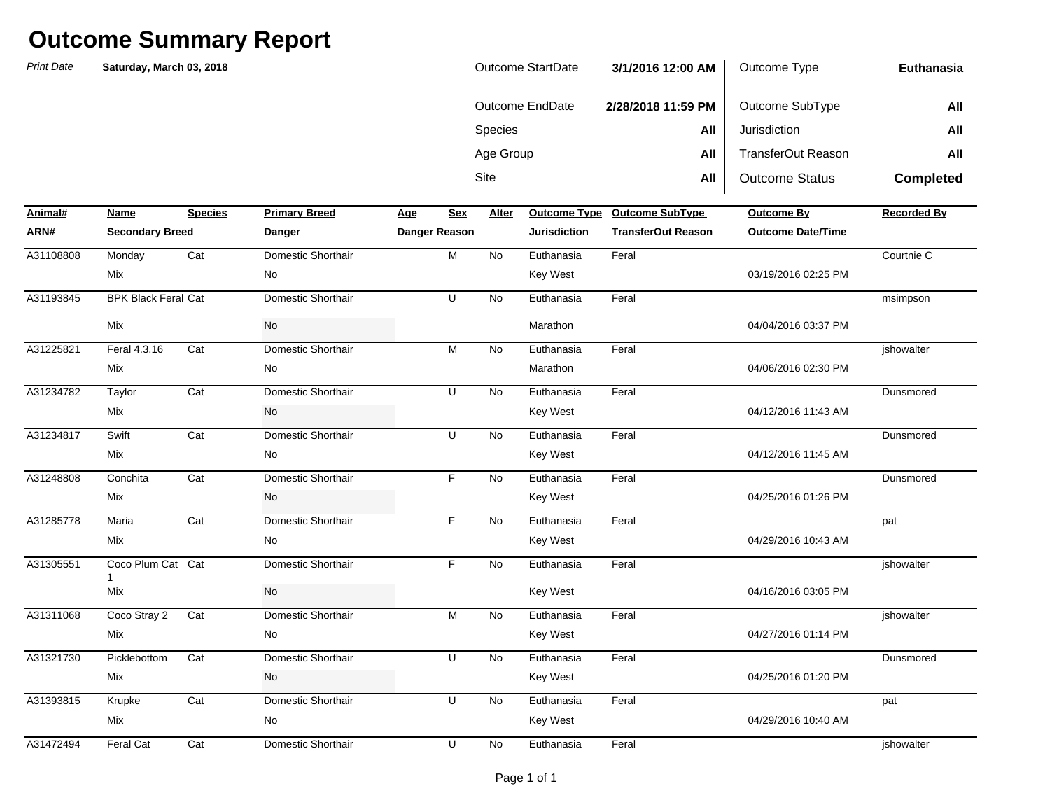| <b>Outcome StartDate</b> | 3/1/2016 12:00 AM  | Outcome Type              | Euthanasia       |
|--------------------------|--------------------|---------------------------|------------------|
| Outcome EndDate          | 2/28/2018 11:59 PM | Outcome SubType           | All              |
| <b>Species</b>           | All                | Jurisdiction              | All              |
| Age Group                | All                | <b>TransferOut Reason</b> | All              |
| Site                     | All                | <b>Outcome Status</b>     | <b>Completed</b> |

| Animal#          | Name                       | <b>Species</b> | <b>Primary Breed</b> | Age | <b>Sex</b>    | Alter     |                     | Outcome Type Outcome SubType | Outcome By               | <b>Recorded By</b> |
|------------------|----------------------------|----------------|----------------------|-----|---------------|-----------|---------------------|------------------------------|--------------------------|--------------------|
| ARN#             | <b>Secondary Breed</b>     |                | Danger               |     | Danger Reason |           | <b>Jurisdiction</b> | <b>TransferOut Reason</b>    | <b>Outcome Date/Time</b> |                    |
| A31108808        | Monday                     | Cat            | Domestic Shorthair   |     | M             | <b>No</b> | Euthanasia          | Feral                        |                          | Courtnie C         |
|                  | Mix                        |                | <b>No</b>            |     |               |           | Key West            |                              | 03/19/2016 02:25 PM      |                    |
| A31193845<br>Mix | <b>BPK Black Feral Cat</b> |                | Domestic Shorthair   |     | U             | <b>No</b> | Euthanasia          | Feral                        |                          | msimpson           |
|                  |                            |                | No                   |     |               |           | Marathon            |                              | 04/04/2016 03:37 PM      |                    |
| A31225821        | Feral 4.3.16               | Cat            | Domestic Shorthair   |     | M             | <b>No</b> | Euthanasia          | Feral                        |                          | jshowalter         |
|                  | Mix                        |                | No                   |     |               |           | Marathon            |                              | 04/06/2016 02:30 PM      |                    |
| A31234782        | Taylor                     | Cat            | Domestic Shorthair   |     | U             | <b>No</b> | Euthanasia          | Feral                        |                          | Dunsmored          |
|                  | Mix                        |                | No                   |     |               |           | Key West            |                              | 04/12/2016 11:43 AM      |                    |
| A31234817        | Swift                      | Cat            | Domestic Shorthair   |     | U             | <b>No</b> | Euthanasia          | Feral                        |                          | Dunsmored          |
|                  | Mix                        |                | <b>No</b>            |     |               |           | Key West            |                              | 04/12/2016 11:45 AM      |                    |
| A31248808        | Conchita                   | Cat            | Domestic Shorthair   |     | F             | <b>No</b> | Euthanasia          | Feral                        |                          | Dunsmored          |
|                  | Mix                        |                | No                   |     |               |           | Key West            |                              | 04/25/2016 01:26 PM      |                    |
| A31285778        | Maria                      | Cat            | Domestic Shorthair   |     | F.            | <b>No</b> | Euthanasia          | Feral                        |                          | pat                |
|                  | Mix                        |                | No                   |     |               |           | Key West            |                              | 04/29/2016 10:43 AM      |                    |
| A31305551        | Coco Plum Cat Cat          |                | Domestic Shorthair   |     | F.            | <b>No</b> | Euthanasia          | Feral                        |                          | jshowalter         |
|                  | Mix                        |                | No                   |     |               |           | Key West            |                              | 04/16/2016 03:05 PM      |                    |
| A31311068        | Coco Stray 2               | Cat            | Domestic Shorthair   |     | M             | <b>No</b> | Euthanasia          | Feral                        |                          | ishowalter         |
|                  | Mix                        |                | No                   |     |               |           | Key West            |                              | 04/27/2016 01:14 PM      |                    |
| A31321730        | Picklebottom               | Cat            | Domestic Shorthair   |     | U             | <b>No</b> | Euthanasia          | Feral                        |                          | Dunsmored          |
|                  | Mix                        |                | No                   |     |               |           | Key West            |                              | 04/25/2016 01:20 PM      |                    |
| A31393815        | Krupke                     | Cat            | Domestic Shorthair   |     | U             | <b>No</b> | Euthanasia          | Feral                        |                          | pat                |
|                  | Mix                        |                | No                   |     |               |           | Key West            |                              | 04/29/2016 10:40 AM      |                    |
| A31472494        | Feral Cat                  | Cat            | Domestic Shorthair   |     | U             | No        | Euthanasia          | Feral                        |                          | jshowalter         |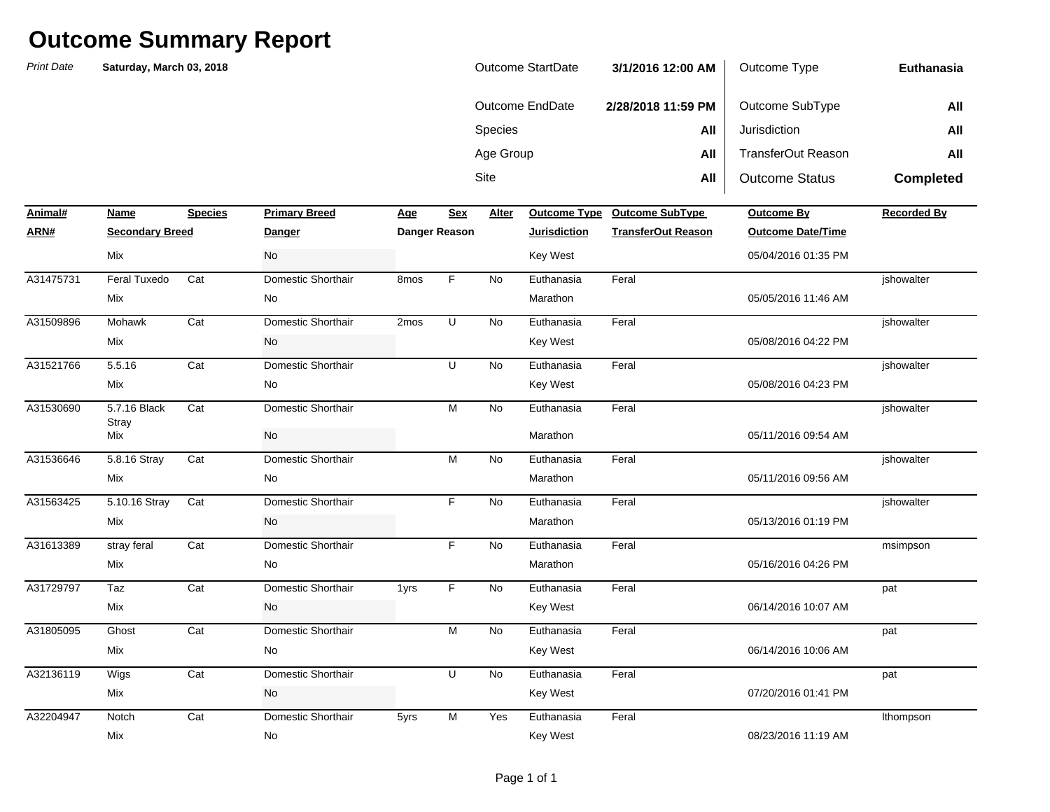| Outcome StartDate | 3/1/2016 12:00 AM  | Outcome Type              | Euthanasia       |
|-------------------|--------------------|---------------------------|------------------|
| Outcome EndDate   | 2/28/2018 11:59 PM | Outcome SubType           | All              |
| <b>Species</b>    | All                | Jurisdiction              | All              |
| Age Group         | All                | <b>TransferOut Reason</b> | All              |
| Site              | All                | <b>Outcome Status</b>     | <b>Completed</b> |

| Animal#   | Name                         | <b>Species</b> | <b>Primary Breed</b> | <u>Age</u>       | <b>Sex</b>    | Alter     | <b>Outcome Type</b> | <b>Outcome SubType</b>    | <b>Outcome By</b>        | <b>Recorded By</b> |
|-----------|------------------------------|----------------|----------------------|------------------|---------------|-----------|---------------------|---------------------------|--------------------------|--------------------|
| ARN#      | <b>Secondary Breed</b>       |                | <b>Danger</b>        |                  | Danger Reason |           | <b>Jurisdiction</b> | <b>TransferOut Reason</b> | <b>Outcome Date/Time</b> |                    |
|           | Mix                          |                | No                   |                  |               |           | <b>Key West</b>     |                           | 05/04/2016 01:35 PM      |                    |
| A31475731 | <b>Feral Tuxedo</b>          | Cat            | Domestic Shorthair   | 8 <sub>mos</sub> | F             | <b>No</b> | Euthanasia          | Feral                     |                          | ishowalter         |
|           | Mix                          |                | No                   |                  |               |           | Marathon            |                           | 05/05/2016 11:46 AM      |                    |
| A31509896 | Mohawk                       | Cat            | Domestic Shorthair   | 2 <sub>mos</sub> | U             | <b>No</b> | Euthanasia          | Feral                     |                          | jshowalter         |
|           | Mix                          |                | No                   |                  |               |           | <b>Key West</b>     |                           | 05/08/2016 04:22 PM      |                    |
| A31521766 | 5.5.16                       | Cat            | Domestic Shorthair   |                  | U             | No        | Euthanasia          | Feral                     |                          | ishowalter         |
|           | Mix                          |                | No                   |                  |               |           | <b>Key West</b>     |                           | 05/08/2016 04:23 PM      |                    |
| A31530690 | 5.7.16 Black<br><b>Stray</b> | Cat            | Domestic Shorthair   |                  | M             | No        | Euthanasia          | Feral                     |                          | ishowalter         |
|           | Mix                          |                | <b>No</b>            |                  |               |           | Marathon            |                           | 05/11/2016 09:54 AM      |                    |
| A31536646 | 5.8.16 Stray                 | Cat            | Domestic Shorthair   |                  | M             | <b>No</b> | Euthanasia          | Feral                     |                          | ishowalter         |
|           | Mix                          |                | No                   |                  |               |           | Marathon            |                           | 05/11/2016 09:56 AM      |                    |
| A31563425 | 5.10.16 Stray                | Cat            | Domestic Shorthair   |                  | F.            | No        | Euthanasia          | Feral                     |                          | jshowalter         |
|           | Mix                          |                | No                   |                  |               |           | Marathon            |                           | 05/13/2016 01:19 PM      |                    |
| A31613389 | stray feral                  | Cat            | Domestic Shorthair   |                  | F.            | No        | Euthanasia          | Feral                     |                          | msimpson           |
|           | Mix                          |                | No                   |                  |               |           | Marathon            |                           | 05/16/2016 04:26 PM      |                    |
| A31729797 | Taz                          | Cat            | Domestic Shorthair   | 1yrs             | F             | <b>No</b> | Euthanasia          | Feral                     |                          | pat                |
|           | Mix                          |                | No                   |                  |               |           | <b>Key West</b>     |                           | 06/14/2016 10:07 AM      |                    |
| A31805095 | Ghost                        | Cat            | Domestic Shorthair   |                  | M             | No        | Euthanasia          | Feral                     |                          | pat                |
|           | Mix                          |                | No                   |                  |               |           | <b>Key West</b>     |                           | 06/14/2016 10:06 AM      |                    |
| A32136119 | Wigs                         | Cat            | Domestic Shorthair   |                  | U             | <b>No</b> | Euthanasia          | Feral                     |                          | pat                |
|           | Mix                          |                | No                   |                  |               |           | <b>Key West</b>     |                           | 07/20/2016 01:41 PM      |                    |
| A32204947 | Notch                        | Cat            | Domestic Shorthair   | 5yrs             | M             | Yes       | Euthanasia          | Feral                     |                          | Ithompson          |
|           | Mix                          |                | No                   |                  |               |           | <b>Key West</b>     |                           | 08/23/2016 11:19 AM      |                    |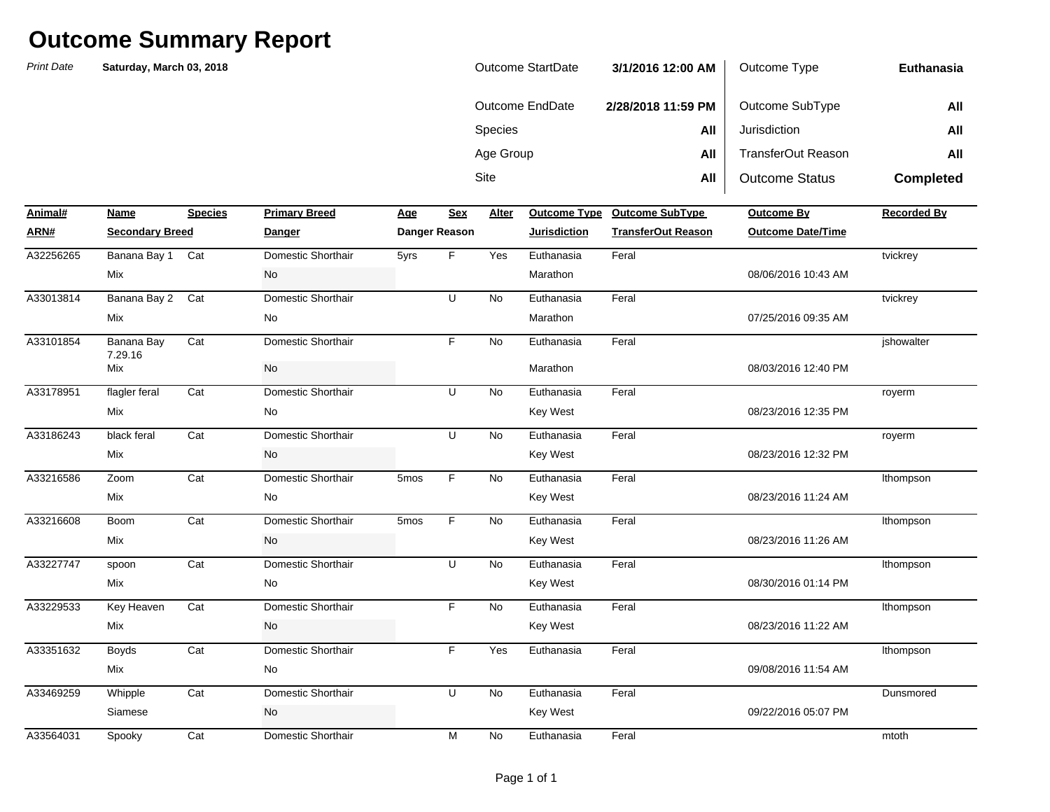| Outcome StartDate | 3/1/2016 12:00 AM  | Outcome Type              | Euthanasia       |
|-------------------|--------------------|---------------------------|------------------|
| Outcome EndDate   | 2/28/2018 11:59 PM | Outcome SubType           | All              |
| <b>Species</b>    | All                | Jurisdiction              | All              |
| Age Group         | All                | <b>TransferOut Reason</b> | All              |
| Site              | All                | <b>Outcome Status</b>     | <b>Completed</b> |

| Animal#   | Name                   | <b>Species</b> | <b>Primary Breed</b> | <b>Age</b> | Sex           | Alter     | <b>Outcome Type</b> | <b>Outcome SubType</b>    | <b>Outcome By</b>        | <b>Recorded By</b> |
|-----------|------------------------|----------------|----------------------|------------|---------------|-----------|---------------------|---------------------------|--------------------------|--------------------|
| ARN#      | <b>Secondary Breed</b> |                | <b>Danger</b>        |            | Danger Reason |           | <b>Jurisdiction</b> | <b>TransferOut Reason</b> | <b>Outcome Date/Time</b> |                    |
| A32256265 | Banana Bay 1           | Cat            | Domestic Shorthair   | 5yrs       | F             | Yes       | Euthanasia          | Feral                     |                          | tvickrey           |
|           | Mix                    |                | No                   |            |               |           | Marathon            |                           | 08/06/2016 10:43 AM      |                    |
| A33013814 | Banana Bay 2           | Cat            | Domestic Shorthair   |            | U             | No        | Euthanasia          | Feral                     |                          | tvickrey           |
|           | <b>Mix</b>             |                | <b>No</b>            |            |               |           | Marathon            |                           | 07/25/2016 09:35 AM      |                    |
| A33101854 | Banana Bay<br>7.29.16  | Cat            | Domestic Shorthair   |            | F.            | <b>No</b> | Euthanasia          | Feral                     |                          | jshowalter         |
|           | Mix                    |                | No                   |            |               |           | Marathon            |                           | 08/03/2016 12:40 PM      |                    |
| A33178951 | flagler feral          | Cat            | Domestic Shorthair   |            | U             | <b>No</b> | Euthanasia          | Feral                     |                          | royerm             |
|           | Mix                    |                | No                   |            |               |           | Key West            |                           | 08/23/2016 12:35 PM      |                    |
| A33186243 | black feral            | Cat            | Domestic Shorthair   |            | U             | <b>No</b> | Euthanasia          | Feral                     |                          | royerm             |
|           | Mix                    |                | No                   |            |               |           | <b>Key West</b>     |                           | 08/23/2016 12:32 PM      |                    |
| A33216586 | Zoom                   | Cat            | Domestic Shorthair   | 5mos       | F.            | <b>No</b> | Euthanasia          | Feral                     |                          | Ithompson          |
|           | Mix                    |                | No                   |            |               |           | Key West            |                           | 08/23/2016 11:24 AM      |                    |
| A33216608 | <b>Boom</b>            | Cat            | Domestic Shorthair   | 5mos       | F.            | No        | Euthanasia          | Feral                     |                          | Ithompson          |
|           | Mix                    |                | No                   |            |               |           | <b>Key West</b>     |                           | 08/23/2016 11:26 AM      |                    |
| A33227747 | spoon                  | Cat            | Domestic Shorthair   |            | U             | <b>No</b> | Euthanasia          | Feral                     |                          | Ithompson          |
|           | Mix                    |                | No                   |            |               |           | Key West            |                           | 08/30/2016 01:14 PM      |                    |
| A33229533 | Key Heaven             | Cat            | Domestic Shorthair   |            | F.            | No        | Euthanasia          | Feral                     |                          | Ithompson          |
|           | Mix                    |                | No                   |            |               |           | <b>Key West</b>     |                           | 08/23/2016 11:22 AM      |                    |
| A33351632 | <b>Boyds</b>           | Cat            | Domestic Shorthair   |            | F.            | Yes       | Euthanasia          | Feral                     |                          | Ithompson          |
|           | Mix                    |                | No                   |            |               |           |                     |                           | 09/08/2016 11:54 AM      |                    |
| A33469259 | Whipple                | Cat            | Domestic Shorthair   |            | U             | <b>No</b> | Euthanasia          | Feral                     |                          | Dunsmored          |
|           | Siamese                |                | No                   |            |               |           | <b>Key West</b>     |                           | 09/22/2016 05:07 PM      |                    |
| A33564031 | Spooky                 | Cat            | Domestic Shorthair   |            | M             | No        | Euthanasia          | Feral                     |                          | mtoth              |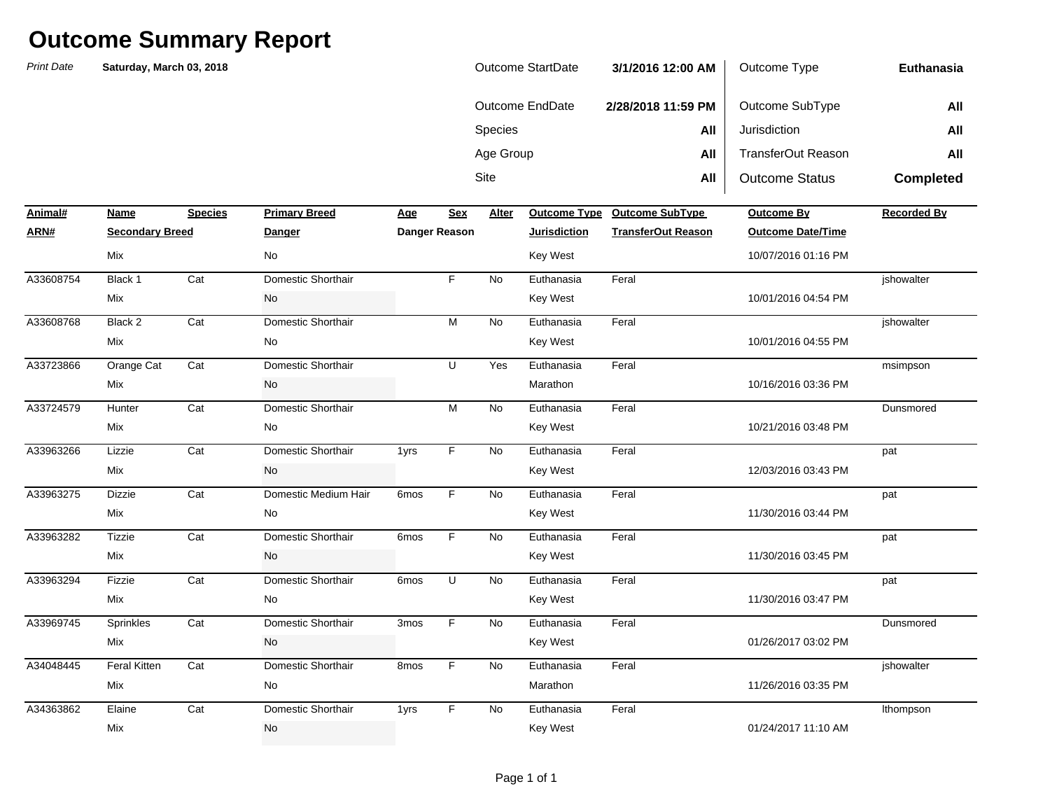| Outcome StartDate | 3/1/2016 12:00 AM  | Outcome Type              | Euthanasia       |
|-------------------|--------------------|---------------------------|------------------|
| Outcome EndDate   | 2/28/2018 11:59 PM | Outcome SubType           | All              |
| <b>Species</b>    | All                | Jurisdiction              | All              |
| Age Group         | All                | <b>TransferOut Reason</b> | All              |
| Site              | All                | <b>Outcome Status</b>     | <b>Completed</b> |

| Animal#   | Name                   | <b>Species</b> | <b>Primary Breed</b> | Age              | <b>Sex</b>           | Alter     | <b>Outcome Type</b> | <b>Outcome SubType</b>    | Outcome By               | <b>Recorded By</b> |
|-----------|------------------------|----------------|----------------------|------------------|----------------------|-----------|---------------------|---------------------------|--------------------------|--------------------|
| ARN#      | <b>Secondary Breed</b> |                | Danger               |                  | <b>Danger Reason</b> |           | <b>Jurisdiction</b> | <b>TransferOut Reason</b> | <b>Outcome Date/Time</b> |                    |
|           | Mix                    |                | No                   |                  |                      |           | Key West            |                           | 10/07/2016 01:16 PM      |                    |
| A33608754 | Black 1                | Cat            | Domestic Shorthair   |                  | F                    | <b>No</b> | Euthanasia          | Feral                     |                          | jshowalter         |
|           | Mix                    |                | No                   |                  |                      |           | Key West            |                           | 10/01/2016 04:54 PM      |                    |
| A33608768 | Black 2                | Cat            | Domestic Shorthair   |                  | M                    | <b>No</b> | Euthanasia          | Feral                     |                          | ishowalter         |
|           | Mix                    |                | No                   |                  |                      |           | Key West            |                           | 10/01/2016 04:55 PM      |                    |
| A33723866 | Orange Cat             | Cat            | Domestic Shorthair   |                  | U                    | Yes       | Euthanasia          | Feral                     |                          | msimpson           |
|           | Mix                    |                | No                   |                  |                      |           | Marathon            |                           | 10/16/2016 03:36 PM      |                    |
| A33724579 | Hunter                 | Cat            | Domestic Shorthair   |                  | M                    | <b>No</b> | Euthanasia          | Feral                     |                          | Dunsmored          |
|           | Mix                    |                | No                   |                  |                      |           | Key West            |                           | 10/21/2016 03:48 PM      |                    |
| A33963266 | Lizzie                 | Cat            | Domestic Shorthair   | 1yrs             | F                    | <b>No</b> | Euthanasia          | Feral                     |                          | pat                |
|           | Mix                    |                | No                   |                  |                      |           | Key West            |                           | 12/03/2016 03:43 PM      |                    |
| A33963275 | Dizzie                 | Cat            | Domestic Medium Hair | 6mos             | F                    | No        | Euthanasia          | Feral                     |                          | pat                |
|           | Mix                    |                | No                   |                  |                      |           | Key West            |                           | 11/30/2016 03:44 PM      |                    |
| A33963282 | <b>Tizzie</b>          | Cat            | Domestic Shorthair   | 6 <sub>mos</sub> | F                    | No        | Euthanasia          | Feral                     |                          | pat                |
|           | Mix                    |                | No                   |                  |                      |           | Key West            |                           | 11/30/2016 03:45 PM      |                    |
| A33963294 | Fizzie                 | Cat            | Domestic Shorthair   | 6mos             | U                    | <b>No</b> | Euthanasia          | Feral                     |                          | pat                |
|           | Mix                    |                | No                   |                  |                      |           | Key West            |                           | 11/30/2016 03:47 PM      |                    |
| A33969745 | Sprinkles              | Cat            | Domestic Shorthair   | 3mos             | F                    | No        | Euthanasia          | Feral                     |                          | Dunsmored          |
|           | Mix                    |                | No                   |                  |                      |           | Key West            |                           | 01/26/2017 03:02 PM      |                    |
| A34048445 | <b>Feral Kitten</b>    | Cat            | Domestic Shorthair   | 8mos             | F                    | No        | Euthanasia          | Feral                     |                          | jshowalter         |
|           | Mix                    |                | No                   |                  |                      |           | Marathon            |                           | 11/26/2016 03:35 PM      |                    |
| A34363862 | Elaine                 | Cat            | Domestic Shorthair   | 1yrs             | F                    | <b>No</b> | Euthanasia          | Feral                     |                          | Ithompson          |
|           | Mix                    |                | No                   |                  |                      |           | Key West            |                           | 01/24/2017 11:10 AM      |                    |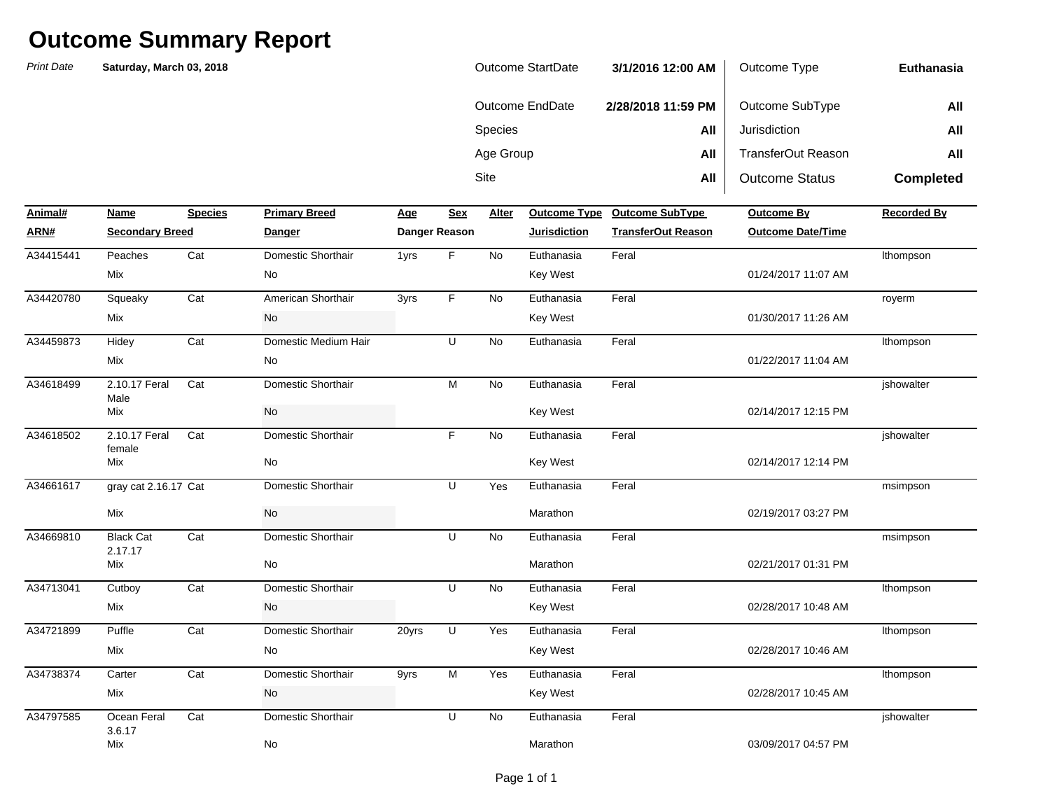| Outcome StartDate | 3/1/2016 12:00 AM  | Outcome Type          | Euthanasia       |
|-------------------|--------------------|-----------------------|------------------|
| Outcome EndDate   | 2/28/2018 11:59 PM | Outcome SubType       | All              |
| <b>Species</b>    | All                | Jurisdiction          | All              |
| Age Group         | All                | TransferOut Reason    | All              |
| Site              | All                | <b>Outcome Status</b> | <b>Completed</b> |

| Animal#   | Name                        | <b>Species</b> | <b>Primary Breed</b> | <b>Age</b> | <b>Sex</b>    | Alter     | <b>Outcome Type</b> | <b>Outcome SubType</b>    | Outcome By               | <b>Recorded By</b> |
|-----------|-----------------------------|----------------|----------------------|------------|---------------|-----------|---------------------|---------------------------|--------------------------|--------------------|
| ARN#      | <b>Secondary Breed</b>      |                | <b>Danger</b>        |            | Danger Reason |           | <b>Jurisdiction</b> | <b>TransferOut Reason</b> | <b>Outcome Date/Time</b> |                    |
| A34415441 | Peaches                     | Cat            | Domestic Shorthair   | 1yrs       | F             | <b>No</b> | Euthanasia          | Feral                     |                          | Ithompson          |
|           | Mix                         |                | No                   |            |               |           | <b>Key West</b>     |                           | 01/24/2017 11:07 AM      |                    |
| A34420780 | Squeaky                     | Cat            | American Shorthair   | 3yrs       | F.            | No        | Euthanasia          | Feral                     |                          | royerm             |
|           | Mix                         |                | No                   |            |               |           | <b>Key West</b>     |                           | 01/30/2017 11:26 AM      |                    |
| A34459873 | Hidey                       | Cat            | Domestic Medium Hair |            | U             | No        | Euthanasia          | Feral                     |                          | Ithompson          |
|           | Mix                         |                | No                   |            |               |           |                     |                           | 01/22/2017 11:04 AM      |                    |
| A34618499 | 2.10.17 Feral<br>Male       | Cat            | Domestic Shorthair   |            | M             | <b>No</b> | Euthanasia          | Feral                     |                          | jshowalter         |
|           | Mix                         |                | <b>No</b>            |            |               |           | Key West            |                           | 02/14/2017 12:15 PM      |                    |
| A34618502 | 2.10.17 Feral<br>female     | Cat            | Domestic Shorthair   |            | F             | <b>No</b> | Euthanasia          | Feral                     |                          | jshowalter         |
|           | Mix                         |                | No                   |            |               |           | <b>Key West</b>     |                           | 02/14/2017 12:14 PM      |                    |
| A34661617 | gray cat 2.16.17 Cat        |                | Domestic Shorthair   |            | U             | Yes       | Euthanasia          | Feral                     |                          | msimpson           |
|           | Mix                         |                | <b>No</b>            |            |               |           | Marathon            |                           | 02/19/2017 03:27 PM      |                    |
| A34669810 | <b>Black Cat</b><br>2.17.17 | Cat            | Domestic Shorthair   |            | U             | No        | Euthanasia          | Feral                     |                          | msimpson           |
|           | Mix                         |                | No                   |            |               |           | Marathon            |                           | 02/21/2017 01:31 PM      |                    |
| A34713041 | Cutboy                      | Cat            | Domestic Shorthair   |            | U             | <b>No</b> | Euthanasia          | Feral                     |                          | Ithompson          |
|           | Mix                         |                | No                   |            |               |           | <b>Key West</b>     |                           | 02/28/2017 10:48 AM      |                    |
| A34721899 | Puffle                      | Cat            | Domestic Shorthair   | 20yrs      | U             | Yes       | Euthanasia          | Feral                     |                          | Ithompson          |
|           | Mix                         |                | No                   |            |               |           | <b>Key West</b>     |                           | 02/28/2017 10:46 AM      |                    |
| A34738374 | Carter                      | Cat            | Domestic Shorthair   | 9yrs       | M             | Yes       | Euthanasia          | Feral                     |                          | Ithompson          |
|           | Mix                         |                | No                   |            |               |           | Key West            |                           | 02/28/2017 10:45 AM      |                    |
| A34797585 | Ocean Feral<br>3.6.17       | Cat            | Domestic Shorthair   |            | U             | No        | Euthanasia          | Feral                     |                          | jshowalter         |
|           | Mix                         |                | No                   |            |               |           | Marathon            |                           | 03/09/2017 04:57 PM      |                    |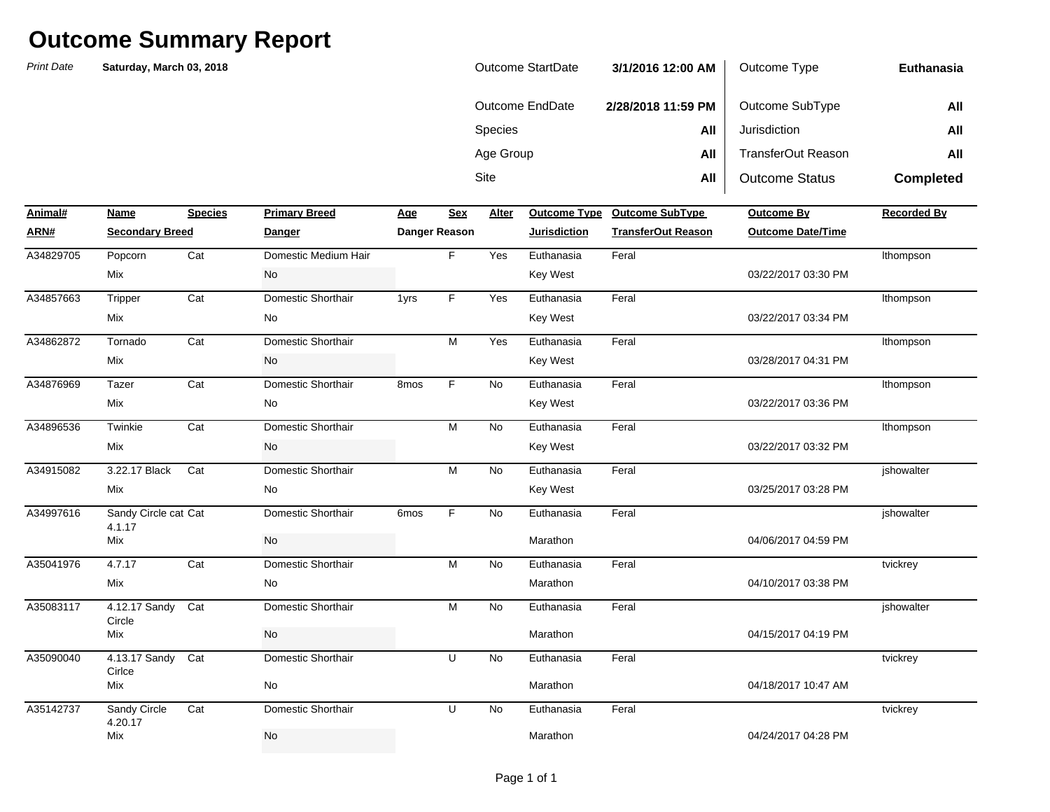| <b>Outcome StartDate</b> | 3/1/2016 12:00 AM  | Outcome Type          | Euthanasia       |
|--------------------------|--------------------|-----------------------|------------------|
| Outcome EndDate          | 2/28/2018 11:59 PM | Outcome SubType       | All              |
| <b>Species</b>           | All                | Jurisdiction          | All              |
| Age Group                | All                | TransferOut Reason    | All              |
| Site                     | All                | <b>Outcome Status</b> | <b>Completed</b> |

| Animal#   | Name                           | <b>Species</b> | <b>Primary Breed</b> | Age              | <b>Sex</b>    | Alter     | <b>Outcome Type</b> | <b>Outcome SubType</b>    | <b>Outcome By</b>        | <b>Recorded By</b> |
|-----------|--------------------------------|----------------|----------------------|------------------|---------------|-----------|---------------------|---------------------------|--------------------------|--------------------|
| ARN#      | <b>Secondary Breed</b>         |                | <b>Danger</b>        |                  | Danger Reason |           | <b>Jurisdiction</b> | <b>TransferOut Reason</b> | <b>Outcome Date/Time</b> |                    |
| A34829705 | Popcorn                        | Cat            | Domestic Medium Hair |                  | F.            | Yes       | Euthanasia          | Feral                     |                          | Ithompson          |
|           | Mix                            |                | No                   |                  |               |           | Key West            |                           | 03/22/2017 03:30 PM      |                    |
| A34857663 | Tripper                        | Cat            | Domestic Shorthair   | 1yrs             | F             | Yes       | Euthanasia          | Feral                     |                          | Ithompson          |
|           | Mix                            |                | No                   |                  |               |           | <b>Key West</b>     |                           | 03/22/2017 03:34 PM      |                    |
| A34862872 | Tornado                        | Cat            | Domestic Shorthair   |                  | M             | Yes       | Euthanasia          | Feral                     |                          | Ithompson          |
|           | Mix                            |                | No                   |                  |               |           | <b>Key West</b>     |                           | 03/28/2017 04:31 PM      |                    |
| A34876969 | Tazer                          | Cat            | Domestic Shorthair   | 8 <sub>mos</sub> | F             | No        | Euthanasia          | Feral                     |                          | Ithompson          |
|           | Mix                            |                | No                   |                  |               |           | Key West            |                           | 03/22/2017 03:36 PM      |                    |
| A34896536 | Twinkie                        | Cat            | Domestic Shorthair   |                  | M             | <b>No</b> | Euthanasia          | Feral                     |                          | Ithompson          |
|           | Mix                            |                | No                   |                  |               |           | <b>Key West</b>     |                           | 03/22/2017 03:32 PM      |                    |
| A34915082 | 3.22.17 Black                  | Cat            | Domestic Shorthair   |                  | M             | No        | Euthanasia          | Feral                     |                          | jshowalter         |
|           | Mix                            |                | No                   |                  |               |           | Key West            |                           | 03/25/2017 03:28 PM      |                    |
| A34997616 | Sandy Circle cat Cat<br>4.1.17 |                | Domestic Shorthair   | 6 <sub>mos</sub> | F.            | <b>No</b> | Euthanasia          | Feral                     |                          | ishowalter         |
|           | Mix                            |                | No                   |                  |               |           | Marathon            |                           | 04/06/2017 04:59 PM      |                    |
| A35041976 | 4.7.17                         | Cat            | Domestic Shorthair   |                  | M             | <b>No</b> | Euthanasia          | Feral                     |                          | tvickrey           |
|           | Mix                            |                | No                   |                  |               |           | Marathon            |                           | 04/10/2017 03:38 PM      |                    |
| A35083117 | 4.12.17 Sandy<br>Circle        | Cat            | Domestic Shorthair   |                  | M             | No        | Euthanasia          | Feral                     |                          | jshowalter         |
|           | Mix                            |                | No                   |                  |               |           | Marathon            |                           | 04/15/2017 04:19 PM      |                    |
| A35090040 | 4.13.17 Sandy<br>Cirlce        | Cat            | Domestic Shorthair   |                  | U             | No        | Euthanasia          | Feral                     |                          | tvickrey           |
|           | Mix                            |                | No                   |                  |               |           | Marathon            |                           | 04/18/2017 10:47 AM      |                    |
| A35142737 | Sandy Circle<br>4.20.17        | Cat            | Domestic Shorthair   |                  | U             | No        | Euthanasia          | Feral                     |                          | tvickrey           |
|           | Mix                            |                | No                   |                  |               |           | Marathon            |                           | 04/24/2017 04:28 PM      |                    |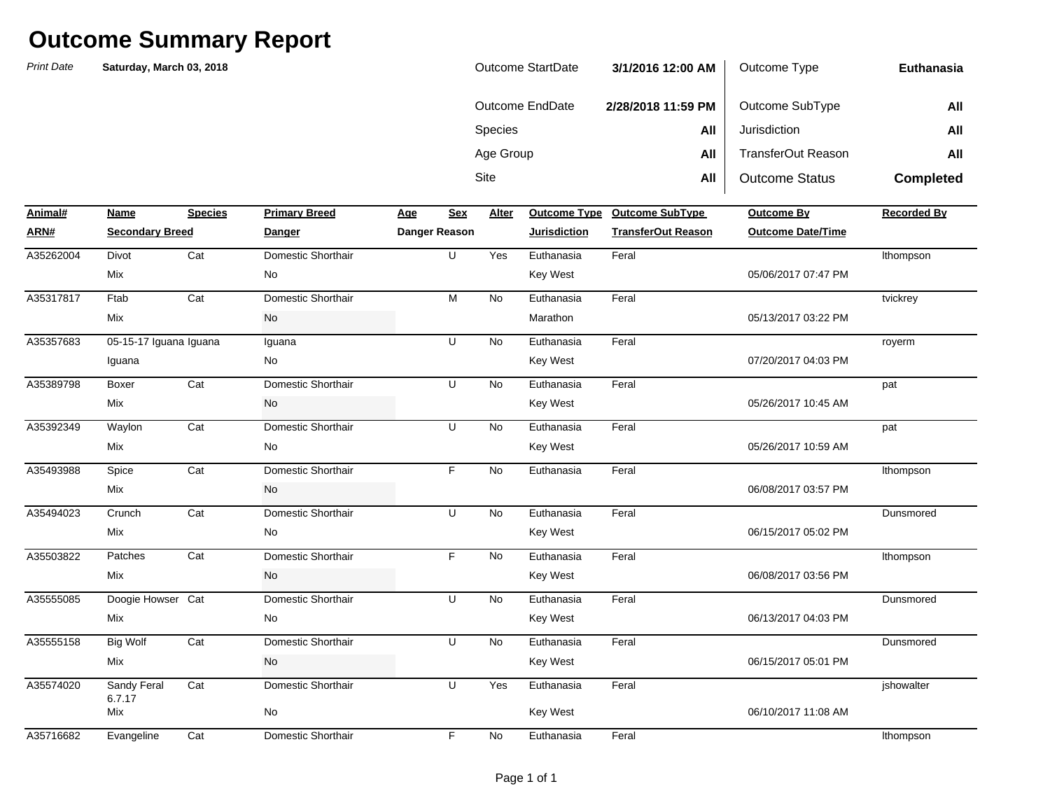| <b>Outcome StartDate</b> | 3/1/2016 12:00 AM  | Outcome Type          | Euthanasia       |
|--------------------------|--------------------|-----------------------|------------------|
| Outcome EndDate          | 2/28/2018 11:59 PM | Outcome SubType       | All              |
| <b>Species</b>           | All                | Jurisdiction          | All              |
| Age Group                | All                | TransferOut Reason    | All              |
| Site                     | All                | <b>Outcome Status</b> | <b>Completed</b> |

| Animal#   | Name                   | <b>Species</b> | <b>Primary Breed</b> | <u>Age</u> | <b>Sex</b>    | Alter     |                     | Outcome Type Outcome SubType | Outcome By               | <b>Recorded By</b> |
|-----------|------------------------|----------------|----------------------|------------|---------------|-----------|---------------------|------------------------------|--------------------------|--------------------|
| ARN#      | <b>Secondary Breed</b> |                | <b>Danger</b>        |            | Danger Reason |           | <b>Jurisdiction</b> | <b>TransferOut Reason</b>    | <b>Outcome Date/Time</b> |                    |
| A35262004 | Divot                  | Cat            | Domestic Shorthair   |            | U             | Yes       | Euthanasia          | Feral                        |                          | Ithompson          |
|           | Mix                    |                | No                   |            |               |           | Key West            |                              | 05/06/2017 07:47 PM      |                    |
| A35317817 | Ftab                   | Cat            | Domestic Shorthair   |            | M             | <b>No</b> | Euthanasia          | Feral                        |                          | tvickrey           |
|           | Mix                    |                | No                   |            |               |           | Marathon            |                              | 05/13/2017 03:22 PM      |                    |
| A35357683 | 05-15-17 Iguana Iguana |                | Iguana               |            | U             | <b>No</b> | Euthanasia          | Feral                        |                          | royerm             |
|           | Iguana                 |                | No                   |            |               |           | Key West            |                              | 07/20/2017 04:03 PM      |                    |
| A35389798 | Boxer                  | Cat            | Domestic Shorthair   |            | U             | <b>No</b> | Euthanasia          | Feral                        |                          | pat                |
|           | Mix                    |                | No                   |            |               |           | Key West            |                              | 05/26/2017 10:45 AM      |                    |
| A35392349 | Waylon                 | Cat            | Domestic Shorthair   |            | U             | <b>No</b> | Euthanasia          | Feral                        |                          | pat                |
|           | Mix                    |                | No                   |            |               |           | Key West            |                              | 05/26/2017 10:59 AM      |                    |
| A35493988 | Spice                  | Cat            | Domestic Shorthair   |            | F.            | <b>No</b> | Euthanasia          | Feral                        |                          | Ithompson          |
|           | Mix                    |                | No                   |            |               |           |                     |                              | 06/08/2017 03:57 PM      |                    |
| A35494023 | Crunch                 | Cat            | Domestic Shorthair   |            | $\cup$        | <b>No</b> | Euthanasia          | Feral                        |                          | Dunsmored          |
|           | Mix                    |                | No                   |            |               |           | Key West            |                              | 06/15/2017 05:02 PM      |                    |
| A35503822 | Patches                | Cat            | Domestic Shorthair   |            | F.            | <b>No</b> | Euthanasia          | Feral                        |                          | Ithompson          |
|           | Mix                    |                | No                   |            |               |           | Key West            |                              | 06/08/2017 03:56 PM      |                    |
| A35555085 | Doogie Howser Cat      |                | Domestic Shorthair   |            | U             | <b>No</b> | Euthanasia          | Feral                        |                          | Dunsmored          |
|           | Mix                    |                | No                   |            |               |           | Key West            |                              | 06/13/2017 04:03 PM      |                    |
| A35555158 | <b>Big Wolf</b>        | Cat            | Domestic Shorthair   |            | U             | No        | Euthanasia          | Feral                        |                          | Dunsmored          |
|           | Mix                    |                | No                   |            |               |           | Key West            |                              | 06/15/2017 05:01 PM      |                    |
| A35574020 | Sandy Feral<br>6.7.17  | Cat            | Domestic Shorthair   |            | U             | Yes       | Euthanasia          | Feral                        |                          | jshowalter         |
|           | Mix                    |                | No                   |            |               |           | Key West            |                              | 06/10/2017 11:08 AM      |                    |
| A35716682 | Evangeline             | Cat            | Domestic Shorthair   |            | F             | <b>No</b> | Euthanasia          | Feral                        |                          | Ithompson          |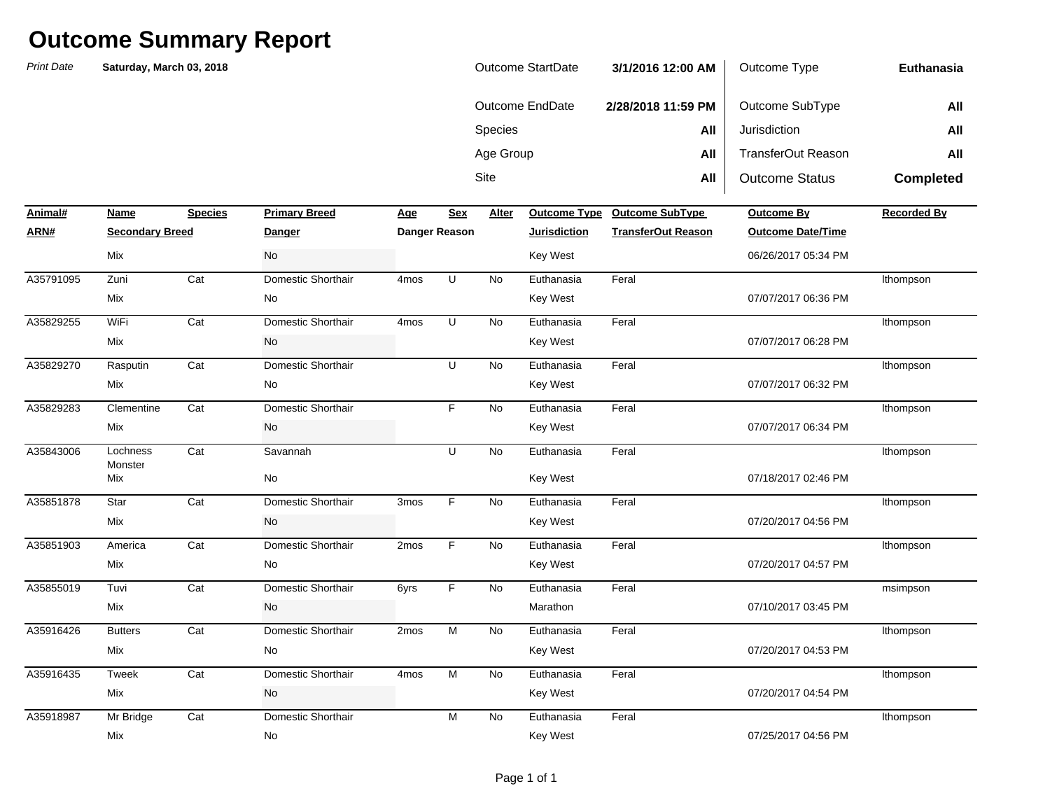| Outcome StartDate | 3/1/2016 12:00 AM  | Outcome Type          | Euthanasia       |
|-------------------|--------------------|-----------------------|------------------|
| Outcome EndDate   | 2/28/2018 11:59 PM | Outcome SubType       | All              |
| <b>Species</b>    | All                | Jurisdiction          | All              |
| Age Group         | All                | TransferOut Reason    | All              |
| Site              | All                | <b>Outcome Status</b> | <b>Completed</b> |

| Animal#   | Name                   | <b>Species</b> | <b>Primary Breed</b> | Age              | <b>Sex</b>    | Alter     | <b>Outcome Type</b> | <b>Outcome SubType</b>    | <b>Outcome By</b>        | <b>Recorded By</b> |
|-----------|------------------------|----------------|----------------------|------------------|---------------|-----------|---------------------|---------------------------|--------------------------|--------------------|
| ARN#      | <b>Secondary Breed</b> |                | <b>Danger</b>        |                  | Danger Reason |           | <b>Jurisdiction</b> | <b>TransferOut Reason</b> | <b>Outcome Date/Time</b> |                    |
|           | Mix                    |                | No                   |                  |               |           | <b>Key West</b>     |                           | 06/26/2017 05:34 PM      |                    |
| A35791095 | Zuni                   | Cat            | Domestic Shorthair   | 4 <sub>mos</sub> | U             | No        | Euthanasia          | Feral                     |                          | Ithompson          |
|           | Mix                    |                | No                   |                  |               |           | <b>Key West</b>     |                           | 07/07/2017 06:36 PM      |                    |
| A35829255 | WiFi                   | Cat            | Domestic Shorthair   | 4 <sub>mos</sub> | U             | No        | Euthanasia          | Feral                     |                          | Ithompson          |
|           | Mix                    |                | No                   |                  |               |           | <b>Key West</b>     |                           | 07/07/2017 06:28 PM      |                    |
| A35829270 | Rasputin               | Cat            | Domestic Shorthair   |                  | U             | No        | Euthanasia          | Feral                     |                          | Ithompson          |
|           | Mix                    |                | No                   |                  |               |           | <b>Key West</b>     |                           | 07/07/2017 06:32 PM      |                    |
| A35829283 | Clementine             | Cat            | Domestic Shorthair   |                  | F.            | No        | Euthanasia          | Feral                     |                          | Ithompson          |
|           | Mix                    |                | No                   |                  |               |           | <b>Key West</b>     |                           | 07/07/2017 06:34 PM      |                    |
| A35843006 | Lochness<br>Monster    | Cat            | Savannah             |                  | U             | No        | Euthanasia          | Feral                     |                          | Ithompson          |
|           | Mix                    |                | No                   |                  |               |           | <b>Key West</b>     |                           | 07/18/2017 02:46 PM      |                    |
| A35851878 | Star                   | Cat            | Domestic Shorthair   | 3mos             | F.            | No        | Euthanasia          | Feral                     |                          | Ithompson          |
|           | Mix                    |                | No                   |                  |               |           | <b>Key West</b>     |                           | 07/20/2017 04:56 PM      |                    |
| A35851903 | America                | Cat            | Domestic Shorthair   | 2mos             | F.            | No        | Euthanasia          | Feral                     |                          | Ithompson          |
|           | Mix                    |                | No                   |                  |               |           | <b>Key West</b>     |                           | 07/20/2017 04:57 PM      |                    |
| A35855019 | Tuvi                   | Cat            | Domestic Shorthair   | 6yrs             | F.            | No        | Euthanasia          | Feral                     |                          | msimpson           |
|           | Mix                    |                | No                   |                  |               |           | Marathon            |                           | 07/10/2017 03:45 PM      |                    |
| A35916426 | <b>Butters</b>         | Cat            | Domestic Shorthair   | 2mos             | M             | No        | Euthanasia          | Feral                     |                          | Ithompson          |
|           | Mix                    |                | No                   |                  |               |           | <b>Key West</b>     |                           | 07/20/2017 04:53 PM      |                    |
| A35916435 | Tweek                  | Cat            | Domestic Shorthair   | 4 <sub>mos</sub> | M             | <b>No</b> | Euthanasia          | Feral                     |                          | Ithompson          |
|           | Mix                    |                | No                   |                  |               |           | <b>Key West</b>     |                           | 07/20/2017 04:54 PM      |                    |
| A35918987 | Mr Bridge              | Cat            | Domestic Shorthair   |                  | M             | No        | Euthanasia          | Feral                     |                          | Ithompson          |
|           | Mix                    |                | No                   |                  |               |           | <b>Key West</b>     |                           | 07/25/2017 04:56 PM      |                    |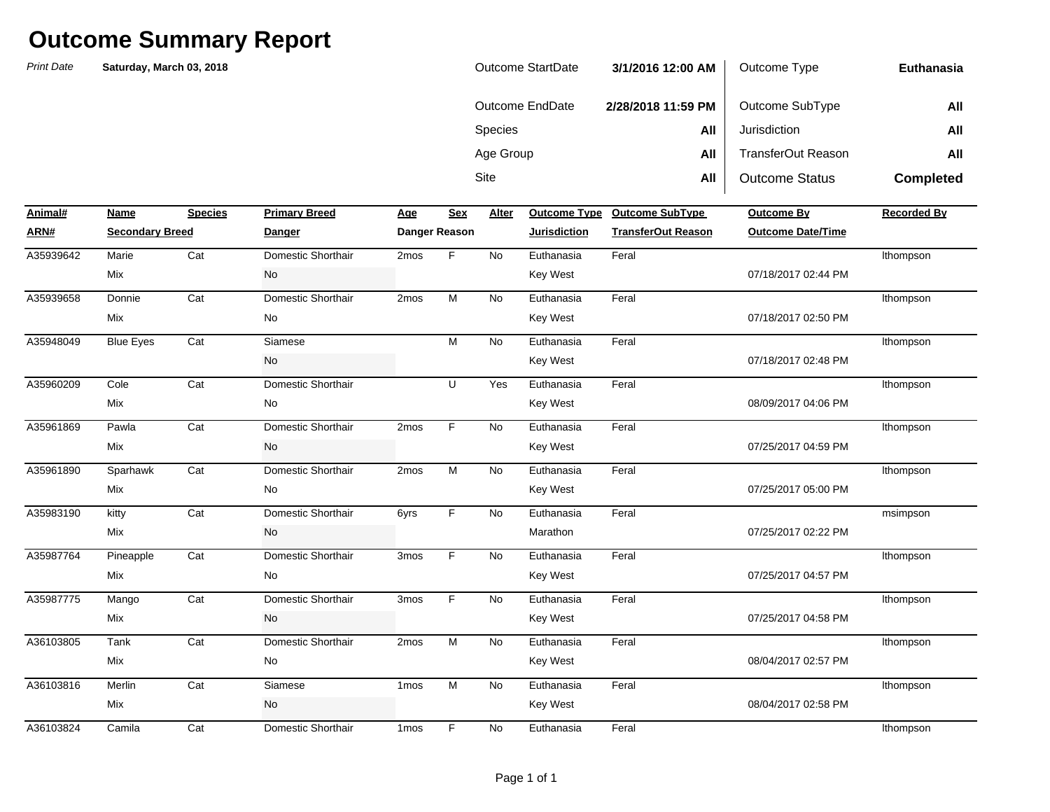| Outcome StartDate | 3/1/2016 12:00 AM  | Outcome Type          | Euthanasia       |
|-------------------|--------------------|-----------------------|------------------|
| Outcome EndDate   | 2/28/2018 11:59 PM | Outcome SubType       | All              |
| <b>Species</b>    | All                | Jurisdiction          | All              |
| Age Group         | All                | TransferOut Reason    | All              |
| Site              | All                | <b>Outcome Status</b> | <b>Completed</b> |

| Animal#   | Name                   | <b>Species</b> | <b>Primary Breed</b> | <b>Age</b>       | <b>Sex</b>    | Alter     | <b>Outcome Type</b> | <b>Outcome SubType</b>    | <b>Outcome By</b>        | <b>Recorded By</b> |
|-----------|------------------------|----------------|----------------------|------------------|---------------|-----------|---------------------|---------------------------|--------------------------|--------------------|
| ARN#      | <b>Secondary Breed</b> |                | <b>Danger</b>        |                  | Danger Reason |           | <b>Jurisdiction</b> | <b>TransferOut Reason</b> | <b>Outcome Date/Time</b> |                    |
| A35939642 | Marie                  | Cat            | Domestic Shorthair   | 2mos             | F             | No        | Euthanasia          | Feral                     |                          | Ithompson          |
|           | Mix                    |                | No                   |                  |               |           | <b>Key West</b>     |                           | 07/18/2017 02:44 PM      |                    |
| A35939658 | Donnie                 | Cat            | Domestic Shorthair   | 2mos             | M             | <b>No</b> | Euthanasia          | Feral                     |                          | Ithompson          |
|           | Mix                    |                | No                   |                  |               |           | <b>Key West</b>     |                           | 07/18/2017 02:50 PM      |                    |
| A35948049 | <b>Blue Eyes</b>       | Cat            | Siamese              |                  | M             | <b>No</b> | Euthanasia          | Feral                     |                          | Ithompson          |
|           |                        |                | No                   |                  |               |           | <b>Key West</b>     |                           | 07/18/2017 02:48 PM      |                    |
| A35960209 | Cole                   | Cat            | Domestic Shorthair   |                  | U             | Yes       | Euthanasia          | Feral                     |                          | Ithompson          |
|           | Mix                    |                | No                   |                  |               |           | <b>Key West</b>     |                           | 08/09/2017 04:06 PM      |                    |
| A35961869 | Pawla                  | Cat            | Domestic Shorthair   | 2mos             | F.            | No        | Euthanasia          | Feral                     |                          | Ithompson          |
|           | Mix                    |                | No                   |                  |               |           | <b>Key West</b>     |                           | 07/25/2017 04:59 PM      |                    |
| A35961890 | Sparhawk               | Cat            | Domestic Shorthair   | 2mos             | M             | No        | Euthanasia          | Feral                     |                          | Ithompson          |
|           | Mix                    |                | No                   |                  |               |           | <b>Key West</b>     |                           | 07/25/2017 05:00 PM      |                    |
| A35983190 | kitty                  | Cat            | Domestic Shorthair   | 6yrs             | F.            | No        | Euthanasia          | Feral                     |                          | msimpson           |
|           | Mix                    |                | No                   |                  |               |           | Marathon            |                           | 07/25/2017 02:22 PM      |                    |
| A35987764 | Pineapple              | Cat            | Domestic Shorthair   | 3mos             | F.            | No        | Euthanasia          | Feral                     |                          | Ithompson          |
|           | Mix                    |                | No                   |                  |               |           | <b>Key West</b>     |                           | 07/25/2017 04:57 PM      |                    |
| A35987775 | Mango                  | Cat            | Domestic Shorthair   | 3mos             | F             | <b>No</b> | Euthanasia          | Feral                     |                          | Ithompson          |
|           | Mix                    |                | No                   |                  |               |           | <b>Key West</b>     |                           | 07/25/2017 04:58 PM      |                    |
| A36103805 | Tank                   | Cat            | Domestic Shorthair   | 2mos             | ${\sf M}$     | <b>No</b> | Euthanasia          | Feral                     |                          | Ithompson          |
|           | Mix                    |                | No                   |                  |               |           | <b>Key West</b>     |                           | 08/04/2017 02:57 PM      |                    |
| A36103816 | Merlin                 | Cat            | Siamese              | 1 <sub>mos</sub> | M             | No        | Euthanasia          | Feral                     |                          | Ithompson          |
|           | Mix                    |                | No                   |                  |               |           | <b>Key West</b>     |                           | 08/04/2017 02:58 PM      |                    |
| A36103824 | Camila                 | Cat            | Domestic Shorthair   | 1 <sub>mos</sub> | F             | No        | Euthanasia          | Feral                     |                          | Ithompson          |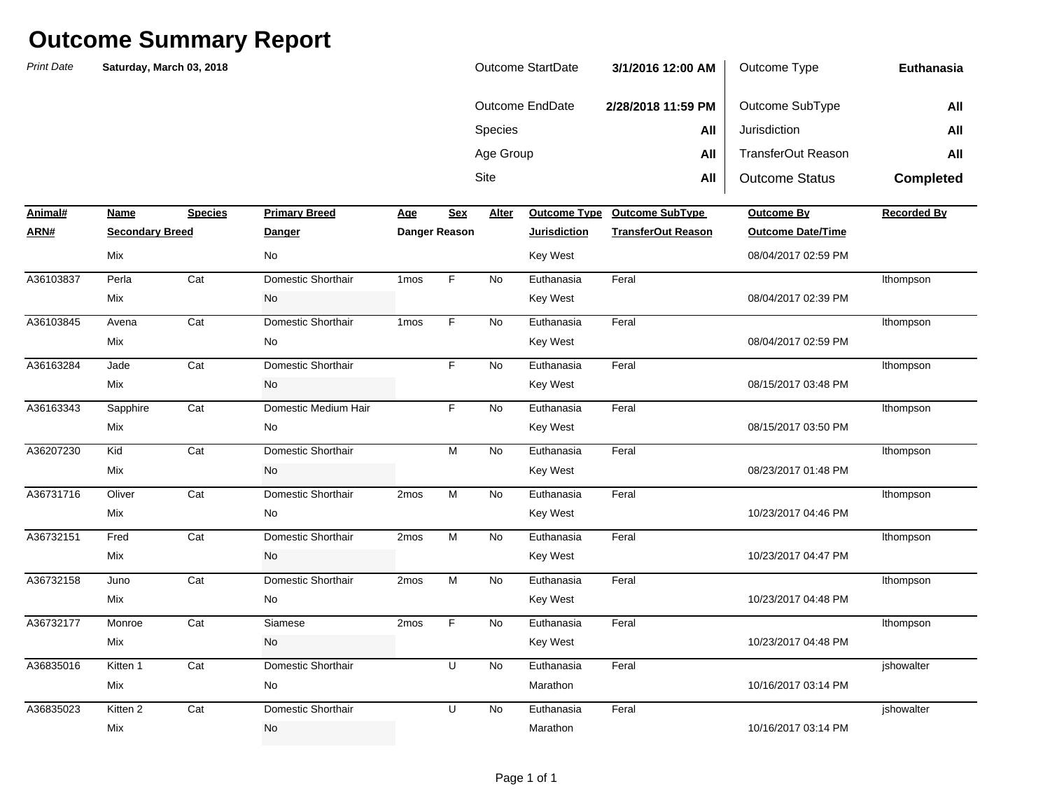| Outcome StartDate | 3/1/2016 12:00 AM  | Outcome Type          | Euthanasia       |
|-------------------|--------------------|-----------------------|------------------|
| Outcome EndDate   | 2/28/2018 11:59 PM | Outcome SubType       | All              |
| <b>Species</b>    | All                | Jurisdiction          | All              |
| Age Group         | All                | TransferOut Reason    | All              |
| Site              | All                | <b>Outcome Status</b> | <b>Completed</b> |

| Animal#   | Name                   | <b>Species</b> | <b>Primary Breed</b> | Age              | <b>Sex</b>    | Alter     | <b>Outcome Type</b> | <b>Outcome SubType</b>    | Outcome By               | <b>Recorded By</b> |
|-----------|------------------------|----------------|----------------------|------------------|---------------|-----------|---------------------|---------------------------|--------------------------|--------------------|
| ARN#      | <b>Secondary Breed</b> |                | <b>Danger</b>        |                  | Danger Reason |           | <b>Jurisdiction</b> | <b>TransferOut Reason</b> | <b>Outcome Date/Time</b> |                    |
|           | Mix                    |                | <b>No</b>            |                  |               |           | Key West            |                           | 08/04/2017 02:59 PM      |                    |
| A36103837 | Perla                  | Cat            | Domestic Shorthair   | 1 <sub>mos</sub> | F             | <b>No</b> | Euthanasia          | Feral                     |                          | Ithompson          |
|           | Mix                    |                | No                   |                  |               |           | Key West            |                           | 08/04/2017 02:39 PM      |                    |
| A36103845 | Avena                  | Cat            | Domestic Shorthair   | 1 <sub>mos</sub> | F             | <b>No</b> | Euthanasia          | Feral                     |                          | Ithompson          |
|           | Mix                    |                | No                   |                  |               |           | Key West            |                           | 08/04/2017 02:59 PM      |                    |
| A36163284 | Jade                   | Cat            | Domestic Shorthair   |                  | F             | <b>No</b> | Euthanasia          | Feral                     |                          | Ithompson          |
|           | Mix                    |                | No                   |                  |               |           | Key West            |                           | 08/15/2017 03:48 PM      |                    |
| A36163343 | Sapphire               | Cat            | Domestic Medium Hair |                  | F             | No        | Euthanasia          | Feral                     |                          | Ithompson          |
|           | Mix                    |                | No                   |                  |               |           | Key West            |                           | 08/15/2017 03:50 PM      |                    |
| A36207230 | Kid                    | Cat            | Domestic Shorthair   |                  | M             | No        | Euthanasia          | Feral                     |                          | Ithompson          |
|           | Mix                    |                | No                   |                  |               |           | Key West            |                           | 08/23/2017 01:48 PM      |                    |
| A36731716 | Oliver                 | Cat            | Domestic Shorthair   | 2mos             | ${\sf M}$     | <b>No</b> | Euthanasia          | Feral                     |                          | Ithompson          |
|           | Mix                    |                | No                   |                  |               |           | Key West            |                           | 10/23/2017 04:46 PM      |                    |
| A36732151 | Fred                   | Cat            | Domestic Shorthair   | 2mos             | ${\sf M}$     | <b>No</b> | Euthanasia          | Feral                     |                          | Ithompson          |
|           | Mix                    |                | No                   |                  |               |           | Key West            |                           | 10/23/2017 04:47 PM      |                    |
| A36732158 | Juno                   | Cat            | Domestic Shorthair   | 2mos             | M             | No        | Euthanasia          | Feral                     |                          | Ithompson          |
|           | Mix                    |                | No                   |                  |               |           | Key West            |                           | 10/23/2017 04:48 PM      |                    |
| A36732177 | Monroe                 | Cat            | Siamese              | 2mos             | F             | No        | Euthanasia          | Feral                     |                          | Ithompson          |
|           | Mix                    |                | No                   |                  |               |           | Key West            |                           | 10/23/2017 04:48 PM      |                    |
| A36835016 | Kitten 1               | Cat            | Domestic Shorthair   |                  | U             | <b>No</b> | Euthanasia          | Feral                     |                          | jshowalter         |
|           | Mix                    |                | No                   |                  |               |           | Marathon            |                           | 10/16/2017 03:14 PM      |                    |
| A36835023 | Kitten 2               | Cat            | Domestic Shorthair   |                  | U             | <b>No</b> | Euthanasia          | Feral                     |                          | jshowalter         |
|           | Mix                    |                | No                   |                  |               |           | Marathon            |                           | 10/16/2017 03:14 PM      |                    |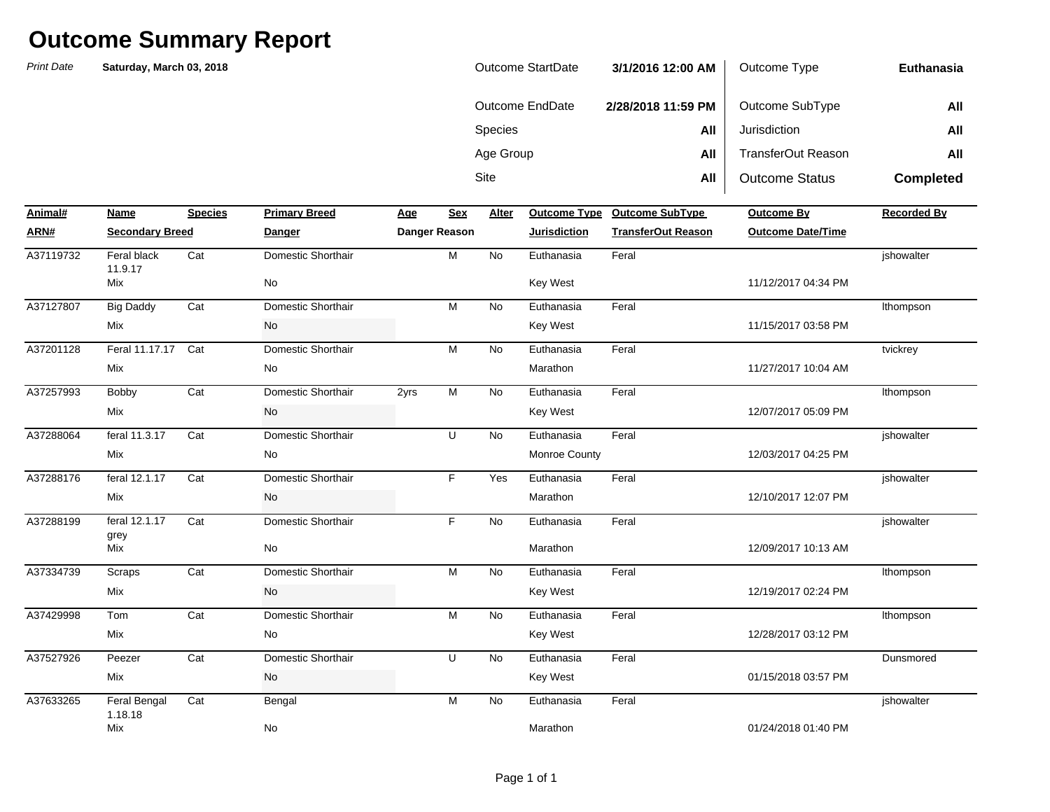| Outcome StartDate | 3/1/2016 12:00 AM  | Outcome Type          | Euthanasia       |
|-------------------|--------------------|-----------------------|------------------|
| Outcome EndDate   | 2/28/2018 11:59 PM | Outcome SubType       | All              |
| <b>Species</b>    | All                | Jurisdiction          | All              |
| Age Group         | All                | TransferOut Reason    | All              |
| Site              | All                | <b>Outcome Status</b> | <b>Completed</b> |

| Animal#   | Name                    | <b>Species</b> | <b>Primary Breed</b> | Age  | <b>Sex</b>           | Alter     |                     | Outcome Type Outcome SubType | Outcome By               | <b>Recorded By</b> |
|-----------|-------------------------|----------------|----------------------|------|----------------------|-----------|---------------------|------------------------------|--------------------------|--------------------|
| ARN#      | <b>Secondary Breed</b>  |                | <b>Danger</b>        |      | <b>Danger Reason</b> |           | <b>Jurisdiction</b> | <b>TransferOut Reason</b>    | <b>Outcome Date/Time</b> |                    |
| A37119732 | Feral black<br>11.9.17  | Cat            | Domestic Shorthair   |      | M                    | <b>No</b> | Euthanasia          | Feral                        |                          | jshowalter         |
|           | <b>Mix</b>              |                | No                   |      |                      |           | <b>Key West</b>     |                              | 11/12/2017 04:34 PM      |                    |
| A37127807 | <b>Big Daddy</b>        | Cat            | Domestic Shorthair   |      | M                    | <b>No</b> | Euthanasia          | Feral                        |                          | Ithompson          |
|           | Mix                     |                | No                   |      |                      |           | Key West            |                              | 11/15/2017 03:58 PM      |                    |
| A37201128 | Feral 11.17.17          | Cat            | Domestic Shorthair   |      | M                    | <b>No</b> | Euthanasia          | Feral                        |                          | tvickrey           |
|           | Mix                     |                | No                   |      |                      |           | Marathon            |                              | 11/27/2017 10:04 AM      |                    |
| A37257993 | Bobby                   | Cat            | Domestic Shorthair   | 2yrs | M                    | <b>No</b> | Euthanasia          | Feral                        |                          | Ithompson          |
|           | <b>Mix</b>              |                | No                   |      |                      |           | <b>Key West</b>     |                              | 12/07/2017 05:09 PM      |                    |
| A37288064 | feral 11.3.17           | Cat            | Domestic Shorthair   |      | U                    | <b>No</b> | Euthanasia          | Feral                        |                          | ishowalter         |
|           | Mix                     |                | No                   |      |                      |           | Monroe County       |                              | 12/03/2017 04:25 PM      |                    |
| A37288176 | feral 12.1.17           | Cat            | Domestic Shorthair   |      | F.                   | Yes       | Euthanasia          | Feral                        |                          | jshowalter         |
|           | Mix                     |                | No                   |      |                      |           | Marathon            |                              | 12/10/2017 12:07 PM      |                    |
| A37288199 | feral 12.1.17           | Cat            | Domestic Shorthair   |      | F.                   | <b>No</b> | Euthanasia          | Feral                        |                          | jshowalter         |
|           | grey<br><b>Mix</b>      |                | No                   |      |                      |           | Marathon            |                              | 12/09/2017 10:13 AM      |                    |
| A37334739 | Scraps                  | Cat            | Domestic Shorthair   |      | M                    | <b>No</b> | Euthanasia          | Feral                        |                          | Ithompson          |
|           | Mix                     |                | No                   |      |                      |           | <b>Key West</b>     |                              | 12/19/2017 02:24 PM      |                    |
| A37429998 | Tom                     | Cat            | Domestic Shorthair   |      | M                    | <b>No</b> | Euthanasia          | Feral                        |                          | Ithompson          |
|           | Mix                     |                | No                   |      |                      |           | <b>Key West</b>     |                              | 12/28/2017 03:12 PM      |                    |
| A37527926 | Peezer                  | Cat            | Domestic Shorthair   |      | U                    | <b>No</b> | Euthanasia          | Feral                        |                          | Dunsmored          |
|           | <b>Mix</b>              |                | No                   |      |                      |           | Key West            |                              | 01/15/2018 03:57 PM      |                    |
| A37633265 | Feral Bengal<br>1.18.18 | Cat            | Bengal               |      | M                    | <b>No</b> | Euthanasia          | Feral                        |                          | ishowalter         |
|           | Mix                     |                | No                   |      |                      |           | Marathon            |                              | 01/24/2018 01:40 PM      |                    |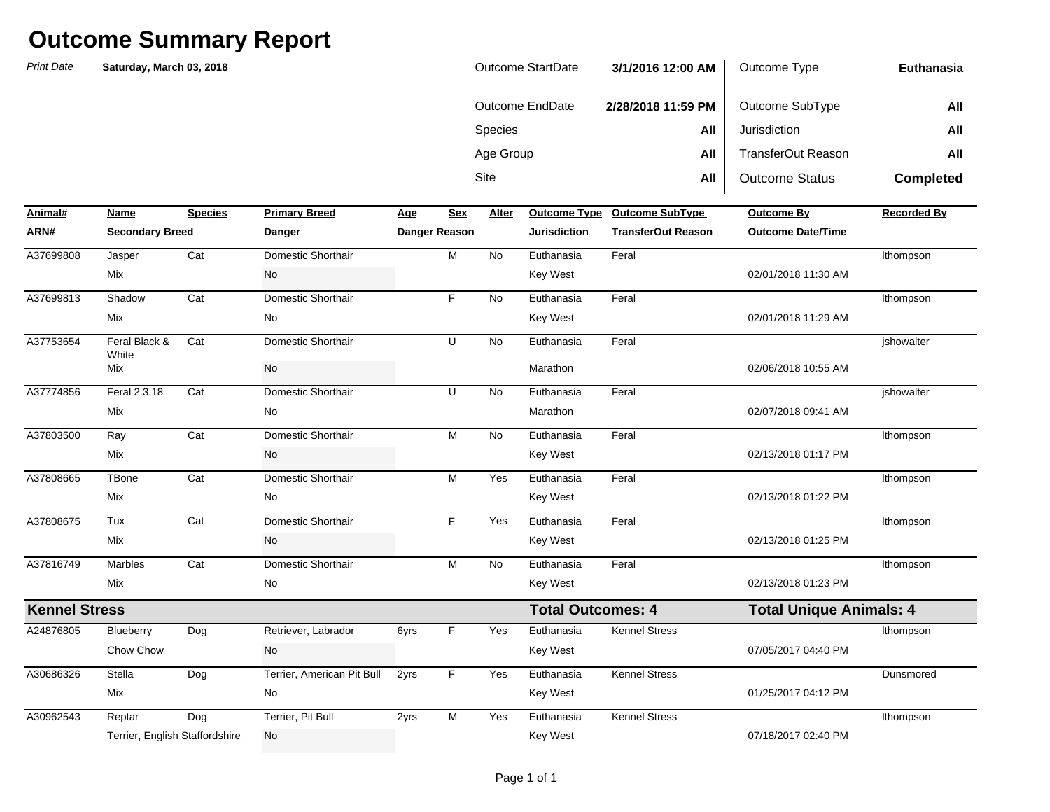| Outcome StartDate | 3/1/2016 12:00 AM  | Outcome Type          | Euthanasia       |
|-------------------|--------------------|-----------------------|------------------|
| Outcome EndDate   | 2/28/2018 11:59 PM | Outcome SubType       | All              |
| <b>Species</b>    | All                | Jurisdiction          | All              |
| Age Group         | All                | TransferOut Reason    | All              |
| Site              | All                | <b>Outcome Status</b> | <b>Completed</b> |

| Animal#              | Name                           | <b>Species</b> | <b>Primary Breed</b>       | <u>Age</u> | Sex           | Alter     | <b>Outcome Type</b>      | <b>Outcome SubType</b>    | <b>Outcome By</b>              | <b>Recorded By</b> |
|----------------------|--------------------------------|----------------|----------------------------|------------|---------------|-----------|--------------------------|---------------------------|--------------------------------|--------------------|
| ARN#                 | <b>Secondary Breed</b>         |                | <b>Danger</b>              |            | Danger Reason |           | <b>Jurisdiction</b>      | <b>TransferOut Reason</b> | <b>Outcome Date/Time</b>       |                    |
| A37699808            | Jasper                         | Cat            | Domestic Shorthair         |            | M             | <b>No</b> | Euthanasia               | Feral                     |                                | Ithompson          |
|                      | Mix                            |                | No                         |            |               |           | <b>Key West</b>          |                           | 02/01/2018 11:30 AM            |                    |
| A37699813            | Shadow                         | Cat            | Domestic Shorthair         |            | F.            | <b>No</b> | Euthanasia               | Feral                     |                                | Ithompson          |
|                      | Mix                            |                | No                         |            |               |           | <b>Key West</b>          |                           | 02/01/2018 11:29 AM            |                    |
| A37753654            | Feral Black &<br>White         | Cat            | Domestic Shorthair         |            | U             | <b>No</b> | Euthanasia               | Feral                     |                                | jshowalter         |
|                      | Mix                            |                | No                         |            |               |           | Marathon                 |                           | 02/06/2018 10:55 AM            |                    |
| A37774856            | Feral 2.3.18                   | Cat            | Domestic Shorthair         |            | U             | <b>No</b> | Euthanasia               | Feral                     |                                | ishowalter         |
|                      | Mix                            |                | No                         |            |               |           | Marathon                 |                           | 02/07/2018 09:41 AM            |                    |
| A37803500            | Ray                            | Cat            | Domestic Shorthair         |            | M             | <b>No</b> | Euthanasia               | Feral                     |                                | Ithompson          |
|                      | Mix                            |                | No                         |            |               |           | <b>Key West</b>          |                           | 02/13/2018 01:17 PM            |                    |
| A37808665            | TBone                          | Cat            | Domestic Shorthair         |            | М             | Yes       | Euthanasia               | Feral                     |                                | Ithompson          |
|                      | Mix                            |                | No                         |            |               |           | <b>Key West</b>          |                           | 02/13/2018 01:22 PM            |                    |
| A37808675            | Tux                            | Cat            | Domestic Shorthair         |            | F             | Yes       | Euthanasia               | Feral                     |                                | Ithompson          |
|                      | Mix                            |                | No                         |            |               |           | Key West                 |                           | 02/13/2018 01:25 PM            |                    |
| A37816749            | <b>Marbles</b>                 | Cat            | Domestic Shorthair         |            | M             | <b>No</b> | Euthanasia               | Feral                     |                                | Ithompson          |
|                      | Mix                            |                | No                         |            |               |           | Key West                 |                           | 02/13/2018 01:23 PM            |                    |
| <b>Kennel Stress</b> |                                |                |                            |            |               |           | <b>Total Outcomes: 4</b> |                           | <b>Total Unique Animals: 4</b> |                    |
| A24876805            | Blueberry                      | Dog            | Retriever, Labrador        | 6yrs       | F             | Yes       | Euthanasia               | <b>Kennel Stress</b>      |                                | Ithompson          |
|                      | Chow Chow                      |                | No                         |            |               |           | <b>Key West</b>          |                           | 07/05/2017 04:40 PM            |                    |
| A30686326            | Stella                         | Dog            | Terrier, American Pit Bull | 2yrs       | F             | Yes       | Euthanasia               | <b>Kennel Stress</b>      |                                | Dunsmored          |
|                      | Mix                            |                | No                         |            |               |           | <b>Key West</b>          |                           | 01/25/2017 04:12 PM            |                    |
| A30962543            | Reptar                         | Dog            | Terrier, Pit Bull          | 2yrs       | M             | Yes       | Euthanasia               | <b>Kennel Stress</b>      |                                | Ithompson          |
|                      | Terrier, English Staffordshire |                | No                         |            |               |           | <b>Key West</b>          |                           | 07/18/2017 02:40 PM            |                    |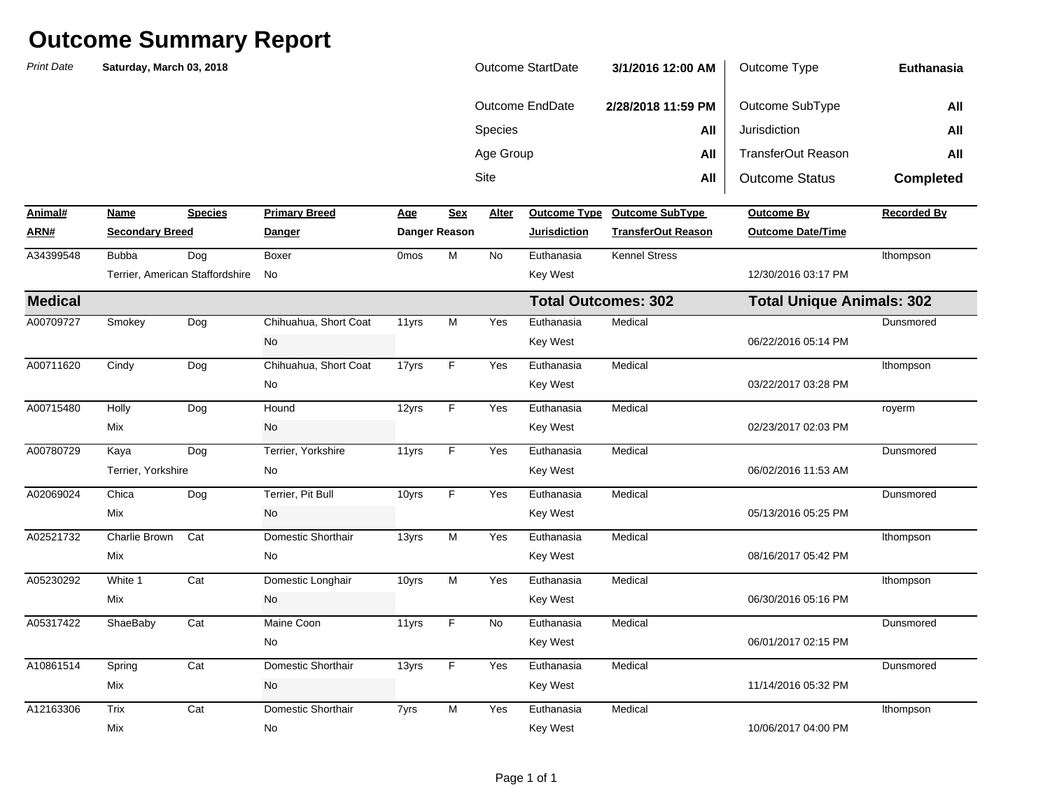| <b>Print Date</b> | Saturday, March 03, 2018 |                                 |                       |                  |                         |           | Outcome StartDate          | 3/1/2016 12:00 AM         | Outcome Type                     | Euthanasia         |
|-------------------|--------------------------|---------------------------------|-----------------------|------------------|-------------------------|-----------|----------------------------|---------------------------|----------------------------------|--------------------|
|                   |                          |                                 |                       |                  |                         |           | <b>Outcome EndDate</b>     | 2/28/2018 11:59 PM        | Outcome SubType                  | All                |
|                   |                          |                                 |                       |                  |                         | Species   |                            | All                       | Jurisdiction                     | All                |
|                   |                          |                                 |                       |                  |                         | Age Group |                            | All                       | <b>TransferOut Reason</b>        | All                |
|                   |                          |                                 |                       |                  |                         | Site      |                            | All                       | <b>Outcome Status</b>            | <b>Completed</b>   |
| Animal#           | Name                     | <b>Species</b>                  | <b>Primary Breed</b>  | Age              | Sex                     | Alter     | <b>Outcome Type</b>        | <b>Outcome SubType</b>    | <b>Outcome By</b>                | <b>Recorded By</b> |
| ARN#              | <b>Secondary Breed</b>   |                                 | <u>Danger</u>         |                  | <b>Danger Reason</b>    |           | <b>Jurisdiction</b>        | <b>TransferOut Reason</b> | <b>Outcome Date/Time</b>         |                    |
| A34399548         | <b>Bubba</b>             | Dog                             | Boxer                 | 0 <sub>mos</sub> | M                       | <b>No</b> | Euthanasia                 | <b>Kennel Stress</b>      |                                  | Ithompson          |
|                   |                          | Terrier, American Staffordshire | No                    |                  |                         |           | Key West                   |                           | 12/30/2016 03:17 PM              |                    |
| <b>Medical</b>    |                          |                                 |                       |                  |                         |           | <b>Total Outcomes: 302</b> |                           | <b>Total Unique Animals: 302</b> |                    |
| A00709727         | Smokey                   | Dog                             | Chihuahua, Short Coat | 11yrs            | $\overline{M}$          | Yes       | Euthanasia                 | Medical                   |                                  | Dunsmored          |
|                   |                          |                                 | <b>No</b>             |                  |                         |           | Key West                   |                           | 06/22/2016 05:14 PM              |                    |
| A00711620         | Cindy                    | Dog                             | Chihuahua, Short Coat | 17yrs            | $\overline{F}$          | Yes       | Euthanasia                 | Medical                   |                                  | Ithompson          |
|                   |                          |                                 | No                    |                  |                         |           | Key West                   |                           | 03/22/2017 03:28 PM              |                    |
| A00715480         | Holly                    | Dog                             | Hound                 | 12yrs            | F                       | Yes       | Euthanasia                 | Medical                   |                                  | royerm             |
|                   | Mix                      |                                 | No                    |                  |                         |           | Key West                   |                           | 02/23/2017 02:03 PM              |                    |
| A00780729         | Kaya                     | Dog                             | Terrier, Yorkshire    | 11yrs            | F                       | Yes       | Euthanasia                 | Medical                   |                                  | Dunsmored          |
|                   | Terrier, Yorkshire       |                                 | No                    |                  |                         |           | Key West                   |                           | 06/02/2016 11:53 AM              |                    |
| A02069024         | Chica                    | Dog                             | Terrier, Pit Bull     | 10yrs            | F                       | Yes       | Euthanasia                 | Medical                   |                                  | Dunsmored          |
|                   | Mix                      |                                 | No                    |                  |                         |           | Key West                   |                           | 05/13/2016 05:25 PM              |                    |
| A02521732         | Charlie Brown            | Cat                             | Domestic Shorthair    | 13yrs            | M                       | Yes       | Euthanasia                 | Medical                   |                                  | Ithompson          |
|                   | Mix                      |                                 | No                    |                  |                         |           | Key West                   |                           | 08/16/2017 05:42 PM              |                    |
| A05230292         | White 1                  | Cat                             | Domestic Longhair     | 10yrs            | $\overline{\mathsf{M}}$ | Yes       | Euthanasia                 | Medical                   |                                  | Ithompson          |
|                   | Mix                      |                                 | No                    |                  |                         |           | Key West                   |                           | 06/30/2016 05:16 PM              |                    |
| A05317422         | ShaeBaby                 | Cat                             | Maine Coon            | 11yrs            | F                       | No        | Euthanasia                 | Medical                   |                                  | Dunsmored          |
|                   |                          |                                 | No                    |                  |                         |           | Key West                   |                           | 06/01/2017 02:15 PM              |                    |
| A10861514         | Spring                   | Cat                             | Domestic Shorthair    | 13yrs            | F                       | Yes       | Euthanasia                 | Medical                   |                                  | Dunsmored          |
|                   | Mix                      |                                 | No                    |                  |                         |           | Key West                   |                           | 11/14/2016 05:32 PM              |                    |
| A12163306         | Trix                     | Cat                             | Domestic Shorthair    | 7yrs             | M                       | Yes       | Euthanasia                 | Medical                   |                                  | Ithompson          |
|                   | Mix                      |                                 | No                    |                  |                         |           | <b>Key West</b>            |                           | 10/06/2017 04:00 PM              |                    |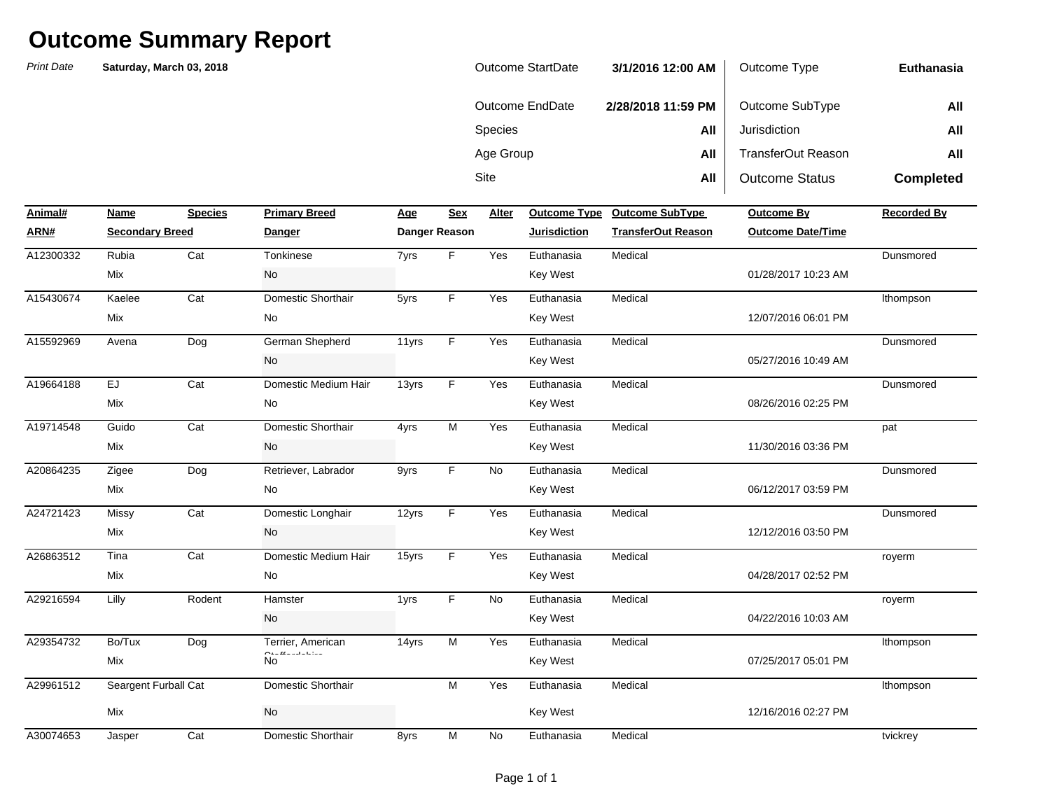| Outcome StartDate | 3/1/2016 12:00 AM  | Outcome Type          | Euthanasia       |
|-------------------|--------------------|-----------------------|------------------|
| Outcome EndDate   | 2/28/2018 11:59 PM | Outcome SubType       | All              |
| <b>Species</b>    | All                | Jurisdiction          | All              |
| Age Group         | All                | TransferOut Reason    | All              |
| Site              | All                | <b>Outcome Status</b> | <b>Completed</b> |

| Animal#   | Name                   | <b>Species</b> | <b>Primary Breed</b>                   | <b>Age</b> | <b>Sex</b>    | Alter     | <b>Outcome Type</b> | <b>Outcome SubType</b>    | <b>Outcome By</b>        | <b>Recorded By</b> |
|-----------|------------------------|----------------|----------------------------------------|------------|---------------|-----------|---------------------|---------------------------|--------------------------|--------------------|
| ARN#      | <b>Secondary Breed</b> |                | <b>Danger</b>                          |            | Danger Reason |           | <b>Jurisdiction</b> | <b>TransferOut Reason</b> | <b>Outcome Date/Time</b> |                    |
| A12300332 | Rubia                  | Cat            | Tonkinese                              | 7yrs       | F.            | Yes       | Euthanasia          | Medical                   |                          | Dunsmored          |
|           | Mix                    |                | No                                     |            |               |           | <b>Key West</b>     |                           | 01/28/2017 10:23 AM      |                    |
| A15430674 | Kaelee                 | Cat            | Domestic Shorthair                     | 5yrs       | F.            | Yes       | Euthanasia          | Medical                   |                          | Ithompson          |
|           | Mix                    |                | No                                     |            |               |           | <b>Key West</b>     |                           | 12/07/2016 06:01 PM      |                    |
| A15592969 | Avena                  | Dog            | German Shepherd                        | 11yrs      | F.            | Yes       | Euthanasia          | Medical                   |                          | Dunsmored          |
|           |                        |                | No                                     |            |               |           | <b>Key West</b>     |                           | 05/27/2016 10:49 AM      |                    |
| A19664188 | <b>EJ</b>              | Cat            | Domestic Medium Hair                   | 13yrs      | F.            | Yes       | Euthanasia          | Medical                   |                          | Dunsmored          |
|           | Mix                    |                | No                                     |            |               |           | <b>Key West</b>     |                           | 08/26/2016 02:25 PM      |                    |
| A19714548 | Guido                  | Cat            | Domestic Shorthair                     | 4yrs       | M             | Yes       | Euthanasia          | Medical                   |                          | pat                |
|           | Mix                    |                | No                                     |            |               |           | <b>Key West</b>     |                           | 11/30/2016 03:36 PM      |                    |
| A20864235 | Zigee                  | Dog            | Retriever, Labrador                    | 9yrs       | F.            | <b>No</b> | Euthanasia          | Medical                   |                          | Dunsmored          |
|           | Mix                    |                | No                                     |            |               |           | <b>Key West</b>     |                           | 06/12/2017 03:59 PM      |                    |
| A24721423 | <b>Missy</b>           | Cat            | Domestic Longhair                      | 12yrs      | F             | Yes       | Euthanasia          | Medical                   |                          | Dunsmored          |
|           | Mix                    |                | No                                     |            |               |           | <b>Key West</b>     |                           | 12/12/2016 03:50 PM      |                    |
| A26863512 | Tina                   | Cat            | Domestic Medium Hair                   | 15yrs      | F.            | Yes       | Euthanasia          | Medical                   |                          | royerm             |
|           | Mix                    |                | No                                     |            |               |           | <b>Key West</b>     |                           | 04/28/2017 02:52 PM      |                    |
| A29216594 | Lilly                  | Rodent         | Hamster                                | 1yrs       | F.            | No        | Euthanasia          | Medical                   |                          | royerm             |
|           |                        |                | No                                     |            |               |           | <b>Key West</b>     |                           | 04/22/2016 10:03 AM      |                    |
| A29354732 | Bo/Tux                 | Dog            | Terrier, American                      | 14yrs      | M             | Yes       | Euthanasia          | Medical                   |                          | Ithompson          |
|           | Mix                    |                | <b>Contract and State</b><br><b>No</b> |            |               |           | <b>Key West</b>     |                           | 07/25/2017 05:01 PM      |                    |
| A29961512 | Seargent Furball Cat   |                | Domestic Shorthair                     |            | M             | Yes       | Euthanasia          | Medical                   |                          | Ithompson          |
|           | Mix                    |                | No                                     |            |               |           | Key West            |                           | 12/16/2016 02:27 PM      |                    |
| A30074653 | Jasper                 | Cat            | Domestic Shorthair                     | 8yrs       | M             | <b>No</b> | Euthanasia          | Medical                   |                          | tvickrey           |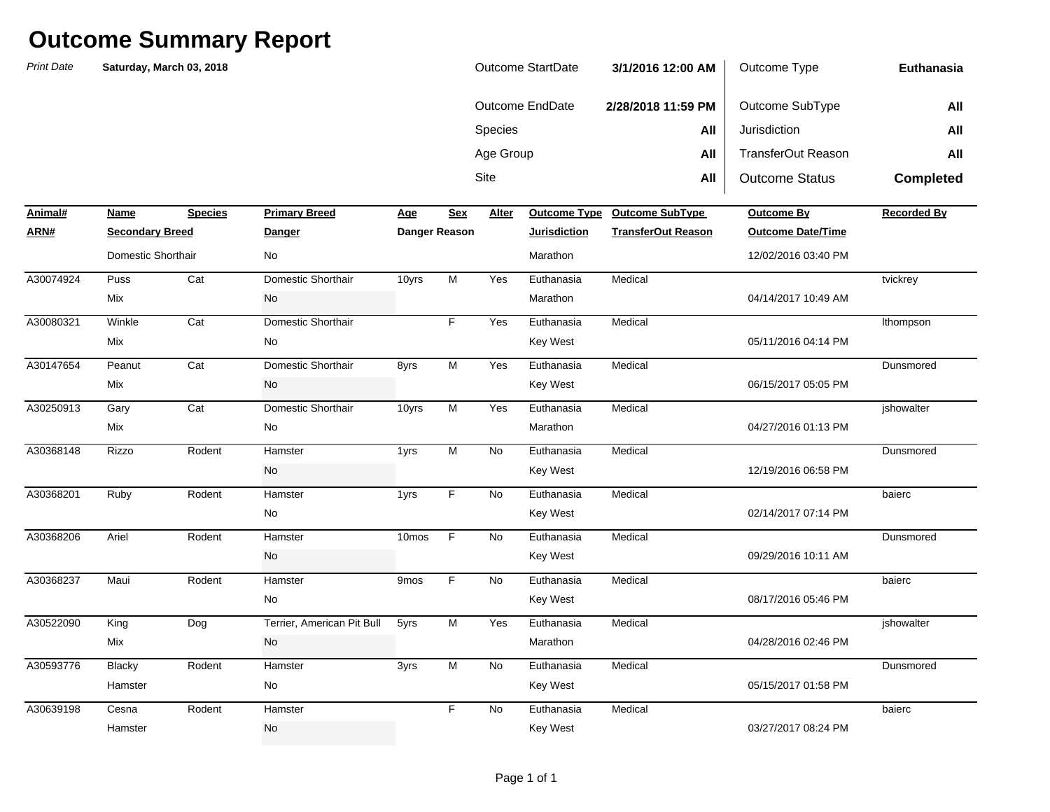*Print Date***NameSpecies Primary Breed Age Age Alter ARN# Secondary Breed Danger Danger Reason Jurisdiction TransferOut Reason Outcome Date/Time** Sitee **All** All | Outcome Status **Completed Animal#Profilled Primary Breedome SubType Outcome By Recorded By Recorded By** Species **All** Jurisdiction **All** Age Group **All** TransferOut Reason **All Euthanasia**Outcome EndDate **2/28/2018 11:59 PM** Outcome SubType **All Saturday, March 03, 2018** Outcome StartDate **3/1/2016 12:00 AM** Outcome Type Puss Cat 10yrs Yes A30074924 Domestic Shorthair M Euthanasia MedicalWinkle Cat YesA30080321 Domestic Shorthair F Euthanasia MedicalA30147654 Peanut Cat Domestic Shorthair 8yrs M Yes Euthanasia Medical A30250913 Gary Cat Domestic Shorthair 10yrs M Yes Euthanasia Medical Rizzo Rodent 1yrs No Ruby Rodent 1yrs No Ariel **Rodent** Hamster 10mos F No Maui Rodent Hamster 9mos F No A30522090 King Dog Terrier, American Pit Bull 5yrs M Yes Euthanasia Medical Blacky Rodent Hamster 3yrs M No Cesna Rodent Hamster **No. 1986** Rodent Research No. 2014 Euthanasia Medical baierc Hamster No No Rey West Key West 203/27/2017 08:24 PM A30639198 Cesna Rodent Hamster F No Euthanasia Medical DunsmoredHamster No No Rey West No Register 2015/2017 01:58 PM A30593776 Hamster M Euthanasia Medical**jshowalter** Mix 19928/2016 02:46 PM No 2012 12:56 PM Narathon Marathon 20128/2016 02:46 PM Narathon 2012 12:56 PM Narathon baiercNo No Rev West  $\sim$  Key West 08/17/2016 05:46 PM A30368237 Maui Rodent Hamster 9mos F No Euthanasia Medical DunsmoredNo **Key West** 69/29/2016 10:11 AM A30368206 Hamster F Euthanasia MedicalbaiercNo Key West 02/14/2017 07:14 PM A30368201 Hamster F Euthanasia MedicalDunsmoredNo No Rey West  $\sim$  Key West 12/19/2016 06:58 PM A30368148 Rizzo Rodent Hamster 1vrs M No Euthanasia Medical **jshowalter** Mix 19927/2016 01:13 PM DunsmoredMix and the Model of the Model of the Model of the Model of the Model of the Model of the Model of the Model of the Model of the Model of the Model of the Model of the Model of the Model of the Model of the Model of the Mo lthompson Mix No Key West 05/11/2016 04:14 PM tvickrey Mix No Marathon 04/14/2017 10:49 AM Domestic Shorthair **No** No **Marathon** Marathon Marathon 12/02/2016 03:40 PM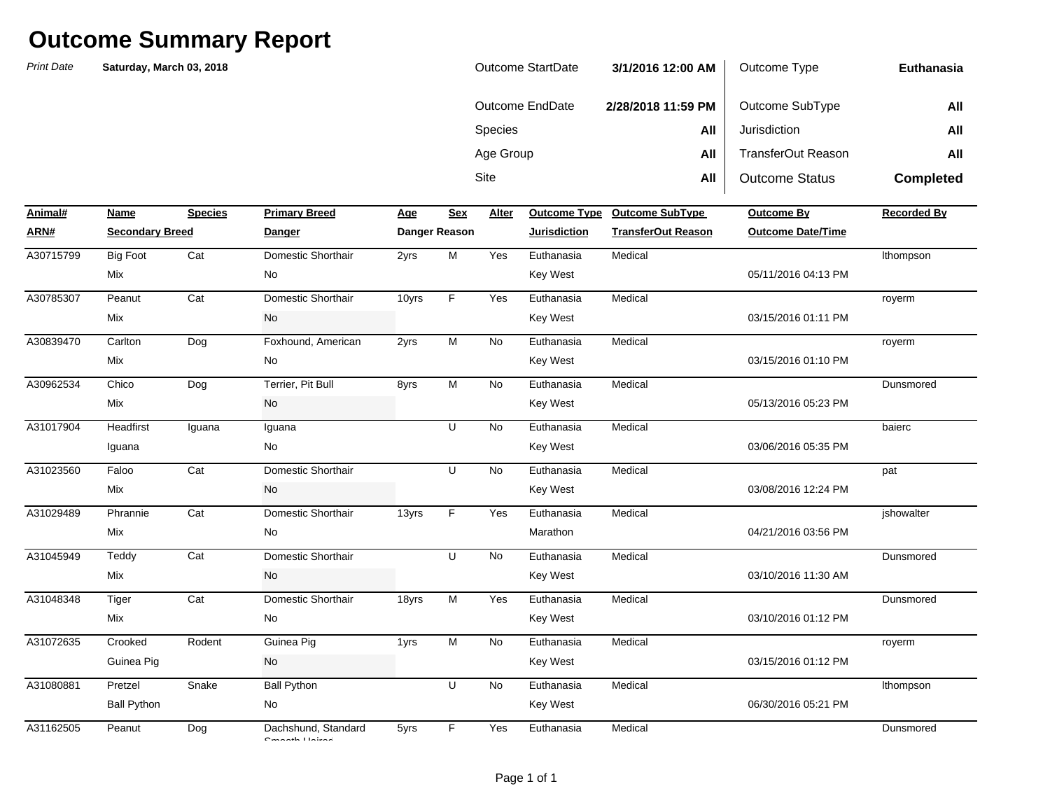| <b>Outcome StartDate</b> | 3/1/2016 12:00 AM  | Outcome Type              | Euthanasia       |
|--------------------------|--------------------|---------------------------|------------------|
| Outcome EndDate          | 2/28/2018 11:59 PM | Outcome SubType           | All              |
| <b>Species</b>           | All                | Jurisdiction              | All              |
| Age Group                | All                | <b>TransferOut Reason</b> | All              |
| Site                     | All                | <b>Outcome Status</b>     | <b>Completed</b> |

| Animal#   | Name                   | <b>Species</b> | <b>Primary Breed</b>                                           | <b>Age</b> | Sex                                                                                   | Alter     |                     | Outcome Type Outcome SubType | <b>Outcome By</b>        | <b>Recorded By</b> |
|-----------|------------------------|----------------|----------------------------------------------------------------|------------|---------------------------------------------------------------------------------------|-----------|---------------------|------------------------------|--------------------------|--------------------|
| ARN#      | <b>Secondary Breed</b> |                | <b>Danger</b>                                                  |            | Danger Reason                                                                         |           | <b>Jurisdiction</b> | <b>TransferOut Reason</b>    | <b>Outcome Date/Time</b> |                    |
| A30715799 | <b>Big Foot</b>        | Cat            | Domestic Shorthair                                             | 2yrs       | $\mathsf{M}% _{T}=\mathsf{M}_{T}\!\left( a,b\right) ,\ \mathsf{M}_{T}=\mathsf{M}_{T}$ | Yes       | Euthanasia          | Medical                      |                          | Ithompson          |
|           | Mix                    |                | No                                                             |            |                                                                                       |           | <b>Key West</b>     |                              | 05/11/2016 04:13 PM      |                    |
| A30785307 | Peanut                 | Cat            | Domestic Shorthair                                             | 10yrs      | F                                                                                     | Yes       | Euthanasia          | Medical                      |                          | royerm             |
|           | Mix                    |                | No                                                             |            |                                                                                       |           | <b>Key West</b>     |                              | 03/15/2016 01:11 PM      |                    |
| A30839470 | Carlton                | Dog            | Foxhound, American                                             | 2yrs       | M                                                                                     | <b>No</b> | Euthanasia          | Medical                      |                          | royerm             |
|           | Mix                    |                | No                                                             |            |                                                                                       |           | <b>Key West</b>     |                              | 03/15/2016 01:10 PM      |                    |
| A30962534 | Chico                  | Dog            | Terrier, Pit Bull                                              | 8yrs       | M                                                                                     | No        | Euthanasia          | Medical                      |                          | Dunsmored          |
|           | Mix                    |                | No                                                             |            |                                                                                       |           | <b>Key West</b>     |                              | 05/13/2016 05:23 PM      |                    |
| A31017904 | Headfirst              | Iguana         | Iguana                                                         |            | U                                                                                     | No        | Euthanasia          | Medical                      |                          | baierc             |
|           | Iguana                 |                | No                                                             |            |                                                                                       |           | <b>Key West</b>     |                              | 03/06/2016 05:35 PM      |                    |
| A31023560 | Faloo                  | Cat            | Domestic Shorthair                                             |            | U                                                                                     | No        | Euthanasia          | Medical                      |                          | pat                |
|           | Mix                    |                | No                                                             |            |                                                                                       |           | <b>Key West</b>     |                              | 03/08/2016 12:24 PM      |                    |
| A31029489 | Phrannie               | Cat            | Domestic Shorthair                                             | 13yrs      | F                                                                                     | Yes       | Euthanasia          | Medical                      |                          | jshowalter         |
|           | Mix                    |                | No                                                             |            |                                                                                       |           | Marathon            |                              | 04/21/2016 03:56 PM      |                    |
| A31045949 | Teddy                  | Cat            | Domestic Shorthair                                             |            | U                                                                                     | No        | Euthanasia          | Medical                      |                          | Dunsmored          |
|           | Mix                    |                | No                                                             |            |                                                                                       |           | <b>Key West</b>     |                              | 03/10/2016 11:30 AM      |                    |
| A31048348 | <b>Tiger</b>           | Cat            | Domestic Shorthair                                             | 18yrs      | M                                                                                     | Yes       | Euthanasia          | Medical                      |                          | Dunsmored          |
|           | Mix                    |                | No                                                             |            |                                                                                       |           | <b>Key West</b>     |                              | 03/10/2016 01:12 PM      |                    |
| A31072635 | Crooked                | Rodent         | Guinea Pig                                                     | 1yrs       | M                                                                                     | No        | Euthanasia          | Medical                      |                          | royerm             |
|           | Guinea Pig             |                | No                                                             |            |                                                                                       |           | <b>Key West</b>     |                              | 03/15/2016 01:12 PM      |                    |
| A31080881 | Pretzel                | Snake          | <b>Ball Python</b>                                             |            | $\cup$                                                                                | No        | Euthanasia          | Medical                      |                          | Ithompson          |
|           | <b>Ball Python</b>     |                | No                                                             |            |                                                                                       |           | <b>Key West</b>     |                              | 06/30/2016 05:21 PM      |                    |
| A31162505 | Peanut                 | Dog            | Dachshund, Standard<br>$\mathbf{C}$ and a set of the following | 5yrs       | F.                                                                                    | Yes       | Euthanasia          | Medical                      |                          | Dunsmored          |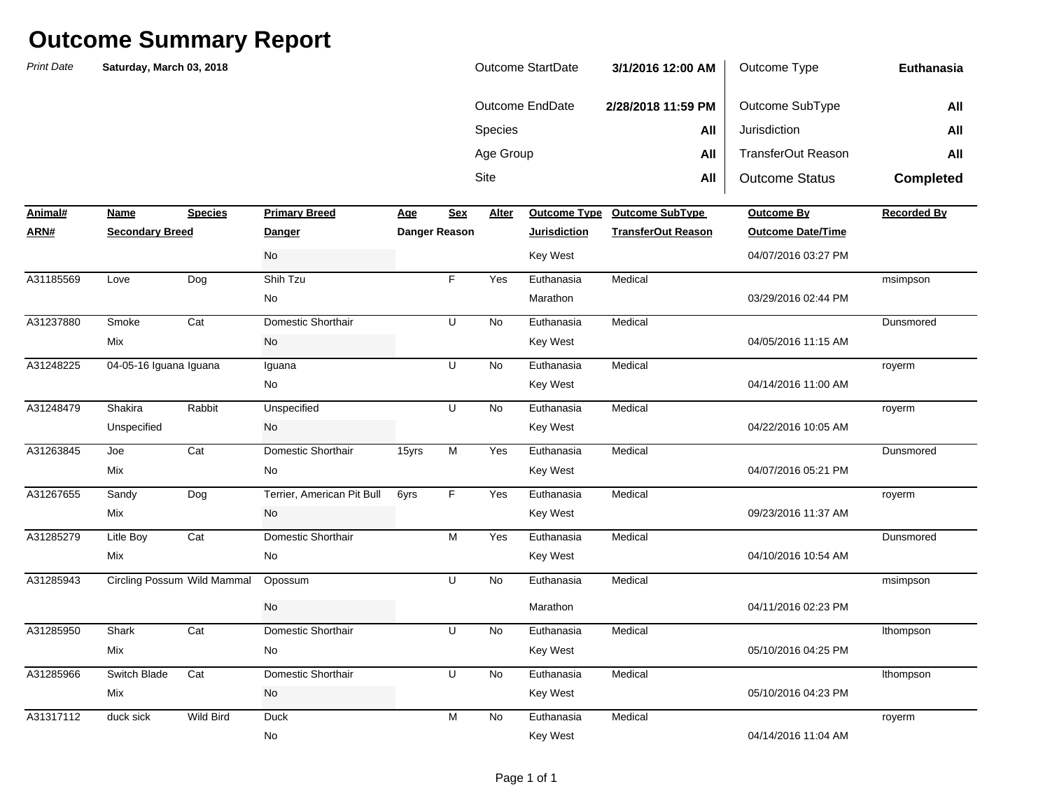| <b>Print Date</b> | Saturday, March 03, 2018    |                  |                            |               |                |           | Outcome StartDate      | 3/1/2016 12:00 AM         | Outcome Type              | Euthanasia         |
|-------------------|-----------------------------|------------------|----------------------------|---------------|----------------|-----------|------------------------|---------------------------|---------------------------|--------------------|
|                   |                             |                  |                            |               |                |           | <b>Outcome EndDate</b> | 2/28/2018 11:59 PM        | Outcome SubType           | All                |
|                   |                             |                  |                            |               |                | Species   |                        | All                       | Jurisdiction              | All                |
|                   |                             |                  |                            |               |                | Age Group |                        | All                       | <b>TransferOut Reason</b> | All                |
|                   |                             |                  |                            |               |                | Site      |                        | All                       | <b>Outcome Status</b>     | <b>Completed</b>   |
| Animal#           | Name                        | <b>Species</b>   | <b>Primary Breed</b>       | <u>Age</u>    | <b>Sex</b>     | Alter     | <b>Outcome Type</b>    | <b>Outcome SubType</b>    | <b>Outcome By</b>         | <b>Recorded By</b> |
| <u>ARN#</u>       | <b>Secondary Breed</b>      |                  | Danger                     | Danger Reason |                |           | <b>Jurisdiction</b>    | <b>TransferOut Reason</b> | <b>Outcome Date/Time</b>  |                    |
|                   |                             |                  | No                         |               |                |           | <b>Key West</b>        |                           | 04/07/2016 03:27 PM       |                    |
| A31185569         | Love                        | Dog              | Shih Tzu                   |               | F              | Yes       | Euthanasia             | Medical                   |                           | msimpson           |
|                   |                             |                  | No                         |               |                |           | Marathon               |                           | 03/29/2016 02:44 PM       |                    |
| A31237880         | Smoke                       | Cat              | Domestic Shorthair         |               | U              | No        | Euthanasia             | Medical                   |                           | Dunsmored          |
|                   | Mix                         |                  | No                         |               |                |           | <b>Key West</b>        |                           | 04/05/2016 11:15 AM       |                    |
| A31248225         | 04-05-16 Iguana Iguana      |                  | Iguana                     |               | U              | No        | Euthanasia             | Medical                   |                           | royerm             |
|                   |                             |                  | No                         |               |                |           | Key West               |                           | 04/14/2016 11:00 AM       |                    |
| A31248479         | Shakira                     | Rabbit           | Unspecified                |               | U              | No        | Euthanasia             | Medical                   |                           | royerm             |
|                   | Unspecified                 |                  | No                         |               |                |           | <b>Key West</b>        |                           | 04/22/2016 10:05 AM       |                    |
| A31263845         | Joe                         | Cat              | Domestic Shorthair         | 15yrs         | M              | Yes       | Euthanasia             | Medical                   |                           | Dunsmored          |
|                   | Mix                         |                  | No                         |               |                |           | <b>Key West</b>        |                           | 04/07/2016 05:21 PM       |                    |
| A31267655         | Sandy                       | Dog              | Terrier, American Pit Bull | 6yrs          | F              | Yes       | Euthanasia             | Medical                   |                           | royerm             |
|                   | Mix                         |                  | No                         |               |                |           | <b>Key West</b>        |                           | 09/23/2016 11:37 AM       |                    |
| A31285279         | Litle Boy                   | Cat              | Domestic Shorthair         |               | $\overline{M}$ | Yes       | Euthanasia             | Medical                   |                           | Dunsmored          |
|                   | Mix                         |                  | No                         |               |                |           | <b>Key West</b>        |                           | 04/10/2016 10:54 AM       |                    |
| A31285943         | Circling Possum Wild Mammal |                  | Opossum                    |               | U              | No        | Euthanasia             | Medical                   |                           | msimpson           |
|                   |                             |                  | No                         |               |                |           | Marathon               |                           | 04/11/2016 02:23 PM       |                    |
| A31285950         | Shark                       | Cat              | Domestic Shorthair         |               | $\overline{U}$ | No        | Euthanasia             | Medical                   |                           | Ithompson          |
|                   | Mix                         |                  | No                         |               |                |           | <b>Key West</b>        |                           | 05/10/2016 04:25 PM       |                    |
| A31285966         | Switch Blade                | Cat              | Domestic Shorthair         |               | U              | <b>No</b> | Euthanasia             | Medical                   |                           | Ithompson          |
|                   | Mix                         |                  | No                         |               |                |           | Key West               |                           | 05/10/2016 04:23 PM       |                    |
| A31317112         | duck sick                   | <b>Wild Bird</b> | <b>Duck</b>                |               | M              | No        | Euthanasia             | Medical                   |                           | royerm             |
|                   |                             |                  | No                         |               |                |           | <b>Key West</b>        |                           | 04/14/2016 11:04 AM       |                    |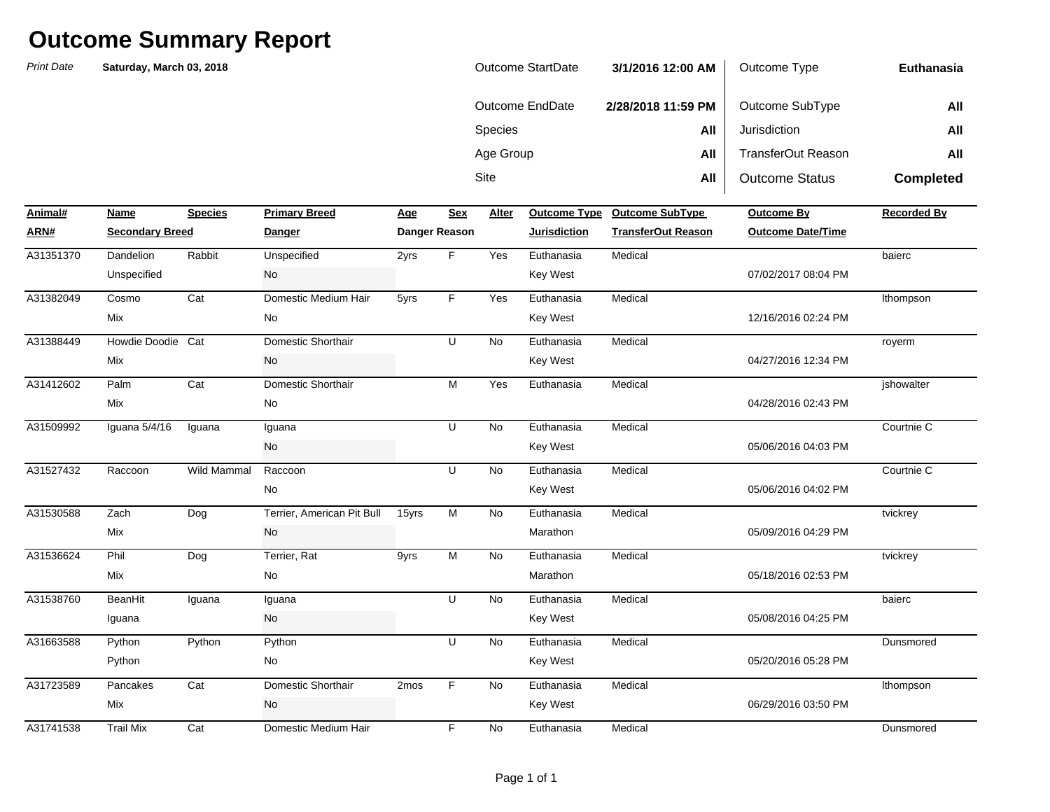| Outcome StartDate | 3/1/2016 12:00 AM  | Outcome Type          | Euthanasia       |
|-------------------|--------------------|-----------------------|------------------|
| Outcome EndDate   | 2/28/2018 11:59 PM | Outcome SubType       | All              |
| <b>Species</b>    | All                | Jurisdiction          | All              |
| Age Group         | All                | TransferOut Reason    | All              |
| Site              | All                | <b>Outcome Status</b> | <b>Completed</b> |

| Animal#   | Name                   | <b>Species</b> | <b>Primary Breed</b>       | <u>Age</u> | <b>Sex</b>    | <b>Alter</b> | <b>Outcome Type</b> | <b>Outcome SubType</b>    | <b>Outcome By</b>        | <b>Recorded By</b> |
|-----------|------------------------|----------------|----------------------------|------------|---------------|--------------|---------------------|---------------------------|--------------------------|--------------------|
| ARN#      | <b>Secondary Breed</b> |                | Danger                     |            | Danger Reason |              | <b>Jurisdiction</b> | <b>TransferOut Reason</b> | <b>Outcome Date/Time</b> |                    |
| A31351370 | Dandelion              | Rabbit         | Unspecified                | 2yrs       | F.            | Yes          | Euthanasia          | Medical                   |                          | baierc             |
|           | Unspecified            |                | No                         |            |               |              | <b>Key West</b>     |                           | 07/02/2017 08:04 PM      |                    |
| A31382049 | Cosmo                  | Cat            | Domestic Medium Hair       | 5yrs       | F.            | Yes          | Euthanasia          | Medical                   |                          | Ithompson          |
|           | Mix                    |                | No                         |            |               |              | <b>Key West</b>     |                           | 12/16/2016 02:24 PM      |                    |
| A31388449 | Howdie Doodie          | Cat            | Domestic Shorthair         |            | U             | No           | Euthanasia          | Medical                   |                          | royerm             |
|           | Mix                    |                | No                         |            |               |              | <b>Key West</b>     |                           | 04/27/2016 12:34 PM      |                    |
| A31412602 | Palm                   | Cat            | Domestic Shorthair         |            | M             | Yes          | Euthanasia          | Medical                   |                          | jshowalter         |
|           | Mix                    |                | No                         |            |               |              |                     |                           | 04/28/2016 02:43 PM      |                    |
| A31509992 | Iguana 5/4/16          | Iguana         | Iguana                     |            | U             | <b>No</b>    | Euthanasia          | Medical                   |                          | Courtnie C         |
|           |                        |                | No                         |            |               |              | <b>Key West</b>     |                           | 05/06/2016 04:03 PM      |                    |
| A31527432 | Raccoon                | Wild Mammal    | Raccoon                    |            | U             | No           | Euthanasia          | Medical                   |                          | Courtnie C         |
|           |                        |                | No                         |            |               |              | Key West            |                           | 05/06/2016 04:02 PM      |                    |
| A31530588 | Zach                   | Dog            | Terrier, American Pit Bull | 15yrs      | M             | No           | Euthanasia          | Medical                   |                          | tvickrey           |
|           | Mix                    |                | No                         |            |               |              | Marathon            |                           | 05/09/2016 04:29 PM      |                    |
| A31536624 | Phil                   | Dog            | Terrier, Rat               | 9yrs       | M             | No           | Euthanasia          | Medical                   |                          | tvickrey           |
|           | Mix                    |                | No                         |            |               |              | Marathon            |                           | 05/18/2016 02:53 PM      |                    |
| A31538760 | BeanHit                | Iguana         | Iguana                     |            | U             | No           | Euthanasia          | Medical                   |                          | baierc             |
|           | Iguana                 |                | No                         |            |               |              | <b>Key West</b>     |                           | 05/08/2016 04:25 PM      |                    |
| A31663588 | Python                 | Python         | Python                     |            | U             | No           | Euthanasia          | Medical                   |                          | Dunsmored          |
|           | Python                 |                | No                         |            |               |              | <b>Key West</b>     |                           | 05/20/2016 05:28 PM      |                    |
| A31723589 | Pancakes               | Cat            | Domestic Shorthair         | 2mos       | F             | <b>No</b>    | Euthanasia          | Medical                   |                          | Ithompson          |
|           | Mix                    |                | No                         |            |               |              | <b>Key West</b>     |                           | 06/29/2016 03:50 PM      |                    |
| A31741538 | <b>Trail Mix</b>       | Cat            | Domestic Medium Hair       |            | F             | <b>No</b>    | Euthanasia          | Medical                   |                          | Dunsmored          |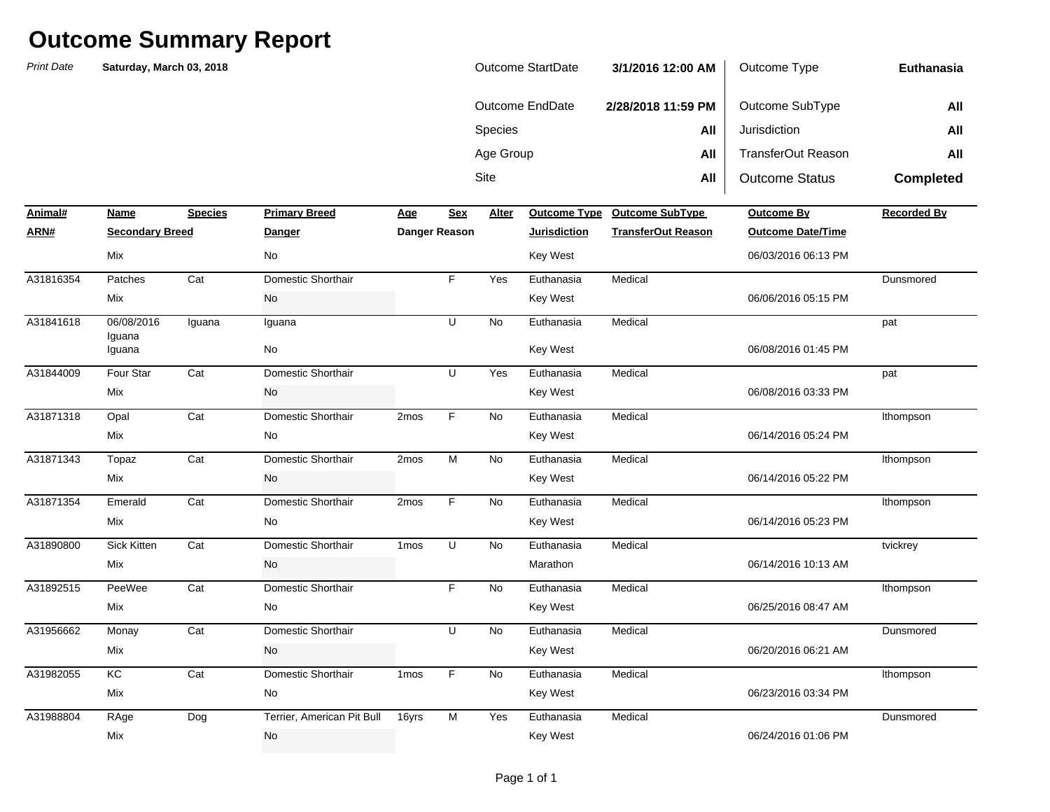*Print Date* **NameSpecies Primary Breed Age Age Alter ARN# Secondary Breed Danger Danger Reason Jurisdiction TransferOut Reason Outcome Date/Time** Sitee **All** All **Outcome Status Completed Animal#Profilled Primary Breedome SubType Outcome By Recorded By Recorded By Species All** Jurisdiction **All All All All** Age Group **All** TransferOut Reason **All Euthanasia**Outcome EndDate **2/28/2018 11:59 PM** Outcome SubType **All Saturday, March 03, 2018** Outcome StartDate **3/1/2016 12:00 AM** Outcome Type A31816354 Patches Cat Domestic Shorthair F Yes Euthanasia Medical 06/08/2016 Iguana Iguana Iguana **No. 1988** A31844009 Four Star Domestic Shorthair U Yes Euthanasia Medical A31871318 Opal Cat Domestic Shorthair 2mos F No Euthanasia Medical A31871343 Topaz Cat Domestic Shorthair 2mos M No Euthanasia Medical A31871354 Emerald Cat Domestic Shorthair 2mos F No Euthanasia Medical  $\overline{N}$ A31890800 Sick Kitten Cat Domestic Shorthair 1mos U No Euthanasia Medical A31892515 PeeWee Cat Domestic Shorthair F No Euthanasia Medical lthompson tvickrey Mix No Marathon 06/14/2016 10:13 AM lthompson Mix No Key West 06/14/2016 05:23 PM Medical lthompson Mix and the Mode of the Mode of the Mode of the Mode of the Mode of the Mode of the Mode of the Mode of the Mode of the Mode of the Mode of the Mode of the Mode of the Mode of the Mode of the Mode of the Mode of the Mode o lthompson Mix and the Monte of the Monte of the Mexican Hotel County of the Monte of the Monte of the Monte of the Monte of the Monte of the Monte of the Monte of the Monte of the Monte of the Monte of the Monte of the Monte of the pat Mix No Key West 06/08/2016 03:33 PM pat Iguana No Key West 06/08/2016 01:45 PM A31841618 06/08/2016 Iguana Iguana U No Euthanasia Medical DunsmoredMix and the Model of the Model of the Model of the Model of the Model of the Model of the Model of the Model of the Model of the Model of the Model of the Model of the Model of the Model of the Model of the Model of the Mo Medical Mix No Key West 06/03/2016 06:13 PM

|           | Mix   |     | No                         |       |    |     | Key West   |         | 06/25/2016 08:47 AM |
|-----------|-------|-----|----------------------------|-------|----|-----|------------|---------|---------------------|
| A31956662 | Monay | Cat | Domestic Shorthair         |       | ັບ | No. | Euthanasia | Medical | Dunsmored           |
|           | Mix   |     | No                         |       |    |     | Key West   |         | 06/20/2016 06:21 AM |
| A31982055 | КC    | Cat | Domestic Shorthair         | 1mos  |    | No. | Euthanasia | Medical | lthompson           |
|           | Mix   |     | No                         |       |    |     | Key West   |         | 06/23/2016 03:34 PM |
| A31988804 | RAge  | Dog | Terrier, American Pit Bull | 16yrs | м  | Yes | Euthanasia | Medical | Dunsmored           |
|           | Mix   |     | No                         |       |    |     | Key West   |         | 06/24/2016 01:06 PM |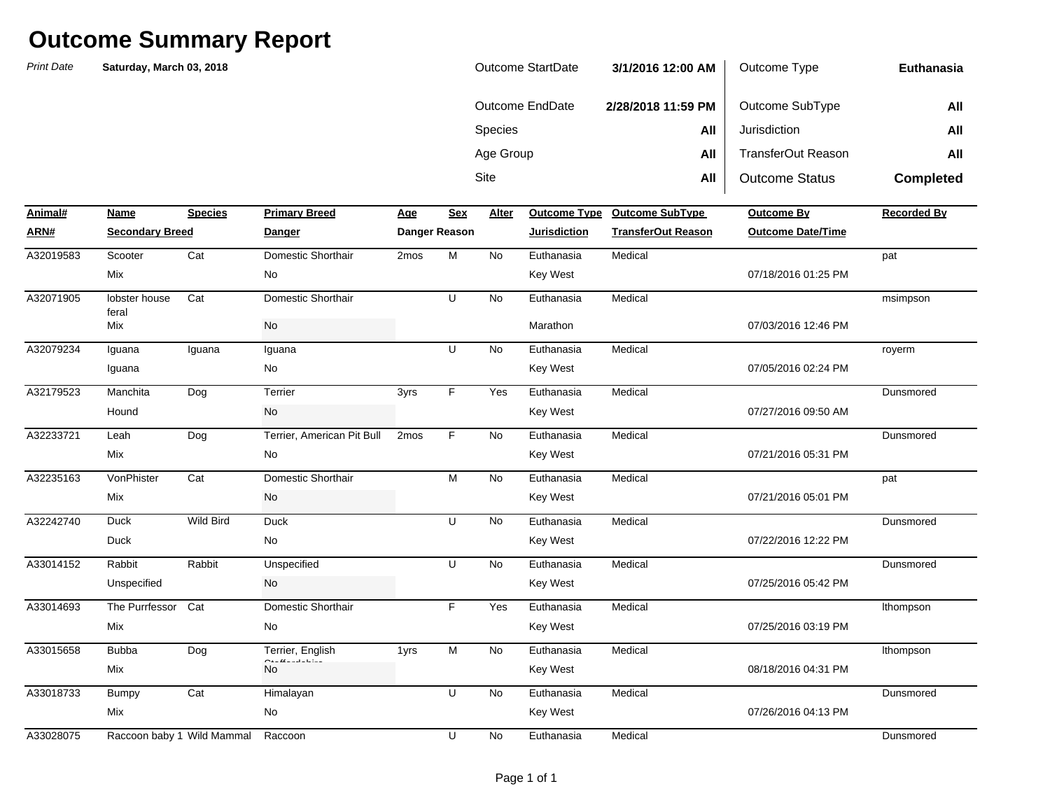| Outcome StartDate | 3/1/2016 12:00 AM  | Outcome Type          | Euthanasia       |
|-------------------|--------------------|-----------------------|------------------|
| Outcome EndDate   | 2/28/2018 11:59 PM | Outcome SubType       | All              |
| <b>Species</b>    | All                | Jurisdiction          | All              |
| Age Group         | All                | TransferOut Reason    | All              |
| Site              | All                | <b>Outcome Status</b> | <b>Completed</b> |

| Animal#   | Name                   | <b>Species</b>             | <b>Primary Breed</b>       | Age  | <b>Sex</b>    | Alter     | <b>Outcome Type</b> | <b>Outcome SubType</b>    | <b>Outcome By</b>        | <b>Recorded By</b> |
|-----------|------------------------|----------------------------|----------------------------|------|---------------|-----------|---------------------|---------------------------|--------------------------|--------------------|
| ARN#      | <b>Secondary Breed</b> |                            | <b>Danger</b>              |      | Danger Reason |           | <b>Jurisdiction</b> | <b>TransferOut Reason</b> | <b>Outcome Date/Time</b> |                    |
| A32019583 | Scooter                | Cat                        | Domestic Shorthair         | 2mos | M             | No        | Euthanasia          | Medical                   |                          | pat                |
|           | Mix                    |                            | No                         |      |               |           | <b>Key West</b>     |                           | 07/18/2016 01:25 PM      |                    |
| A32071905 | lobster house<br>feral | Cat                        | Domestic Shorthair         |      | U             | <b>No</b> | Euthanasia          | Medical                   |                          | msimpson           |
|           | Mix                    |                            | No                         |      |               |           | Marathon            |                           | 07/03/2016 12:46 PM      |                    |
| A32079234 | Iguana                 | Iguana                     | Iguana                     |      | U             | <b>No</b> | Euthanasia          | Medical                   |                          | royerm             |
|           | Iguana                 |                            | No                         |      |               |           | <b>Key West</b>     |                           | 07/05/2016 02:24 PM      |                    |
| A32179523 | Manchita               | Dog                        | Terrier                    | 3yrs | F             | Yes       | Euthanasia          | Medical                   |                          | Dunsmored          |
|           | Hound                  |                            | No                         |      |               |           | <b>Key West</b>     |                           | 07/27/2016 09:50 AM      |                    |
| A32233721 | Leah                   | Dog                        | Terrier, American Pit Bull | 2mos | F.            | <b>No</b> | Euthanasia          | Medical                   |                          | Dunsmored          |
|           | Mix                    |                            | No                         |      |               |           | <b>Key West</b>     |                           | 07/21/2016 05:31 PM      |                    |
| A32235163 | VonPhister             | Cat                        | Domestic Shorthair         |      | M             | <b>No</b> | Euthanasia          | Medical                   |                          | pat                |
|           | Mix                    |                            | No                         |      |               |           | <b>Key West</b>     |                           | 07/21/2016 05:01 PM      |                    |
| A32242740 | <b>Duck</b>            | Wild Bird                  | <b>Duck</b>                |      | U             | <b>No</b> | Euthanasia          | Medical                   |                          | Dunsmored          |
|           | <b>Duck</b>            |                            | No                         |      |               |           | <b>Key West</b>     |                           | 07/22/2016 12:22 PM      |                    |
| A33014152 | Rabbit                 | Rabbit                     | Unspecified                |      | U             | <b>No</b> | Euthanasia          | Medical                   |                          | Dunsmored          |
|           | Unspecified            |                            | No                         |      |               |           | <b>Key West</b>     |                           | 07/25/2016 05:42 PM      |                    |
| A33014693 | The Purrfessor         | Cat                        | Domestic Shorthair         |      | F.            | Yes       | Euthanasia          | Medical                   |                          | Ithompson          |
|           | Mix                    |                            | No                         |      |               |           | <b>Key West</b>     |                           | 07/25/2016 03:19 PM      |                    |
| A33015658 | <b>Bubba</b>           | Dog                        | Terrier, English           | 1yrs | M             | <b>No</b> | Euthanasia          | Medical                   |                          | Ithompson          |
|           | Mix                    |                            | <b>No</b>                  |      |               |           | <b>Key West</b>     |                           | 08/18/2016 04:31 PM      |                    |
| A33018733 | <b>Bumpy</b>           | Cat                        | Himalayan                  |      | U             | <b>No</b> | Euthanasia          | Medical                   |                          | Dunsmored          |
|           | Mix                    |                            | No                         |      |               |           | <b>Key West</b>     |                           | 07/26/2016 04:13 PM      |                    |
| A33028075 |                        | Raccoon baby 1 Wild Mammal | Raccoon                    |      | U             | <b>No</b> | Euthanasia          | Medical                   |                          | Dunsmored          |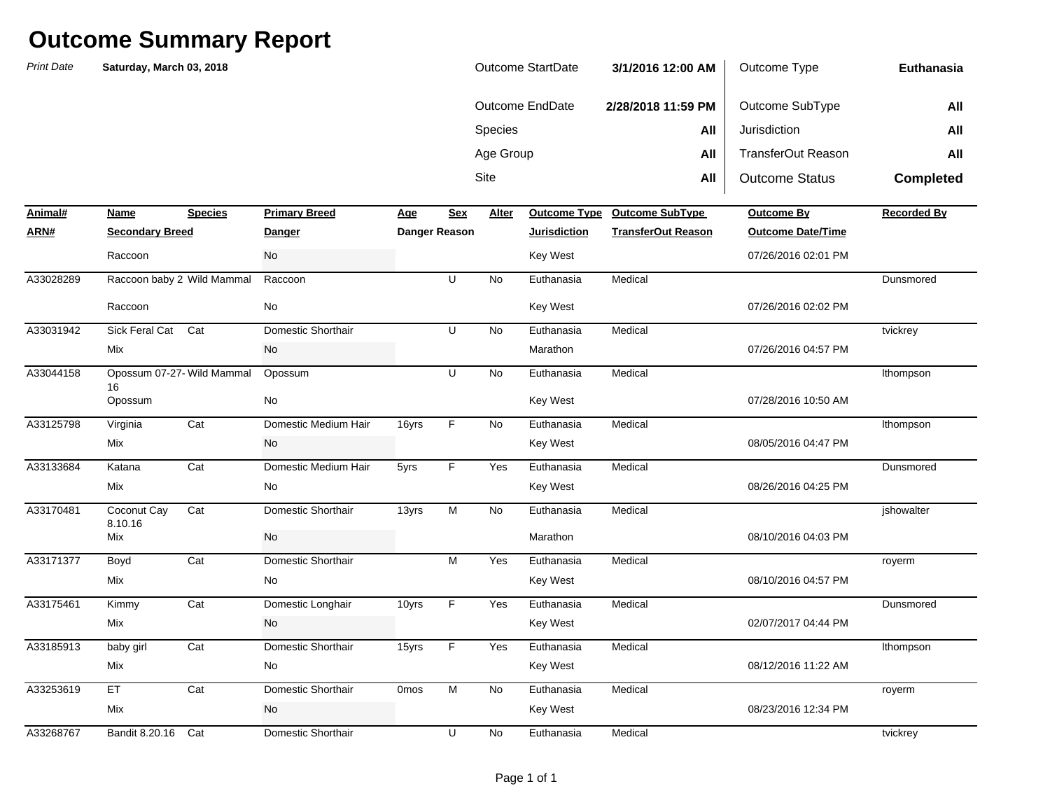| <b>Print Date</b> | Saturday, March 03, 2018         |                |                      |                  |                | Outcome StartDate |                        | 3/1/2016 12:00 AM         | Outcome Type              | <b>Euthanasia</b>  |
|-------------------|----------------------------------|----------------|----------------------|------------------|----------------|-------------------|------------------------|---------------------------|---------------------------|--------------------|
|                   |                                  |                |                      |                  |                |                   | <b>Outcome EndDate</b> | 2/28/2018 11:59 PM        | Outcome SubType           | All                |
|                   |                                  |                |                      |                  |                | Species           |                        | All                       | Jurisdiction              | All                |
|                   |                                  |                |                      |                  |                | Age Group         |                        | All                       | <b>TransferOut Reason</b> | All                |
|                   |                                  |                |                      |                  |                | Site              |                        | All                       | <b>Outcome Status</b>     | <b>Completed</b>   |
| Animal#           | <b>Name</b>                      | <b>Species</b> | <b>Primary Breed</b> | <b>Age</b>       | <b>Sex</b>     | <b>Alter</b>      | <b>Outcome Type</b>    | <b>Outcome SubType</b>    | <b>Outcome By</b>         | <b>Recorded By</b> |
| ARN#              | <b>Secondary Breed</b>           |                | <u>Danger</u>        |                  | Danger Reason  |                   | <b>Jurisdiction</b>    | <b>TransferOut Reason</b> | <b>Outcome Date/Time</b>  |                    |
|                   | Raccoon                          |                | No                   |                  |                |                   | <b>Key West</b>        |                           | 07/26/2016 02:01 PM       |                    |
| A33028289         | Raccoon baby 2 Wild Mammal       |                | Raccoon              |                  | U              | No                | Euthanasia             | Medical                   |                           | Dunsmored          |
|                   | Raccoon                          |                | No                   |                  |                |                   | Key West               |                           | 07/26/2016 02:02 PM       |                    |
| A33031942         | Sick Feral Cat                   | Cat            | Domestic Shorthair   |                  | U              | No                | Euthanasia             | Medical                   |                           | tvickrey           |
|                   | Mix                              |                | No                   |                  |                |                   | Marathon               |                           | 07/26/2016 04:57 PM       |                    |
| A33044158         | Opossum 07-27- Wild Mammal<br>16 |                | Opossum              |                  | U              | No                | Euthanasia             | Medical                   |                           | Ithompson          |
|                   | Opossum                          |                | No                   |                  |                |                   | Key West               |                           | 07/28/2016 10:50 AM       |                    |
| A33125798         | Virginia                         | Cat            | Domestic Medium Hair | 16yrs            | $\mathsf F$    | No                | Euthanasia             | Medical                   |                           | Ithompson          |
|                   | Mix                              |                | No                   |                  |                |                   | Key West               |                           | 08/05/2016 04:47 PM       |                    |
| A33133684         | Katana                           | Cat            | Domestic Medium Hair | 5yrs             | F              | Yes               | Euthanasia             | Medical                   |                           | Dunsmored          |
|                   | Mix                              |                | No                   |                  |                |                   | Key West               |                           | 08/26/2016 04:25 PM       |                    |
| A33170481         | Coconut Cay<br>8.10.16           | Cat            | Domestic Shorthair   | 13yrs            | $\overline{M}$ | <b>No</b>         | Euthanasia             | Medical                   |                           | jshowalter         |
|                   | Mix                              |                | No                   |                  |                |                   | Marathon               |                           | 08/10/2016 04:03 PM       |                    |
| A33171377         | Boyd                             | Cat            | Domestic Shorthair   |                  | M              | Yes               | Euthanasia             | Medical                   |                           | royerm             |
|                   | Mix                              |                | No                   |                  |                |                   | Key West               |                           | 08/10/2016 04:57 PM       |                    |
| A33175461         | Kimmy                            | Cat            | Domestic Longhair    | 10yrs            | $\mathsf F$    | Yes               | Euthanasia             | Medical                   |                           | Dunsmored          |
|                   | Mix                              |                | No                   |                  |                |                   | Key West               |                           | 02/07/2017 04:44 PM       |                    |
| A33185913         | baby girl                        | Cat            | Domestic Shorthair   | 15yrs            | F              | Yes               | Euthanasia             | Medical                   |                           | Ithompson          |
|                   | Mix                              |                | No                   |                  |                |                   | Key West               |                           | 08/12/2016 11:22 AM       |                    |
| A33253619         | ET                               | Cat            | Domestic Shorthair   | 0 <sub>mos</sub> | M              | No                | Euthanasia             | Medical                   |                           | royerm             |
|                   | Mix                              |                | No                   |                  |                |                   | Key West               |                           | 08/23/2016 12:34 PM       |                    |
| A33268767         | Bandit 8.20.16                   | Cat            | Domestic Shorthair   |                  | U              | No                | Euthanasia             | Medical                   |                           | tvickrey           |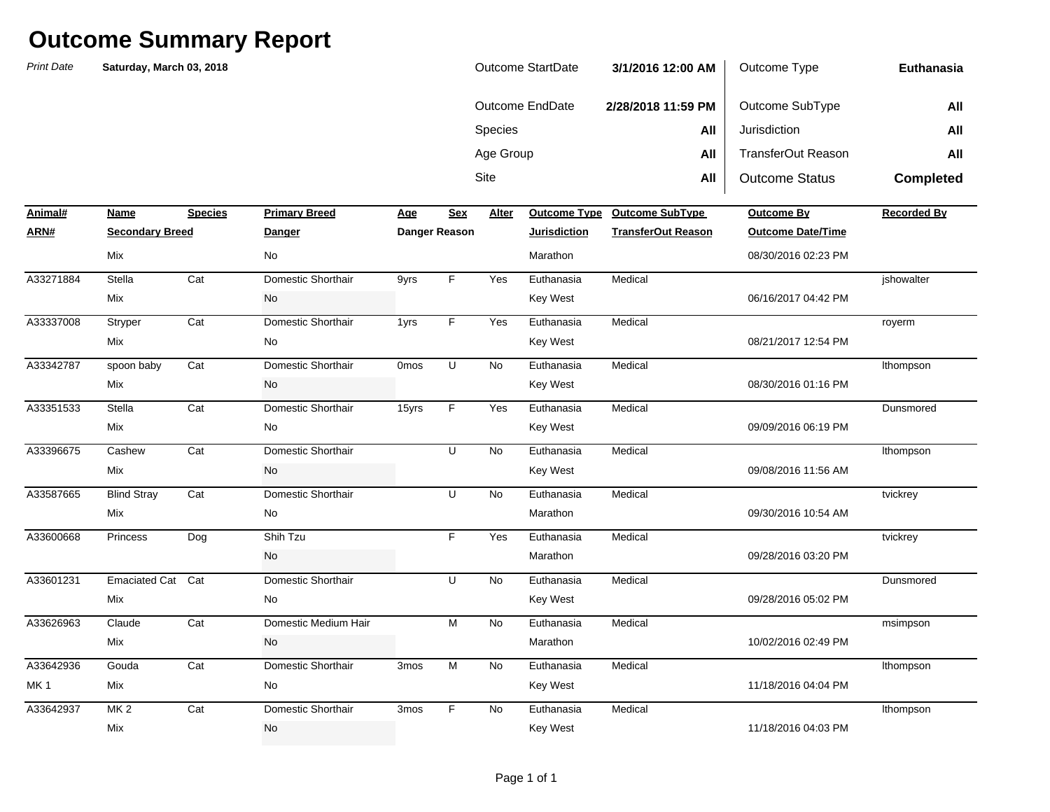| Outcome StartDate | 3/1/2016 12:00 AM  | Outcome Type          | Euthanasia       |
|-------------------|--------------------|-----------------------|------------------|
| Outcome EndDate   | 2/28/2018 11:59 PM | Outcome SubType       | All              |
| <b>Species</b>    | All                | Jurisdiction          | All              |
| Age Group         | All                | TransferOut Reason    | All              |
| Site              | All                | <b>Outcome Status</b> | <b>Completed</b> |

| Animal#         | Name                   | <b>Species</b> | <b>Primary Breed</b> | Age         | <b>Sex</b>     | Alter     | <b>Outcome Type</b> | <b>Outcome SubType</b>    | Outcome By               | <b>Recorded By</b> |
|-----------------|------------------------|----------------|----------------------|-------------|----------------|-----------|---------------------|---------------------------|--------------------------|--------------------|
| ARN#            | <b>Secondary Breed</b> |                | Danger               |             | Danger Reason  |           | <b>Jurisdiction</b> | <b>TransferOut Reason</b> | <b>Outcome Date/Time</b> |                    |
|                 | Mix                    |                | <b>No</b>            |             |                |           | Marathon            |                           | 08/30/2016 02:23 PM      |                    |
| A33271884       | Stella                 | Cat            | Domestic Shorthair   | 9yrs        | F              | Yes       | Euthanasia          | Medical                   |                          | jshowalter         |
|                 | Mix                    |                | No                   |             |                |           | Key West            |                           | 06/16/2017 04:42 PM      |                    |
| A33337008       | Stryper                | Cat            | Domestic Shorthair   | 1yrs        | F              | Yes       | Euthanasia          | Medical                   |                          | royerm             |
|                 | Mix                    |                | No                   |             |                |           | Key West            |                           | 08/21/2017 12:54 PM      |                    |
| A33342787       | spoon baby             | Cat            | Domestic Shorthair   | <b>Omos</b> | U              | No        | Euthanasia          | Medical                   |                          | Ithompson          |
|                 | Mix                    |                | No                   |             |                |           | Key West            |                           | 08/30/2016 01:16 PM      |                    |
| A33351533       | Stella                 | Cat            | Domestic Shorthair   | 15yrs       | F              | Yes       | Euthanasia          | Medical                   |                          | Dunsmored          |
|                 | Mix                    |                | No                   |             |                |           | Key West            |                           | 09/09/2016 06:19 PM      |                    |
| A33396675       | Cashew                 | Cat            | Domestic Shorthair   |             | $\cup$         | <b>No</b> | Euthanasia          | Medical                   |                          | Ithompson          |
|                 | Mix                    |                | <b>No</b>            |             |                |           | Key West            |                           | 09/08/2016 11:56 AM      |                    |
| A33587665       | <b>Blind Stray</b>     | Cat            | Domestic Shorthair   |             | U              | <b>No</b> | Euthanasia          | Medical                   |                          | tvickrey           |
|                 | Mix                    |                | No                   |             |                |           | Marathon            |                           | 09/30/2016 10:54 AM      |                    |
| A33600668       | Princess               | Dog            | Shih Tzu             |             | F              | Yes       | Euthanasia          | Medical                   |                          | tvickrey           |
|                 |                        |                | No                   |             |                |           | Marathon            |                           | 09/28/2016 03:20 PM      |                    |
| A33601231       | Emaciated Cat Cat      |                | Domestic Shorthair   |             | U              | No        | Euthanasia          | Medical                   |                          | Dunsmored          |
|                 | Mix                    |                | No                   |             |                |           | Key West            |                           | 09/28/2016 05:02 PM      |                    |
| A33626963       | Claude                 | Cat            | Domestic Medium Hair |             | M              | <b>No</b> | Euthanasia          | Medical                   |                          | msimpson           |
|                 | Mix                    |                | No                   |             |                |           | Marathon            |                           | 10/02/2016 02:49 PM      |                    |
| A33642936       | Gouda                  | Cat            | Domestic Shorthair   | 3mos        | $\overline{M}$ | <b>No</b> | Euthanasia          | Medical                   |                          | Ithompson          |
| MK <sub>1</sub> | Mix                    |                | No                   |             |                |           | Key West            |                           | 11/18/2016 04:04 PM      |                    |
| A33642937       | <b>MK2</b>             | Cat            | Domestic Shorthair   | 3mos        | F              | <b>No</b> | Euthanasia          | Medical                   |                          | Ithompson          |
|                 | Mix                    |                | No                   |             |                |           | <b>Key West</b>     |                           | 11/18/2016 04:03 PM      |                    |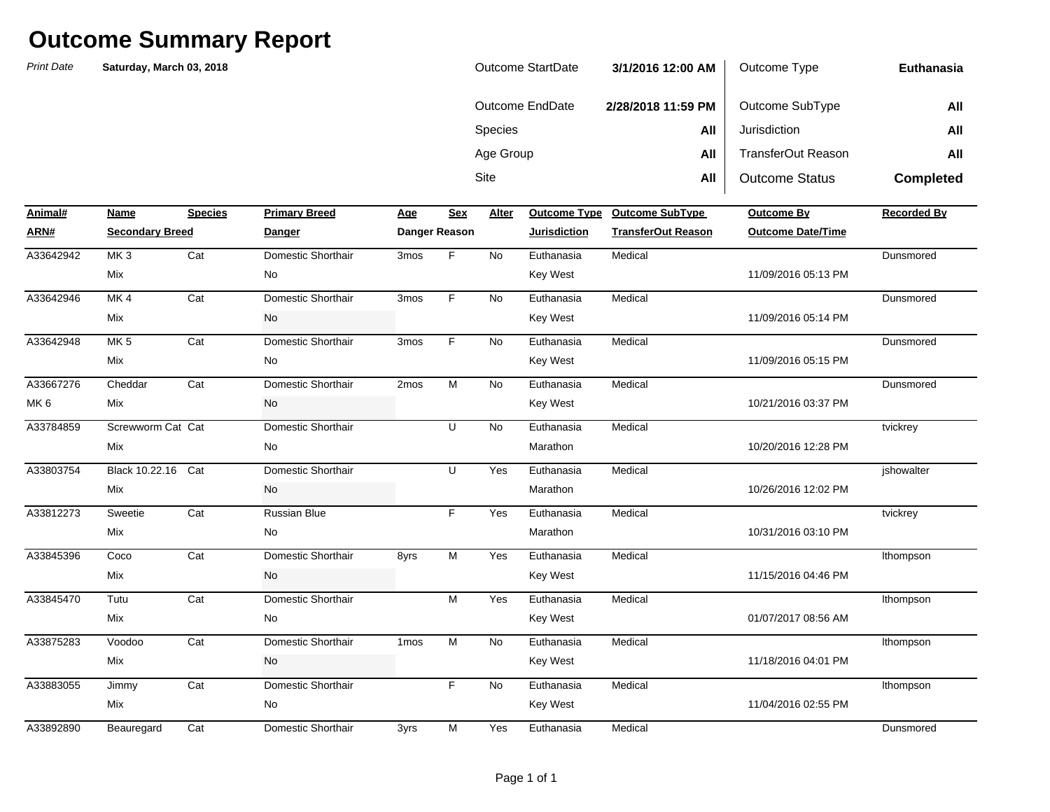| <b>Outcome StartDate</b> | 3/1/2016 12:00 AM  | Outcome Type          | Euthanasia       |
|--------------------------|--------------------|-----------------------|------------------|
| Outcome EndDate          | 2/28/2018 11:59 PM | Outcome SubType       | All              |
| <b>Species</b>           | All                | Jurisdiction          | All              |
| Age Group                | All                | TransferOut Reason    | All              |
| Site                     | All                | <b>Outcome Status</b> | <b>Completed</b> |

| Animal#         | Name                   | <b>Species</b> | <b>Primary Breed</b> | <b>Age</b>       | <b>Sex</b>    | Alter     | <b>Outcome Type</b> | <b>Outcome SubType</b>    | Outcome By               | <b>Recorded By</b> |
|-----------------|------------------------|----------------|----------------------|------------------|---------------|-----------|---------------------|---------------------------|--------------------------|--------------------|
| ARN#            | <b>Secondary Breed</b> |                | <b>Danger</b>        |                  | Danger Reason |           | <b>Jurisdiction</b> | <b>TransferOut Reason</b> | <b>Outcome Date/Time</b> |                    |
| A33642942       | MK <sub>3</sub>        | Cat            | Domestic Shorthair   | 3 <sub>mos</sub> | F.            | <b>No</b> | Euthanasia          | Medical                   |                          | Dunsmored          |
|                 | Mix                    |                | No                   |                  |               |           | <b>Key West</b>     |                           | 11/09/2016 05:13 PM      |                    |
| A33642946       | MK4                    | Cat            | Domestic Shorthair   | 3mos             | F.            | No        | Euthanasia          | Medical                   |                          | Dunsmored          |
|                 | Mix                    |                | No                   |                  |               |           | <b>Key West</b>     |                           | 11/09/2016 05:14 PM      |                    |
| A33642948       | MK <sub>5</sub>        | Cat            | Domestic Shorthair   | 3mos             | F.            | <b>No</b> | Euthanasia          | Medical                   |                          | Dunsmored          |
|                 | Mix                    |                | No                   |                  |               |           | <b>Key West</b>     |                           | 11/09/2016 05:15 PM      |                    |
| A33667276       | Cheddar                | Cat            | Domestic Shorthair   | 2mos             | M             | No        | Euthanasia          | Medical                   |                          | Dunsmored          |
| MK <sub>6</sub> | Mix                    |                | No                   |                  |               |           | <b>Key West</b>     |                           | 10/21/2016 03:37 PM      |                    |
| A33784859       | Screwworm Cat Cat      |                | Domestic Shorthair   |                  | U             | No        | Euthanasia          | Medical                   |                          | tvickrey           |
|                 | Mix                    |                | No                   |                  |               |           | Marathon            |                           | 10/20/2016 12:28 PM      |                    |
| A33803754       | Black 10.22.16         | Cat            | Domestic Shorthair   |                  | U             | Yes       | Euthanasia          | Medical                   |                          | jshowalter         |
|                 | Mix                    |                | No                   |                  |               |           | Marathon            |                           | 10/26/2016 12:02 PM      |                    |
| A33812273       | Sweetie                | Cat            | <b>Russian Blue</b>  |                  | F.            | Yes       | Euthanasia          | Medical                   |                          | tvickrey           |
|                 | Mix                    |                | No                   |                  |               |           | Marathon            |                           | 10/31/2016 03:10 PM      |                    |
| A33845396       | Coco                   | Cat            | Domestic Shorthair   | 8yrs             | M             | Yes       | Euthanasia          | Medical                   |                          | Ithompson          |
|                 | Mix                    |                | No                   |                  |               |           | <b>Key West</b>     |                           | 11/15/2016 04:46 PM      |                    |
| A33845470       | Tutu                   | Cat            | Domestic Shorthair   |                  | M             | Yes       | Euthanasia          | Medical                   |                          | Ithompson          |
|                 | Mix                    |                | No                   |                  |               |           | <b>Key West</b>     |                           | 01/07/2017 08:56 AM      |                    |
| A33875283       | Voodoo                 | Cat            | Domestic Shorthair   | 1 <sub>mos</sub> | M             | <b>No</b> | Euthanasia          | Medical                   |                          | Ithompson          |
|                 | Mix                    |                | No                   |                  |               |           | <b>Key West</b>     |                           | 11/18/2016 04:01 PM      |                    |
| A33883055       | Jimmy                  | Cat            | Domestic Shorthair   |                  | F.            | <b>No</b> | Euthanasia          | Medical                   |                          | Ithompson          |
|                 | Mix                    |                | No                   |                  |               |           | <b>Key West</b>     |                           | 11/04/2016 02:55 PM      |                    |
| A33892890       | Beauregard             | Cat            | Domestic Shorthair   | 3yrs             | М             | Yes       | Euthanasia          | Medical                   |                          | Dunsmored          |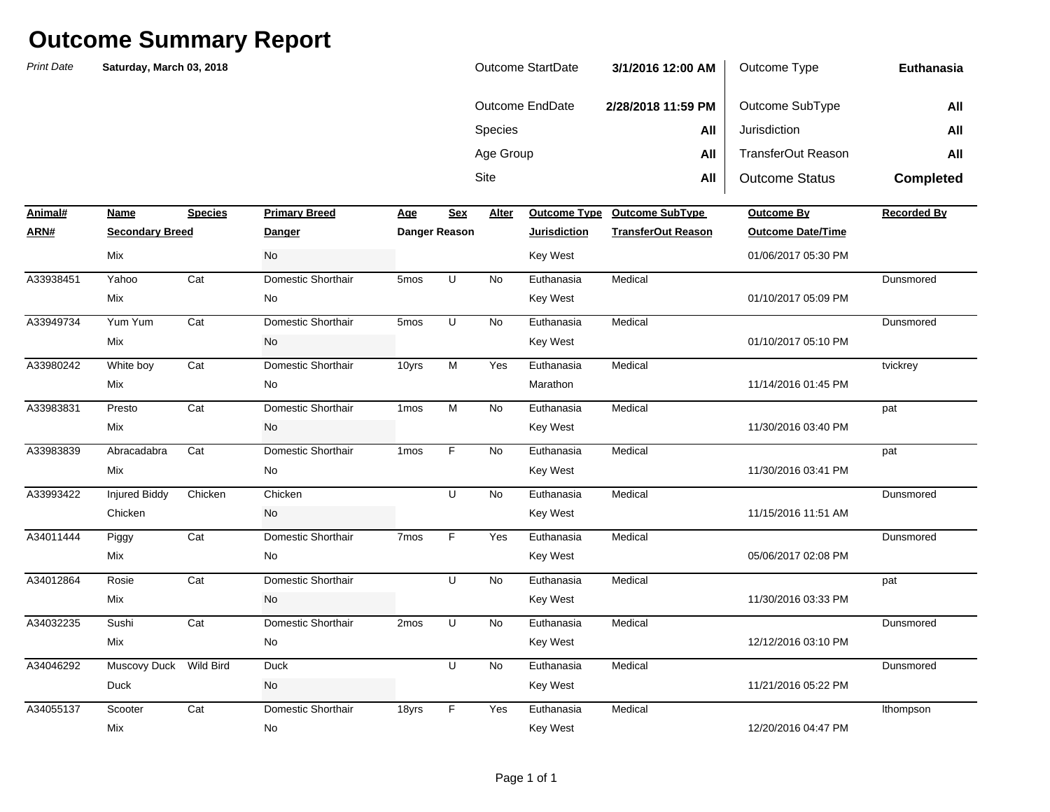| Outcome StartDate | 3/1/2016 12:00 AM  | Outcome Type          | Euthanasia       |
|-------------------|--------------------|-----------------------|------------------|
| Outcome EndDate   | 2/28/2018 11:59 PM | Outcome SubType       | All              |
| <b>Species</b>    | All                | Jurisdiction          | All              |
| Age Group         | All                | TransferOut Reason    | All              |
| Site              | All                | <b>Outcome Status</b> | <b>Completed</b> |

| Animal#   | Name                   | <b>Species</b> | <b>Primary Breed</b> | <u>Age</u>       | <b>Sex</b>    | Alter     | <b>Outcome Type</b> | <b>Outcome SubType</b>    | <b>Outcome By</b>        | <b>Recorded By</b> |
|-----------|------------------------|----------------|----------------------|------------------|---------------|-----------|---------------------|---------------------------|--------------------------|--------------------|
| ARN#      | <b>Secondary Breed</b> |                | Danger               |                  | Danger Reason |           | <b>Jurisdiction</b> | <b>TransferOut Reason</b> | <b>Outcome Date/Time</b> |                    |
|           | Mix                    |                | No                   |                  |               |           | Key West            |                           | 01/06/2017 05:30 PM      |                    |
| A33938451 | Yahoo                  | Cat            | Domestic Shorthair   | 5 <sub>mos</sub> | $\sf U$       | <b>No</b> | Euthanasia          | Medical                   |                          | Dunsmored          |
|           | Mix                    |                | No                   |                  |               |           | Key West            |                           | 01/10/2017 05:09 PM      |                    |
| A33949734 | Yum Yum                | Cat            | Domestic Shorthair   | 5mos             | U             | No        | Euthanasia          | Medical                   |                          | Dunsmored          |
|           | Mix                    |                | No                   |                  |               |           | Key West            |                           | 01/10/2017 05:10 PM      |                    |
| A33980242 | White boy              | Cat            | Domestic Shorthair   | 10yrs            | M             | Yes       | Euthanasia          | Medical                   |                          | tvickrey           |
|           | Mix                    |                | No                   |                  |               |           | Marathon            |                           | 11/14/2016 01:45 PM      |                    |
| A33983831 | Presto                 | Cat            | Domestic Shorthair   | 1 <sub>mos</sub> | M             | No        | Euthanasia          | Medical                   |                          | pat                |
|           | Mix                    |                | No                   |                  |               |           | Key West            |                           | 11/30/2016 03:40 PM      |                    |
| A33983839 | Abracadabra            | Cat            | Domestic Shorthair   | 1 <sub>mos</sub> | F             | No        | Euthanasia          | Medical                   |                          | pat                |
|           | Mix                    |                | No                   |                  |               |           | Key West            |                           | 11/30/2016 03:41 PM      |                    |
| A33993422 | <b>Injured Biddy</b>   | Chicken        | Chicken              |                  | U             | No        | Euthanasia          | Medical                   |                          | Dunsmored          |
|           | Chicken                |                | No                   |                  |               |           | Key West            |                           | 11/15/2016 11:51 AM      |                    |
| A34011444 | Piggy                  | Cat            | Domestic Shorthair   | 7 <sub>mos</sub> | F             | Yes       | Euthanasia          | Medical                   |                          | Dunsmored          |
|           | Mix                    |                | No                   |                  |               |           | Key West            |                           | 05/06/2017 02:08 PM      |                    |
| A34012864 | Rosie                  | Cat            | Domestic Shorthair   |                  | U             | <b>No</b> | Euthanasia          | Medical                   |                          | pat                |
|           | Mix                    |                | No                   |                  |               |           | Key West            |                           | 11/30/2016 03:33 PM      |                    |
| A34032235 | Sushi                  | Cat            | Domestic Shorthair   | 2mos             | U             | No        | Euthanasia          | Medical                   |                          | Dunsmored          |
|           | Mix                    |                | No                   |                  |               |           | Key West            |                           | 12/12/2016 03:10 PM      |                    |
| A34046292 | Muscovy Duck Wild Bird |                | Duck                 |                  | U             | <b>No</b> | Euthanasia          | Medical                   |                          | Dunsmored          |
|           | <b>Duck</b>            |                | No                   |                  |               |           | Key West            |                           | 11/21/2016 05:22 PM      |                    |
| A34055137 | Scooter                | Cat            | Domestic Shorthair   | 18yrs            | F             | Yes       | Euthanasia          | Medical                   |                          | Ithompson          |
|           | Mix                    |                | No                   |                  |               |           | Key West            |                           | 12/20/2016 04:47 PM      |                    |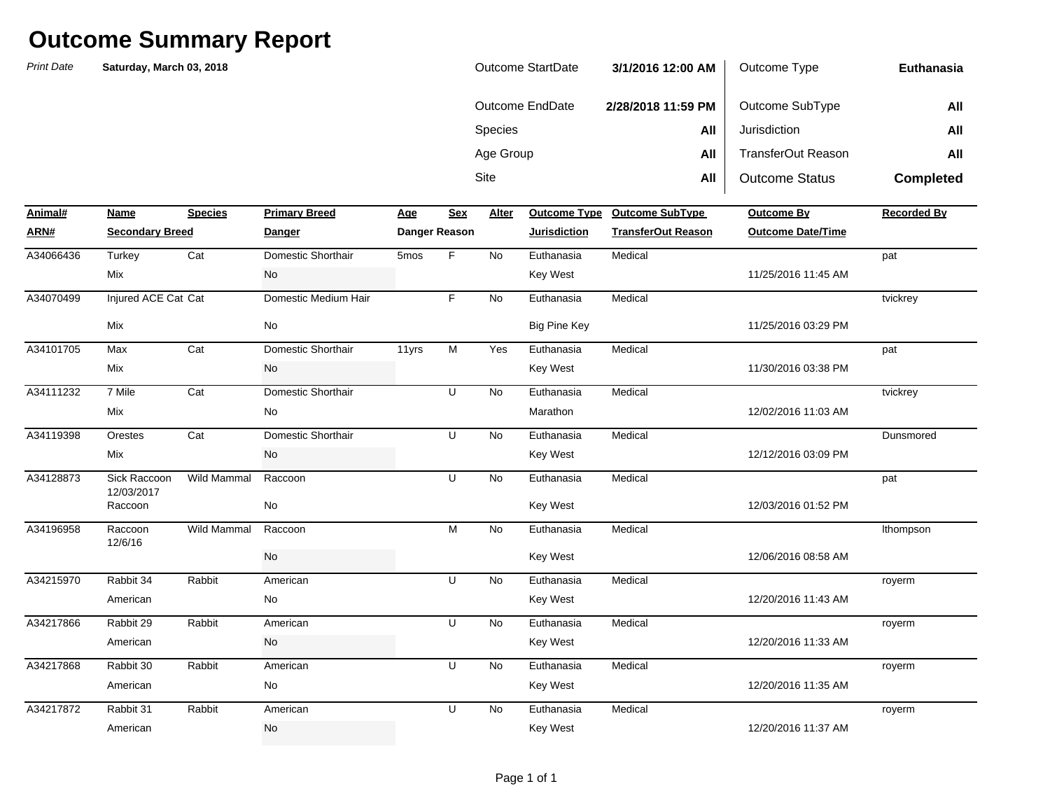| <b>Outcome StartDate</b> | 3/1/2016 12:00 AM  | Outcome Type          | Euthanasia       |
|--------------------------|--------------------|-----------------------|------------------|
| Outcome EndDate          | 2/28/2018 11:59 PM | Outcome SubType       | All              |
| <b>Species</b>           | All                | Jurisdiction          | All              |
| Age Group                | All                | TransferOut Reason    | All              |
| Site                     | All                | <b>Outcome Status</b> | <b>Completed</b> |

| Animal#   | Name                       | <b>Species</b>     | <b>Primary Breed</b> | <u>Age</u> | <b>Sex</b>    | Alter     | <b>Outcome Type</b> | <b>Outcome SubType</b>    | Outcome By               | <b>Recorded By</b> |
|-----------|----------------------------|--------------------|----------------------|------------|---------------|-----------|---------------------|---------------------------|--------------------------|--------------------|
| ARN#      | <b>Secondary Breed</b>     |                    | <b>Danger</b>        |            | Danger Reason |           | <b>Jurisdiction</b> | <b>TransferOut Reason</b> | <b>Outcome Date/Time</b> |                    |
| A34066436 | Turkey                     | Cat                | Domestic Shorthair   | 5mos       | F.            | <b>No</b> | Euthanasia          | Medical                   |                          | pat                |
|           | Mix                        |                    | No                   |            |               |           | <b>Key West</b>     |                           | 11/25/2016 11:45 AM      |                    |
| A34070499 | Injured ACE Cat Cat        |                    | Domestic Medium Hair |            | F.            | No        | Euthanasia          | Medical                   |                          | tvickrey           |
|           | Mix                        |                    | No                   |            |               |           | <b>Big Pine Key</b> |                           | 11/25/2016 03:29 PM      |                    |
| A34101705 | Max                        | Cat                | Domestic Shorthair   | 11yrs      | M             | Yes       | Euthanasia          | Medical                   |                          | pat                |
|           | Mix                        |                    | No                   |            |               |           | Key West            |                           | 11/30/2016 03:38 PM      |                    |
| A34111232 | 7 Mile                     | Cat                | Domestic Shorthair   |            | U             | <b>No</b> | Euthanasia          | Medical                   |                          | tvickrey           |
|           | Mix                        |                    | No                   |            |               |           | Marathon            |                           | 12/02/2016 11:03 AM      |                    |
| A34119398 | Orestes                    | Cat                | Domestic Shorthair   |            | U             | <b>No</b> | Euthanasia          | Medical                   |                          | Dunsmored          |
|           | Mix                        |                    | No                   |            |               |           | <b>Key West</b>     |                           | 12/12/2016 03:09 PM      |                    |
| A34128873 | Sick Raccoon<br>12/03/2017 | <b>Wild Mammal</b> | Raccoon              |            | U             | <b>No</b> | Euthanasia          | Medical                   |                          | pat                |
|           | Raccoon                    |                    | No                   |            |               |           | <b>Key West</b>     |                           | 12/03/2016 01:52 PM      |                    |
| A34196958 | Raccoon<br>12/6/16         | Wild Mammal        | Raccoon              |            | M             | No        | Euthanasia          | Medical                   |                          | Ithompson          |
|           |                            |                    | <b>No</b>            |            |               |           | <b>Key West</b>     |                           | 12/06/2016 08:58 AM      |                    |
| A34215970 | Rabbit 34                  | Rabbit             | American             |            | U             | No        | Euthanasia          | Medical                   |                          | royerm             |
|           | American                   |                    | No                   |            |               |           | Key West            |                           | 12/20/2016 11:43 AM      |                    |
| A34217866 | Rabbit 29                  | Rabbit             | American             |            | U             | <b>No</b> | Euthanasia          | Medical                   |                          | royerm             |
|           | American                   |                    | No                   |            |               |           | <b>Key West</b>     |                           | 12/20/2016 11:33 AM      |                    |
| A34217868 | Rabbit 30                  | Rabbit             | American             |            | U             | No        | Euthanasia          | Medical                   |                          | royerm             |
|           | American                   |                    | No                   |            |               |           | <b>Key West</b>     |                           | 12/20/2016 11:35 AM      |                    |
| A34217872 | Rabbit 31                  | Rabbit             | American             |            | U             | <b>No</b> | Euthanasia          | Medical                   |                          | royerm             |
|           | American                   |                    | No                   |            |               |           | <b>Key West</b>     |                           | 12/20/2016 11:37 AM      |                    |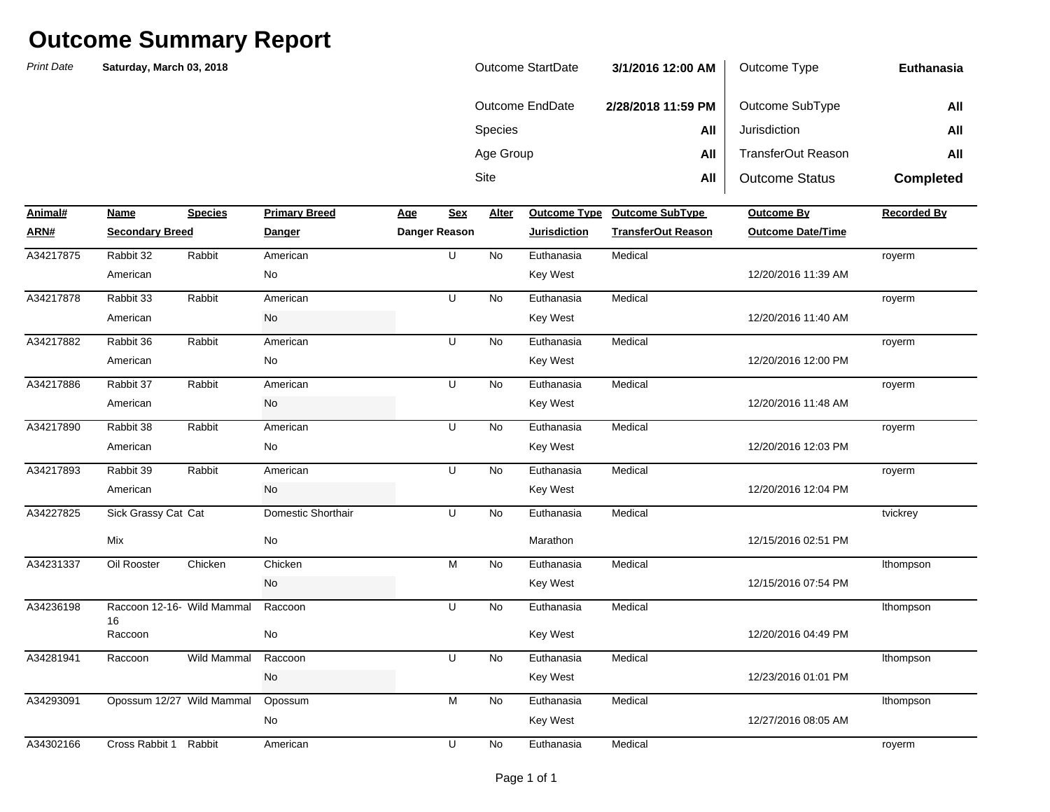| Outcome StartDate | 3/1/2016 12:00 AM  | Outcome Type          | Euthanasia       |
|-------------------|--------------------|-----------------------|------------------|
| Outcome EndDate   | 2/28/2018 11:59 PM | Outcome SubType       | All              |
| <b>Species</b>    | All                | Jurisdiction          | All              |
| Age Group         | All                | TransferOut Reason    | All              |
| Site              | All                | <b>Outcome Status</b> | <b>Completed</b> |

| Animal#   | Name                             | <b>Species</b> | <b>Primary Breed</b>         | Age | <b>Sex</b>    | Alter     | <b>Outcome Type</b> | <b>Outcome SubType</b>    | <b>Outcome By</b>        | <b>Recorded By</b> |
|-----------|----------------------------------|----------------|------------------------------|-----|---------------|-----------|---------------------|---------------------------|--------------------------|--------------------|
| ARN#      | <b>Secondary Breed</b>           |                | <b>Danger</b>                |     | Danger Reason |           | <b>Jurisdiction</b> | <b>TransferOut Reason</b> | <b>Outcome Date/Time</b> |                    |
| A34217875 | Rabbit 32                        | Rabbit         | American                     |     | U             | <b>No</b> | Euthanasia          | Medical                   |                          | royerm             |
|           | American                         |                | No                           |     |               |           | Key West            |                           | 12/20/2016 11:39 AM      |                    |
| A34217878 | Rabbit 33                        | Rabbit         | American                     |     | U             | <b>No</b> | Euthanasia          | Medical                   |                          | royerm             |
|           | American                         |                | $\operatorname{\mathsf{No}}$ |     |               |           | Key West            |                           | 12/20/2016 11:40 AM      |                    |
| A34217882 | Rabbit 36                        | Rabbit         | American                     |     | U             | No        | Euthanasia          | Medical                   |                          | royerm             |
|           | American                         |                | No                           |     |               |           | Key West            |                           | 12/20/2016 12:00 PM      |                    |
| A34217886 | Rabbit 37                        | Rabbit         | American                     |     | U             | <b>No</b> | Euthanasia          | Medical                   |                          | royerm             |
|           | American                         |                | No                           |     |               |           | Key West            |                           | 12/20/2016 11:48 AM      |                    |
| A34217890 | Rabbit 38                        | Rabbit         | American                     |     | U             | No        | Euthanasia          | Medical                   |                          | royerm             |
|           | American                         |                | No                           |     |               |           | Key West            |                           | 12/20/2016 12:03 PM      |                    |
| A34217893 | Rabbit 39                        | Rabbit         | American                     |     | U             | No        | Euthanasia          | Medical                   |                          | royerm             |
|           | American                         |                | No                           |     |               |           | Key West            |                           | 12/20/2016 12:04 PM      |                    |
| A34227825 | Sick Grassy Cat Cat              |                | Domestic Shorthair           |     | U             | <b>No</b> | Euthanasia          | Medical                   |                          | tvickrey           |
|           | Mix                              |                | No                           |     |               |           | Marathon            |                           | 12/15/2016 02:51 PM      |                    |
| A34231337 | Oil Rooster                      | Chicken        | Chicken                      |     | M             | <b>No</b> | Euthanasia          | Medical                   |                          | Ithompson          |
|           |                                  |                | No                           |     |               |           | Key West            |                           | 12/15/2016 07:54 PM      |                    |
| A34236198 | Raccoon 12-16- Wild Mammal<br>16 |                | Raccoon                      |     | U             | <b>No</b> | Euthanasia          | Medical                   |                          | Ithompson          |
|           | Raccoon                          |                | No                           |     |               |           | Key West            |                           | 12/20/2016 04:49 PM      |                    |
| A34281941 | Raccoon                          | Wild Mammal    | Raccoon                      |     | U             | <b>No</b> | Euthanasia          | Medical                   |                          | Ithompson          |
|           |                                  |                | No                           |     |               |           | Key West            |                           | 12/23/2016 01:01 PM      |                    |
| A34293091 | Opossum 12/27 Wild Mammal        |                | Opossum                      |     | М             | <b>No</b> | Euthanasia          | Medical                   |                          | Ithompson          |
|           |                                  |                | No                           |     |               |           | Key West            |                           | 12/27/2016 08:05 AM      |                    |
| A34302166 | Cross Rabbit 1 Rabbit            |                | American                     |     | U             | No        | Euthanasia          | Medical                   |                          | royerm             |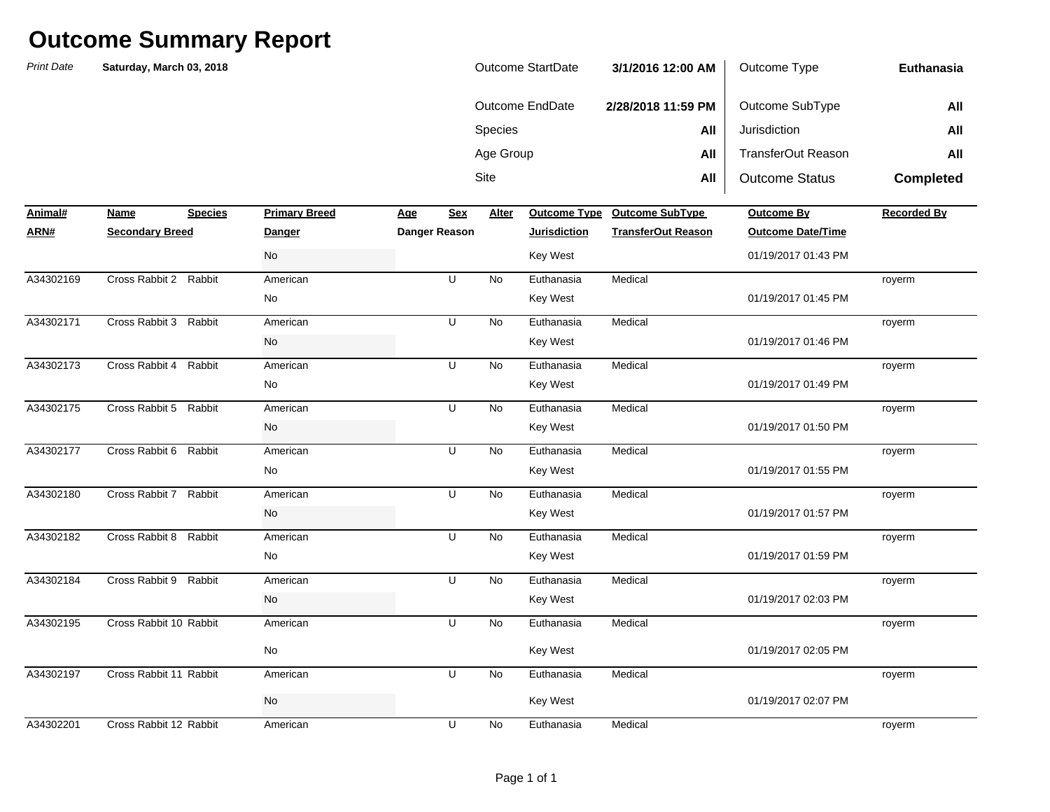| <b>Print Date</b> | Saturday, March 03, 2018 |                |                      |            |                |              | <b>Outcome StartDate</b> | 3/1/2016 12:00 AM         | Outcome Type              | Euthanasia         |
|-------------------|--------------------------|----------------|----------------------|------------|----------------|--------------|--------------------------|---------------------------|---------------------------|--------------------|
|                   |                          |                |                      |            |                |              | <b>Outcome EndDate</b>   | 2/28/2018 11:59 PM        | Outcome SubType           | All                |
|                   |                          |                |                      |            |                | Species      |                          | All                       | Jurisdiction              | All                |
|                   |                          |                |                      |            |                | Age Group    |                          | All                       | <b>TransferOut Reason</b> | All                |
|                   |                          |                |                      |            |                | Site         |                          | All                       | <b>Outcome Status</b>     |                    |
|                   |                          |                |                      |            |                |              |                          |                           |                           | <b>Completed</b>   |
| Animal#           | Name                     | <b>Species</b> | <b>Primary Breed</b> | <u>Age</u> | <b>Sex</b>     | <b>Alter</b> | <b>Outcome Type</b>      | <b>Outcome SubType</b>    | <b>Outcome By</b>         | <b>Recorded By</b> |
| ARN#              | <b>Secondary Breed</b>   |                | <u>Danger</u>        |            | Danger Reason  |              | <b>Jurisdiction</b>      | <b>TransferOut Reason</b> | <b>Outcome Date/Time</b>  |                    |
|                   |                          |                | No                   |            |                |              | Key West                 |                           | 01/19/2017 01:43 PM       |                    |
| A34302169         | Cross Rabbit 2 Rabbit    |                | American             |            | U              | No           | Euthanasia               | Medical                   |                           | royerm             |
|                   |                          |                | No                   |            |                |              | <b>Key West</b>          |                           | 01/19/2017 01:45 PM       |                    |
| A34302171         | Cross Rabbit 3           | Rabbit         | American             |            | U              | <b>No</b>    | Euthanasia               | Medical                   |                           | royerm             |
|                   |                          |                | No                   |            |                |              | <b>Key West</b>          |                           | 01/19/2017 01:46 PM       |                    |
| A34302173         | Cross Rabbit 4           | Rabbit         | American             |            | U              | No           | Euthanasia               | Medical                   |                           | royerm             |
|                   |                          |                | No                   |            |                |              | Key West                 |                           | 01/19/2017 01:49 PM       |                    |
| A34302175         | Cross Rabbit 5 Rabbit    |                | American             |            | U              | <b>No</b>    | Euthanasia               | Medical                   |                           | royerm             |
|                   |                          |                | No                   |            |                |              | Key West                 |                           | 01/19/2017 01:50 PM       |                    |
| A34302177         | Cross Rabbit 6           | Rabbit         | American             |            | U              | No           | Euthanasia               | Medical                   |                           | royerm             |
|                   |                          |                | No                   |            |                |              | Key West                 |                           | 01/19/2017 01:55 PM       |                    |
| A34302180         | Cross Rabbit 7           | Rabbit         | American             |            | U              | No           | Euthanasia               | Medical                   |                           | royerm             |
|                   |                          |                | No                   |            |                |              | Key West                 |                           | 01/19/2017 01:57 PM       |                    |
| A34302182         | Cross Rabbit 8           | Rabbit         | American             |            | U              | No           | Euthanasia               | Medical                   |                           | royerm             |
|                   |                          |                | No                   |            |                |              | Key West                 |                           | 01/19/2017 01:59 PM       |                    |
| A34302184         | Cross Rabbit 9           | Rabbit         | American             |            | $\overline{U}$ | <b>No</b>    | Euthanasia               | Medical                   |                           | royerm             |
|                   |                          |                | No                   |            |                |              | Key West                 |                           | 01/19/2017 02:03 PM       |                    |
| A34302195         | Cross Rabbit 10 Rabbit   |                | American             |            | U              | No           | Euthanasia               | Medical                   |                           | royerm             |
|                   |                          |                | No                   |            |                |              | Key West                 |                           | 01/19/2017 02:05 PM       |                    |
| A34302197         | Cross Rabbit 11 Rabbit   |                | American             |            | U              | No           | Euthanasia               | Medical                   |                           | royerm             |
|                   |                          |                | No                   |            |                |              | <b>Key West</b>          |                           | 01/19/2017 02:07 PM       |                    |
| A34302201         | Cross Rabbit 12 Rabbit   |                | American             |            | U              | No           | Euthanasia               | Medical                   |                           | royerm             |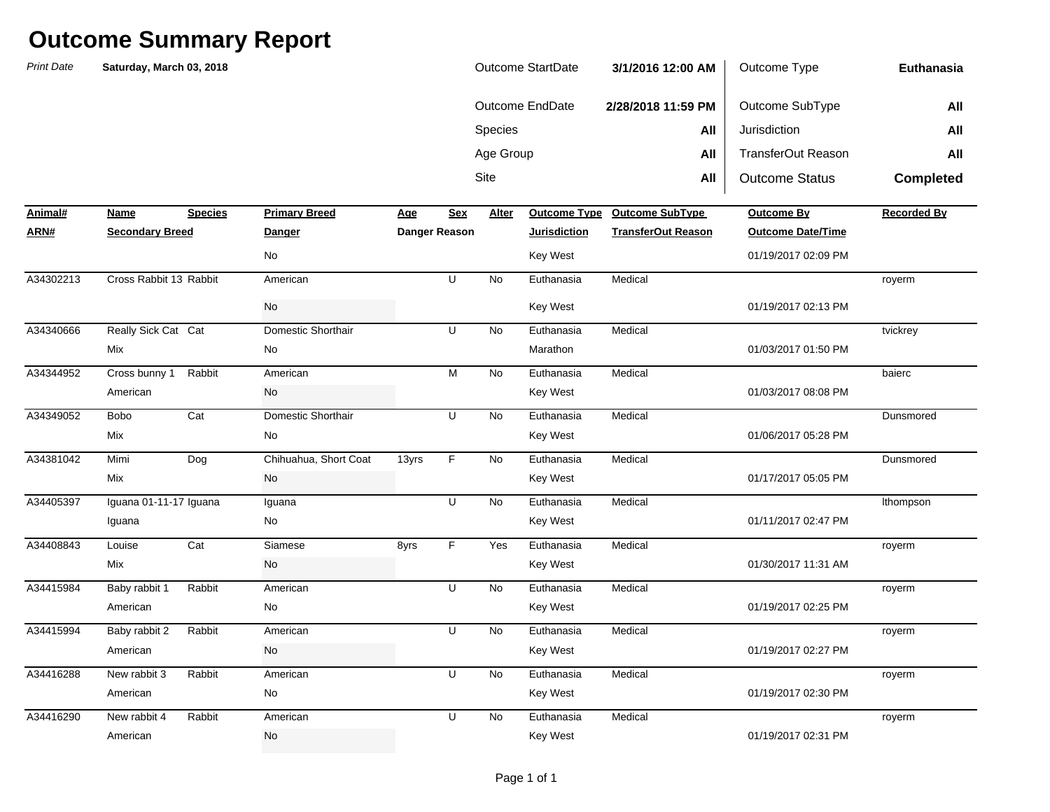*Print Date***NameSpecies Primary Breed Age Age Alter ARN# Secondary Breed Danger Danger Reason Jurisdiction TransferOut Reason Outcome Date/Time** Sitee **All** All | Outcome Status **Completed Animal#Profilled Primary Breedome SubType Outcome By Recorded By Recorded By** Species **All** Jurisdiction **All** Age Group **All** TransferOut Reason **All Euthanasia**Outcome EndDate **2/28/2018 11:59 PM** Outcome SubType **All Saturday, March 03, 2018** Outcome StartDate **3/1/2016 12:00 AM** Outcome Type A34302213 Cross Rabbit 13 Rabbit American U No Euthanasia Medical A34340666 Really Sick Cat Domestic Shorthair U No Euthanasia Medical A34344952 Cross bunny 1 Rabbit American M No Euthanasia Medical Bobo Cat NoA34349052 Domestic Shorthair U Euthanasia MedicalA34381042 Mimi Dog Chihuahua, Short Coat 13yrs F No Euthanasia Medical A34405397 Iguana 01-11-17 Iguana Iguana U No Euthanasia Medical Louise Cat 8yrs Yes Baby rabbit 1 Rabbit No A34415984 American U Euthanasia MedicalBaby rabbit 2 Rabbit No A34415994 American U Euthanasia MedicalA34416288 New rabbit 3 Rabbit American U No Euthanasia Medical New rabbit 4 Rabbit 4 American Month U No o Euthanasia Medical - barang pangangan karang pangangang pangangang pangangang panganggalang pang American No Key West 01/19/2017 02:31 PM A34416290 New rabbit 4 Rabbit American U No Euthanasia Medical royerm American No No Rey West Key West 201/19/2017 02:30 PM royerm American No No Rey West Key West 201/19/2017 02:27 PM royerm American No No Rev West Key West 201/19/2017 02:25 PM royerm Mix 11:31 AM No No Rev West Key West 201/30/2017 11:31 AM A34408843 Siamese F Euthanasia Medicallthompson Iguana 1988 - 1990 - 1991 - 1992 - 1993 - 1994 - 1994 - 1994 - 1995 - 1996 - 1997 - 1998 - 1999 - 1999 - 1999 - 199 DunsmoredMix 1992 101/17/2017 05:05 PM No 2012 12:05 PM No 2012 12:05 PM No 2012 12:05 PM No 2012 12:05 PM No 2012 12:05 PM No 2012 12:05 PM No 2012 12:05 PM No 2012 12:05 PM No 2012 12:05 PM No 2012 12:05 PM No 2012 12:05 PM No 20 **Dunsmored** Mix No Key West 01/06/2017 05:28 PM baiercAmerican and the Controller Controller Controller Controller Controller Controller Controller Controller Controller Controller Controller Controller Controller Controller Controller Controller Controller Controller Control tvickrey Mix No Marathon 01/03/2017 01:50 PMroyerm No No Rey West  $\sim$  Key West  $\sim$  01/19/2017 02:13 PM No No Key West  $\sim$  Key West 01/19/2017 02:09 PM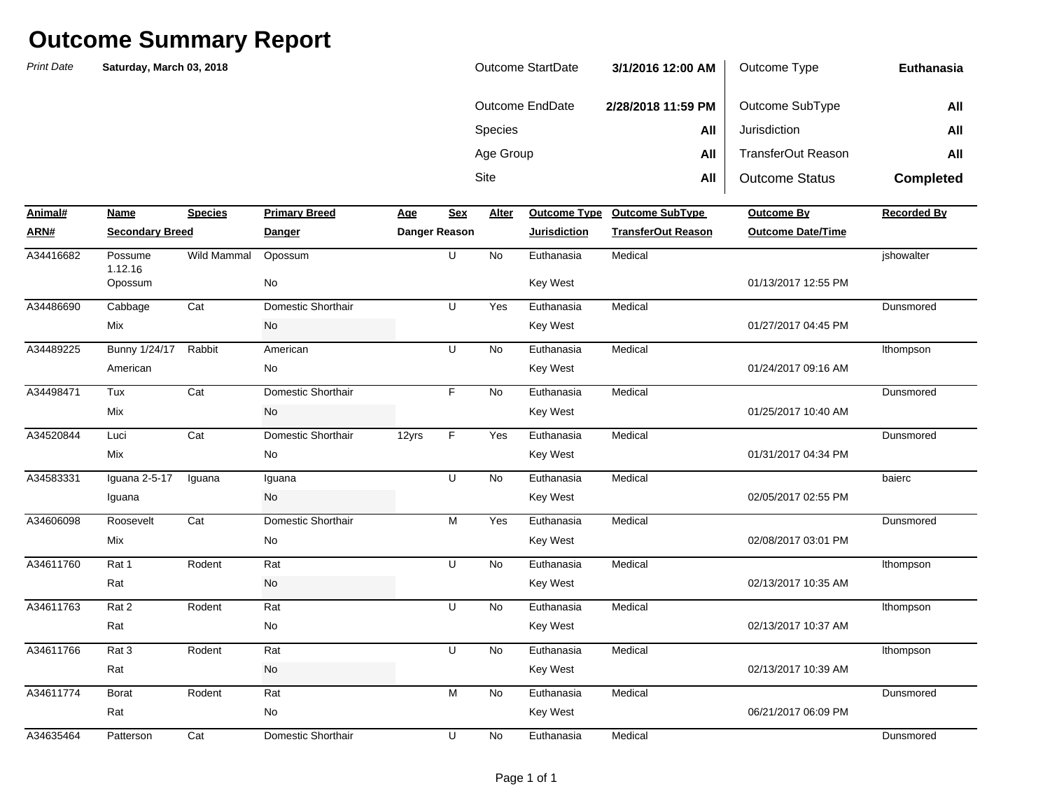| Outcome StartDate | 3/1/2016 12:00 AM  | Outcome Type          | Euthanasia       |
|-------------------|--------------------|-----------------------|------------------|
| Outcome EndDate   | 2/28/2018 11:59 PM | Outcome SubType       | All              |
| <b>Species</b>    | All                | Jurisdiction          | All              |
| Age Group         | All                | TransferOut Reason    | All              |
| Site              | All                | <b>Outcome Status</b> | <b>Completed</b> |

| Animal#   | Name                   | <b>Species</b> | <b>Primary Breed</b> | <b>Age</b> | <b>Sex</b>           | Alter     | <b>Outcome Type</b> | <b>Outcome SubType</b>    | <b>Outcome By</b>        | <b>Recorded By</b> |
|-----------|------------------------|----------------|----------------------|------------|----------------------|-----------|---------------------|---------------------------|--------------------------|--------------------|
| ARN#      | <b>Secondary Breed</b> |                | <b>Danger</b>        |            | <b>Danger Reason</b> |           | <b>Jurisdiction</b> | <b>TransferOut Reason</b> | <b>Outcome Date/Time</b> |                    |
| A34416682 | Possume<br>1.12.16     | Wild Mammal    | Opossum              |            | U                    | <b>No</b> | Euthanasia          | Medical                   |                          | jshowalter         |
|           | Opossum                |                | No                   |            |                      |           | Key West            |                           | 01/13/2017 12:55 PM      |                    |
| A34486690 | Cabbage                | Cat            | Domestic Shorthair   |            | U                    | Yes       | Euthanasia          | Medical                   |                          | Dunsmored          |
|           | Mix                    |                | No                   |            |                      |           | <b>Key West</b>     |                           | 01/27/2017 04:45 PM      |                    |
| A34489225 | <b>Bunny 1/24/17</b>   | Rabbit         | American             |            | U                    | <b>No</b> | Euthanasia          | Medical                   |                          | Ithompson          |
|           | American               |                | No                   |            |                      |           | <b>Key West</b>     |                           | 01/24/2017 09:16 AM      |                    |
| A34498471 | Tux                    | Cat            | Domestic Shorthair   |            | F.                   | No        | Euthanasia          | Medical                   |                          | Dunsmored          |
|           | Mix                    |                | No                   |            |                      |           | Key West            |                           | 01/25/2017 10:40 AM      |                    |
| A34520844 | Luci                   | Cat            | Domestic Shorthair   | 12yrs      | F                    | Yes       | Euthanasia          | Medical                   |                          | Dunsmored          |
|           | Mix                    |                | No                   |            |                      |           | <b>Key West</b>     |                           | 01/31/2017 04:34 PM      |                    |
| A34583331 | Iguana 2-5-17          | Iguana         | Iguana               |            | U                    | <b>No</b> | Euthanasia          | Medical                   |                          | baierc             |
|           | Iguana                 |                | No                   |            |                      |           | Key West            |                           | 02/05/2017 02:55 PM      |                    |
| A34606098 | Roosevelt              | Cat            | Domestic Shorthair   |            | M                    | Yes       | Euthanasia          | Medical                   |                          | Dunsmored          |
|           | Mix                    |                | No                   |            |                      |           | Key West            |                           | 02/08/2017 03:01 PM      |                    |
| A34611760 | Rat 1                  | Rodent         | Rat                  |            | U                    | <b>No</b> | Euthanasia          | Medical                   |                          | Ithompson          |
|           | Rat                    |                | No                   |            |                      |           | <b>Key West</b>     |                           | 02/13/2017 10:35 AM      |                    |
| A34611763 | Rat 2                  | Rodent         | Rat                  |            | U                    | <b>No</b> | Euthanasia          | Medical                   |                          | Ithompson          |
|           | Rat                    |                | No                   |            |                      |           | <b>Key West</b>     |                           | 02/13/2017 10:37 AM      |                    |
| A34611766 | Rat <sub>3</sub>       | Rodent         | Rat                  |            | U                    | <b>No</b> | Euthanasia          | Medical                   |                          | Ithompson          |
|           | Rat                    |                | No                   |            |                      |           | Key West            |                           | 02/13/2017 10:39 AM      |                    |
| A34611774 | <b>Borat</b>           | Rodent         | Rat                  |            | M                    | <b>No</b> | Euthanasia          | Medical                   |                          | Dunsmored          |
|           | Rat                    |                | No                   |            |                      |           | <b>Key West</b>     |                           | 06/21/2017 06:09 PM      |                    |
| A34635464 | Patterson              | Cat            | Domestic Shorthair   |            | U                    | <b>No</b> | Euthanasia          | Medical                   |                          | Dunsmored          |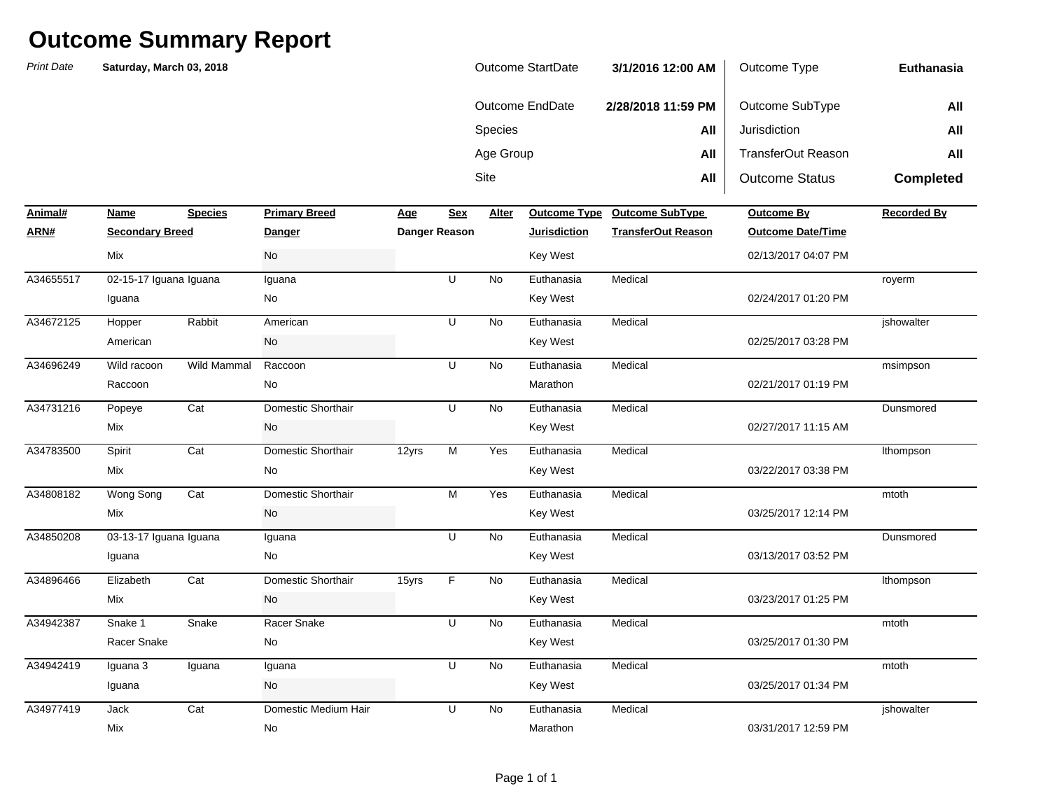| <b>Print Date</b> | Saturday, March 03, 2018 |                |                      |            |                                                                                       |           | <b>Outcome StartDate</b> | 3/1/2016 12:00 AM         | Outcome Type              | <b>Euthanasia</b>  |
|-------------------|--------------------------|----------------|----------------------|------------|---------------------------------------------------------------------------------------|-----------|--------------------------|---------------------------|---------------------------|--------------------|
|                   |                          |                |                      |            |                                                                                       |           | Outcome EndDate          | 2/28/2018 11:59 PM        | Outcome SubType           | All                |
|                   |                          |                |                      |            |                                                                                       | Species   |                          | All                       | Jurisdiction              | All                |
|                   |                          |                |                      |            |                                                                                       | Age Group |                          | All                       | <b>TransferOut Reason</b> | All                |
|                   |                          |                |                      |            |                                                                                       | Site      |                          | All                       | <b>Outcome Status</b>     | <b>Completed</b>   |
|                   |                          |                |                      |            |                                                                                       |           |                          |                           |                           |                    |
| Animal#           | Name                     | <b>Species</b> | <b>Primary Breed</b> | <u>Age</u> | <b>Sex</b>                                                                            | Alter     | <b>Outcome Type</b>      | <b>Outcome SubType</b>    | Outcome By                | <b>Recorded By</b> |
| ARN#              | <b>Secondary Breed</b>   |                | <b>Danger</b>        |            | <b>Danger Reason</b>                                                                  |           | <b>Jurisdiction</b>      | <b>TransferOut Reason</b> | <b>Outcome Date/Time</b>  |                    |
|                   | <b>Mix</b>               |                | No                   |            |                                                                                       |           | <b>Key West</b>          |                           | 02/13/2017 04:07 PM       |                    |
| A34655517         | 02-15-17 Iguana Iguana   |                | Iguana               |            | $\overline{U}$                                                                        | No        | Euthanasia               | Medical                   |                           | royerm             |
|                   | Iguana                   |                | No                   |            |                                                                                       |           | Key West                 |                           | 02/24/2017 01:20 PM       |                    |
| A34672125         | Hopper                   | Rabbit         | American             |            | U                                                                                     | No        | Euthanasia               | Medical                   |                           | jshowalter         |
|                   | American                 |                | No                   |            |                                                                                       |           | <b>Key West</b>          |                           | 02/25/2017 03:28 PM       |                    |
| A34696249         | Wild racoon              | Wild Mammal    | Raccoon              |            | U                                                                                     | No        | Euthanasia               | Medical                   |                           | msimpson           |
|                   | Raccoon                  |                | No                   |            |                                                                                       |           | Marathon                 |                           | 02/21/2017 01:19 PM       |                    |
| A34731216         | Popeye                   | Cat            | Domestic Shorthair   |            | U                                                                                     | No        | Euthanasia               | Medical                   |                           | Dunsmored          |
|                   | Mix                      |                | No                   |            |                                                                                       |           | Key West                 |                           | 02/27/2017 11:15 AM       |                    |
| A34783500         | Spirit                   | Cat            | Domestic Shorthair   | 12yrs      | M                                                                                     | Yes       | Euthanasia               | Medical                   |                           | Ithompson          |
|                   | Mix                      |                | No                   |            |                                                                                       |           | Key West                 |                           | 03/22/2017 03:38 PM       |                    |
| A34808182         | Wong Song                | Cat            | Domestic Shorthair   |            | $\mathsf{M}% _{T}=\mathsf{M}_{T}\!\left( a,b\right) ,\ \mathsf{M}_{T}=\mathsf{M}_{T}$ | Yes       | Euthanasia               | Medical                   |                           | mtoth              |
|                   | Mix                      |                | No                   |            |                                                                                       |           | <b>Key West</b>          |                           | 03/25/2017 12:14 PM       |                    |
| A34850208         | 03-13-17 Iguana Iguana   |                | Iguana               |            | U                                                                                     | No        | Euthanasia               | Medical                   |                           | Dunsmored          |
|                   | Iguana                   |                | No                   |            |                                                                                       |           | Key West                 |                           | 03/13/2017 03:52 PM       |                    |
| A34896466         | Elizabeth                | Cat            | Domestic Shorthair   | 15yrs      | F                                                                                     | No        | Euthanasia               | Medical                   |                           | Ithompson          |
|                   | Mix                      |                | No                   |            |                                                                                       |           | Key West                 |                           | 03/23/2017 01:25 PM       |                    |
| A34942387         | Snake 1                  | Snake          | Racer Snake          |            | U                                                                                     | No        | Euthanasia               | Medical                   |                           | mtoth              |
|                   | Racer Snake              |                | No                   |            |                                                                                       |           | Key West                 |                           | 03/25/2017 01:30 PM       |                    |
| A34942419         | Iguana 3                 | Iguana         | Iguana               |            | U                                                                                     | No        | Euthanasia               | Medical                   |                           | mtoth              |
|                   | Iguana                   |                | No                   |            |                                                                                       |           | Key West                 |                           | 03/25/2017 01:34 PM       |                    |
| A34977419         | Jack                     | Cat            | Domestic Medium Hair |            | U                                                                                     | <b>No</b> | Euthanasia               | Medical                   |                           | ishowalter         |
|                   | Mix                      |                | No                   |            |                                                                                       |           | Marathon                 |                           | 03/31/2017 12:59 PM       |                    |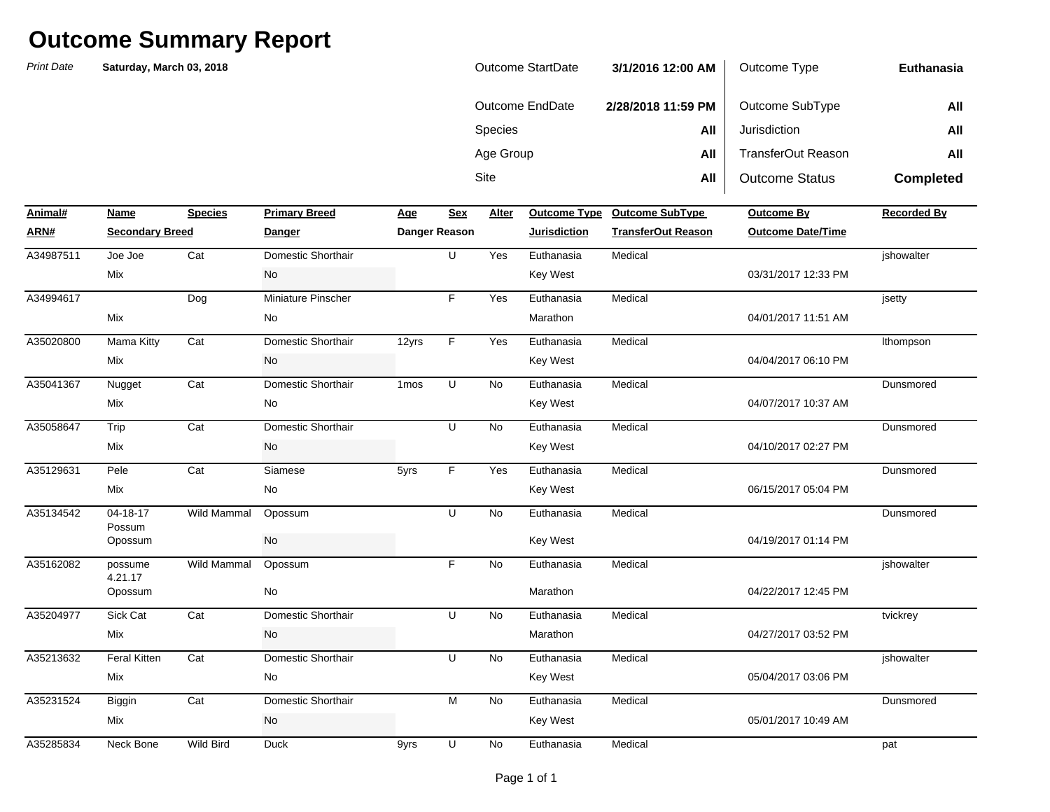| <b>Outcome StartDate</b> | 3/1/2016 12:00 AM  | Outcome Type              | Euthanasia       |
|--------------------------|--------------------|---------------------------|------------------|
| Outcome EndDate          | 2/28/2018 11:59 PM | Outcome SubType           | All              |
| <b>Species</b>           | All                | Jurisdiction              | All              |
| Age Group                | All                | <b>TransferOut Reason</b> | All              |
| Site                     | All                | <b>Outcome Status</b>     | <b>Completed</b> |

| Animal#   | Name                   | <b>Species</b> | <b>Primary Breed</b> | Age              | <b>Sex</b>    | Alter     |                     | Outcome Type Outcome SubType | <b>Outcome By</b>        | <b>Recorded By</b> |
|-----------|------------------------|----------------|----------------------|------------------|---------------|-----------|---------------------|------------------------------|--------------------------|--------------------|
| ARN#      | <b>Secondary Breed</b> |                | <b>Danger</b>        |                  | Danger Reason |           | <b>Jurisdiction</b> | <b>TransferOut Reason</b>    | <b>Outcome Date/Time</b> |                    |
| A34987511 | Joe Joe                | Cat            | Domestic Shorthair   |                  | U             | Yes       | Euthanasia          | Medical                      |                          | ishowalter         |
|           | Mix                    |                | No                   |                  |               |           | Key West            |                              | 03/31/2017 12:33 PM      |                    |
| A34994617 |                        | Dog            | Miniature Pinscher   |                  | F             | Yes       | Euthanasia          | Medical                      |                          | jsetty             |
|           | Mix                    |                | No                   |                  |               |           | Marathon            |                              | 04/01/2017 11:51 AM      |                    |
| A35020800 | <b>Mama Kitty</b>      | Cat            | Domestic Shorthair   | 12yrs            | F             | Yes       | Euthanasia          | Medical                      |                          | Ithompson          |
|           | Mix                    |                | No                   |                  |               |           | Key West            |                              | 04/04/2017 06:10 PM      |                    |
| A35041367 | Nugget                 | Cat            | Domestic Shorthair   | 1 <sub>mos</sub> | U             | <b>No</b> | Euthanasia          | Medical                      |                          | Dunsmored          |
|           | Mix                    |                | No                   |                  |               |           | <b>Key West</b>     |                              | 04/07/2017 10:37 AM      |                    |
| A35058647 | Trip                   | Cat            | Domestic Shorthair   |                  | U             | <b>No</b> | Euthanasia          | Medical                      |                          | Dunsmored          |
|           | Mix                    |                | No                   |                  |               |           | Key West            |                              | 04/10/2017 02:27 PM      |                    |
| A35129631 | Pele                   | Cat            | Siamese              | 5yrs             | F.            | Yes       | Euthanasia          | Medical                      |                          | Dunsmored          |
|           | Mix                    |                | No                   |                  |               |           | Key West            |                              | 06/15/2017 05:04 PM      |                    |
| A35134542 | $04 - 18 - 17$         | Wild Mammal    | Opossum              |                  | U             | No        | Euthanasia          | Medical                      |                          | Dunsmored          |
|           | Possum<br>Opossum      |                | No                   |                  |               |           | <b>Key West</b>     |                              | 04/19/2017 01:14 PM      |                    |
| A35162082 | possume<br>4.21.17     | Wild Mammal    | Opossum              |                  | F.            | <b>No</b> | Euthanasia          | Medical                      |                          | jshowalter         |
|           | Opossum                |                | No                   |                  |               |           | Marathon            |                              | 04/22/2017 12:45 PM      |                    |
| A35204977 | Sick Cat               | Cat            | Domestic Shorthair   |                  | U             | <b>No</b> | Euthanasia          | Medical                      |                          | tvickrey           |
|           | Mix                    |                | No                   |                  |               |           | Marathon            |                              | 04/27/2017 03:52 PM      |                    |
| A35213632 | <b>Feral Kitten</b>    | Cat            | Domestic Shorthair   |                  | U             | <b>No</b> | Euthanasia          | Medical                      |                          | jshowalter         |
|           | Mix                    |                | No                   |                  |               |           | Key West            |                              | 05/04/2017 03:06 PM      |                    |
| A35231524 | Biggin                 | Cat            | Domestic Shorthair   |                  | M             | <b>No</b> | Euthanasia          | Medical                      |                          | Dunsmored          |
|           | Mix                    |                | No                   |                  |               |           | <b>Key West</b>     |                              | 05/01/2017 10:49 AM      |                    |
| A35285834 | Neck Bone              | Wild Bird      | <b>Duck</b>          | 9yrs             | U             | No        | Euthanasia          | Medical                      |                          | pat                |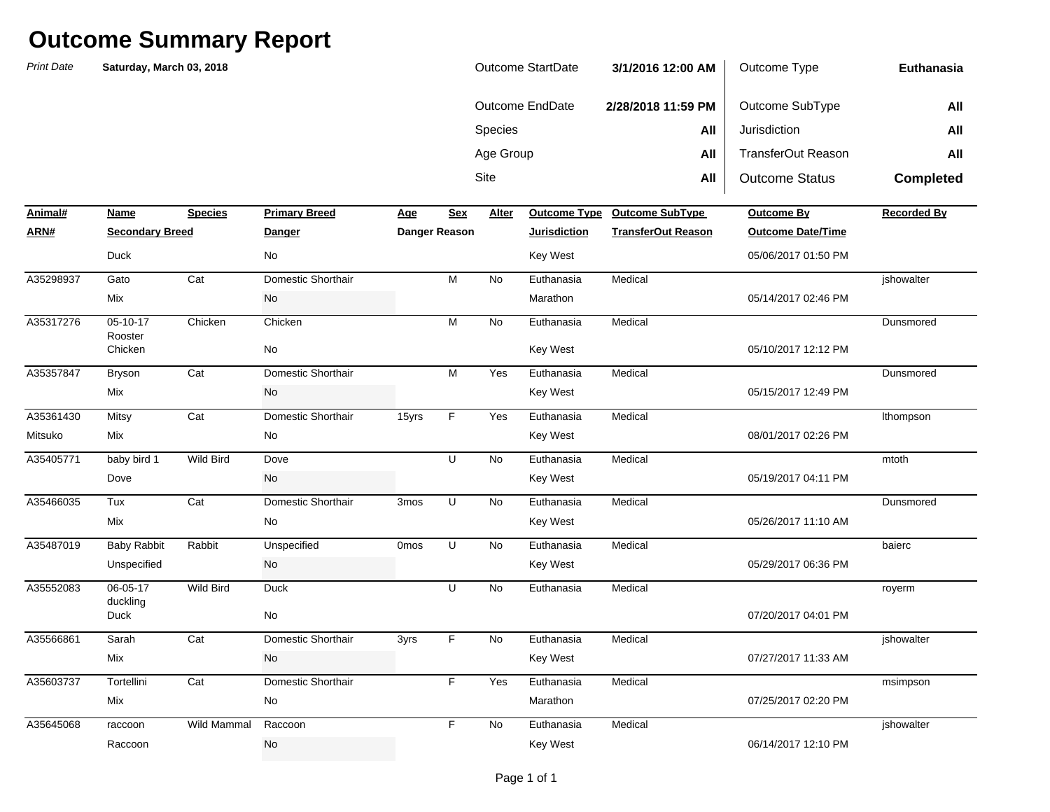| Outcome StartDate | 3/1/2016 12:00 AM  | Outcome Type          | Euthanasia       |
|-------------------|--------------------|-----------------------|------------------|
| Outcome EndDate   | 2/28/2018 11:59 PM | Outcome SubType       | All              |
| <b>Species</b>    | All                | Jurisdiction          | All              |
| Age Group         | All                | TransferOut Reason    | All              |
| Site              | All                | <b>Outcome Status</b> | <b>Completed</b> |

| Animal#   | <b>Name</b>            | <b>Species</b>   | <b>Primary Breed</b> | <u>Age</u>       | <b>Sex</b>    | Alter     | <b>Outcome Type</b> | <b>Outcome SubType</b>    | <b>Outcome By</b>        | <b>Recorded By</b> |
|-----------|------------------------|------------------|----------------------|------------------|---------------|-----------|---------------------|---------------------------|--------------------------|--------------------|
| ARN#      | <b>Secondary Breed</b> |                  | Danger               |                  | Danger Reason |           | <b>Jurisdiction</b> | <b>TransferOut Reason</b> | <b>Outcome Date/Time</b> |                    |
|           | <b>Duck</b>            |                  | No                   |                  |               |           | <b>Key West</b>     |                           | 05/06/2017 01:50 PM      |                    |
| A35298937 | Gato                   | Cat              | Domestic Shorthair   |                  | M             | No        | Euthanasia          | Medical                   |                          | jshowalter         |
|           | Mix                    |                  | <b>No</b>            |                  |               |           | Marathon            |                           | 05/14/2017 02:46 PM      |                    |
| A35317276 | $05-10-17$<br>Rooster  | Chicken          | Chicken              |                  | M             | No        | Euthanasia          | Medical                   |                          | Dunsmored          |
|           | Chicken                |                  | No                   |                  |               |           | <b>Key West</b>     |                           | 05/10/2017 12:12 PM      |                    |
| A35357847 | Bryson                 | Cat              | Domestic Shorthair   |                  | M             | Yes       | Euthanasia          | Medical                   |                          | Dunsmored          |
|           | Mix                    |                  | No                   |                  |               |           | <b>Key West</b>     |                           | 05/15/2017 12:49 PM      |                    |
| A35361430 | Mitsy                  | Cat              | Domestic Shorthair   | 15yrs            | F             | Yes       | Euthanasia          | Medical                   |                          | Ithompson          |
| Mitsuko   | Mix                    |                  | No                   |                  |               |           | Key West            |                           | 08/01/2017 02:26 PM      |                    |
| A35405771 | baby bird 1            | Wild Bird        | Dove                 |                  | U             | No        | Euthanasia          | Medical                   |                          | mtoth              |
|           | Dove                   |                  | No                   |                  |               |           | <b>Key West</b>     |                           | 05/19/2017 04:11 PM      |                    |
| A35466035 | Tux                    | Cat              | Domestic Shorthair   | 3 <sub>mos</sub> | U             | <b>No</b> | Euthanasia          | Medical                   |                          | Dunsmored          |
|           | Mix                    |                  | No                   |                  |               |           | <b>Key West</b>     |                           | 05/26/2017 11:10 AM      |                    |
| A35487019 | <b>Baby Rabbit</b>     | Rabbit           | Unspecified          | 0 <sub>mos</sub> | U             | <b>No</b> | Euthanasia          | Medical                   |                          | baierc             |
|           | Unspecified            |                  | No                   |                  |               |           | <b>Key West</b>     |                           | 05/29/2017 06:36 PM      |                    |
| A35552083 | 06-05-17<br>duckling   | <b>Wild Bird</b> | <b>Duck</b>          |                  | U             | <b>No</b> | Euthanasia          | Medical                   |                          | royerm             |
|           | Duck                   |                  | No                   |                  |               |           |                     |                           | 07/20/2017 04:01 PM      |                    |
| A35566861 | Sarah                  | Cat              | Domestic Shorthair   | 3yrs             | F.            | <b>No</b> | Euthanasia          | Medical                   |                          | ishowalter         |
|           | Mix                    |                  | No                   |                  |               |           | Key West            |                           | 07/27/2017 11:33 AM      |                    |
| A35603737 | Tortellini             | Cat              | Domestic Shorthair   |                  | F.            | Yes       | Euthanasia          | Medical                   |                          | msimpson           |
|           | Mix                    |                  | No                   |                  |               |           | Marathon            |                           | 07/25/2017 02:20 PM      |                    |
| A35645068 | raccoon                | Wild Mammal      | Raccoon              |                  | F.            | No        | Euthanasia          | Medical                   |                          | jshowalter         |
|           | Raccoon                |                  | No                   |                  |               |           | <b>Key West</b>     |                           | 06/14/2017 12:10 PM      |                    |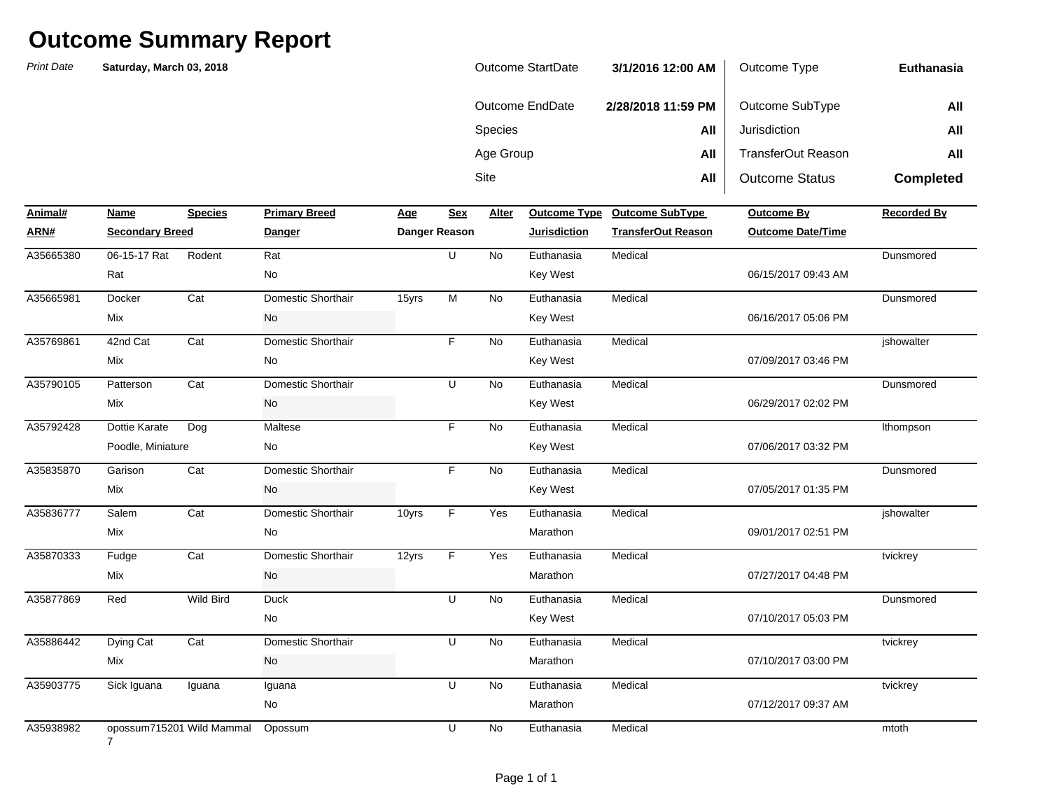| <b>Outcome StartDate</b> | 3/1/2016 12:00 AM  | Outcome Type              | <b>Euthanasia</b> |
|--------------------------|--------------------|---------------------------|-------------------|
| Outcome EndDate          | 2/28/2018 11:59 PM | Outcome SubType           | All               |
| <b>Species</b>           | All                | Jurisdiction              | All               |
| Age Group                | All                | <b>TransferOut Reason</b> | All               |
| <b>Site</b>              | All                | <b>Outcome Status</b>     | <b>Completed</b>  |

| Animal#   | Name                   | <b>Species</b>            | <b>Primary Breed</b> | Age   | <b>Sex</b>    | Alter     |                     | Outcome Type Outcome SubType | <b>Outcome By</b>        | <b>Recorded By</b> |
|-----------|------------------------|---------------------------|----------------------|-------|---------------|-----------|---------------------|------------------------------|--------------------------|--------------------|
| ARN#      | <b>Secondary Breed</b> |                           | Danger               |       | Danger Reason |           | <b>Jurisdiction</b> | <b>TransferOut Reason</b>    | <b>Outcome Date/Time</b> |                    |
| A35665380 | 06-15-17 Rat           | Rodent                    | Rat                  |       | U             | No        | Euthanasia          | Medical                      |                          | Dunsmored          |
|           | Rat                    |                           | No                   |       |               |           | Key West            |                              | 06/15/2017 09:43 AM      |                    |
| A35665981 | Docker                 | Cat                       | Domestic Shorthair   | 15yrs | M             | <b>No</b> | Euthanasia          | Medical                      |                          | Dunsmored          |
|           | Mix                    |                           | No                   |       |               |           | Key West            |                              | 06/16/2017 05:06 PM      |                    |
| A35769861 | 42nd Cat               | Cat                       | Domestic Shorthair   |       | F             | No        | Euthanasia          | Medical                      |                          | jshowalter         |
|           | Mix                    |                           | No                   |       |               |           | Key West            |                              | 07/09/2017 03:46 PM      |                    |
| A35790105 | Patterson              | Cat                       | Domestic Shorthair   |       | U             | <b>No</b> | Euthanasia          | Medical                      |                          | Dunsmored          |
|           | Mix                    |                           | No                   |       |               |           | Key West            |                              | 06/29/2017 02:02 PM      |                    |
| A35792428 | Dottie Karate          | Dog                       | Maltese              |       | F.            | No        | Euthanasia          | Medical                      |                          | Ithompson          |
|           | Poodle, Miniature      |                           | No                   |       |               |           | Key West            |                              | 07/06/2017 03:32 PM      |                    |
| A35835870 | Garison                | Cat                       | Domestic Shorthair   |       | F.            | No        | Euthanasia          | Medical                      |                          | Dunsmored          |
|           | Mix                    |                           | No                   |       |               |           | Key West            |                              | 07/05/2017 01:35 PM      |                    |
| A35836777 | Salem                  | Cat                       | Domestic Shorthair   | 10yrs | F             | Yes       | Euthanasia          | Medical                      |                          | ishowalter         |
|           | Mix                    |                           | No                   |       |               |           | Marathon            |                              | 09/01/2017 02:51 PM      |                    |
| A35870333 | Fudge                  | Cat                       | Domestic Shorthair   | 12yrs | $\mathsf F$   | Yes       | Euthanasia          | Medical                      |                          | tvickrey           |
|           | Mix                    |                           | No                   |       |               |           | Marathon            |                              | 07/27/2017 04:48 PM      |                    |
| A35877869 | Red                    | Wild Bird                 | <b>Duck</b>          |       | U             | No        | Euthanasia          | Medical                      |                          | Dunsmored          |
|           |                        |                           | No                   |       |               |           | Key West            |                              | 07/10/2017 05:03 PM      |                    |
| A35886442 | Dying Cat              | Cat                       | Domestic Shorthair   |       | U             | <b>No</b> | Euthanasia          | Medical                      |                          | tvickrey           |
|           | Mix                    |                           | No                   |       |               |           | Marathon            |                              | 07/10/2017 03:00 PM      |                    |
| A35903775 | Sick Iguana            | Iguana                    | Iguana               |       | U             | <b>No</b> | Euthanasia          | Medical                      |                          | tvickrey           |
|           |                        |                           | No                   |       |               |           | Marathon            |                              | 07/12/2017 09:37 AM      |                    |
| A35938982 | $\overline{7}$         | opossum715201 Wild Mammal | Opossum              |       | U             | No        | Euthanasia          | Medical                      |                          | mtoth              |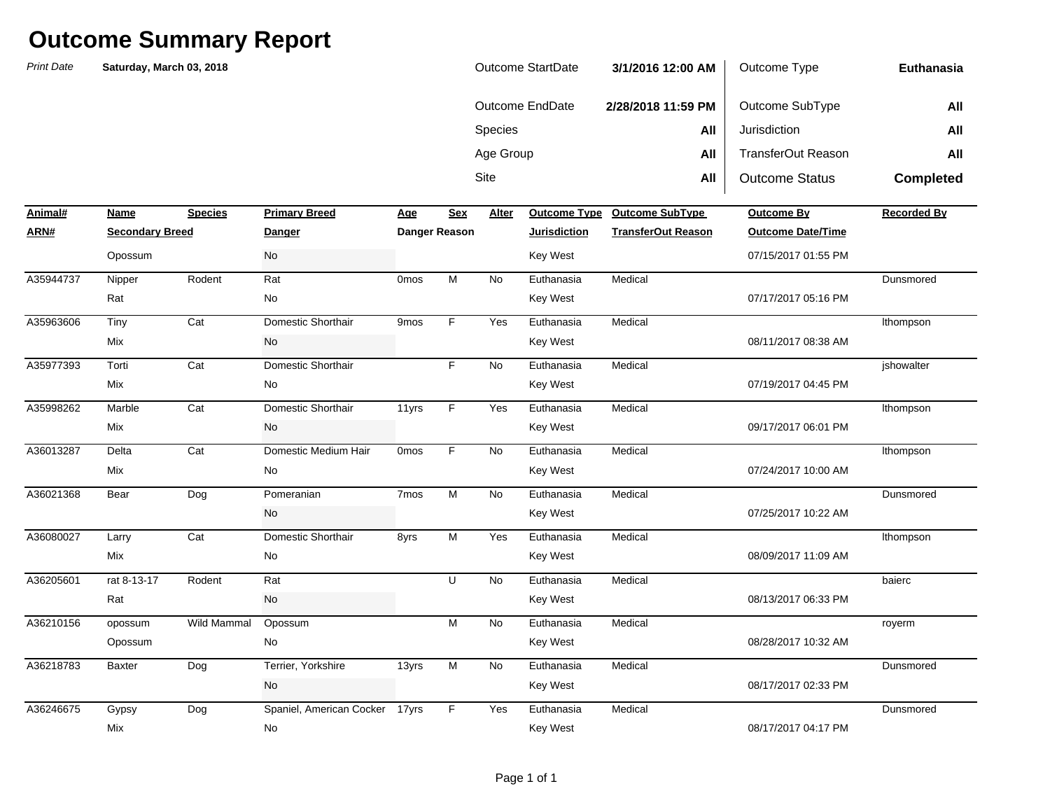| Outcome StartDate | 3/1/2016 12:00 AM  | Outcome Type          | Euthanasia       |
|-------------------|--------------------|-----------------------|------------------|
| Outcome EndDate   | 2/28/2018 11:59 PM | Outcome SubType       | All              |
| <b>Species</b>    | All                | Jurisdiction          | All              |
| Age Group         | All                | TransferOut Reason    | All              |
| Site              | All                | <b>Outcome Status</b> | <b>Completed</b> |

| Animal#   | Name                   | <b>Species</b> | <b>Primary Breed</b>           | Age              | <b>Sex</b>     | Alter | <b>Outcome Type</b> | <b>Outcome SubType</b>    | <b>Outcome By</b>        | <b>Recorded By</b> |
|-----------|------------------------|----------------|--------------------------------|------------------|----------------|-------|---------------------|---------------------------|--------------------------|--------------------|
| ARN#      | <b>Secondary Breed</b> |                | <b>Danger</b>                  |                  | Danger Reason  |       | <b>Jurisdiction</b> | <b>TransferOut Reason</b> | <b>Outcome Date/Time</b> |                    |
|           | Opossum                |                | No                             |                  |                |       | <b>Key West</b>     |                           | 07/15/2017 01:55 PM      |                    |
| A35944737 | Nipper                 | Rodent         | Rat                            | 0 <sub>mos</sub> | M              | No    | Euthanasia          | Medical                   |                          | Dunsmored          |
|           | Rat                    |                | No                             |                  |                |       | Key West            |                           | 07/17/2017 05:16 PM      |                    |
| A35963606 | Tiny                   | Cat            | Domestic Shorthair             | 9 <sub>mos</sub> | F.             | Yes   | Euthanasia          | Medical                   |                          | Ithompson          |
|           | Mix                    |                | No                             |                  |                |       | Key West            |                           | 08/11/2017 08:38 AM      |                    |
| A35977393 | Torti                  | Cat            | Domestic Shorthair             |                  | F              | No    | Euthanasia          | Medical                   |                          | jshowalter         |
|           | Mix                    |                | No                             |                  |                |       | Key West            |                           | 07/19/2017 04:45 PM      |                    |
| A35998262 | Marble                 | Cat            | Domestic Shorthair             | 11yrs            | F.             | Yes   | Euthanasia          | Medical                   |                          | Ithompson          |
|           | Mix                    |                | No                             |                  |                |       | Key West            |                           | 09/17/2017 06:01 PM      |                    |
| A36013287 | Delta                  | Cat            | Domestic Medium Hair           | 0 <sub>mos</sub> | F              | No    | Euthanasia          | Medical                   |                          | Ithompson          |
|           | Mix                    |                | No                             |                  |                |       | <b>Key West</b>     |                           | 07/24/2017 10:00 AM      |                    |
| A36021368 | Bear                   | Dog            | Pomeranian                     | 7 <sub>mos</sub> | M              | No    | Euthanasia          | Medical                   |                          | Dunsmored          |
|           |                        |                | No                             |                  |                |       | Key West            |                           | 07/25/2017 10:22 AM      |                    |
| A36080027 | Larry                  | Cat            | Domestic Shorthair             | 8yrs             | M              | Yes   | Euthanasia          | Medical                   |                          | Ithompson          |
|           | Mix                    |                | No                             |                  |                |       | Key West            |                           | 08/09/2017 11:09 AM      |                    |
| A36205601 | rat 8-13-17            | Rodent         | Rat                            |                  | U              | No    | Euthanasia          | Medical                   |                          | baierc             |
|           | Rat                    |                | No                             |                  |                |       | Key West            |                           | 08/13/2017 06:33 PM      |                    |
| A36210156 | opossum                | Wild Mammal    | Opossum                        |                  | $\overline{M}$ | No    | Euthanasia          | Medical                   |                          | royerm             |
|           | Opossum                |                | No                             |                  |                |       | Key West            |                           | 08/28/2017 10:32 AM      |                    |
| A36218783 | <b>Baxter</b>          | Dog            | Terrier, Yorkshire             | 13yrs            | $\overline{M}$ | No    | Euthanasia          | Medical                   |                          | Dunsmored          |
|           |                        |                | No                             |                  |                |       | Key West            |                           | 08/17/2017 02:33 PM      |                    |
| A36246675 | Gypsy                  | Dog            | Spaniel, American Cocker 17yrs |                  | F              | Yes   | Euthanasia          | Medical                   |                          | Dunsmored          |
|           | Mix                    |                | No                             |                  |                |       | <b>Key West</b>     |                           | 08/17/2017 04:17 PM      |                    |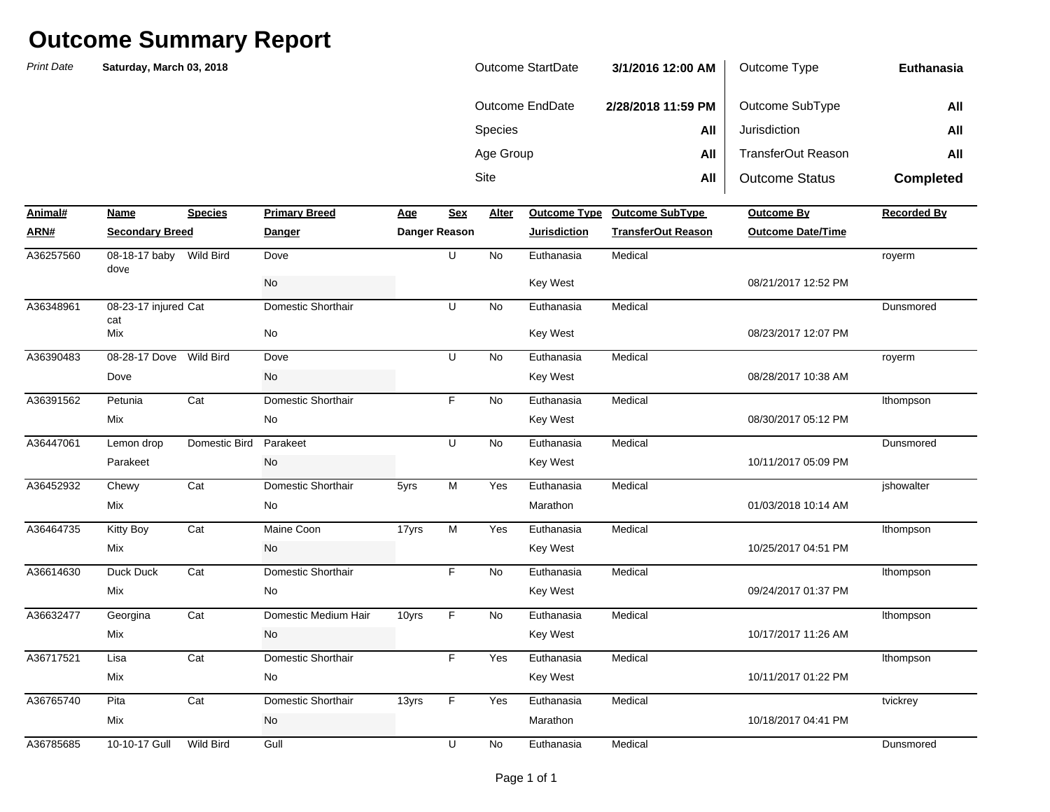| Outcome StartDate | 3/1/2016 12:00 AM  | Outcome Type          | <b>Euthanasia</b> |
|-------------------|--------------------|-----------------------|-------------------|
| Outcome EndDate   | 2/28/2018 11:59 PM | Outcome SubType       | All               |
| <b>Species</b>    | All                | Jurisdiction          | All               |
| Age Group         | All                | TransferOut Reason    | All               |
| Site              | All                | <b>Outcome Status</b> | <b>Completed</b>  |

| Animal#   | Name                   | <b>Species</b>   | <b>Primary Breed</b> | <b>Age</b> | <b>Sex</b>           | Alter     | <b>Outcome Type</b> | Outcome SubType           | Outcome By               | <b>Recorded By</b> |
|-----------|------------------------|------------------|----------------------|------------|----------------------|-----------|---------------------|---------------------------|--------------------------|--------------------|
| ARN#      | <b>Secondary Breed</b> |                  | <b>Danger</b>        |            | <b>Danger Reason</b> |           | <b>Jurisdiction</b> | <b>TransferOut Reason</b> | <b>Outcome Date/Time</b> |                    |
| A36257560 | 08-18-17 baby<br>dove  | Wild Bird        | Dove                 |            | U                    | <b>No</b> | Euthanasia          | Medical                   |                          | royerm             |
|           |                        |                  | No                   |            |                      |           | Key West            |                           | 08/21/2017 12:52 PM      |                    |
| A36348961 | 08-23-17 injured Cat   |                  | Domestic Shorthair   |            | U                    | <b>No</b> | Euthanasia          | Medical                   |                          | Dunsmored          |
|           | cat<br>Mix             |                  | No                   |            |                      |           | Key West            |                           | 08/23/2017 12:07 PM      |                    |
| A36390483 | 08-28-17 Dove          | Wild Bird        | Dove                 |            | U                    | <b>No</b> | Euthanasia          | Medical                   |                          | royerm             |
|           | Dove                   |                  | No                   |            |                      |           | Key West            |                           | 08/28/2017 10:38 AM      |                    |
| A36391562 | Petunia                | Cat              | Domestic Shorthair   |            | F                    | No        | Euthanasia          | Medical                   |                          | Ithompson          |
|           | Mix                    |                  | No                   |            |                      |           | <b>Key West</b>     |                           | 08/30/2017 05:12 PM      |                    |
| A36447061 | Lemon drop             | Domestic Bird    | Parakeet             |            | U                    | <b>No</b> | Euthanasia          | Medical                   |                          | Dunsmored          |
|           | Parakeet               |                  | No                   |            |                      |           | Key West            |                           | 10/11/2017 05:09 PM      |                    |
| A36452932 | Chewy                  | Cat              | Domestic Shorthair   | 5yrs       | M                    | Yes       | Euthanasia          | Medical                   |                          | jshowalter         |
|           | Mix                    |                  | No                   |            |                      |           | Marathon            |                           | 01/03/2018 10:14 AM      |                    |
| A36464735 | <b>Kitty Boy</b>       | Cat              | Maine Coon           | 17yrs      | M                    | Yes       | Euthanasia          | Medical                   |                          | Ithompson          |
|           | <b>Mix</b>             |                  | No                   |            |                      |           | Key West            |                           | 10/25/2017 04:51 PM      |                    |
| A36614630 | Duck Duck              | Cat              | Domestic Shorthair   |            | F.                   | <b>No</b> | Euthanasia          | Medical                   |                          | Ithompson          |
|           | Mix                    |                  | No                   |            |                      |           | Key West            |                           | 09/24/2017 01:37 PM      |                    |
| A36632477 | Georgina               | Cat              | Domestic Medium Hair | 10yrs      | F                    | <b>No</b> | Euthanasia          | Medical                   |                          | Ithompson          |
|           | Mix                    |                  | No                   |            |                      |           | Key West            |                           | 10/17/2017 11:26 AM      |                    |
| A36717521 | Lisa                   | Cat              | Domestic Shorthair   |            | F                    | Yes       | Euthanasia          | Medical                   |                          | Ithompson          |
|           | Mix                    |                  | No                   |            |                      |           | Key West            |                           | 10/11/2017 01:22 PM      |                    |
| A36765740 | Pita                   | Cat              | Domestic Shorthair   | 13yrs      | F                    | Yes       | Euthanasia          | Medical                   |                          | tvickrey           |
|           | <b>Mix</b>             |                  | No                   |            |                      |           | Marathon            |                           | 10/18/2017 04:41 PM      |                    |
| A36785685 | 10-10-17 Gull          | <b>Wild Bird</b> | Gull                 |            | U                    | <b>No</b> | Euthanasia          | Medical                   |                          | Dunsmored          |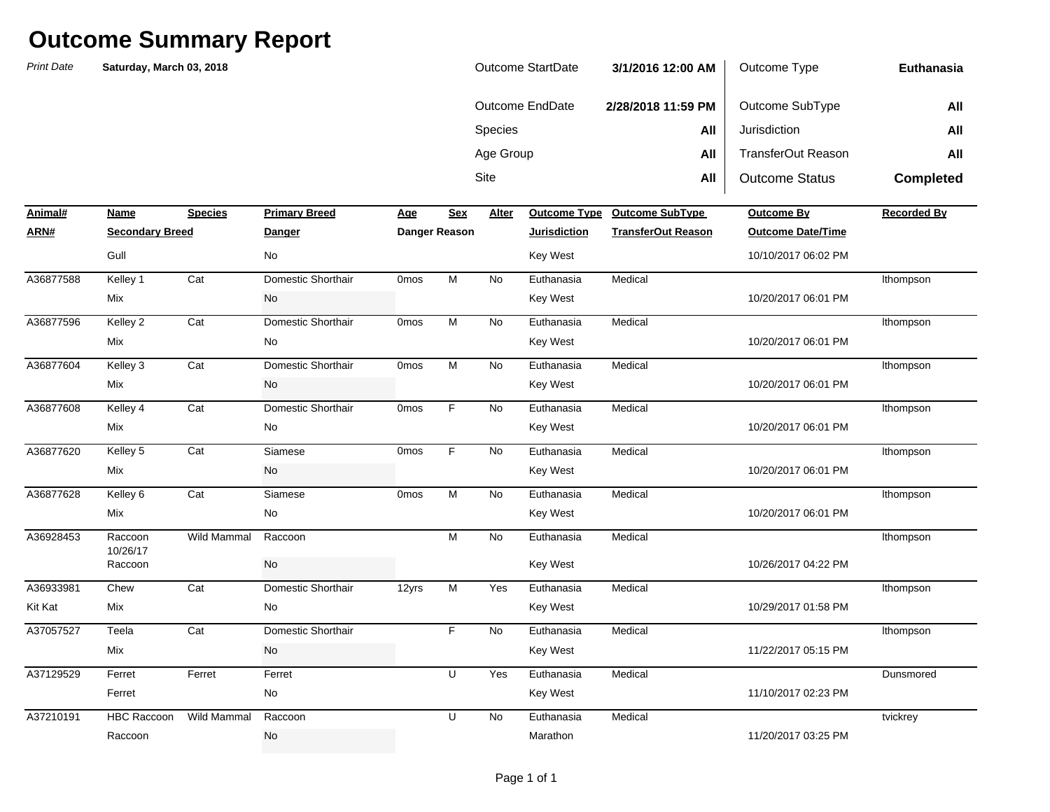| Outcome StartDate | 3/1/2016 12:00 AM  | Outcome Type          | Euthanasia       |
|-------------------|--------------------|-----------------------|------------------|
| Outcome EndDate   | 2/28/2018 11:59 PM | Outcome SubType       | All              |
| <b>Species</b>    | All                | Jurisdiction          | All              |
| Age Group         | All                | TransferOut Reason    | All              |
| Site              | All                | <b>Outcome Status</b> | <b>Completed</b> |

| Animal#   | Name                   | <b>Species</b>     | <b>Primary Breed</b> | Age              | <b>Sex</b>    | <b>Alter</b> | <b>Outcome Type</b> | <b>Outcome SubType</b>    | <b>Outcome By</b>        | <b>Recorded By</b> |
|-----------|------------------------|--------------------|----------------------|------------------|---------------|--------------|---------------------|---------------------------|--------------------------|--------------------|
| ARN#      | <b>Secondary Breed</b> |                    | <b>Danger</b>        |                  | Danger Reason |              | <b>Jurisdiction</b> | <b>TransferOut Reason</b> | <b>Outcome Date/Time</b> |                    |
|           | Gull                   |                    | No                   |                  |               |              | Key West            |                           | 10/10/2017 06:02 PM      |                    |
| A36877588 | Kelley 1               | Cat                | Domestic Shorthair   | <b>Omos</b>      | M             | <b>No</b>    | Euthanasia          | Medical                   |                          | Ithompson          |
|           | Mix                    |                    | No                   |                  |               |              | <b>Key West</b>     |                           | 10/20/2017 06:01 PM      |                    |
| A36877596 | Kelley 2               | Cat                | Domestic Shorthair   | <b>Omos</b>      | M             | <b>No</b>    | Euthanasia          | Medical                   |                          | Ithompson          |
|           | Mix                    |                    | No                   |                  |               |              | <b>Key West</b>     |                           | 10/20/2017 06:01 PM      |                    |
| A36877604 | Kelley 3               | Cat                | Domestic Shorthair   | <b>Omos</b>      | M             | No           | Euthanasia          | Medical                   |                          | Ithompson          |
|           | Mix                    |                    | No                   |                  |               |              | <b>Key West</b>     |                           | 10/20/2017 06:01 PM      |                    |
| A36877608 | Kelley 4               | Cat                | Domestic Shorthair   | 0 <sub>mos</sub> | F.            | No           | Euthanasia          | Medical                   |                          | Ithompson          |
|           | Mix                    |                    | No                   |                  |               |              | <b>Key West</b>     |                           | 10/20/2017 06:01 PM      |                    |
| A36877620 | Kelley 5               | Cat                | Siamese              | 0 <sub>mos</sub> | F.            | No           | Euthanasia          | Medical                   |                          | Ithompson          |
|           | Mix                    |                    | No                   |                  |               |              | <b>Key West</b>     |                           | 10/20/2017 06:01 PM      |                    |
| A36877628 | Kelley 6               | Cat                | Siamese              | <b>Omos</b>      | M             | No           | Euthanasia          | Medical                   |                          | Ithompson          |
|           | Mix                    |                    | No                   |                  |               |              | <b>Key West</b>     |                           | 10/20/2017 06:01 PM      |                    |
| A36928453 | Raccoon<br>10/26/17    | Wild Mammal        | Raccoon              |                  | M             | <b>No</b>    | Euthanasia          | Medical                   |                          | Ithompson          |
|           | Raccoon                |                    | No                   |                  |               |              | <b>Key West</b>     |                           | 10/26/2017 04:22 PM      |                    |
| A36933981 | Chew                   | Cat                | Domestic Shorthair   | 12yrs            | M             | Yes          | Euthanasia          | Medical                   |                          | Ithompson          |
| Kit Kat   | Mix                    |                    | No                   |                  |               |              | <b>Key West</b>     |                           | 10/29/2017 01:58 PM      |                    |
| A37057527 | Teela                  | Cat                | Domestic Shorthair   |                  | F             | No           | Euthanasia          | Medical                   |                          | Ithompson          |
|           | Mix                    |                    | No                   |                  |               |              | <b>Key West</b>     |                           | 11/22/2017 05:15 PM      |                    |
| A37129529 | Ferret                 | Ferret             | Ferret               |                  | U             | Yes          | Euthanasia          | Medical                   |                          | Dunsmored          |
|           | Ferret                 |                    | No                   |                  |               |              | Key West            |                           | 11/10/2017 02:23 PM      |                    |
| A37210191 | <b>HBC Raccoon</b>     | <b>Wild Mammal</b> | Raccoon              |                  | U             | No           | Euthanasia          | Medical                   |                          | tvickrey           |
|           | Raccoon                |                    | No                   |                  |               |              | Marathon            |                           | 11/20/2017 03:25 PM      |                    |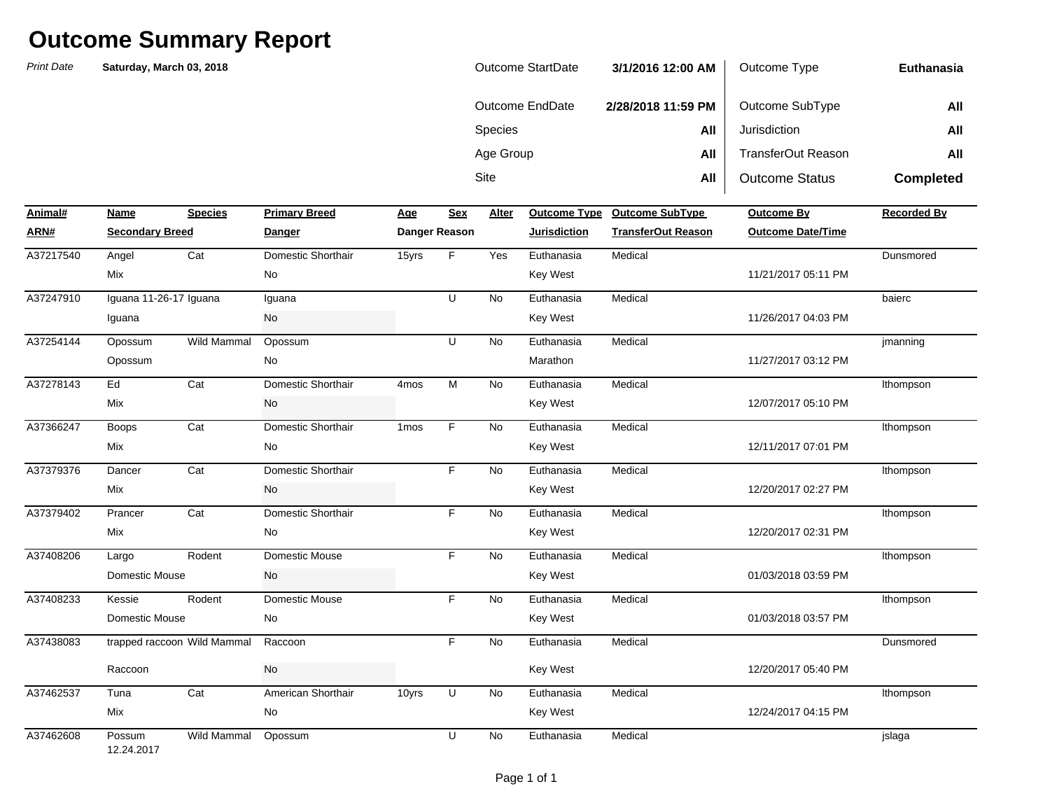| Outcome StartDate | 3/1/2016 12:00 AM  | Outcome Type          | Euthanasia       |
|-------------------|--------------------|-----------------------|------------------|
| Outcome EndDate   | 2/28/2018 11:59 PM | Outcome SubType       | All              |
| <b>Species</b>    | All                | Jurisdiction          | All              |
| Age Group         | All                | TransferOut Reason    | All              |
| Site              | All                | <b>Outcome Status</b> | <b>Completed</b> |

| Animal#   | Name                        | <b>Species</b>     | <b>Primary Breed</b>  | Age              | <b>Sex</b>    | Alter     | <b>Outcome Type</b> | <b>Outcome SubType</b>    | <b>Outcome By</b>        | <b>Recorded By</b> |
|-----------|-----------------------------|--------------------|-----------------------|------------------|---------------|-----------|---------------------|---------------------------|--------------------------|--------------------|
| ARN#      | <b>Secondary Breed</b>      |                    | Danger                |                  | Danger Reason |           | <b>Jurisdiction</b> | <b>TransferOut Reason</b> | <b>Outcome Date/Time</b> |                    |
| A37217540 | Angel                       | Cat                | Domestic Shorthair    | 15yrs            | F             | Yes       | Euthanasia          | Medical                   |                          | Dunsmored          |
|           | Mix                         |                    | No                    |                  |               |           | <b>Key West</b>     |                           | 11/21/2017 05:11 PM      |                    |
| A37247910 | Iguana 11-26-17 Iguana      |                    | Iguana                |                  | U             | <b>No</b> | Euthanasia          | Medical                   |                          | baierc             |
|           | Iguana                      |                    | No                    |                  |               |           | <b>Key West</b>     |                           | 11/26/2017 04:03 PM      |                    |
| A37254144 | Opossum                     | Wild Mammal        | Opossum               |                  | U             | No        | Euthanasia          | Medical                   |                          | jmanning           |
|           | Opossum                     |                    | No                    |                  |               |           | Marathon            |                           | 11/27/2017 03:12 PM      |                    |
| A37278143 | Ed                          | Cat                | Domestic Shorthair    | 4 <sub>mos</sub> | M             | No        | Euthanasia          | Medical                   |                          | Ithompson          |
|           | Mix                         |                    | No                    |                  |               |           | Key West            |                           | 12/07/2017 05:10 PM      |                    |
| A37366247 | <b>Boops</b>                | Cat                | Domestic Shorthair    | 1 <sub>mos</sub> | F             | No        | Euthanasia          | Medical                   |                          | Ithompson          |
|           | Mix                         |                    | No                    |                  |               |           | <b>Key West</b>     |                           | 12/11/2017 07:01 PM      |                    |
| A37379376 | Dancer                      | Cat                | Domestic Shorthair    |                  | F             | No        | Euthanasia          | Medical                   |                          | Ithompson          |
|           | Mix                         |                    | No                    |                  |               |           | <b>Key West</b>     |                           | 12/20/2017 02:27 PM      |                    |
| A37379402 | Prancer                     | Cat                | Domestic Shorthair    |                  | F             | No        | Euthanasia          | Medical                   |                          | Ithompson          |
|           | Mix                         |                    | No                    |                  |               |           | <b>Key West</b>     |                           | 12/20/2017 02:31 PM      |                    |
| A37408206 | Largo                       | Rodent             | <b>Domestic Mouse</b> |                  | F             | <b>No</b> | Euthanasia          | Medical                   |                          | Ithompson          |
|           | Domestic Mouse              |                    | No                    |                  |               |           | <b>Key West</b>     |                           | 01/03/2018 03:59 PM      |                    |
| A37408233 | Kessie                      | Rodent             | Domestic Mouse        |                  | F.            | <b>No</b> | Euthanasia          | Medical                   |                          | Ithompson          |
|           | Domestic Mouse              |                    | No                    |                  |               |           | Key West            |                           | 01/03/2018 03:57 PM      |                    |
| A37438083 | trapped raccoon Wild Mammal |                    | Raccoon               |                  | F             | <b>No</b> | Euthanasia          | Medical                   |                          | Dunsmored          |
|           | Raccoon                     |                    | No                    |                  |               |           | Key West            |                           | 12/20/2017 05:40 PM      |                    |
| A37462537 | Tuna                        | Cat                | American Shorthair    | 10yrs            | U             | No        | Euthanasia          | Medical                   |                          | Ithompson          |
|           | Mix                         |                    | No                    |                  |               |           | <b>Key West</b>     |                           | 12/24/2017 04:15 PM      |                    |
| A37462608 | Possum<br>12.24.2017        | <b>Wild Mammal</b> | Opossum               |                  | U             | <b>No</b> | Euthanasia          | Medical                   |                          | jslaga             |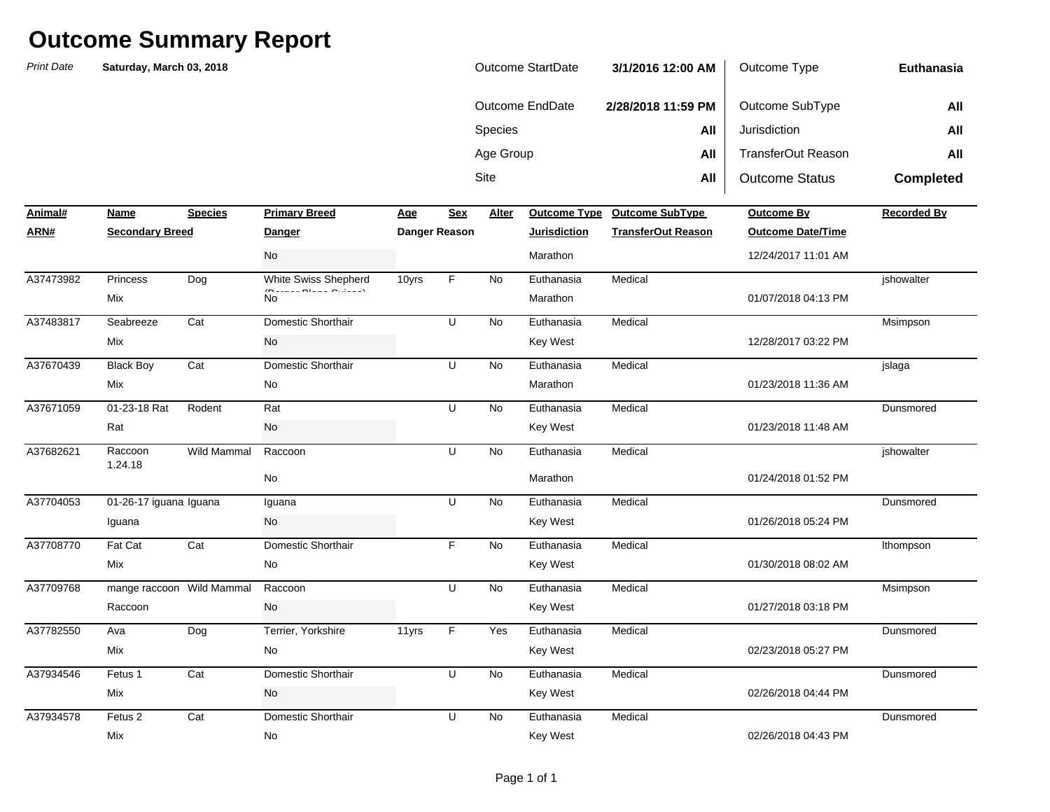| Outcome StartDate | 3/1/2016 12:00 AM  | Outcome Type          | Euthanasia       |
|-------------------|--------------------|-----------------------|------------------|
| Outcome EndDate   | 2/28/2018 11:59 PM | Outcome SubType       | All              |
| <b>Species</b>    | All                | Jurisdiction          | All              |
| Age Group         | All                | TransferOut Reason    | All              |
| Site              | All                | <b>Outcome Status</b> | <b>Completed</b> |

| Animal#   | Name                      | <b>Species</b> | <b>Primary Breed</b> | Age   | <b>Sex</b>    | Alter     | <b>Outcome Type</b> | <b>Outcome SubType</b>    | <b>Outcome By</b>        | <b>Recorded By</b> |
|-----------|---------------------------|----------------|----------------------|-------|---------------|-----------|---------------------|---------------------------|--------------------------|--------------------|
| ARN#      | <b>Secondary Breed</b>    |                | <u>Danger</u>        |       | Danger Reason |           | <b>Jurisdiction</b> | <b>TransferOut Reason</b> | <b>Outcome Date/Time</b> |                    |
|           |                           |                | No                   |       |               |           | Marathon            |                           | 12/24/2017 11:01 AM      |                    |
| A37473982 | Princess                  | Dog            | White Swiss Shepherd | 10yrs | F             | <b>No</b> | Euthanasia          | Medical                   |                          | ishowalter         |
|           | Mix                       |                | $(n + 1)$<br>No      |       |               |           | Marathon            |                           | 01/07/2018 04:13 PM      |                    |
| A37483817 | Seabreeze                 | Cat            | Domestic Shorthair   |       | U             | <b>No</b> | Euthanasia          | Medical                   |                          | Msimpson           |
|           | Mix                       |                | <b>No</b>            |       |               |           | <b>Key West</b>     |                           | 12/28/2017 03:22 PM      |                    |
| A37670439 | <b>Black Boy</b>          | Cat            | Domestic Shorthair   |       | U             | <b>No</b> | Euthanasia          | Medical                   |                          | jslaga             |
|           | Mix                       |                | No                   |       |               |           | Marathon            |                           | 01/23/2018 11:36 AM      |                    |
| A37671059 | 01-23-18 Rat              | Rodent         | Rat                  |       | U             | <b>No</b> | Euthanasia          | Medical                   |                          | Dunsmored          |
|           | Rat                       |                | No                   |       |               |           | <b>Key West</b>     |                           | 01/23/2018 11:48 AM      |                    |
| A37682621 | Raccoon<br>1.24.18        | Wild Mammal    | Raccoon              |       | U             | No        | Euthanasia          | Medical                   |                          | jshowalter         |
|           |                           |                | No                   |       |               |           | Marathon            |                           | 01/24/2018 01:52 PM      |                    |
| A37704053 | 01-26-17 iguana Iguana    |                | Iguana               |       | U             | <b>No</b> | Euthanasia          | Medical                   |                          | Dunsmored          |
|           | Iguana                    |                | No                   |       |               |           | <b>Key West</b>     |                           | 01/26/2018 05:24 PM      |                    |
| A37708770 | Fat Cat                   | Cat            | Domestic Shorthair   |       | F.            | <b>No</b> | Euthanasia          | Medical                   |                          | Ithompson          |
|           | Mix                       |                | No                   |       |               |           | Key West            |                           | 01/30/2018 08:02 AM      |                    |
| A37709768 | mange raccoon Wild Mammal |                | Raccoon              |       | U             | <b>No</b> | Euthanasia          | Medical                   |                          | Msimpson           |
|           | Raccoon                   |                | No                   |       |               |           | <b>Key West</b>     |                           | 01/27/2018 03:18 PM      |                    |
| A37782550 | Ava                       | Dog            | Terrier, Yorkshire   | 11yrs | F             | Yes       | Euthanasia          | Medical                   |                          | Dunsmored          |
|           | Mix                       |                | No                   |       |               |           | <b>Key West</b>     |                           | 02/23/2018 05:27 PM      |                    |
| A37934546 | Fetus 1                   | Cat            | Domestic Shorthair   |       | U             | No        | Euthanasia          | Medical                   |                          | Dunsmored          |
|           | Mix                       |                | No                   |       |               |           | <b>Key West</b>     |                           | 02/26/2018 04:44 PM      |                    |
| A37934578 | Fetus <sub>2</sub>        | Cat            | Domestic Shorthair   |       | U             | <b>No</b> | Euthanasia          | Medical                   |                          | Dunsmored          |
|           | Mix                       |                | No                   |       |               |           | <b>Key West</b>     |                           | 02/26/2018 04:43 PM      |                    |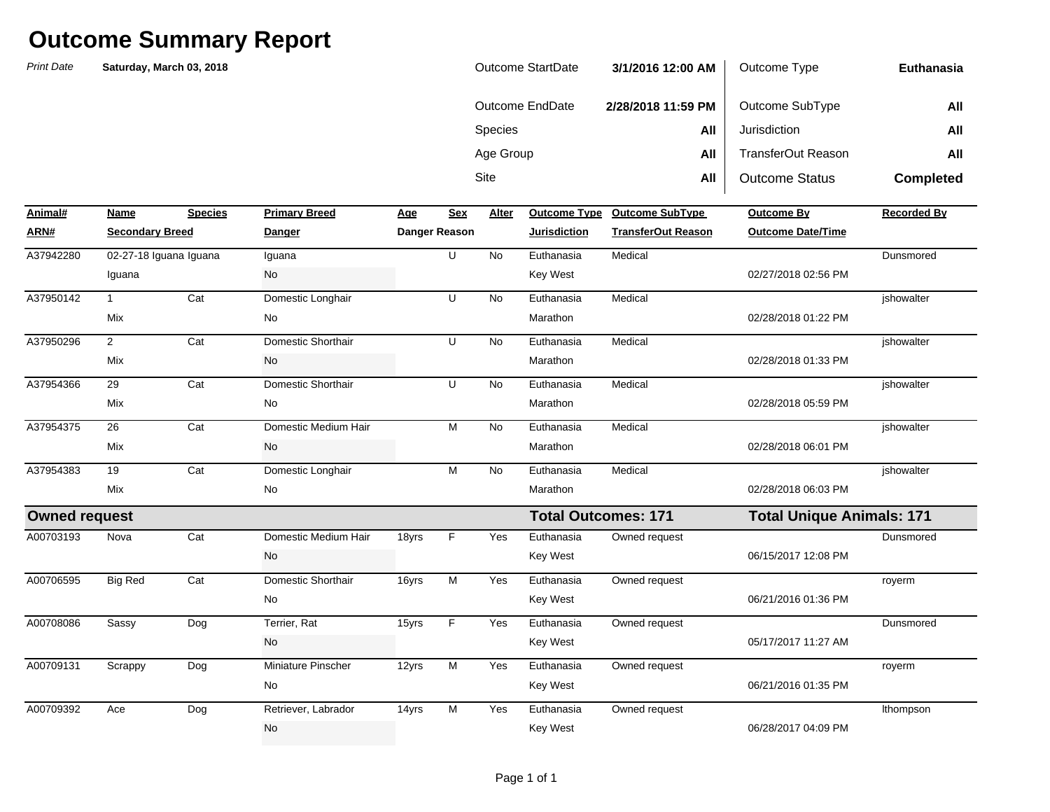| Outcome StartDate | 3/1/2016 12:00 AM  | Outcome Type          | Euthanasia       |
|-------------------|--------------------|-----------------------|------------------|
| Outcome EndDate   | 2/28/2018 11:59 PM | Outcome SubType       | All              |
| <b>Species</b>    | All                | Jurisdiction          | All              |
| Age Group         | All                | TransferOut Reason    | All              |
| <b>Site</b>       | All                | <b>Outcome Status</b> | <b>Completed</b> |

| Animal#              | Name                   | <b>Species</b> | <b>Primary Breed</b> | Age   | <b>Sex</b>    | Alter     | <b>Outcome Type</b>        | <b>Outcome SubType</b>    | <b>Outcome By</b>                | <b>Recorded By</b> |
|----------------------|------------------------|----------------|----------------------|-------|---------------|-----------|----------------------------|---------------------------|----------------------------------|--------------------|
| ARN#                 | <b>Secondary Breed</b> |                | <b>Danger</b>        |       | Danger Reason |           | <b>Jurisdiction</b>        | <b>TransferOut Reason</b> | <b>Outcome Date/Time</b>         |                    |
| A37942280            | 02-27-18 Iguana Iguana |                | Iguana               |       | U             | <b>No</b> | Euthanasia                 | Medical                   |                                  | Dunsmored          |
|                      | Iguana                 |                | No                   |       |               |           | <b>Key West</b>            |                           | 02/27/2018 02:56 PM              |                    |
| A37950142            |                        | Cat            | Domestic Longhair    |       | U             | <b>No</b> | Euthanasia                 | Medical                   |                                  | ishowalter         |
|                      | Mix                    |                | No                   |       |               |           | Marathon                   |                           | 02/28/2018 01:22 PM              |                    |
| A37950296            | $\overline{2}$         | Cat            | Domestic Shorthair   |       | U             | No        | Euthanasia                 | Medical                   |                                  | jshowalter         |
|                      | Mix                    |                | No                   |       |               |           | Marathon                   |                           | 02/28/2018 01:33 PM              |                    |
| A37954366            | 29                     | Cat            | Domestic Shorthair   |       | U             | <b>No</b> | Euthanasia                 | Medical                   |                                  | ishowalter         |
|                      | Mix                    |                | No                   |       |               |           | Marathon                   |                           | 02/28/2018 05:59 PM              |                    |
| A37954375            | 26                     | Cat            | Domestic Medium Hair |       | M             | No        | Euthanasia                 | Medical                   |                                  | jshowalter         |
|                      | Mix                    |                | No                   |       |               |           | Marathon                   |                           | 02/28/2018 06:01 PM              |                    |
| A37954383            | 19                     | Cat            | Domestic Longhair    |       | M             | <b>No</b> | Euthanasia                 | Medical                   |                                  | ishowalter         |
|                      | Mix                    |                | No                   |       |               |           | Marathon                   |                           | 02/28/2018 06:03 PM              |                    |
| <b>Owned request</b> |                        |                |                      |       |               |           | <b>Total Outcomes: 171</b> |                           | <b>Total Unique Animals: 171</b> |                    |
| A00703193            | Nova                   | Cat            | Domestic Medium Hair | 18yrs | F.            | Yes       | Euthanasia                 | Owned request             |                                  | Dunsmored          |
|                      |                        |                | No                   |       |               |           | <b>Key West</b>            |                           | 06/15/2017 12:08 PM              |                    |
| A00706595            | <b>Big Red</b>         | Cat            | Domestic Shorthair   | 16yrs | M             | Yes       | Euthanasia                 | Owned request             |                                  | royerm             |
|                      |                        |                | No                   |       |               |           | <b>Key West</b>            |                           | 06/21/2016 01:36 PM              |                    |
| A00708086            | Sassy                  | Dog            | Terrier, Rat         | 15yrs | F.            | Yes       | Euthanasia                 | Owned request             |                                  | Dunsmored          |
|                      |                        |                | No                   |       |               |           | <b>Key West</b>            |                           | 05/17/2017 11:27 AM              |                    |
| A00709131            | Scrappy                | Dog            | Miniature Pinscher   | 12yrs | M             | Yes       | Euthanasia                 | Owned request             |                                  | royerm             |
|                      |                        |                | No                   |       |               |           | <b>Key West</b>            |                           | 06/21/2016 01:35 PM              |                    |
| A00709392            | Ace                    | Dog            | Retriever, Labrador  | 14yrs | M             | Yes       | Euthanasia                 | Owned request             |                                  | Ithompson          |
|                      |                        |                | No                   |       |               |           | <b>Key West</b>            |                           | 06/28/2017 04:09 PM              |                    |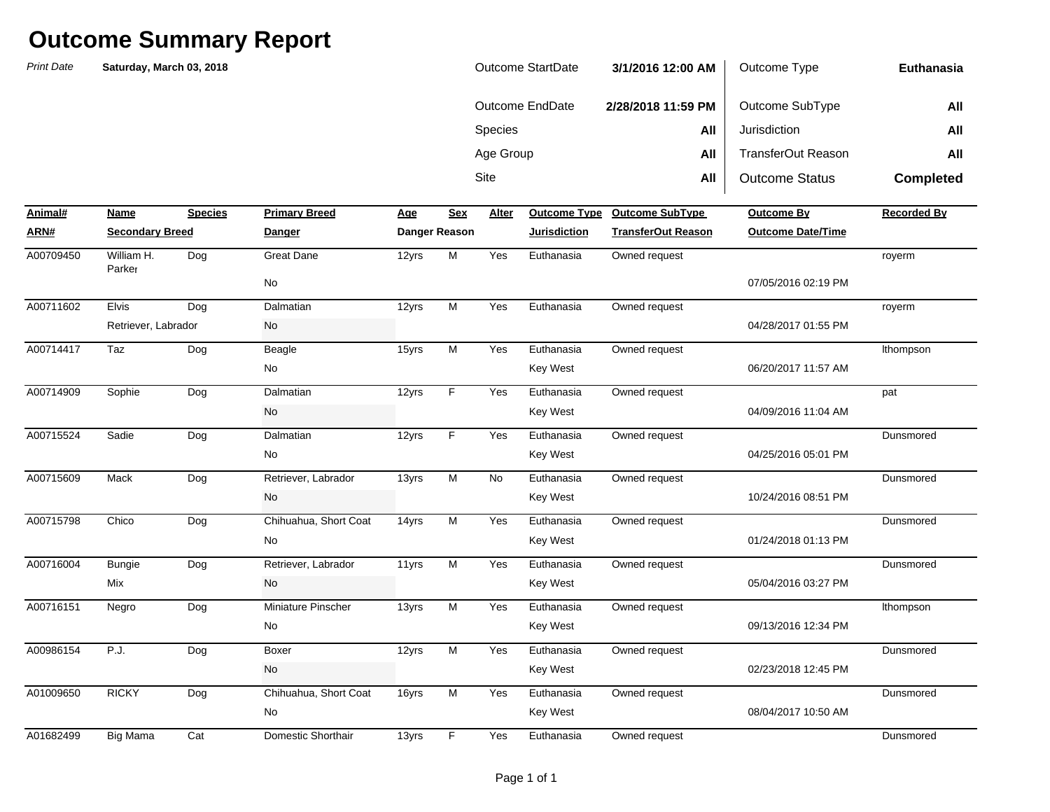| <b>Print Date</b> | Saturday, March 03, 2018 |                   |                       | <b>Outcome StartDate</b> |                      |              |                        | 3/1/2016 12:00 AM         | Outcome Type             | Euthanasia         |
|-------------------|--------------------------|-------------------|-----------------------|--------------------------|----------------------|--------------|------------------------|---------------------------|--------------------------|--------------------|
|                   |                          |                   |                       |                          |                      |              | <b>Outcome EndDate</b> | 2/28/2018 11:59 PM        | Outcome SubType          | All                |
|                   |                          |                   |                       |                          |                      | Species      |                        | All                       | Jurisdiction             | All                |
|                   |                          |                   |                       |                          |                      | Age Group    |                        | All                       | TransferOut Reason       | All                |
|                   |                          |                   |                       |                          |                      | Site         |                        | All                       | <b>Outcome Status</b>    | <b>Completed</b>   |
| Animal#           | Name                     | <b>Species</b>    | <b>Primary Breed</b>  | Age                      | <b>Sex</b>           | <b>Alter</b> | <b>Outcome Type</b>    | <b>Outcome SubType</b>    | <b>Outcome By</b>        | <b>Recorded By</b> |
| <u>ARN#</u>       | <b>Secondary Breed</b>   |                   | <b>Danger</b>         |                          | <b>Danger Reason</b> |              | <u>Jurisdiction</u>    | <b>TransferOut Reason</b> | <b>Outcome Date/Time</b> |                    |
| A00709450         | William H.<br>Parker     | Dog               | <b>Great Dane</b>     | 12yrs                    | M                    | Yes          | Euthanasia             | Owned request             |                          | royerm             |
|                   |                          |                   | No                    |                          |                      |              |                        |                           | 07/05/2016 02:19 PM      |                    |
| A00711602         | <b>Elvis</b>             | Dog               | Dalmatian             | 12yrs                    | M                    | Yes          | Euthanasia             | Owned request             |                          | royerm             |
|                   | Retriever, Labrador      |                   | No                    |                          |                      |              |                        |                           | 04/28/2017 01:55 PM      |                    |
| A00714417         | Taz                      | Dog               | Beagle                | 15yrs                    | M                    | Yes          | Euthanasia             | Owned request             |                          | Ithompson          |
|                   |                          |                   | No                    |                          |                      |              | Key West               |                           | 06/20/2017 11:57 AM      |                    |
| A00714909         | Sophie                   | Dog               | Dalmatian             | 12yrs                    | F                    | Yes          | Euthanasia             | Owned request             |                          | pat                |
|                   |                          |                   | No                    |                          |                      |              | <b>Key West</b>        |                           | 04/09/2016 11:04 AM      |                    |
| A00715524         | Sadie                    | $\overline{D}$ og | Dalmatian             | 12yrs                    | F                    | Yes          | Euthanasia             | Owned request             |                          | Dunsmored          |
|                   |                          |                   | No                    |                          |                      |              | Key West               |                           | 04/25/2016 05:01 PM      |                    |
| A00715609         | Mack                     | Dog               | Retriever, Labrador   | 13yrs                    | M                    | No           | Euthanasia             | Owned request             |                          | Dunsmored          |
|                   |                          |                   | No                    |                          |                      |              | Key West               |                           | 10/24/2016 08:51 PM      |                    |
| A00715798         | Chico                    | Dog               | Chihuahua, Short Coat | 14yrs                    | M                    | Yes          | Euthanasia             | Owned request             |                          | Dunsmored          |
|                   |                          |                   | No                    |                          |                      |              | <b>Key West</b>        |                           | 01/24/2018 01:13 PM      |                    |
| A00716004         | <b>Bungie</b>            | Dog               | Retriever, Labrador   | 11yrs                    | $\overline{M}$       | Yes          | Euthanasia             | Owned request             |                          | Dunsmored          |
|                   | Mix                      |                   | No                    |                          |                      |              | Key West               |                           | 05/04/2016 03:27 PM      |                    |
| A00716151         | Negro                    | $\overline{D}$ og | Miniature Pinscher    | 13yrs                    | $\overline{M}$       | Yes          | Euthanasia             | Owned request             |                          | Ithompson          |
|                   |                          |                   | No                    |                          |                      |              | Key West               |                           | 09/13/2016 12:34 PM      |                    |
| A00986154         | P.J.                     | Dog               | Boxer                 | 12yrs                    | M                    | Yes          | Euthanasia             | Owned request             |                          | Dunsmored          |
|                   |                          |                   | No                    |                          |                      |              | Key West               |                           | 02/23/2018 12:45 PM      |                    |
| A01009650         | <b>RICKY</b>             | Dog               | Chihuahua, Short Coat | 16yrs                    | M                    | Yes          | Euthanasia             | Owned request             |                          | Dunsmored          |
|                   |                          |                   | No                    |                          |                      |              | Key West               |                           | 08/04/2017 10:50 AM      |                    |
| A01682499         | Big Mama                 | Cat               | Domestic Shorthair    | 13yrs                    | F                    | Yes          | Euthanasia             | Owned request             |                          | Dunsmored          |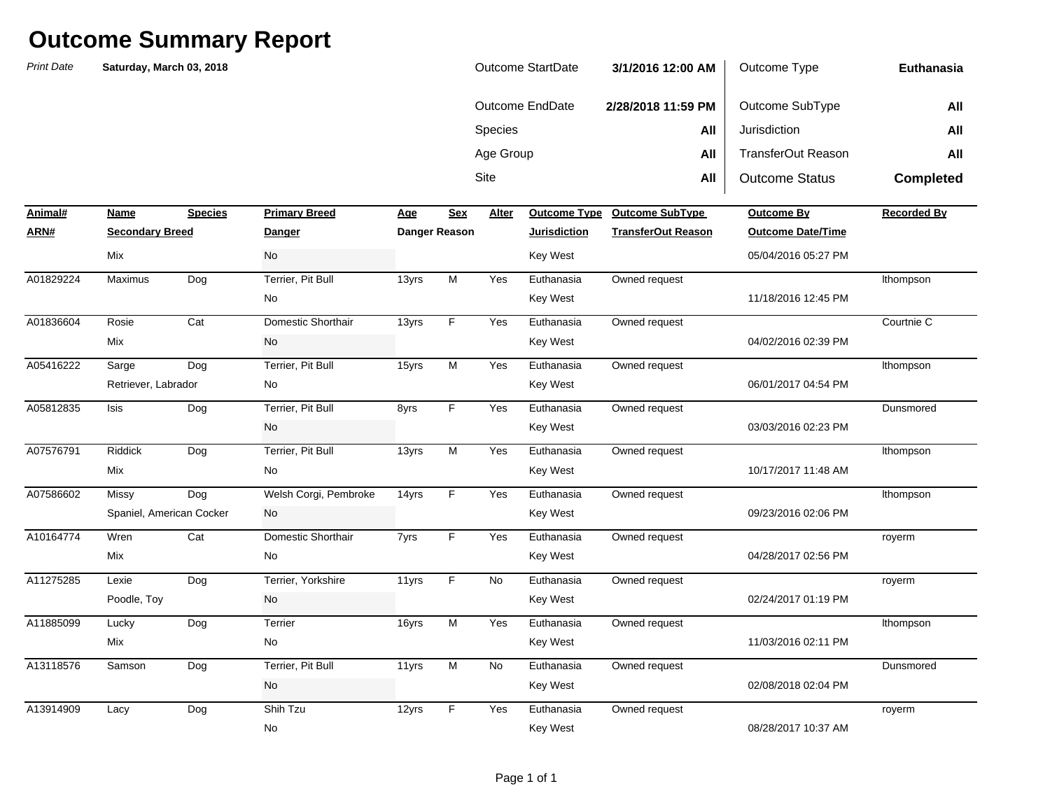| <b>Outcome StartDate</b> | 3/1/2016 12:00 AM  | Outcome Type          | Euthanasia       |
|--------------------------|--------------------|-----------------------|------------------|
| Outcome EndDate          | 2/28/2018 11:59 PM | Outcome SubType       | All              |
| <b>Species</b>           | All                | Jurisdiction          | All              |
| Age Group                | All                | TransferOut Reason    | All              |
| Site                     | All                | <b>Outcome Status</b> | <b>Completed</b> |

| Animal#   | Name                     | <b>Species</b> | <b>Primary Breed</b>  | Age   | <b>Sex</b>    | Alter     | <b>Outcome Type</b> | <b>Outcome SubType</b>    | <b>Outcome By</b>        | <b>Recorded By</b> |
|-----------|--------------------------|----------------|-----------------------|-------|---------------|-----------|---------------------|---------------------------|--------------------------|--------------------|
| ARN#      | <b>Secondary Breed</b>   |                | <b>Danger</b>         |       | Danger Reason |           | <b>Jurisdiction</b> | <b>TransferOut Reason</b> | <b>Outcome Date/Time</b> |                    |
|           | Mix                      |                | No                    |       |               |           | <b>Key West</b>     |                           | 05/04/2016 05:27 PM      |                    |
| A01829224 | Maximus                  | Dog            | Terrier, Pit Bull     | 13yrs | M             | Yes       | Euthanasia          | Owned request             |                          | Ithompson          |
|           |                          |                | No                    |       |               |           | <b>Key West</b>     |                           | 11/18/2016 12:45 PM      |                    |
| A01836604 | Rosie                    | Cat            | Domestic Shorthair    | 13yrs | F             | Yes       | Euthanasia          | Owned request             |                          | Courtnie C         |
|           | Mix                      |                | No                    |       |               |           | <b>Key West</b>     |                           | 04/02/2016 02:39 PM      |                    |
| A05416222 | Sarge                    | Dog            | Terrier, Pit Bull     | 15yrs | M             | Yes       | Euthanasia          | Owned request             |                          | Ithompson          |
|           | Retriever, Labrador      |                | No                    |       |               |           | <b>Key West</b>     |                           | 06/01/2017 04:54 PM      |                    |
| A05812835 | <b>Isis</b>              | Dog            | Terrier, Pit Bull     | 8yrs  | F             | Yes       | Euthanasia          | Owned request             |                          | Dunsmored          |
|           |                          |                | No                    |       |               |           | <b>Key West</b>     |                           | 03/03/2016 02:23 PM      |                    |
| A07576791 | <b>Riddick</b>           | Dog            | Terrier, Pit Bull     | 13yrs | M             | Yes       | Euthanasia          | Owned request             |                          | Ithompson          |
|           | Mix                      |                | No                    |       |               |           | <b>Key West</b>     |                           | 10/17/2017 11:48 AM      |                    |
| A07586602 | Missy                    | Dog            | Welsh Corgi, Pembroke | 14yrs | F             | Yes       | Euthanasia          | Owned request             |                          | Ithompson          |
|           | Spaniel, American Cocker |                | No                    |       |               |           | Key West            |                           | 09/23/2016 02:06 PM      |                    |
| A10164774 | Wren                     | Cat            | Domestic Shorthair    | 7yrs  | F             | Yes       | Euthanasia          | Owned request             |                          | royerm             |
|           | Mix                      |                | No                    |       |               |           | <b>Key West</b>     |                           | 04/28/2017 02:56 PM      |                    |
| A11275285 | Lexie                    | Dog            | Terrier, Yorkshire    | 11yrs | F             | <b>No</b> | Euthanasia          | Owned request             |                          | royerm             |
|           | Poodle, Toy              |                | No                    |       |               |           | <b>Key West</b>     |                           | 02/24/2017 01:19 PM      |                    |
| A11885099 | Lucky                    | Dog            | Terrier               | 16yrs | M             | Yes       | Euthanasia          | Owned request             |                          | Ithompson          |
|           | Mix                      |                | No                    |       |               |           | Key West            |                           | 11/03/2016 02:11 PM      |                    |
| A13118576 | Samson                   | Dog            | Terrier, Pit Bull     | 11yrs | M             | No        | Euthanasia          | Owned request             |                          | Dunsmored          |
|           |                          |                | No                    |       |               |           | <b>Key West</b>     |                           | 02/08/2018 02:04 PM      |                    |
| A13914909 | Lacy                     | Dog            | Shih Tzu              | 12yrs | F             | Yes       | Euthanasia          | Owned request             |                          | royerm             |
|           |                          |                | No                    |       |               |           | <b>Key West</b>     |                           | 08/28/2017 10:37 AM      |                    |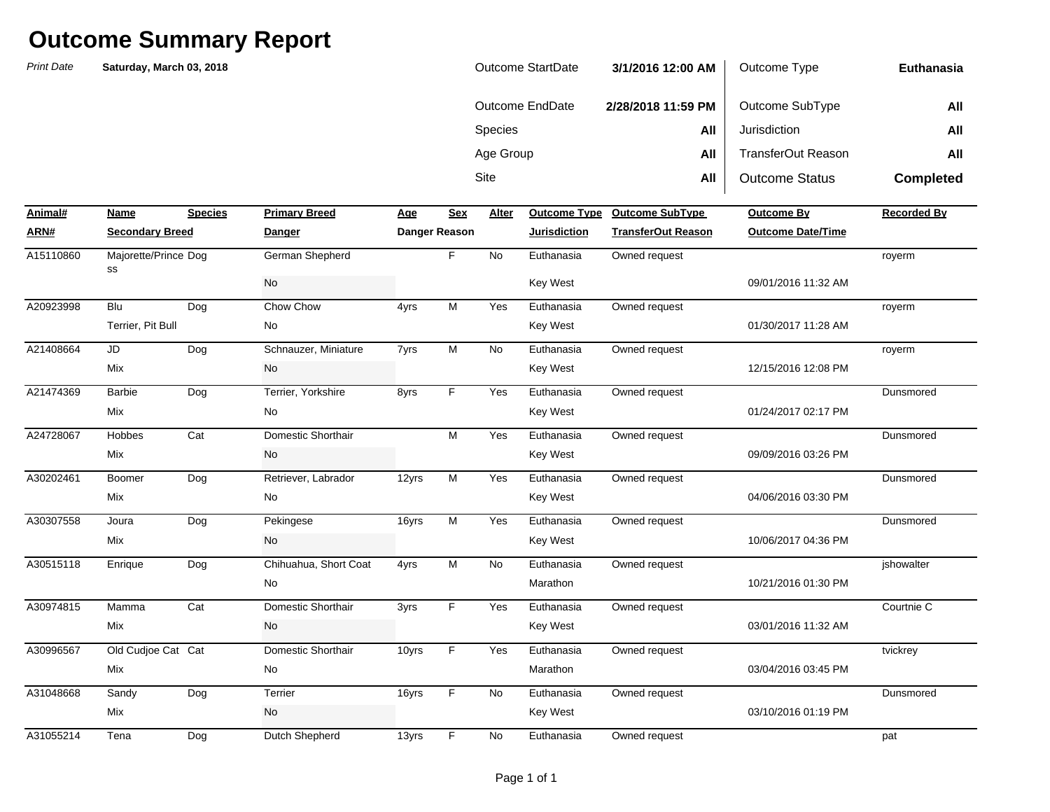| Outcome StartDate | 3/1/2016 12:00 AM  | Outcome Type          | Euthanasia       |
|-------------------|--------------------|-----------------------|------------------|
| Outcome EndDate   | 2/28/2018 11:59 PM | Outcome SubType       | All              |
| <b>Species</b>    | All                | Jurisdiction          | All              |
| Age Group         | All                | TransferOut Reason    | All              |
| Site              | All                | <b>Outcome Status</b> | <b>Completed</b> |

| Animal#   | Name                       | <b>Species</b> | <b>Primary Breed</b>  | Age   | <b>Sex</b>    | Alter | <b>Outcome Type</b> | <b>Outcome SubType</b>    | <b>Outcome By</b>        | <b>Recorded By</b> |
|-----------|----------------------------|----------------|-----------------------|-------|---------------|-------|---------------------|---------------------------|--------------------------|--------------------|
| ARN#      | <b>Secondary Breed</b>     |                | <b>Danger</b>         |       | Danger Reason |       | <b>Jurisdiction</b> | <b>TransferOut Reason</b> | <b>Outcome Date/Time</b> |                    |
| A15110860 | Majorette/Prince Dog<br>SS |                | German Shepherd       |       | F.            | No    | Euthanasia          | Owned request             |                          | royerm             |
|           |                            |                | <b>No</b>             |       |               |       | <b>Key West</b>     |                           | 09/01/2016 11:32 AM      |                    |
| A20923998 | Blu                        | Dog            | Chow Chow             | 4yrs  | M             | Yes   | Euthanasia          | Owned request             |                          | royerm             |
|           | Terrier, Pit Bull          |                | No                    |       |               |       | <b>Key West</b>     |                           | 01/30/2017 11:28 AM      |                    |
| A21408664 | <b>JD</b>                  | Dog            | Schnauzer, Miniature  | 7yrs  | M             | No    | Euthanasia          | Owned request             |                          | royerm             |
|           | Mix                        |                | No                    |       |               |       | Key West            |                           | 12/15/2016 12:08 PM      |                    |
| A21474369 | <b>Barbie</b>              | Dog            | Terrier, Yorkshire    | 8yrs  | F.            | Yes   | Euthanasia          | Owned request             |                          | Dunsmored          |
|           | Mix                        |                | No                    |       |               |       | Key West            |                           | 01/24/2017 02:17 PM      |                    |
| A24728067 | Hobbes                     | Cat            | Domestic Shorthair    |       | M             | Yes   | Euthanasia          | Owned request             |                          | Dunsmored          |
|           | Mix                        |                | No                    |       |               |       | Key West            |                           | 09/09/2016 03:26 PM      |                    |
| A30202461 | Boomer                     | Dog            | Retriever, Labrador   | 12yrs | M             | Yes   | Euthanasia          | Owned request             |                          | Dunsmored          |
|           | Mix                        |                | No                    |       |               |       | <b>Key West</b>     |                           | 04/06/2016 03:30 PM      |                    |
| A30307558 | Joura                      | Dog            | Pekingese             | 16yrs | M             | Yes   | Euthanasia          | Owned request             |                          | Dunsmored          |
|           | Mix                        |                | No                    |       |               |       | <b>Key West</b>     |                           | 10/06/2017 04:36 PM      |                    |
| A30515118 | Enrique                    | Dog            | Chihuahua, Short Coat | 4yrs  | M             | No    | Euthanasia          | Owned request             |                          | jshowalter         |
|           |                            |                | No                    |       |               |       | Marathon            |                           | 10/21/2016 01:30 PM      |                    |
| A30974815 | Mamma                      | Cat            | Domestic Shorthair    | 3yrs  | F.            | Yes   | Euthanasia          | Owned request             |                          | Courtnie C         |
|           | Mix                        |                | No                    |       |               |       | <b>Key West</b>     |                           | 03/01/2016 11:32 AM      |                    |
| A30996567 | Old Cudjoe Cat Cat         |                | Domestic Shorthair    | 10yrs | F.            | Yes   | Euthanasia          | Owned request             |                          | tvickrey           |
|           | Mix                        |                | No                    |       |               |       | Marathon            |                           | 03/04/2016 03:45 PM      |                    |
| A31048668 | Sandy                      | Dog            | Terrier               | 16yrs | F.            | No    | Euthanasia          | Owned request             |                          | Dunsmored          |
|           | Mix                        |                | No                    |       |               |       | <b>Key West</b>     |                           | 03/10/2016 01:19 PM      |                    |
| A31055214 | Tena                       | Dog            | Dutch Shepherd        | 13yrs | F             | No    | Euthanasia          | Owned request             |                          | pat                |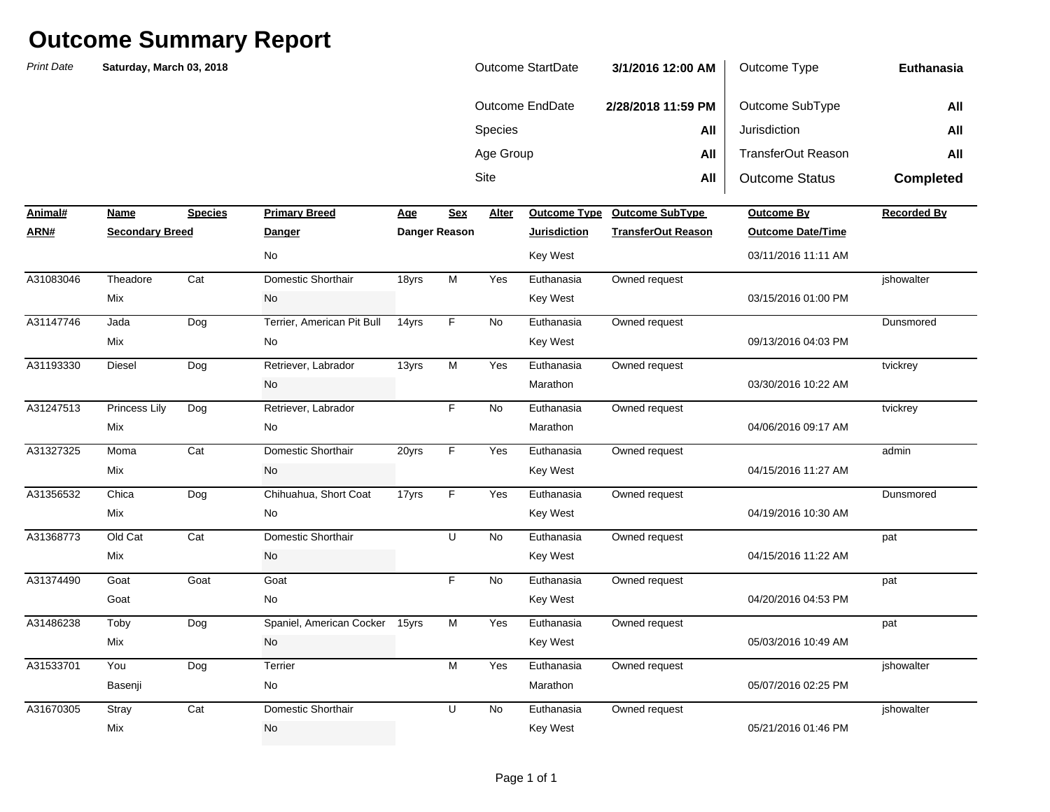*Print Date***NameSpecies Primary Breed Age Age Alter ARN# Secondary Breed Danger Danger Reason Jurisdiction TransferOut Reason Outcome Date/Time** Sitee **All** All | Outcome Status **Completed Animal#Profilled Primary Breedome SubType Outcome By Recorded By Recorded By** Species **All** Jurisdiction **All** Age Group **All** TransferOut Reason **All Euthanasia**Outcome EndDate **2/28/2018 11:59 PM** Outcome SubType **All Saturday, March 03, 2018** Outcome StartDate **3/1/2016 12:00 AM** Outcome Type Theadore Cat Domestic Shorthair 18yrs M Yes A31147746 Jada Dog Terrier, American Pit Bull 14yrs F No Euthanasia Owned request Dunsmored Diesel Dog Retriever, Labrador 13yrs M Yes Princess Lily Dog Retriever, Labrador F No Moma Cat Domestic Shorthair 20yrs F Yes Chica Dog Chihuahua, Short Coat 17yrs F Yes Old Cat Cat Domestic Shorthair U No Goat Goat NoToby Dog 15yrs Yes A31486238 Spaniel, American Cocker M Euthanasia Owned request pat You Dog Terrier M Yes Stray Cat Domestic Shorthair U No Mix 19921/2016 01:46 PM No 2012 12:00 No 2012 12:00 No 2012 12:00 No 2012 12:00 No 2012 12:00 No 2012 12:00 No 05/07/2016 02:25 PMA31670305 Stray Cat Domestic Shorthair U No Euthanasia Owned request jshowalter Basenji No Marathon 05/03/2016 10:49 AMA31533701 You Dog Terrier M Yes Euthanasia Owned request jshowalter Mix No Key West 04/20/2016 04:53 PMGoat No Key West 04/15/2016 11:22 AMA31374490 Goat F Euthanasia Owned request pat Mix No Key West 04/19/2016 10:30 AMA31368773 Old Cat Cat Domestic Shorthair U No Euthanasia Owned request pat Mix No Key West 04/15/2016 11:27 AMA31356532 Chica Dog Chihuahua, Short Coat 17yrs F Yes Euthanasia Owned request Dunsmored Mix No Key West 04/06/2016 09:17 AMA31327325 Domestic Shorthair F Euthanasia Owned request admin Mix No Marathon03/30/2016 10:22 AMA31247513 Princess Lily Dog Retriever, Labrador F No Euthanasia Owned request tvickrey tvickrey No Marathon No. 2006. No Marathon No. 2006. No Marathon No. 2006. No Marathon No. 2007. No Marathon No. 2007. No Marathon No. 2007. No Marathon No. 2007. No Marathon No. 2007. No Marathon No. 2007. No Marathon No. 2007. No 09/13/2016 04:03 PMA31193330 Diesel Dog Retriever, Labrador 13yrs M Yes Euthanasia Owned request tvickrey tvickrey Mix No Key West 03/15/2016 01:00 PMMix No Key West 03/11/2016 11:11 AMA31083046 Theadore Cat Domestic Shorthair 18yrs M Yes Euthanasia Owned request jshowalter No Key West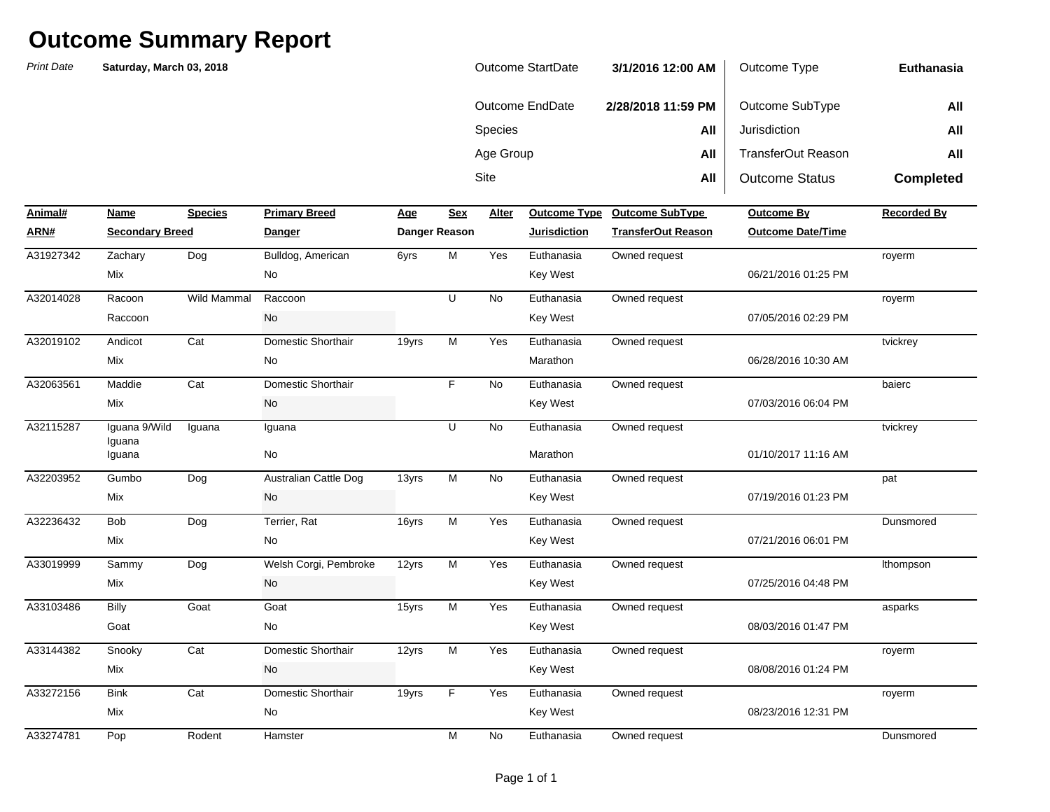*Print Date*

Species **All** Jurisdiction **All All** Age Group **All** TransferOut Reason **All** Outcome EndDate **2/28/2018 11:59 PM** Outcome SubType **All Saturday, March 03, 2018** Outcome StartDate **3/1/2016 12:00 AM**Outcome Type

Site

e **All** 

All **Outcome Status** 

**Completed**

**Euthanasia**

| Animal#   | Name                   | <b>Species</b>     | <b>Primary Breed</b>         | <u>Age</u> | Sex                  | Alter     | <b>Outcome Type</b> | <b>Outcome SubType</b>    | <b>Outcome By</b>        | <b>Recorded By</b> |
|-----------|------------------------|--------------------|------------------------------|------------|----------------------|-----------|---------------------|---------------------------|--------------------------|--------------------|
| ARN#      | <b>Secondary Breed</b> |                    | <b>Danger</b>                |            | <b>Danger Reason</b> |           | <b>Jurisdiction</b> | <b>TransferOut Reason</b> | <b>Outcome Date/Time</b> |                    |
| A31927342 | Zachary                | Dog                | Bulldog, American            | 6yrs       | M                    | Yes       | Euthanasia          | Owned request             |                          | royerm             |
|           | Mix                    |                    | No                           |            |                      |           | <b>Key West</b>     |                           | 06/21/2016 01:25 PM      |                    |
| A32014028 | Racoon                 | <b>Wild Mammal</b> | Raccoon                      |            | U                    | <b>No</b> | Euthanasia          | Owned request             |                          | royerm             |
|           | Raccoon                |                    | No                           |            |                      |           | <b>Key West</b>     |                           | 07/05/2016 02:29 PM      |                    |
| A32019102 | Andicot                | Cat                | Domestic Shorthair           | 19yrs      | M                    | Yes       | Euthanasia          | Owned request             |                          | tvickrey           |
|           | Mix                    |                    | No                           |            |                      |           | Marathon            |                           | 06/28/2016 10:30 AM      |                    |
| A32063561 | Maddie                 | Cat                | Domestic Shorthair           |            | F                    | <b>No</b> | Euthanasia          | Owned request             |                          | baierc             |
|           | Mix                    |                    | No                           |            |                      |           | <b>Key West</b>     |                           | 07/03/2016 06:04 PM      |                    |
| A32115287 | Iquana 9/Wild          | Iguana             | Iguana                       |            | U                    | <b>No</b> | Euthanasia          | Owned request             |                          | tvickrey           |
|           | Iquana<br>Iguana       |                    | No                           |            |                      |           | Marathon            |                           | 01/10/2017 11:16 AM      |                    |
| A32203952 | Gumbo                  | Dog                | <b>Australian Cattle Dog</b> | 13yrs      | M                    | <b>No</b> | Euthanasia          | Owned request             |                          | pat                |
|           | Mix                    |                    | No                           |            |                      |           | <b>Key West</b>     |                           | 07/19/2016 01:23 PM      |                    |
| A32236432 | <b>Bob</b>             | Dog                | Terrier, Rat                 | 16yrs      | M                    | Yes       | Euthanasia          | Owned request             |                          | Dunsmored          |
|           | Mix                    |                    | No                           |            |                      |           | <b>Key West</b>     |                           | 07/21/2016 06:01 PM      |                    |
| A33019999 | Sammy                  | Dog                | Welsh Corgi, Pembroke        | 12yrs      | M                    | Yes       | Euthanasia          | Owned request             |                          | Ithompson          |
|           | Mix                    |                    | No                           |            |                      |           | <b>Key West</b>     |                           | 07/25/2016 04:48 PM      |                    |
| A33103486 | Billy                  | Goat               | Goat                         | 15yrs      | M                    | Yes       | Euthanasia          | Owned request             |                          | asparks            |
|           | Goat                   |                    | No                           |            |                      |           | <b>Key West</b>     |                           | 08/03/2016 01:47 PM      |                    |
| A33144382 | Snooky                 | Cat                | Domestic Shorthair           | 12yrs      | M                    | Yes       | Euthanasia          | Owned request             |                          | royerm             |
|           | Mix                    |                    | <b>No</b>                    |            |                      |           | <b>Key West</b>     |                           | 08/08/2016 01:24 PM      |                    |
| A33272156 | <b>Bink</b>            | Cat                | Domestic Shorthair           | 19yrs      | F                    | Yes       | Euthanasia          | Owned request             |                          | royerm             |
|           | Mix                    |                    | No                           |            |                      |           | Key West            |                           | 08/23/2016 12:31 PM      |                    |
| A33274781 | Pop                    | Rodent             | Hamster                      |            | M                    | No        | Euthanasia          | Owned request             |                          | Dunsmored          |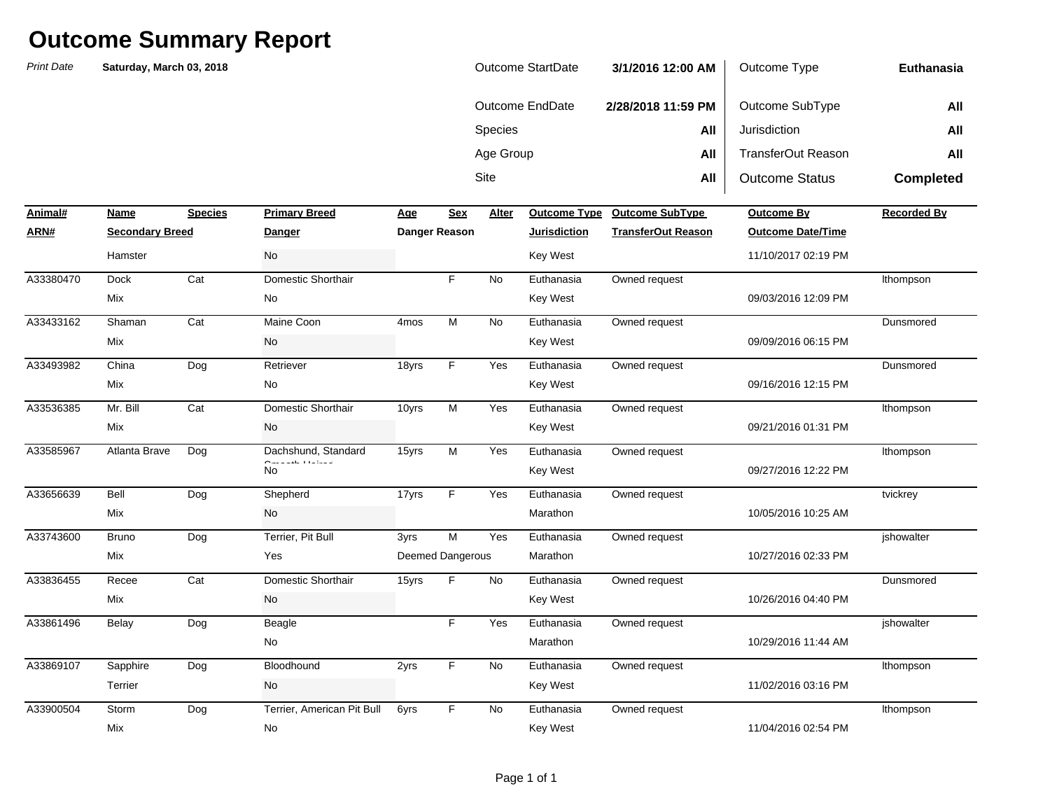| Outcome StartDate | 3/1/2016 12:00 AM  | Outcome Type          | Euthanasia       |
|-------------------|--------------------|-----------------------|------------------|
| Outcome EndDate   | 2/28/2018 11:59 PM | Outcome SubType       | All              |
| <b>Species</b>    | All                | Jurisdiction          | All              |
| Age Group         | All                | TransferOut Reason    | All              |
| Site              | All                | <b>Outcome Status</b> | <b>Completed</b> |

| Animal#   | Name                   | <b>Species</b> | <b>Primary Breed</b>       | Age              | <b>Sex</b>              | Alter     | <b>Outcome Type</b> | <b>Outcome SubType</b>    | <b>Outcome By</b>        | <b>Recorded By</b> |
|-----------|------------------------|----------------|----------------------------|------------------|-------------------------|-----------|---------------------|---------------------------|--------------------------|--------------------|
| ARN#      | <b>Secondary Breed</b> |                | <b>Danger</b>              |                  | Danger Reason           |           | <b>Jurisdiction</b> | <b>TransferOut Reason</b> | <b>Outcome Date/Time</b> |                    |
|           | Hamster                |                | No                         |                  |                         |           | <b>Key West</b>     |                           | 11/10/2017 02:19 PM      |                    |
| A33380470 | <b>Dock</b>            | Cat            | Domestic Shorthair         |                  | F.                      | No        | Euthanasia          | Owned request             |                          | Ithompson          |
|           | Mix                    |                | No                         |                  |                         |           | <b>Key West</b>     |                           | 09/03/2016 12:09 PM      |                    |
| A33433162 | Shaman                 | Cat            | Maine Coon                 | 4 <sub>mos</sub> | M                       | <b>No</b> | Euthanasia          | Owned request             |                          | Dunsmored          |
|           | Mix                    |                | No                         |                  |                         |           | <b>Key West</b>     |                           | 09/09/2016 06:15 PM      |                    |
| A33493982 | China                  | Dog            | Retriever                  | 18yrs            | F.                      | Yes       | Euthanasia          | Owned request             |                          | Dunsmored          |
|           | Mix                    |                | No                         |                  |                         |           | <b>Key West</b>     |                           | 09/16/2016 12:15 PM      |                    |
| A33536385 | Mr. Bill               | Cat            | Domestic Shorthair         | 10yrs            | M                       | Yes       | Euthanasia          | Owned request             |                          | Ithompson          |
|           | Mix                    |                | No                         |                  |                         |           | <b>Key West</b>     |                           | 09/21/2016 01:31 PM      |                    |
| A33585967 | Atlanta Brave          | Dog            | Dachshund, Standard        | 15yrs            | M                       | Yes       | Euthanasia          | Owned request             |                          | Ithompson          |
|           |                        |                | <b>No</b>                  |                  |                         |           | <b>Key West</b>     |                           | 09/27/2016 12:22 PM      |                    |
| A33656639 | Bell                   | Dog            | Shepherd                   | 17yrs            | F.                      | Yes       | Euthanasia          | Owned request             |                          | tvickrey           |
|           | Mix                    |                | No                         |                  |                         |           | Marathon            |                           | 10/05/2016 10:25 AM      |                    |
| A33743600 | <b>Bruno</b>           | Dog            | Terrier, Pit Bull          | 3yrs             | M                       | Yes       | Euthanasia          | Owned request             |                          | ishowalter         |
|           | Mix                    |                | Yes                        |                  | <b>Deemed Dangerous</b> |           | Marathon            |                           | 10/27/2016 02:33 PM      |                    |
| A33836455 | Recee                  | Cat            | Domestic Shorthair         | 15yrs            | F.                      | No        | Euthanasia          | Owned request             |                          | Dunsmored          |
|           | Mix                    |                | No                         |                  |                         |           | <b>Key West</b>     |                           | 10/26/2016 04:40 PM      |                    |
| A33861496 | Belay                  | Dog            | Beagle                     |                  | F.                      | Yes       | Euthanasia          | Owned request             |                          | ishowalter         |
|           |                        |                | No                         |                  |                         |           | Marathon            |                           | 10/29/2016 11:44 AM      |                    |
| A33869107 | Sapphire               | Dog            | Bloodhound                 | 2yrs             | F.                      | No        | Euthanasia          | Owned request             |                          | Ithompson          |
|           | Terrier                |                | No                         |                  |                         |           | Key West            |                           | 11/02/2016 03:16 PM      |                    |
| A33900504 | Storm                  | Dog            | Terrier, American Pit Bull | 6yrs             | F.                      | <b>No</b> | Euthanasia          | Owned request             |                          | Ithompson          |
|           | Mix                    |                | No                         |                  |                         |           | <b>Key West</b>     |                           | 11/04/2016 02:54 PM      |                    |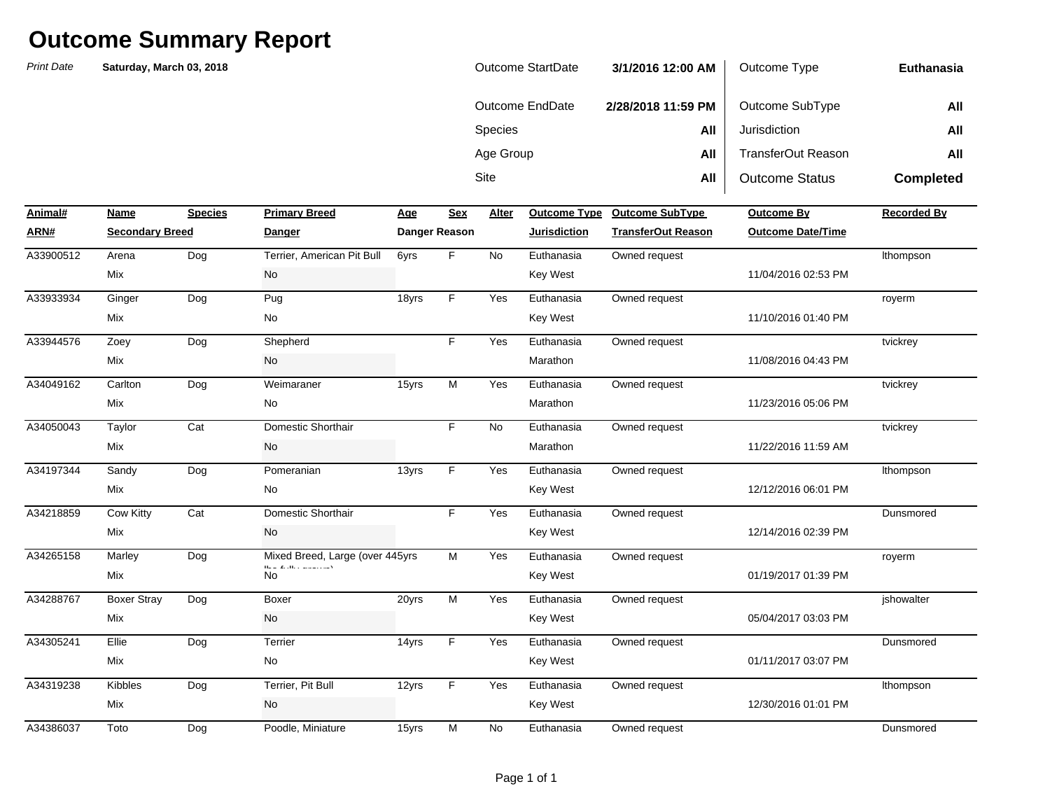| <b>Outcome StartDate</b> | 3/1/2016 12:00 AM  | Outcome Type          | Euthanasia       |
|--------------------------|--------------------|-----------------------|------------------|
| Outcome EndDate          | 2/28/2018 11:59 PM | Outcome SubType       | All              |
| <b>Species</b>           | All                | Jurisdiction          | All              |
| Age Group                | All                | TransferOut Reason    | All              |
| Site                     | All                | <b>Outcome Status</b> | <b>Completed</b> |

| Animal#   | Name                   | <b>Species</b> | <b>Primary Breed</b>                                                                                                            | Age   | <b>Sex</b>    | Alter     |                     | Outcome Type Outcome SubType | <b>Outcome By</b>        | <b>Recorded By</b> |
|-----------|------------------------|----------------|---------------------------------------------------------------------------------------------------------------------------------|-------|---------------|-----------|---------------------|------------------------------|--------------------------|--------------------|
| ARN#      | <b>Secondary Breed</b> |                | <b>Danger</b>                                                                                                                   |       | Danger Reason |           | <b>Jurisdiction</b> | <b>TransferOut Reason</b>    | <b>Outcome Date/Time</b> |                    |
| A33900512 | Arena                  | Dog            | Terrier, American Pit Bull                                                                                                      | 6yrs  | F.            | <b>No</b> | Euthanasia          | Owned request                |                          | Ithompson          |
|           | Mix                    |                | No                                                                                                                              |       |               |           | <b>Key West</b>     |                              | 11/04/2016 02:53 PM      |                    |
| A33933934 | Ginger                 | Dog            | Pug                                                                                                                             | 18yrs | F.            | Yes       | Euthanasia          | Owned request                |                          | royerm             |
|           | Mix                    |                | No                                                                                                                              |       |               |           | <b>Key West</b>     |                              | 11/10/2016 01:40 PM      |                    |
| A33944576 | Zoey                   | Dog            | Shepherd                                                                                                                        |       | F.            | Yes       | Euthanasia          | Owned request                |                          | tvickrey           |
|           | Mix                    |                | No                                                                                                                              |       |               |           | Marathon            |                              | 11/08/2016 04:43 PM      |                    |
| A34049162 | Carlton                | Dog            | Weimaraner                                                                                                                      | 15yrs | M             | Yes       | Euthanasia          | Owned request                |                          | tvickrey           |
|           | Mix                    |                | No                                                                                                                              |       |               |           | Marathon            |                              | 11/23/2016 05:06 PM      |                    |
| A34050043 | Taylor                 | Cat            | Domestic Shorthair                                                                                                              |       | F.            | No        | Euthanasia          | Owned request                |                          | tvickrey           |
|           | Mix                    |                | No                                                                                                                              |       |               |           | Marathon            |                              | 11/22/2016 11:59 AM      |                    |
| A34197344 | Sandy                  | Dog            | Pomeranian                                                                                                                      | 13yrs | F.            | Yes       | Euthanasia          | Owned request                |                          | Ithompson          |
|           | Mix                    |                | No                                                                                                                              |       |               |           | Key West            |                              | 12/12/2016 06:01 PM      |                    |
| A34218859 | Cow Kitty              | Cat            | Domestic Shorthair                                                                                                              |       | F.            | Yes       | Euthanasia          | Owned request                |                          | Dunsmored          |
|           | Mix                    |                | No                                                                                                                              |       |               |           | Key West            |                              | 12/14/2016 02:39 PM      |                    |
| A34265158 | Marley                 | Dog            | Mixed Breed, Large (over 445yrs<br>$\mathbf{H}_{\text{max}}(\mathbf{Z},\mathbf{H})$ , and $\mathbf{H}_{\text{max}}(\mathbf{H})$ |       | M             | Yes       | Euthanasia          | Owned request                |                          | royerm             |
|           | Mix                    |                | <b>No</b>                                                                                                                       |       |               |           | <b>Key West</b>     |                              | 01/19/2017 01:39 PM      |                    |
| A34288767 | <b>Boxer Stray</b>     | Dog            | Boxer                                                                                                                           | 20yrs | M             | Yes       | Euthanasia          | Owned request                |                          | jshowalter         |
|           | Mix                    |                | No                                                                                                                              |       |               |           | <b>Key West</b>     |                              | 05/04/2017 03:03 PM      |                    |
| A34305241 | Ellie                  | Dog            | Terrier                                                                                                                         | 14yrs | F.            | Yes       | Euthanasia          | Owned request                |                          | Dunsmored          |
|           | Mix                    |                | <b>No</b>                                                                                                                       |       |               |           | <b>Key West</b>     |                              | 01/11/2017 03:07 PM      |                    |
| A34319238 | Kibbles                | Dog            | Terrier, Pit Bull                                                                                                               | 12yrs | F.            | Yes       | Euthanasia          | Owned request                |                          | Ithompson          |
|           | Mix                    |                | No                                                                                                                              |       |               |           | Key West            |                              | 12/30/2016 01:01 PM      |                    |
| A34386037 | Toto                   | Dog            | Poodle, Miniature                                                                                                               | 15yrs | M             | <b>No</b> | Euthanasia          | Owned request                |                          | Dunsmored          |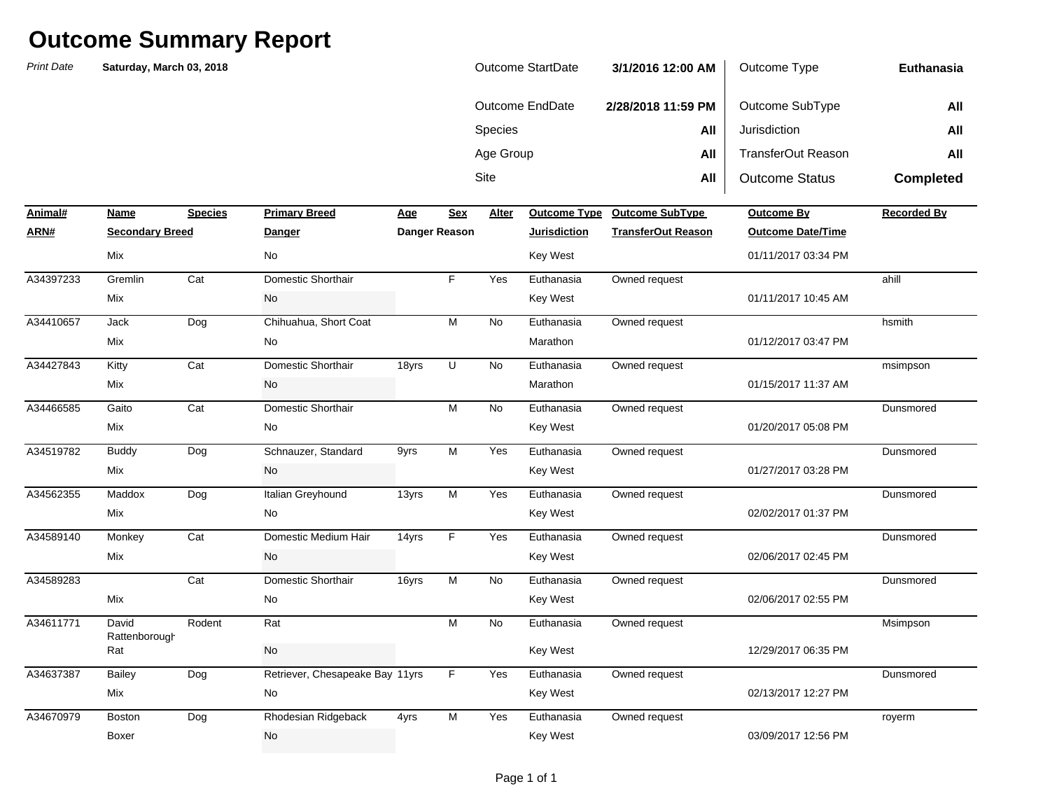| Outcome StartDate | 3/1/2016 12:00 AM  | Outcome Type          | Euthanasia       |
|-------------------|--------------------|-----------------------|------------------|
| Outcome EndDate   | 2/28/2018 11:59 PM | Outcome SubType       | All              |
| <b>Species</b>    | All                | Jurisdiction          | All              |
| Age Group         | All                | TransferOut Reason    | All              |
| Site              | All                | <b>Outcome Status</b> | <b>Completed</b> |

| Animal#   | Name                   | <b>Species</b> | <b>Primary Breed</b>            | Age   | <b>Sex</b>    | Alter     | Outcome Type        | <b>Outcome SubType</b>    | <b>Outcome By</b>        | <b>Recorded By</b> |
|-----------|------------------------|----------------|---------------------------------|-------|---------------|-----------|---------------------|---------------------------|--------------------------|--------------------|
| ARN#      | <b>Secondary Breed</b> |                | <b>Danger</b>                   |       | Danger Reason |           | <b>Jurisdiction</b> | <b>TransferOut Reason</b> | <b>Outcome Date/Time</b> |                    |
|           | Mix                    |                | No                              |       |               |           | Key West            |                           | 01/11/2017 03:34 PM      |                    |
| A34397233 | Gremlin                | Cat            | Domestic Shorthair              |       | E             | Yes       | Euthanasia          | Owned request             |                          | ahill              |
|           | Mix                    |                | No                              |       |               |           | <b>Key West</b>     |                           | 01/11/2017 10:45 AM      |                    |
| A34410657 | Jack                   | Dog            | Chihuahua, Short Coat           |       | M             | <b>No</b> | Euthanasia          | Owned request             |                          | hsmith             |
|           | Mix                    |                | No                              |       |               |           | Marathon            |                           | 01/12/2017 03:47 PM      |                    |
| A34427843 | Kitty                  | Cat            | Domestic Shorthair              | 18yrs | U             | <b>No</b> | Euthanasia          | Owned request             |                          | msimpson           |
|           | Mix                    |                | <b>No</b>                       |       |               |           | Marathon            |                           | 01/15/2017 11:37 AM      |                    |
| A34466585 | Gaito                  | Cat            | Domestic Shorthair              |       | M             | <b>No</b> | Euthanasia          | Owned request             |                          | Dunsmored          |
|           | Mix                    |                | No                              |       |               |           | Key West            |                           | 01/20/2017 05:08 PM      |                    |
| A34519782 | <b>Buddy</b>           | Dog            | Schnauzer, Standard             | 9yrs  | M             | Yes       | Euthanasia          | Owned request             |                          | Dunsmored          |
|           | Mix                    |                | No                              |       |               |           | Key West            |                           | 01/27/2017 03:28 PM      |                    |
| A34562355 | Maddox                 | Dog            | Italian Greyhound               | 13yrs | M             | Yes       | Euthanasia          | Owned request             |                          | Dunsmored          |
|           | Mix                    |                | No                              |       |               |           | <b>Key West</b>     |                           | 02/02/2017 01:37 PM      |                    |
| A34589140 | Monkey                 | Cat            | Domestic Medium Hair            | 14yrs | F             | Yes       | Euthanasia          | Owned request             |                          | Dunsmored          |
|           | Mix                    |                | No                              |       |               |           | <b>Key West</b>     |                           | 02/06/2017 02:45 PM      |                    |
| A34589283 |                        | Cat            | Domestic Shorthair              | 16yrs | M             | No.       | Euthanasia          | Owned request             |                          | Dunsmored          |
|           | Mix                    |                | No                              |       |               |           | Key West            |                           | 02/06/2017 02:55 PM      |                    |
| A34611771 | David<br>Rattenborough | Rodent         | Rat                             |       | M             | <b>No</b> | Euthanasia          | Owned request             |                          | Msimpson           |
|           | Rat                    |                | No                              |       |               |           | <b>Key West</b>     |                           | 12/29/2017 06:35 PM      |                    |
| A34637387 | Bailey                 | Dog            | Retriever, Chesapeake Bay 11yrs |       | F             | Yes       | Euthanasia          | Owned request             |                          | Dunsmored          |
|           | Mix                    |                | No                              |       |               |           | Key West            |                           | 02/13/2017 12:27 PM      |                    |
| A34670979 | Boston                 | Dog            | Rhodesian Ridgeback             | 4yrs  | M             | Yes       | Euthanasia          | Owned request             |                          | royerm             |
|           | Boxer                  |                | No                              |       |               |           | <b>Key West</b>     |                           | 03/09/2017 12:56 PM      |                    |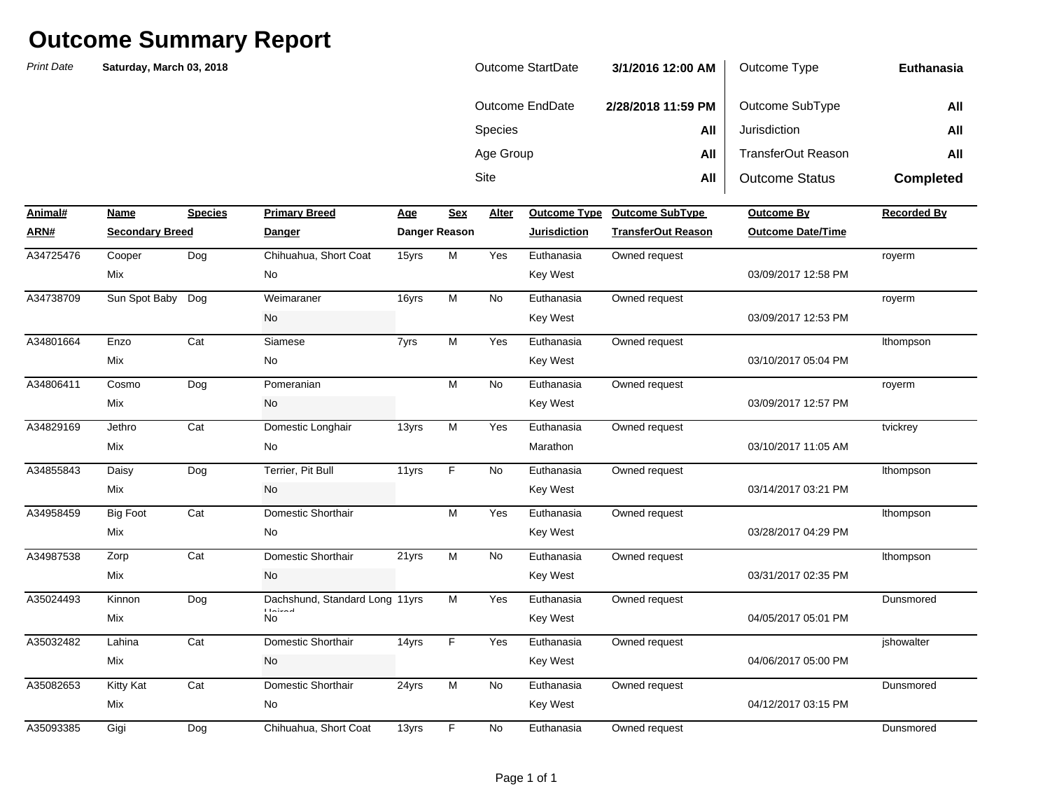| Outcome StartDate | 3/1/2016 12:00 AM  | Outcome Type          | Euthanasia       |
|-------------------|--------------------|-----------------------|------------------|
| Outcome EndDate   | 2/28/2018 11:59 PM | Outcome SubType       | All              |
| <b>Species</b>    | All                | Jurisdiction          | All              |
| Age Group         | All                | TransferOut Reason    | All              |
| Site              | All                | <b>Outcome Status</b> | <b>Completed</b> |

| Animal#   | Name                   | <b>Species</b> | <b>Primary Breed</b>                         | <b>Age</b> | <b>Sex</b>    | Alter     | <b>Outcome Type</b> | <b>Outcome SubType</b>    | <b>Outcome By</b>        | <b>Recorded By</b> |
|-----------|------------------------|----------------|----------------------------------------------|------------|---------------|-----------|---------------------|---------------------------|--------------------------|--------------------|
| ARN#      | <b>Secondary Breed</b> |                | Danger                                       |            | Danger Reason |           | <b>Jurisdiction</b> | <b>TransferOut Reason</b> | <b>Outcome Date/Time</b> |                    |
| A34725476 | Cooper                 | Dog            | Chihuahua, Short Coat                        | 15yrs      | M             | Yes       | Euthanasia          | Owned request             |                          | royerm             |
|           | <b>Mix</b>             |                | No                                           |            |               |           | <b>Key West</b>     |                           | 03/09/2017 12:58 PM      |                    |
| A34738709 | Sun Spot Baby          | Dog            | Weimaraner                                   | 16yrs      | M             | No        | Euthanasia          | Owned request             |                          | royerm             |
|           |                        |                | No                                           |            |               |           | <b>Key West</b>     |                           | 03/09/2017 12:53 PM      |                    |
| A34801664 | Enzo                   | Cat            | Siamese                                      | 7yrs       | М             | Yes       | Euthanasia          | Owned request             |                          | Ithompson          |
|           | Mix                    |                | No                                           |            |               |           | <b>Key West</b>     |                           | 03/10/2017 05:04 PM      |                    |
| A34806411 | Cosmo                  | Dog            | Pomeranian                                   |            | M             | No        | Euthanasia          | Owned request             |                          | royerm             |
|           | Mix                    |                | No                                           |            |               |           | <b>Key West</b>     |                           | 03/09/2017 12:57 PM      |                    |
| A34829169 | Jethro                 | Cat            | Domestic Longhair                            | 13yrs      | М             | Yes       | Euthanasia          | Owned request             |                          | tvickrey           |
|           | <b>Mix</b>             |                | No                                           |            |               |           | Marathon            |                           | 03/10/2017 11:05 AM      |                    |
| A34855843 | Daisy                  | Dog            | Terrier, Pit Bull                            | 11yrs      | F             | No        | Euthanasia          | Owned request             |                          | Ithompson          |
|           | Mix                    |                | <b>No</b>                                    |            |               |           | Key West            |                           | 03/14/2017 03:21 PM      |                    |
| A34958459 | <b>Big Foot</b>        | Cat            | Domestic Shorthair                           |            | М             | Yes       | Euthanasia          | Owned request             |                          | Ithompson          |
|           | <b>Mix</b>             |                | No                                           |            |               |           | Key West            |                           | 03/28/2017 04:29 PM      |                    |
| A34987538 | Zorp                   | Cat            | Domestic Shorthair                           | 21yrs      | М             | No        | Euthanasia          | Owned request             |                          | Ithompson          |
|           | <b>Mix</b>             |                | No                                           |            |               |           | Key West            |                           | 03/31/2017 02:35 PM      |                    |
| A35024493 | Kinnon                 | Dog            | Dachshund, Standard Long 11yrs               |            | M             | Yes       | Euthanasia          | Owned request             |                          | Dunsmored          |
|           | <b>Mix</b>             |                | $\Gamma$ ) is the $\Gamma$ -defined as<br>No |            |               |           | Key West            |                           | 04/05/2017 05:01 PM      |                    |
| A35032482 | Lahina                 | Cat            | Domestic Shorthair                           | 14yrs      | F             | Yes       | Euthanasia          | Owned request             |                          | ishowalter         |
|           | Mix                    |                | No                                           |            |               |           | Key West            |                           | 04/06/2017 05:00 PM      |                    |
| A35082653 | Kitty Kat              | Cat            | Domestic Shorthair                           | 24yrs      | M             | <b>No</b> | Euthanasia          | Owned request             |                          | Dunsmored          |
|           | Mix                    |                | No                                           |            |               |           | Key West            |                           | 04/12/2017 03:15 PM      |                    |
| A35093385 | Gigi                   | Dog            | Chihuahua, Short Coat                        | 13yrs      | F             | No        | Euthanasia          | Owned request             |                          | Dunsmored          |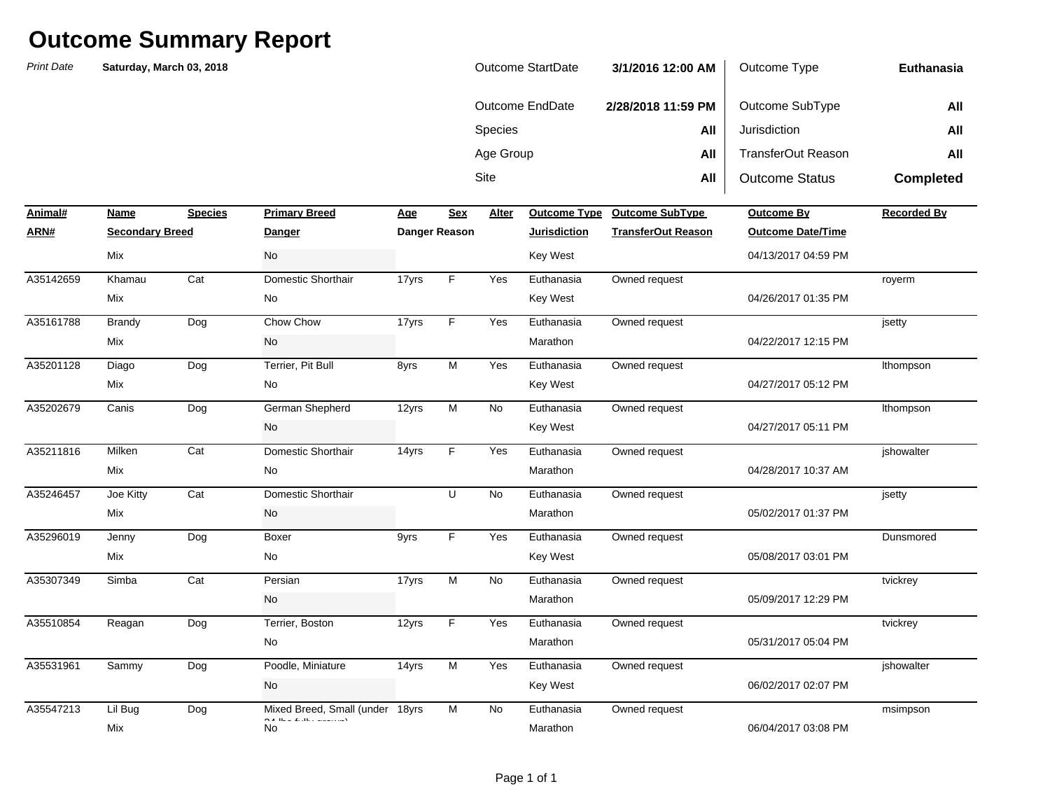| Outcome StartDate | 3/1/2016 12:00 AM  | Outcome Type          | Euthanasia       |
|-------------------|--------------------|-----------------------|------------------|
| Outcome EndDate   | 2/28/2018 11:59 PM | Outcome SubType       | All              |
| <b>Species</b>    | All                | Jurisdiction          | All              |
| Age Group         | All                | TransferOut Reason    | All              |
| Site              | All                | <b>Outcome Status</b> | <b>Completed</b> |

| Animal#   | Name                   | <b>Species</b> | <b>Primary Breed</b>                                                                                                                                                                                                                                                                                                                                                                                                                                                                                                        | Age   | <b>Sex</b>    | Alter     | <b>Outcome Type</b> | <b>Outcome SubType</b>    | <b>Outcome By</b>        | <b>Recorded By</b> |
|-----------|------------------------|----------------|-----------------------------------------------------------------------------------------------------------------------------------------------------------------------------------------------------------------------------------------------------------------------------------------------------------------------------------------------------------------------------------------------------------------------------------------------------------------------------------------------------------------------------|-------|---------------|-----------|---------------------|---------------------------|--------------------------|--------------------|
| ARN#      | <b>Secondary Breed</b> |                | <b>Danger</b>                                                                                                                                                                                                                                                                                                                                                                                                                                                                                                               |       | Danger Reason |           | <b>Jurisdiction</b> | <b>TransferOut Reason</b> | <b>Outcome Date/Time</b> |                    |
|           | Mix                    |                | No                                                                                                                                                                                                                                                                                                                                                                                                                                                                                                                          |       |               |           | Key West            |                           | 04/13/2017 04:59 PM      |                    |
| A35142659 | Khamau                 | Cat            | Domestic Shorthair                                                                                                                                                                                                                                                                                                                                                                                                                                                                                                          | 17yrs | F.            | Yes       | Euthanasia          | Owned request             |                          | royerm             |
|           | Mix                    |                | No                                                                                                                                                                                                                                                                                                                                                                                                                                                                                                                          |       |               |           | <b>Key West</b>     |                           | 04/26/2017 01:35 PM      |                    |
| A35161788 | <b>Brandy</b>          | Dog            | Chow Chow                                                                                                                                                                                                                                                                                                                                                                                                                                                                                                                   | 17yrs | F.            | Yes       | Euthanasia          | Owned request             |                          | jsetty             |
|           | Mix                    |                | No                                                                                                                                                                                                                                                                                                                                                                                                                                                                                                                          |       |               |           | Marathon            |                           | 04/22/2017 12:15 PM      |                    |
| A35201128 | Diago                  | Dog            | Terrier, Pit Bull                                                                                                                                                                                                                                                                                                                                                                                                                                                                                                           | 8yrs  | M             | Yes       | Euthanasia          | Owned request             |                          | Ithompson          |
|           | Mix                    |                | No                                                                                                                                                                                                                                                                                                                                                                                                                                                                                                                          |       |               |           | <b>Key West</b>     |                           | 04/27/2017 05:12 PM      |                    |
| A35202679 | Canis                  | Dog            | German Shepherd                                                                                                                                                                                                                                                                                                                                                                                                                                                                                                             | 12yrs | M             | <b>No</b> | Euthanasia          | Owned request             |                          | Ithompson          |
|           |                        |                | No                                                                                                                                                                                                                                                                                                                                                                                                                                                                                                                          |       |               |           | <b>Key West</b>     |                           | 04/27/2017 05:11 PM      |                    |
| A35211816 | Milken                 | Cat            | Domestic Shorthair                                                                                                                                                                                                                                                                                                                                                                                                                                                                                                          | 14yrs | F.            | Yes       | Euthanasia          | Owned request             |                          | jshowalter         |
|           | Mix                    |                | No                                                                                                                                                                                                                                                                                                                                                                                                                                                                                                                          |       |               |           | Marathon            |                           | 04/28/2017 10:37 AM      |                    |
| A35246457 | Joe Kitty              | Cat            | Domestic Shorthair                                                                                                                                                                                                                                                                                                                                                                                                                                                                                                          |       | U             | No        | Euthanasia          | Owned request             |                          | jsetty             |
|           | Mix                    |                | No                                                                                                                                                                                                                                                                                                                                                                                                                                                                                                                          |       |               |           | Marathon            |                           | 05/02/2017 01:37 PM      |                    |
| A35296019 | Jenny                  | Dog            | Boxer                                                                                                                                                                                                                                                                                                                                                                                                                                                                                                                       | 9yrs  | F.            | Yes       | Euthanasia          | Owned request             |                          | Dunsmored          |
|           | Mix                    |                | No                                                                                                                                                                                                                                                                                                                                                                                                                                                                                                                          |       |               |           | Key West            |                           | 05/08/2017 03:01 PM      |                    |
| A35307349 | Simba                  | Cat            | Persian                                                                                                                                                                                                                                                                                                                                                                                                                                                                                                                     | 17yrs | M             | No        | Euthanasia          | Owned request             |                          | tvickrey           |
|           |                        |                | No                                                                                                                                                                                                                                                                                                                                                                                                                                                                                                                          |       |               |           | Marathon            |                           | 05/09/2017 12:29 PM      |                    |
| A35510854 | Reagan                 | Dog            | Terrier, Boston                                                                                                                                                                                                                                                                                                                                                                                                                                                                                                             | 12yrs | F.            | Yes       | Euthanasia          | Owned request             |                          | tvickrey           |
|           |                        |                | No                                                                                                                                                                                                                                                                                                                                                                                                                                                                                                                          |       |               |           | Marathon            |                           | 05/31/2017 05:04 PM      |                    |
| A35531961 | Sammy                  | Dog            | Poodle, Miniature                                                                                                                                                                                                                                                                                                                                                                                                                                                                                                           | 14yrs | M             | Yes       | Euthanasia          | Owned request             |                          | ishowalter         |
|           |                        |                | No                                                                                                                                                                                                                                                                                                                                                                                                                                                                                                                          |       |               |           | Key West            |                           | 06/02/2017 02:07 PM      |                    |
| A35547213 | Lil Bug                | Dog            | Mixed Breed, Small (under 18yrs<br>$O(A, \text{Hence } E, \text{Hence } E, \text{and } E, \text{and } E, \text{and } E, \text{and } E, \text{and } E, \text{and } E, \text{and } E, \text{and } E, \text{and } E, \text{and } E, \text{and } E, \text{and } E, \text{and } E, \text{and } E, \text{and } E, \text{and } E, \text{and } E, \text{and } E, \text{and } E, \text{and } E, \text{and } E, \text{and } E, \text{and } E, \text{and } E, \text{and } E, \text{and } E, \text{and } E, \text{and } E, \text{and }$ |       | M             | <b>No</b> | Euthanasia          | Owned request             |                          | msimpson           |
|           | Mix                    |                | No                                                                                                                                                                                                                                                                                                                                                                                                                                                                                                                          |       |               |           | Marathon            |                           | 06/04/2017 03:08 PM      |                    |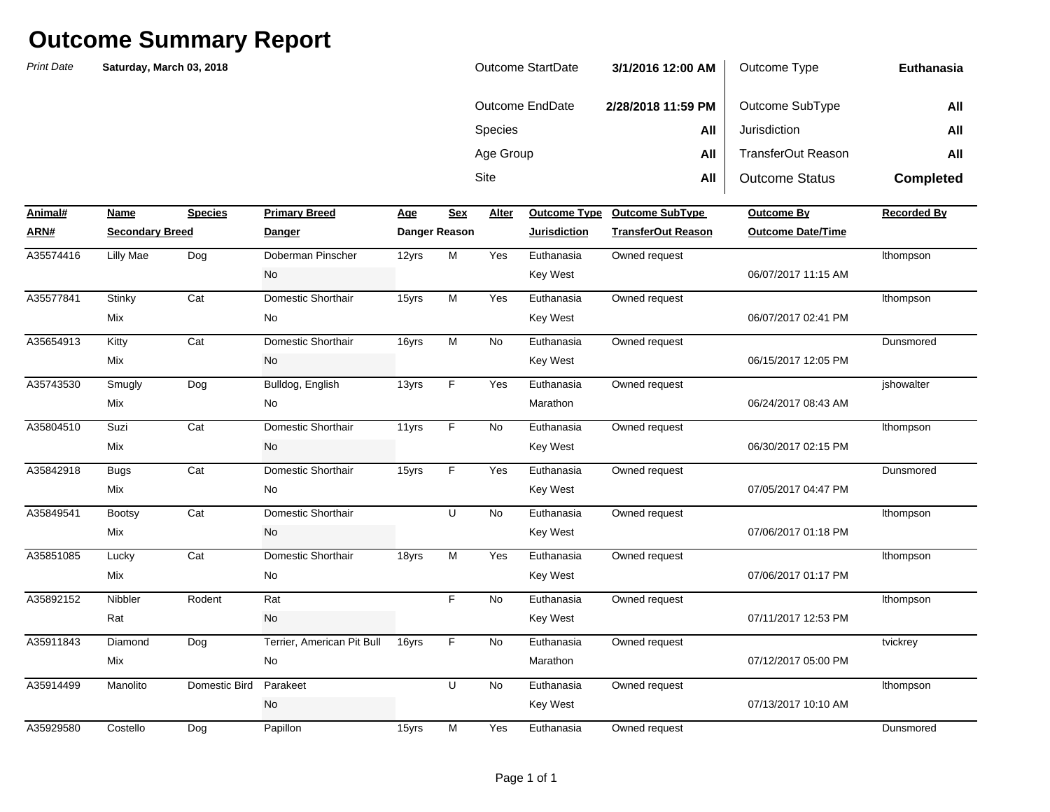| <b>Outcome StartDate</b> | 3/1/2016 12:00 AM  | Outcome Type          | Euthanasia       |
|--------------------------|--------------------|-----------------------|------------------|
| Outcome EndDate          | 2/28/2018 11:59 PM | Outcome SubType       | All              |
| <b>Species</b>           | All                | Jurisdiction          | All              |
| Age Group                | All                | TransferOut Reason    | All              |
| Site                     | All                | <b>Outcome Status</b> | <b>Completed</b> |

| Animal#   | Name                   | <b>Species</b> | <b>Primary Breed</b>       | Age   | <b>Sex</b>    | Alter     | <b>Outcome Type</b> | <b>Outcome SubType</b>    | <b>Outcome By</b>        | <b>Recorded By</b> |
|-----------|------------------------|----------------|----------------------------|-------|---------------|-----------|---------------------|---------------------------|--------------------------|--------------------|
| ARN#      | <b>Secondary Breed</b> |                | <b>Danger</b>              |       | Danger Reason |           | Jurisdiction        | <b>TransferOut Reason</b> | <b>Outcome Date/Time</b> |                    |
| A35574416 | <b>Lilly Mae</b>       | Dog            | Doberman Pinscher          | 12yrs | M             | Yes       | Euthanasia          | Owned request             |                          | Ithompson          |
|           |                        |                | No                         |       |               |           | <b>Key West</b>     |                           | 06/07/2017 11:15 AM      |                    |
| A35577841 | Stinky                 | Cat            | Domestic Shorthair         | 15yrs | M             | Yes       | Euthanasia          | Owned request             |                          | Ithompson          |
|           | Mix                    |                | <b>No</b>                  |       |               |           | <b>Key West</b>     |                           | 06/07/2017 02:41 PM      |                    |
| A35654913 | Kitty                  | Cat            | Domestic Shorthair         | 16yrs | M             | No        | Euthanasia          | Owned request             |                          | Dunsmored          |
|           | Mix                    |                | <b>No</b>                  |       |               |           | Key West            |                           | 06/15/2017 12:05 PM      |                    |
| A35743530 | Smugly                 | Dog            | Bulldog, English           | 13yrs | F             | Yes       | Euthanasia          | Owned request             |                          | jshowalter         |
|           | Mix                    |                | No                         |       |               |           | Marathon            |                           | 06/24/2017 08:43 AM      |                    |
| A35804510 | Suzi                   | Cat            | Domestic Shorthair         | 11yrs | F             | <b>No</b> | Euthanasia          | Owned request             |                          | Ithompson          |
|           | Mix                    |                | <b>No</b>                  |       |               |           | Key West            |                           | 06/30/2017 02:15 PM      |                    |
| A35842918 | <b>Bugs</b>            | Cat            | Domestic Shorthair         | 15yrs | F             | Yes       | Euthanasia          | Owned request             |                          | Dunsmored          |
|           | Mix                    |                | <b>No</b>                  |       |               |           | Key West            |                           | 07/05/2017 04:47 PM      |                    |
| A35849541 | <b>Bootsy</b>          | Cat            | Domestic Shorthair         |       | U             | <b>No</b> | Euthanasia          | Owned request             |                          | Ithompson          |
|           | Mix                    |                | No                         |       |               |           | <b>Key West</b>     |                           | 07/06/2017 01:18 PM      |                    |
| A35851085 | Lucky                  | Cat            | Domestic Shorthair         | 18yrs | M             | Yes       | Euthanasia          | Owned request             |                          | Ithompson          |
|           | Mix                    |                | No                         |       |               |           | Key West            |                           | 07/06/2017 01:17 PM      |                    |
| A35892152 | Nibbler                | Rodent         | Rat                        |       | F             | <b>No</b> | Euthanasia          | Owned request             |                          | Ithompson          |
|           | Rat                    |                | No                         |       |               |           | Key West            |                           | 07/11/2017 12:53 PM      |                    |
| A35911843 | Diamond                | Dog            | Terrier, American Pit Bull | 16yrs | F             | <b>No</b> | Euthanasia          | Owned request             |                          | tvickrey           |
|           | Mix                    |                | <b>No</b>                  |       |               |           | Marathon            |                           | 07/12/2017 05:00 PM      |                    |
| A35914499 | Manolito               | Domestic Bird  | Parakeet                   |       | U             | <b>No</b> | Euthanasia          | Owned request             |                          | Ithompson          |
|           |                        |                | No                         |       |               |           | <b>Key West</b>     |                           | 07/13/2017 10:10 AM      |                    |
| A35929580 | Costello               | Dog            | Papillon                   | 15yrs | M             | Yes       | Euthanasia          | Owned request             |                          | Dunsmored          |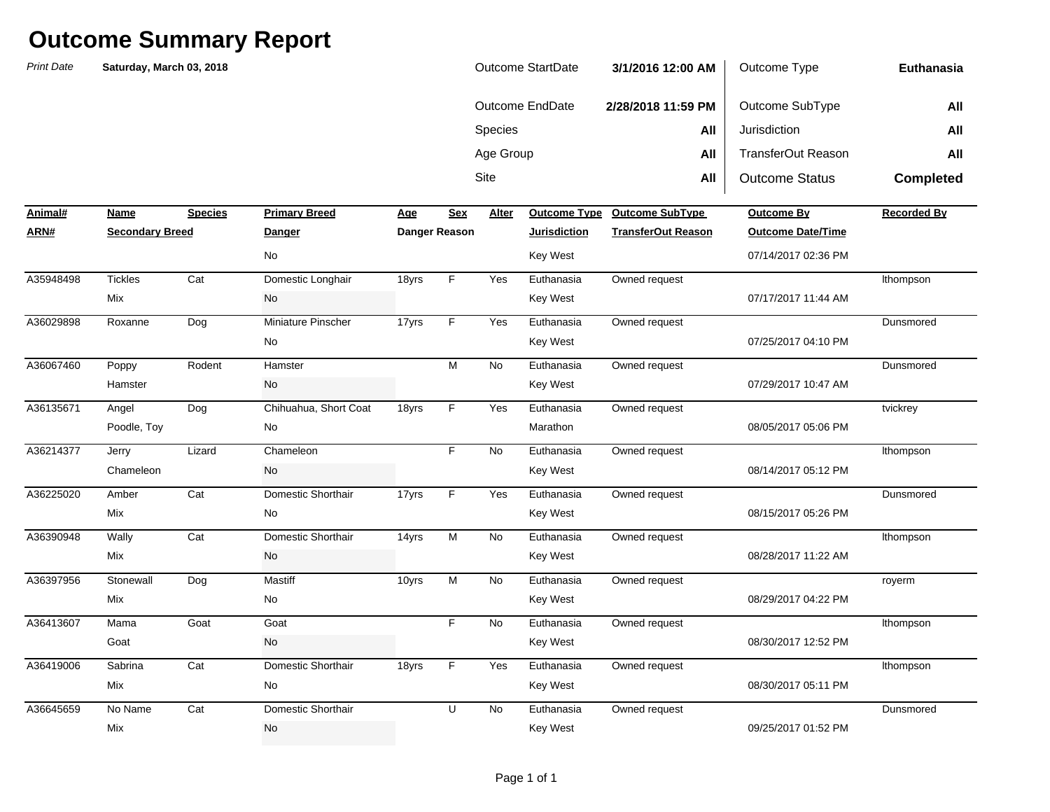*Print Date***NameSpecies Primary Breed Age Age Alter ARN# Secondary Breed Danger Danger Reason Jurisdiction TransferOut Reason Outcome Date/Time** Sitee **All** All | Outcome Status **Completed Animal#Profilled Primary Breedome SubType Outcome By Recorded By Recorded By** Species **All** Jurisdiction **All** Age Group **All** TransferOut Reason **All Euthanasia**Outcome EndDate **2/28/2018 11:59 PM** Outcome SubType **All Saturday, March 03, 2018** Outcome StartDate **3/1/2016 12:00 AM** Outcome Type Tickles Cat Domestic Longhair 18yrs F Yes Roxanne Dog Miniature Pinscher 17yrs F Yes Poppy Rodent Hamster M No Angel Dog Chihuahua, Short Coat 18yrs F Yes Jerry Lizard Chameleon F No Amber Cat Domestic Shorthair 17yrs F Yes Wally Cat Domestic Shorthair 14yrs M No Stonewall Dog 10yrs No Mama Goat NoSabrina Cat Domestic Shorthair 18yrs F Yes No Name Cat Domestic Shorthair U No Mix and the Mode of the Mode of the Mode of the Mode of the Mode of the Mode of the Mode of the Mode of the Mode of the Mode of the Mode of the Mode of the Mode of the Mode of the Mode of the Mode of the Mode of the Mode o 08/30/2017 05:11 PMA36645659 No Name Cat Domestic Shorthair New U No Euthanasia Owned request No Punsmored Mix No Key West 08/30/2017 12:52 PMA36419006 Domestic Shorthair F Euthanasia Owned request lthompson Goat No Key West 08/29/2017 04:22 PMA36413607 Goat F Euthanasia Owned request lthompson Mix No Key West 08/28/2017 11:22 AMA36397956 Mastiff M Euthanasia Owned request royerm Mix No Key West 08/15/2017 05:26 PMA36390948 Domestic Shorthair M Euthanasia Owned request lthompson Mix No Key West 08/14/2017 05:12 PMA36225020 Domestic Shorthair F Euthanasia Owned request Dunsmored Chameleon No Key West 08/05/2017 05:06 PMA36214377 Chameleon F Euthanasia Owned request lthompson Poodle, Toy No Marathon 07/29/2017 10:47 AMA36135671 Angel Dog Chihuahua, Short Coat 18yrs F Yes Euthanasia Owned request tvickrey tvickrey Hamster No Key West 07/25/2017 04:10 PMA36067460 Poppy Rodent Hamster M Mo Euthanasia Owned request Dunsmored No Key West 07/17/2017 11:44 AMA36029898 Roxanne Dog Miniature Pinscher 17yrs F Yes Euthanasia Owned request Dunsmored Mix No Key West 07/14/2017 02:36 PMA35948498 Domestic Longhair F Euthanasia Owned request lthompson No Key West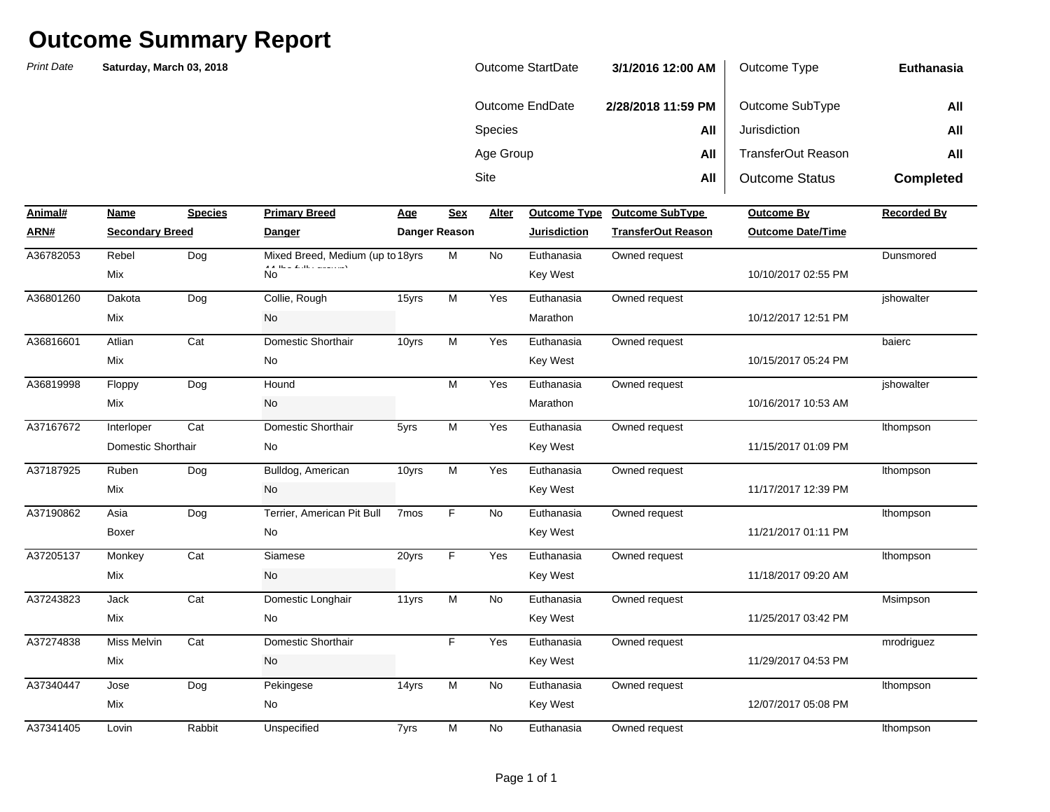| Outcome StartDate | 3/1/2016 12:00 AM  | Outcome Type              | Euthanasia       |
|-------------------|--------------------|---------------------------|------------------|
| Outcome EndDate   | 2/28/2018 11:59 PM | Outcome SubType           | All              |
| <b>Species</b>    | All                | Jurisdiction              | All              |
| Age Group         | All                | <b>TransferOut Reason</b> | All              |
| <b>Site</b>       | All                | <b>Outcome Status</b>     | <b>Completed</b> |

| Animal#   | Name                   | <b>Species</b> | <b>Primary Breed</b>                 | <u>Age</u>       | <b>Sex</b>           | Alter     | <b>Outcome Type</b> | <b>Outcome SubType</b>    | <b>Outcome By</b>        | <b>Recorded By</b> |
|-----------|------------------------|----------------|--------------------------------------|------------------|----------------------|-----------|---------------------|---------------------------|--------------------------|--------------------|
| ARN#      | <b>Secondary Breed</b> |                | <b>Danger</b>                        |                  | <b>Danger Reason</b> |           | <b>Jurisdiction</b> | <b>TransferOut Reason</b> | <b>Outcome Date/Time</b> |                    |
| A36782053 | Rebel                  | Dog            | Mixed Breed, Medium (up to 18yrs)    |                  | M                    | <b>No</b> | Euthanasia          | Owned request             |                          | Dunsmored          |
|           | Mix                    |                | A A There Restrict management<br>No. |                  |                      |           | <b>Key West</b>     |                           | 10/10/2017 02:55 PM      |                    |
| A36801260 | Dakota                 | Dog            | Collie, Rough                        | 15yrs            | M                    | Yes       | Euthanasia          | Owned request             |                          | jshowalter         |
|           | Mix                    |                | <b>No</b>                            |                  |                      |           | Marathon            |                           | 10/12/2017 12:51 PM      |                    |
| A36816601 | Atlian                 | Cat            | Domestic Shorthair                   | 10yrs            | M                    | Yes       | Euthanasia          | Owned request             |                          | baierc             |
|           | Mix                    |                | No                                   |                  |                      |           | <b>Key West</b>     |                           | 10/15/2017 05:24 PM      |                    |
| A36819998 | Floppy                 | Dog            | Hound                                |                  | M                    | Yes       | Euthanasia          | Owned request             |                          | ishowalter         |
|           | Mix                    |                | No                                   |                  |                      |           | Marathon            |                           | 10/16/2017 10:53 AM      |                    |
| A37167672 | Interloper             | Cat            | Domestic Shorthair                   | 5yrs             | M                    | Yes       | Euthanasia          | Owned request             |                          | Ithompson          |
|           | Domestic Shorthair     |                | No                                   |                  |                      |           | <b>Key West</b>     |                           | 11/15/2017 01:09 PM      |                    |
| A37187925 | Ruben                  | Dog            | Bulldog, American                    | 10yrs            | M                    | Yes       | Euthanasia          | Owned request             |                          | Ithompson          |
|           | Mix                    |                | No                                   |                  |                      |           | <b>Key West</b>     |                           | 11/17/2017 12:39 PM      |                    |
| A37190862 | Asia                   | Dog            | Terrier, American Pit Bull           | 7 <sub>mos</sub> | F.                   | <b>No</b> | Euthanasia          | Owned request             |                          | Ithompson          |
|           | Boxer                  |                | No                                   |                  |                      |           | <b>Key West</b>     |                           | 11/21/2017 01:11 PM      |                    |
| A37205137 | Monkey                 | Cat            | Siamese                              | 20yrs            | F.                   | Yes       | Euthanasia          | Owned request             |                          | Ithompson          |
|           | Mix                    |                | <b>No</b>                            |                  |                      |           | <b>Key West</b>     |                           | 11/18/2017 09:20 AM      |                    |
| A37243823 | Jack                   | Cat            | Domestic Longhair                    | 11yrs            | М                    | No        | Euthanasia          | Owned request             |                          | Msimpson           |
|           | Mix                    |                | <b>No</b>                            |                  |                      |           | <b>Key West</b>     |                           | 11/25/2017 03:42 PM      |                    |
| A37274838 | <b>Miss Melvin</b>     | Cat            | Domestic Shorthair                   |                  | F.                   | Yes       | Euthanasia          | Owned request             |                          | mrodriguez         |
|           | Mix                    |                | No                                   |                  |                      |           | Key West            |                           | 11/29/2017 04:53 PM      |                    |
| A37340447 | Jose                   | Dog            | Pekingese                            | 14yrs            | М                    | <b>No</b> | Euthanasia          | Owned request             |                          | Ithompson          |
|           | Mix                    |                | No                                   |                  |                      |           | <b>Key West</b>     |                           | 12/07/2017 05:08 PM      |                    |
| A37341405 | Lovin                  | Rabbit         | Unspecified                          | 7yrs             | M                    | No        | Euthanasia          | Owned request             |                          | Ithompson          |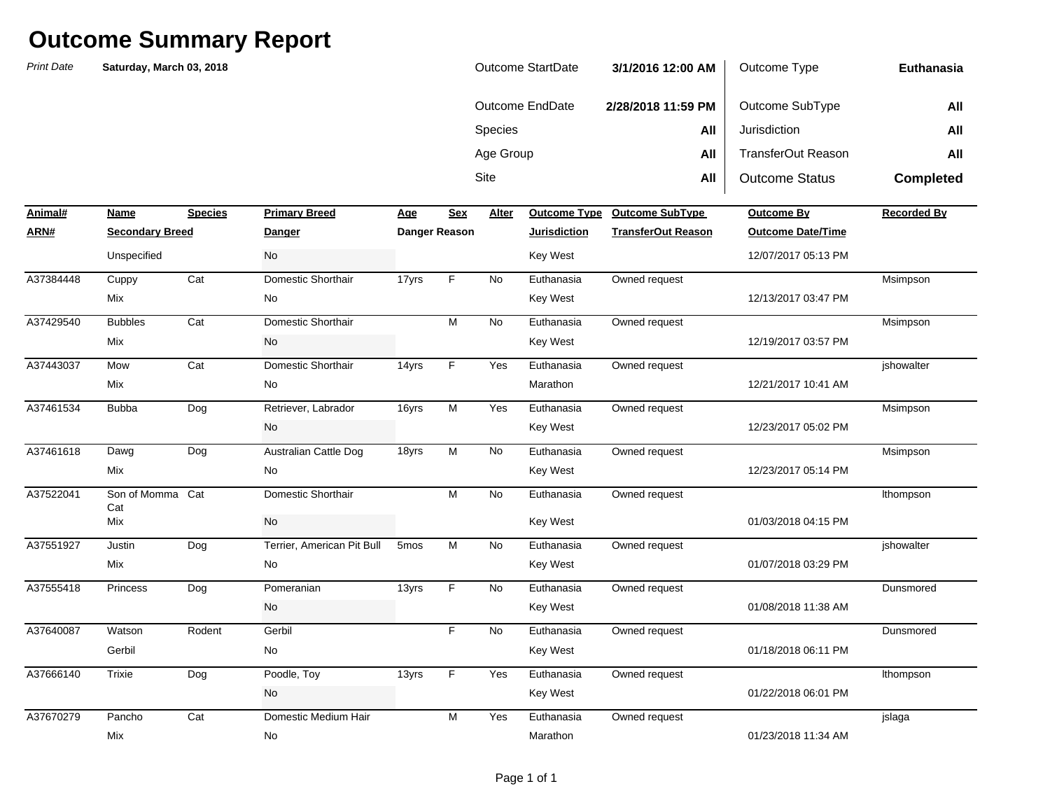| Outcome StartDate | 3/1/2016 12:00 AM  | Outcome Type              | Euthanasia       |
|-------------------|--------------------|---------------------------|------------------|
| Outcome EndDate   | 2/28/2018 11:59 PM | Outcome SubType           | All              |
| <b>Species</b>    | All                | Jurisdiction              | All              |
| Age Group         | All                | <b>TransferOut Reason</b> | All              |
| Site              | All                | <b>Outcome Status</b>     | <b>Completed</b> |

| Animal#   | Name                   | <b>Species</b> | <b>Primary Breed</b>       | <u>Age</u>       | <b>Sex</b>    | Alter     | Outcome Type        | <b>Outcome SubType</b>    | Outcome By               | <b>Recorded By</b> |
|-----------|------------------------|----------------|----------------------------|------------------|---------------|-----------|---------------------|---------------------------|--------------------------|--------------------|
| ARN#      | <b>Secondary Breed</b> |                | <b>Danger</b>              |                  | Danger Reason |           | <b>Jurisdiction</b> | <b>TransferOut Reason</b> | <b>Outcome Date/Time</b> |                    |
|           | Unspecified            |                | No                         |                  |               |           | <b>Key West</b>     |                           | 12/07/2017 05:13 PM      |                    |
| A37384448 | Cuppy                  | Cat            | Domestic Shorthair         | 17yrs            | F.            | <b>No</b> | Euthanasia          | Owned request             |                          | Msimpson           |
|           | Mix                    |                | No                         |                  |               |           | Key West            |                           | 12/13/2017 03:47 PM      |                    |
| A37429540 | <b>Bubbles</b>         | Cat            | Domestic Shorthair         |                  | M             | <b>No</b> | Euthanasia          | Owned request             |                          | Msimpson           |
|           | Mix                    |                | No                         |                  |               |           | <b>Key West</b>     |                           | 12/19/2017 03:57 PM      |                    |
| A37443037 | Mow                    | Cat            | Domestic Shorthair         | 14yrs            | F             | Yes       | Euthanasia          | Owned request             |                          | jshowalter         |
|           | Mix                    |                | No                         |                  |               |           | Marathon            |                           | 12/21/2017 10:41 AM      |                    |
| A37461534 | <b>Bubba</b>           | Dog            | Retriever, Labrador        | 16yrs            | M             | Yes       | Euthanasia          | Owned request             |                          | Msimpson           |
|           |                        |                | No                         |                  |               |           | <b>Key West</b>     |                           | 12/23/2017 05:02 PM      |                    |
| A37461618 | Dawg                   | Dog            | Australian Cattle Dog      | 18yrs            | M             | <b>No</b> | Euthanasia          | Owned request             |                          | Msimpson           |
|           | Mix                    |                | No                         |                  |               |           | <b>Key West</b>     |                           | 12/23/2017 05:14 PM      |                    |
| A37522041 | Son of Momma Cat       |                | Domestic Shorthair         |                  | M             | <b>No</b> | Euthanasia          | Owned request             |                          | Ithompson          |
|           | Cat<br>Mix             |                | <b>No</b>                  |                  |               |           | <b>Key West</b>     |                           | 01/03/2018 04:15 PM      |                    |
| A37551927 | Justin                 | Dog            | Terrier, American Pit Bull | 5 <sub>mos</sub> | M             | <b>No</b> | Euthanasia          | Owned request             |                          | jshowalter         |
|           | Mix                    |                | No                         |                  |               |           | Key West            |                           | 01/07/2018 03:29 PM      |                    |
| A37555418 | Princess               | Dog            | Pomeranian                 | 13yrs            | F             | <b>No</b> | Euthanasia          | Owned request             |                          | Dunsmored          |
|           |                        |                | No                         |                  |               |           | <b>Key West</b>     |                           | 01/08/2018 11:38 AM      |                    |
| A37640087 | Watson                 | Rodent         | Gerbil                     |                  | F             | No        | Euthanasia          | Owned request             |                          | Dunsmored          |
|           | Gerbil                 |                | No                         |                  |               |           | Key West            |                           | 01/18/2018 06:11 PM      |                    |
| A37666140 | Trixie                 | Dog            | Poodle, Toy                | 13yrs            | F             | Yes       | Euthanasia          | Owned request             |                          | Ithompson          |
|           |                        |                | No                         |                  |               |           | <b>Key West</b>     |                           | 01/22/2018 06:01 PM      |                    |
| A37670279 | Pancho                 | Cat            | Domestic Medium Hair       |                  | M             | Yes       | Euthanasia          | Owned request             |                          | jslaga             |
|           | Mix                    |                | No                         |                  |               |           | Marathon            |                           | 01/23/2018 11:34 AM      |                    |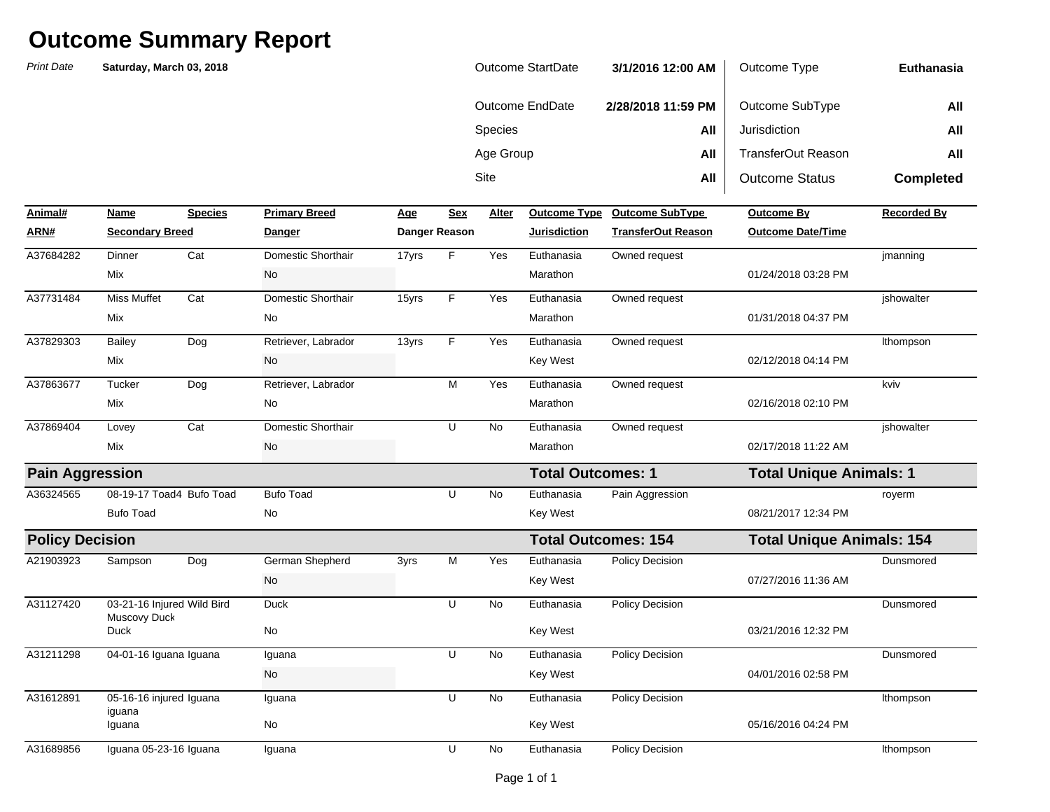| Outcome StartDate | 3/1/2016 12:00 AM  | Outcome Type              | Euthanasia       |
|-------------------|--------------------|---------------------------|------------------|
| Outcome EndDate   | 2/28/2018 11:59 PM | Outcome SubType           | All              |
| <b>Species</b>    | All                | Jurisdiction              | All              |
| Age Group         | All                | <b>TransferOut Reason</b> | All              |
| Site              | All                | <b>Outcome Status</b>     | <b>Completed</b> |

| Animal#                | Name                                       | <b>Species</b> | <b>Primary Breed</b> | Age   | <b>Sex</b>           | Alter     | <b>Outcome Type</b>        | <b>Outcome SubType</b>    | <b>Outcome By</b>                | <b>Recorded By</b> |
|------------------------|--------------------------------------------|----------------|----------------------|-------|----------------------|-----------|----------------------------|---------------------------|----------------------------------|--------------------|
| ARN#                   | <b>Secondary Breed</b>                     |                | Danger               |       | <b>Danger Reason</b> |           | <b>Jurisdiction</b>        | <b>TransferOut Reason</b> | <b>Outcome Date/Time</b>         |                    |
| A37684282              | Dinner                                     | Cat            | Domestic Shorthair   | 17yrs | F.                   | Yes       | Euthanasia                 | Owned request             |                                  | jmanning           |
|                        | <b>Mix</b>                                 |                | No                   |       |                      |           | Marathon                   |                           | 01/24/2018 03:28 PM              |                    |
| A37731484              | <b>Miss Muffet</b>                         | Cat            | Domestic Shorthair   | 15yrs | F                    | Yes       | Euthanasia                 | Owned request             |                                  | jshowalter         |
|                        | <b>Mix</b>                                 |                | <b>No</b>            |       |                      |           | Marathon                   |                           | 01/31/2018 04:37 PM              |                    |
| A37829303              | <b>Bailey</b>                              | Dog            | Retriever, Labrador  | 13yrs | F                    | Yes       | Euthanasia                 | Owned request             |                                  | Ithompson          |
|                        | Mix                                        |                | <b>No</b>            |       |                      |           | Key West                   |                           | 02/12/2018 04:14 PM              |                    |
| A37863677              | Tucker                                     | Dog            | Retriever, Labrador  |       | М                    | Yes       | Euthanasia                 | Owned request             |                                  | kviv               |
|                        | Mix                                        |                | No                   |       |                      |           | Marathon                   |                           | 02/16/2018 02:10 PM              |                    |
| A37869404              | Lovey                                      | Cat            | Domestic Shorthair   |       | U                    | <b>No</b> | Euthanasia                 | Owned request             |                                  | ishowalter         |
|                        | Mix                                        |                | No                   |       |                      |           | Marathon                   |                           | 02/17/2018 11:22 AM              |                    |
| <b>Pain Aggression</b> |                                            |                |                      |       |                      |           | <b>Total Outcomes: 1</b>   |                           | <b>Total Unique Animals: 1</b>   |                    |
| A36324565              | 08-19-17 Toad4 Bufo Toad                   |                | <b>Bufo Toad</b>     |       | U                    | <b>No</b> | Euthanasia                 | Pain Aggression           |                                  | royerm             |
|                        | <b>Bufo Toad</b>                           |                | <b>No</b>            |       |                      |           | Key West                   |                           | 08/21/2017 12:34 PM              |                    |
| <b>Policy Decision</b> |                                            |                |                      |       |                      |           | <b>Total Outcomes: 154</b> |                           | <b>Total Unique Animals: 154</b> |                    |
| A21903923              | Sampson                                    | Dog            | German Shepherd      | 3yrs  | M                    | Yes       | Euthanasia                 | <b>Policy Decision</b>    |                                  | Dunsmored          |
|                        |                                            |                | No                   |       |                      |           | <b>Key West</b>            |                           | 07/27/2016 11:36 AM              |                    |
| A31127420              | 03-21-16 Injured Wild Bird<br>Muscovy Duck |                | Duck                 |       | U                    | <b>No</b> | Euthanasia                 | <b>Policy Decision</b>    |                                  | Dunsmored          |
|                        | <b>Duck</b>                                |                | No                   |       |                      |           | Key West                   |                           | 03/21/2016 12:32 PM              |                    |
| A31211298              | 04-01-16 Iguana Iguana                     |                | Iguana               |       | U                    | No.       | Euthanasia                 | Policy Decision           |                                  | Dunsmored          |
|                        |                                            |                | No                   |       |                      |           | <b>Key West</b>            |                           | 04/01/2016 02:58 PM              |                    |
| A31612891              | 05-16-16 injured Iguana<br>iguana          |                | Iguana               |       | U                    | <b>No</b> | Euthanasia                 | Policy Decision           |                                  | Ithompson          |
|                        | Iguana                                     |                | No                   |       |                      |           | Key West                   |                           | 05/16/2016 04:24 PM              |                    |
| A31689856              | Iguana 05-23-16 Iguana                     |                | Iguana               |       | U                    | No        | Euthanasia                 | Policy Decision           |                                  | Ithompson          |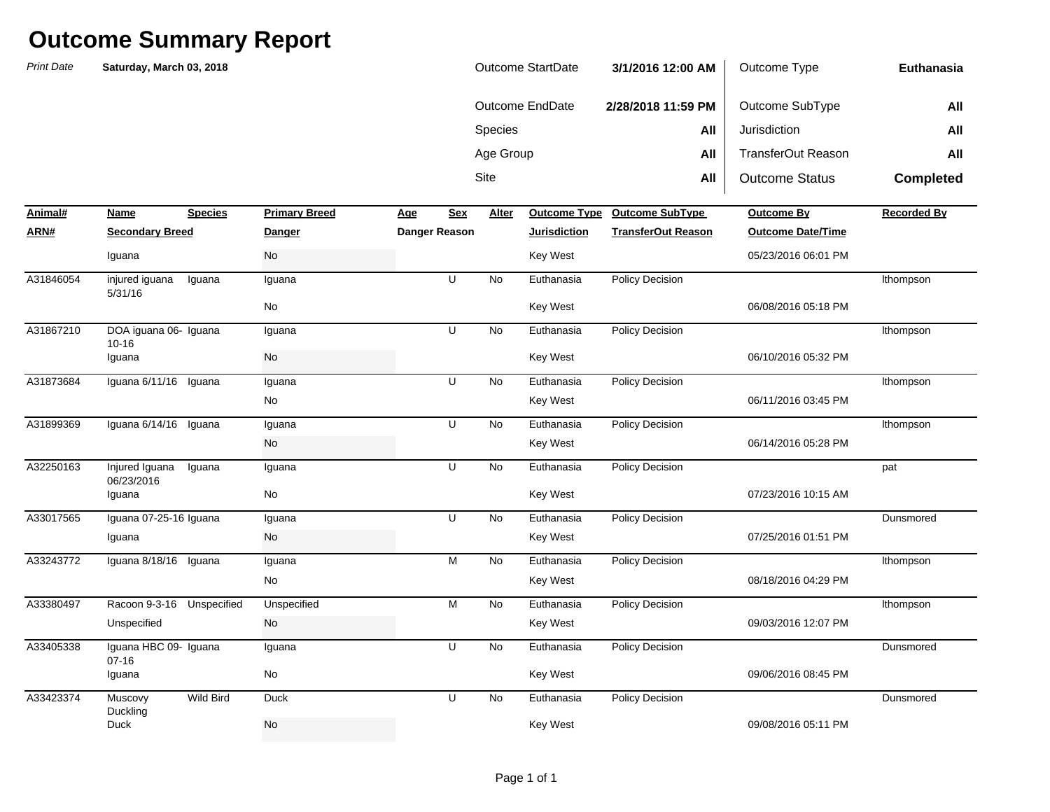*Print Date***NameSpecies Primary Breed Age Age Alter ARN# Secondary Breed Danger Danger Reason Jurisdiction TransferOut Reason Outcome Date/Time** Sitee **All** All | Outcome Status **Completed Animal#Profilled Primary Breedome SubType Outcome By Recorded By Recorded By** Species **All** Jurisdiction **All** Age Group **All** TransferOut Reason **All Euthanasia**Outcome EndDate **2/28/2018 11:59 PM** Outcome SubType **All Saturday, March 03, 2018** Outcome StartDate **3/1/2016 12:00 AM** Outcome Type injured iguana 5/31/16Iguana Iguana Iguana U No A31867210 DOA iguana 06- Iguana Iguana U No Euthanasia Policy Decision Ithompson 10-16Iguana No A31873684 Iguana 6/11/16 Iguana Iguana U No Euthanasia Policy Decision Ithompson Iguana 6/14/16 Iguana No A31899369 Iguana U Euthanasia Policy Decision lthompson Injured Iguana 06/23/2016Iguana No A33017565 Iguana 07-25-16 Iguana Iguana U No Euthanasia Policy Decision Dunsmored Iguana 8/18/16 Iguana No A33243772 Iguana M Euthanasia Policy Decision lthompson A33380497 Racoon 9-3-16 Unspecified Unspecified M No Euthanasia Policy Decision tthompson A33405338 Iguana HBC 09- Iguana Iguana U No Euthanasia Policy Decision 07-16Iguana No **Muscovy** Duckling Wild Bird Duck U No Duck No Key West 09/08/2016 05:11 PM 09/06/2016 08:45 PMA33423374 Muscovy Wild Bird Duck U No Euthanasia Policy Decision Dunsmored Iguana No Key West 09/03/2016 12:07 PMUnspecified No No Reverse Reverse Reverse Reverse Reverse Reverse Reverse Reverse Reverse Reverse Reverse Reve 08/18/2016 04:29 PMNo Key West 07/25/2016 01:51 PMIguana No Key West 07/23/2016 10:15 AMIguana No Key West 06/14/2016 05:28 PMA32250163 Injured Iguana Iguana Iguana U No Euthanasia Policy Decision No Key West 06/11/2016 03:45 PMNo Key West 06/10/2016 05:32 PMIguana No Key West 06/08/2016 05:18 PMNo Key West 05/23/2016 06:01 PMA31846054 Iguana U Euthanasia Policy Decision lthompson Iguana No Key West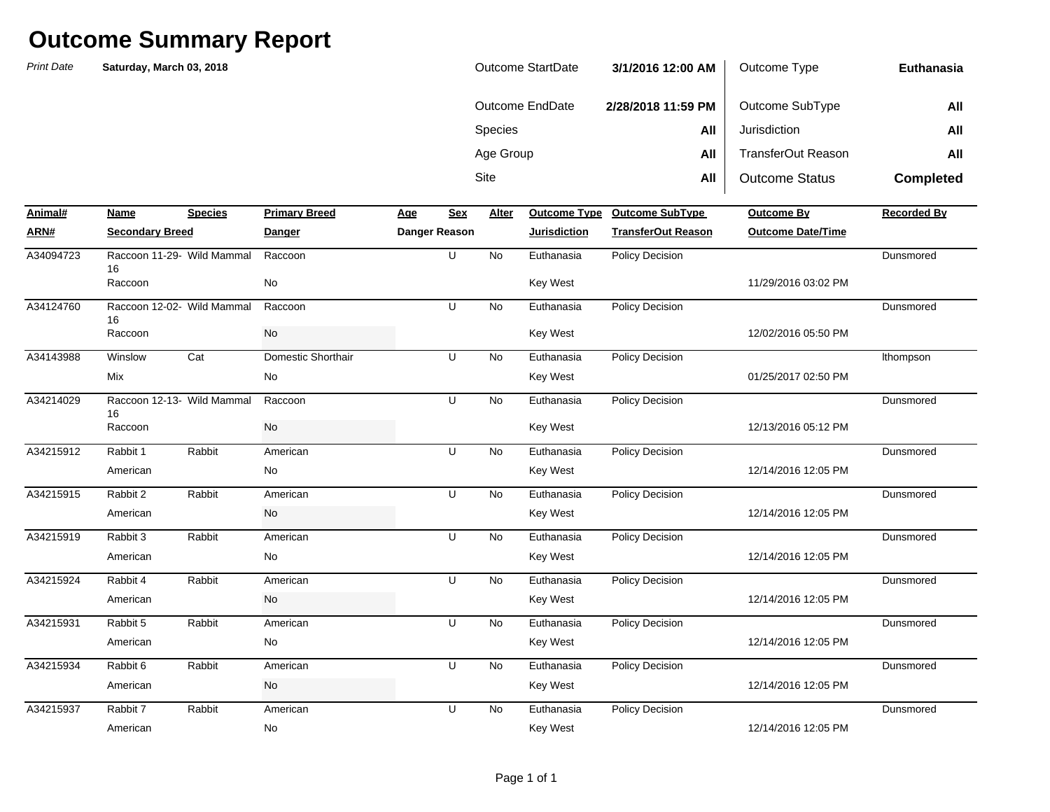*Print Date***NameSpecies Primary Breed Age Age Alter ARN# Secondary Breed Danger Danger Reason Jurisdiction TransferOut Reason Outcome Date/Time** Sitee **All** All | Outcome Status **Completed Animal#Profilled Primary Breedome SubType Outcome By Recorded By Recorded By** Species **All** Jurisdiction **All** Age Group **All** TransferOut Reason **All Euthanasia**Outcome EndDate **2/28/2018 11:59 PM** Outcome SubType **All Saturday, March 03, 2018** Outcome StartDate **3/1/2016 12:00 AM** Outcome Type A34094723 Raccoon 11-29- Wild Mammal Raccoon the Same Communication U No Euthanasia Policy Decision the Same Dunsmored 16A34124760 Raccoon 12-02- Wild Mammal Raccoon Naccoon U No Euthanasia Policy Decision National Dunsmored Dunsmored 16Winslow Cat Domestic Shorthair U No A34214029 Raccoon 12-13- Wild Mammal Raccoon National Recomment U No Euthanasia Policy Decision National Dunsmored 16Rabbit 1 Rabbit American 1 U No Rabbit 2 Rabbit American COM U No Rabbit 3 Rabbit American 10 No Rabbit 4 Rabbit American 10 No Rabbit 5 Rabbit American 1. U No Rabbit 6 Rabbit American 10 No Rabbit 7 Rabbit American 10 No American No Key West 12/14/2016 12:05 PM 12/14/2016 12:05 PMA34215937 Rabbit 7 Rabbit American U No Euthanasia Policy Decision Dansmored American No Key West 12/14/2016 12:05 PMA34215934 Rabbit 6 Rabbit American U No Euthanasia Policy Decision Dansmored American No Key West 12/14/2016 12:05 PMA34215931 Rabbit 5 Rabbit American U No Euthanasia Policy Decision Dansmored American No Key West 12/14/2016 12:05 PMA34215924 Rabbit 4 Rabbit American U No Euthanasia Policy Decision Dunsmored American No Key West 12/14/2016 12:05 PMA34215919 Rabbit 3 Rabbit American U No Euthanasia Policy Decision Dansmored American No Key West 12/14/2016 12:05 PMA34215915 Rabbit 2 Rabbit American U No Euthanasia Policy Decision Dansmored American No Key West 12/13/2016 05:12 PMA34215912 Rabbit Rabbit American U No Euthanasia Policy Decision Dunsmored Raccoon No Key West 01/25/2017 02:50 PMMix No Key West 12/02/2016 05:50 PMA34143988 Winslow Cat Domestic Shorthair U No Euthanasia Policy Decision Ithompson Raccoon No Key West 11/29/2016 03:02 PMRaccoon No Key West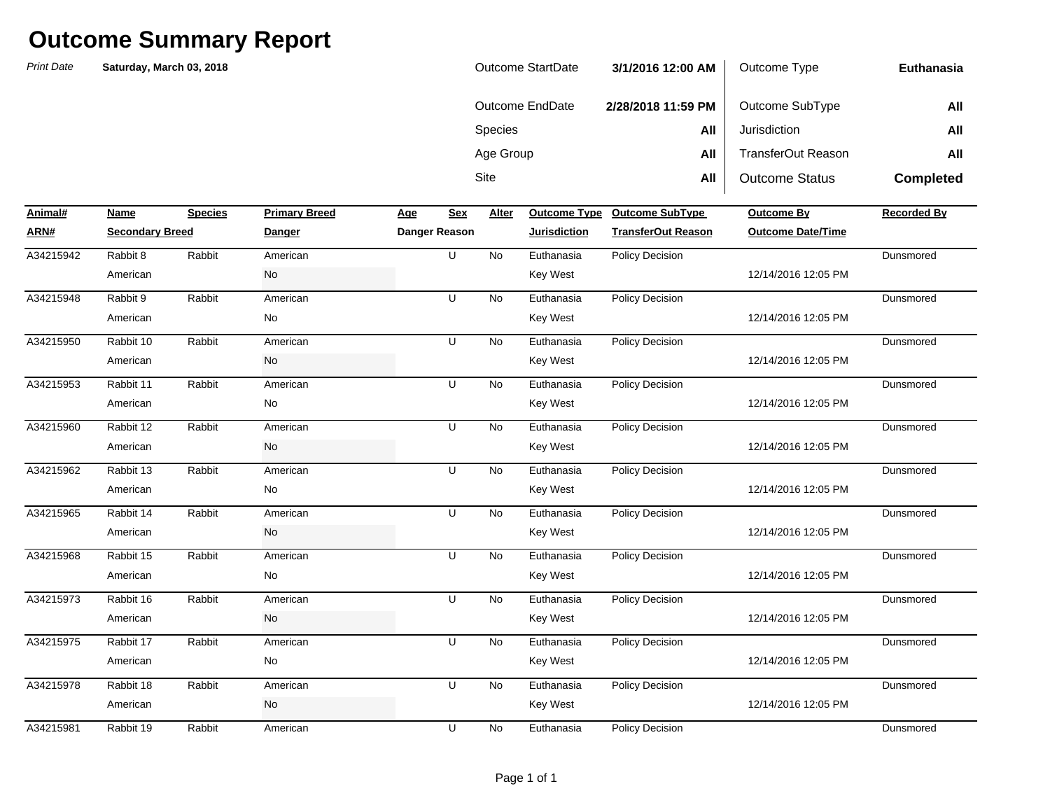| <b>Outcome StartDate</b> | 3/1/2016 12:00 AM  | Outcome Type          | Euthanasia       |
|--------------------------|--------------------|-----------------------|------------------|
| Outcome EndDate          | 2/28/2018 11:59 PM | Outcome SubType       | All              |
| <b>Species</b>           | All                | Jurisdiction          | All              |
| Age Group                | All                | TransferOut Reason    | All              |
| Site                     | All                | <b>Outcome Status</b> | <b>Completed</b> |

| Animal#   | Name                   | <b>Species</b> | <b>Primary Breed</b> | <b>Age</b> | <b>Sex</b>    | Alter     |                     | Outcome Type Outcome SubType | <b>Outcome By</b>        | <b>Recorded By</b> |
|-----------|------------------------|----------------|----------------------|------------|---------------|-----------|---------------------|------------------------------|--------------------------|--------------------|
| ARN#      | <b>Secondary Breed</b> |                | Danger               |            | Danger Reason |           | <b>Jurisdiction</b> | <b>TransferOut Reason</b>    | <b>Outcome Date/Time</b> |                    |
| A34215942 | Rabbit 8               | Rabbit         | American             |            | U             | <b>No</b> | Euthanasia          | <b>Policy Decision</b>       |                          | Dunsmored          |
|           | American               |                | No                   |            |               |           | Key West            |                              | 12/14/2016 12:05 PM      |                    |
| A34215948 | Rabbit 9               | Rabbit         | American             |            | U             | No        | Euthanasia          | <b>Policy Decision</b>       |                          | Dunsmored          |
|           | American               |                | No                   |            |               |           | <b>Key West</b>     |                              | 12/14/2016 12:05 PM      |                    |
| A34215950 | Rabbit 10              | Rabbit         | American             |            | U             | No        | Euthanasia          | <b>Policy Decision</b>       |                          | Dunsmored          |
|           | American               |                | No                   |            |               |           | Key West            |                              | 12/14/2016 12:05 PM      |                    |
| A34215953 | Rabbit 11              | Rabbit         | American             |            | U             | No        | Euthanasia          | Policy Decision              |                          | Dunsmored          |
|           | American               |                | No                   |            |               |           | Key West            |                              | 12/14/2016 12:05 PM      |                    |
| A34215960 | Rabbit 12              | Rabbit         | American             |            | U             | No        | Euthanasia          | Policy Decision              |                          | Dunsmored          |
|           | American               |                | No                   |            |               |           | <b>Key West</b>     |                              | 12/14/2016 12:05 PM      |                    |
| A34215962 | Rabbit 13              | Rabbit         | American             |            | U             | No        | Euthanasia          | Policy Decision              |                          | Dunsmored          |
|           | American               |                | No                   |            |               |           | Key West            |                              | 12/14/2016 12:05 PM      |                    |
| A34215965 | Rabbit 14              | Rabbit         | American             |            | U             | No        | Euthanasia          | Policy Decision              |                          | Dunsmored          |
|           | American               |                | No                   |            |               |           | Key West            |                              | 12/14/2016 12:05 PM      |                    |
| A34215968 | Rabbit 15              | Rabbit         | American             |            | U             | No        | Euthanasia          | Policy Decision              |                          | Dunsmored          |
|           | American               |                | No                   |            |               |           | <b>Key West</b>     |                              | 12/14/2016 12:05 PM      |                    |
| A34215973 | Rabbit 16              | Rabbit         | American             |            | U             | No        | Euthanasia          | Policy Decision              |                          | Dunsmored          |
|           | American               |                | No                   |            |               |           | <b>Key West</b>     |                              | 12/14/2016 12:05 PM      |                    |
| A34215975 | Rabbit 17              | Rabbit         | American             |            | U             | No        | Euthanasia          | <b>Policy Decision</b>       |                          | Dunsmored          |
|           | American               |                | No                   |            |               |           | Key West            |                              | 12/14/2016 12:05 PM      |                    |
| A34215978 | Rabbit 18              | Rabbit         | American             |            | U             | No        | Euthanasia          | <b>Policy Decision</b>       |                          | Dunsmored          |
|           | American               |                | No                   |            |               |           | <b>Key West</b>     |                              | 12/14/2016 12:05 PM      |                    |
| A34215981 | Rabbit 19              | Rabbit         | American             |            | U             | No        | Euthanasia          | <b>Policy Decision</b>       |                          | Dunsmored          |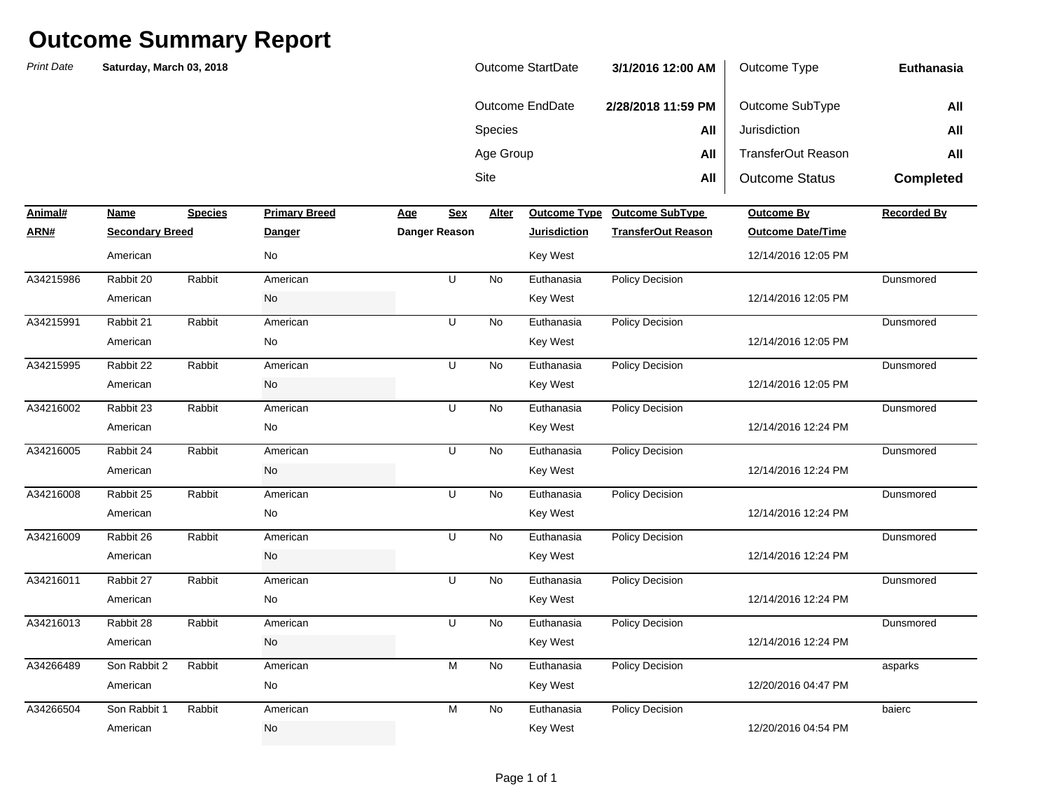*Print Date***NameSpecies Primary Breed Age Age Alter ARN# Secondary Breed Danger Danger Reason Jurisdiction TransferOut Reason Outcome Date/Time** Sitee **All** All | Outcome Status **Completed Animal#Profilled Primary Breedome SubType Outcome By Recorded By Recorded By** Species **All** Jurisdiction **All** Age Group **All** TransferOut Reason **All Euthanasia**Outcome EndDate **2/28/2018 11:59 PM** Outcome SubType **All Saturday, March 03, 2018** Outcome StartDate **3/1/2016 12:00 AM** Outcome Type Rabbit 20 Rabbit American U No Rabbit 21 Rabbit American U No Rabbit 22 Rabbit American U No Rabbit 23 Rabbit American U No Rabbit 24 Rabbit American U No Rabbit 25 Rabbit American Communication U No Rabbit 26 Rabbit American U No Rabbit 27 Rabbit American U No Rabbit 28 Rabbit American U No Son Rabbit 2 Rabbit 2 American 2008 M No Son Rabbit 1 Rabbit American M No American No No Rey West Key West 2/20/2016 04:54 PM 12/20/2016 04:47 PMA34266504 American M Euthanasia Policy Decision baierc American No Key West 12/14/2016 12:24 PMA34266489 American M Euthanasia Policy Decision asparks American No Key West 12/14/2016 12:24 PMA34216013 Rabbit 28 Rabbit American U No Euthanasia Policy Decision Dansmored American No Key West 12/14/2016 12:24 PMA34216011 Rabbit 27 Rabbit American U No Euthanasia Policy Decision Dunsmored American No Key West 12/14/2016 12:24 PMA34216009 Rabbit 26 Rabbit American U No Euthanasia Policy Decision Dansmored American No Key West 12/14/2016 12:24 PMA34216008 Rabbit 25 Rabbit American U No Euthanasia Policy Decision Dansmored American No Key West 12/14/2016 12:24 PMA34216005 Rabbit 24 Rabbit American U No Euthanasia Policy Decision Dunsmored American No Key West 12/14/2016 12:05 PMA34216002 Rabbit 23 Rabbit American U No Euthanasia Policy Decision Dansmored American No Key West 12/14/2016 12:05 PMA34215995 Rabbit 22 Rabbit American U No Euthanasia Policy Decision Dunsmored American No Key West 12/14/2016 12:05 PMA34215991 Rabbit 21 Rabbit American U No Euthanasia Policy Decision Dansmored American No Key West 12/14/2016 12:05 PMA34215986 Rabbit 20 Rabbit American U No Euthanasia Policy Decision Dansmored American No Key West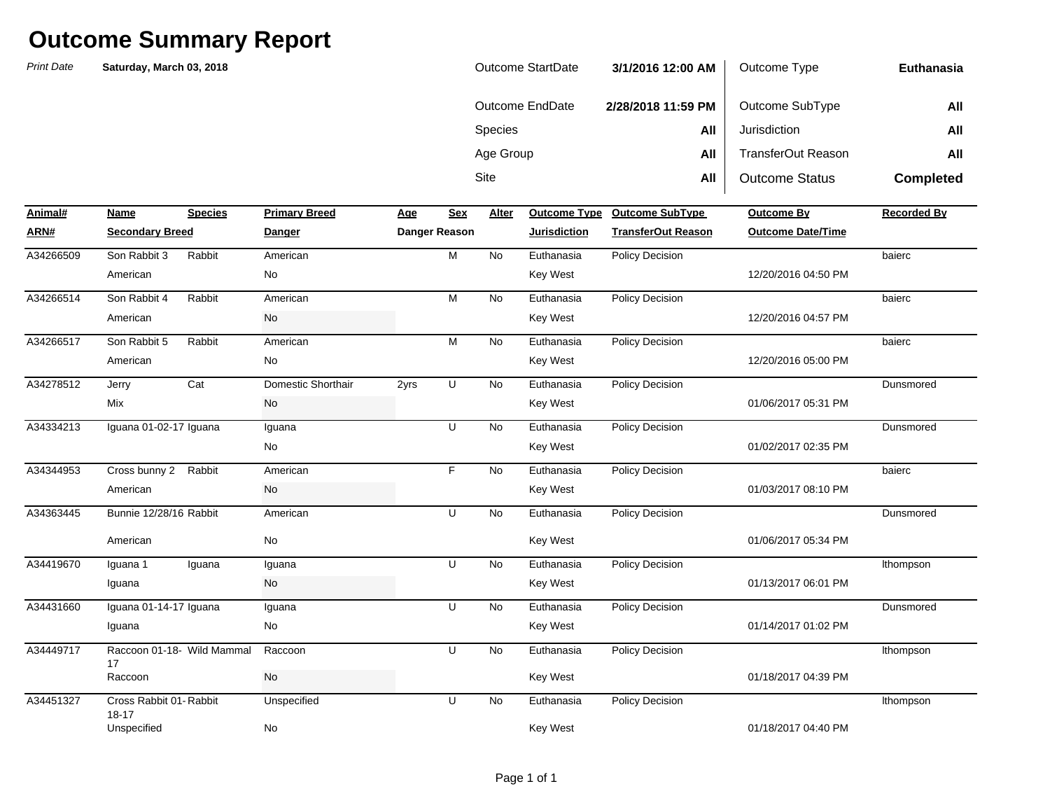| <b>Outcome StartDate</b> | 3/1/2016 12:00 AM  | Outcome Type          | Euthanasia       |
|--------------------------|--------------------|-----------------------|------------------|
| Outcome EndDate          | 2/28/2018 11:59 PM | Outcome SubType       | All              |
| <b>Species</b>           | All                | Jurisdiction          | All              |
| Age Group                | All                | TransferOut Reason    | All              |
| Site                     | All                | <b>Outcome Status</b> | <b>Completed</b> |

| Animal#   | Name                                | <b>Species</b> | <b>Primary Breed</b> | Age  | Sex           | Alter     |                     | Outcome Type Outcome SubType | <b>Outcome By</b>        | <b>Recorded By</b> |
|-----------|-------------------------------------|----------------|----------------------|------|---------------|-----------|---------------------|------------------------------|--------------------------|--------------------|
| ARN#      | <b>Secondary Breed</b>              |                | Danger               |      | Danger Reason |           | <b>Jurisdiction</b> | <b>TransferOut Reason</b>    | <b>Outcome Date/Time</b> |                    |
| A34266509 | Son Rabbit 3                        | Rabbit         | American             |      | M             | <b>No</b> | Euthanasia          | Policy Decision              |                          | baierc             |
|           | American                            |                | No                   |      |               |           | <b>Key West</b>     |                              | 12/20/2016 04:50 PM      |                    |
| A34266514 | Son Rabbit 4                        | Rabbit         | American             |      | M             | No        | Euthanasia          | Policy Decision              |                          | baierc             |
|           | American                            |                | No                   |      |               |           | <b>Key West</b>     |                              | 12/20/2016 04:57 PM      |                    |
| A34266517 | Son Rabbit 5                        | Rabbit         | American             |      | M             | <b>No</b> | Euthanasia          | <b>Policy Decision</b>       |                          | baierc             |
|           | American                            |                | No                   |      |               |           | <b>Key West</b>     |                              | 12/20/2016 05:00 PM      |                    |
| A34278512 | Jerry                               | Cat            | Domestic Shorthair   | 2yrs | U             | No        | Euthanasia          | Policy Decision              |                          | Dunsmored          |
|           | Mix                                 |                | No                   |      |               |           | Key West            |                              | 01/06/2017 05:31 PM      |                    |
| A34334213 | Iguana 01-02-17 Iguana              |                | Iguana               |      | U             | No        | Euthanasia          | Policy Decision              |                          | Dunsmored          |
|           |                                     |                | No                   |      |               |           | Key West            |                              | 01/02/2017 02:35 PM      |                    |
| A34344953 | Cross bunny 2                       | Rabbit         | American             |      | F             | <b>No</b> | Euthanasia          | Policy Decision              |                          | baierc             |
|           | American                            |                | No                   |      |               |           | <b>Key West</b>     |                              | 01/03/2017 08:10 PM      |                    |
| A34363445 | Bunnie 12/28/16 Rabbit              |                | American             |      | U             | No        | Euthanasia          | Policy Decision              |                          | Dunsmored          |
|           | American                            |                | No                   |      |               |           | <b>Key West</b>     |                              | 01/06/2017 05:34 PM      |                    |
| A34419670 | Iguana 1                            | Iguana         | Iguana               |      | U             | <b>No</b> | Euthanasia          | <b>Policy Decision</b>       |                          | Ithompson          |
|           | Iguana                              |                | No                   |      |               |           | <b>Key West</b>     |                              | 01/13/2017 06:01 PM      |                    |
| A34431660 | Iguana 01-14-17 Iguana              |                | Iguana               |      | U             | No        | Euthanasia          | Policy Decision              |                          | Dunsmored          |
|           | Iguana                              |                | No                   |      |               |           | <b>Key West</b>     |                              | 01/14/2017 01:02 PM      |                    |
| A34449717 | Raccoon 01-18- Wild Mammal<br>17    |                | Raccoon              |      | U             | <b>No</b> | Euthanasia          | Policy Decision              |                          | Ithompson          |
|           | Raccoon                             |                | No                   |      |               |           | <b>Key West</b>     |                              | 01/18/2017 04:39 PM      |                    |
| A34451327 | Cross Rabbit 01-Rabbit<br>$18 - 17$ |                | Unspecified          |      | U             | <b>No</b> | Euthanasia          | <b>Policy Decision</b>       |                          | Ithompson          |
|           | Unspecified                         |                | No                   |      |               |           | <b>Key West</b>     |                              | 01/18/2017 04:40 PM      |                    |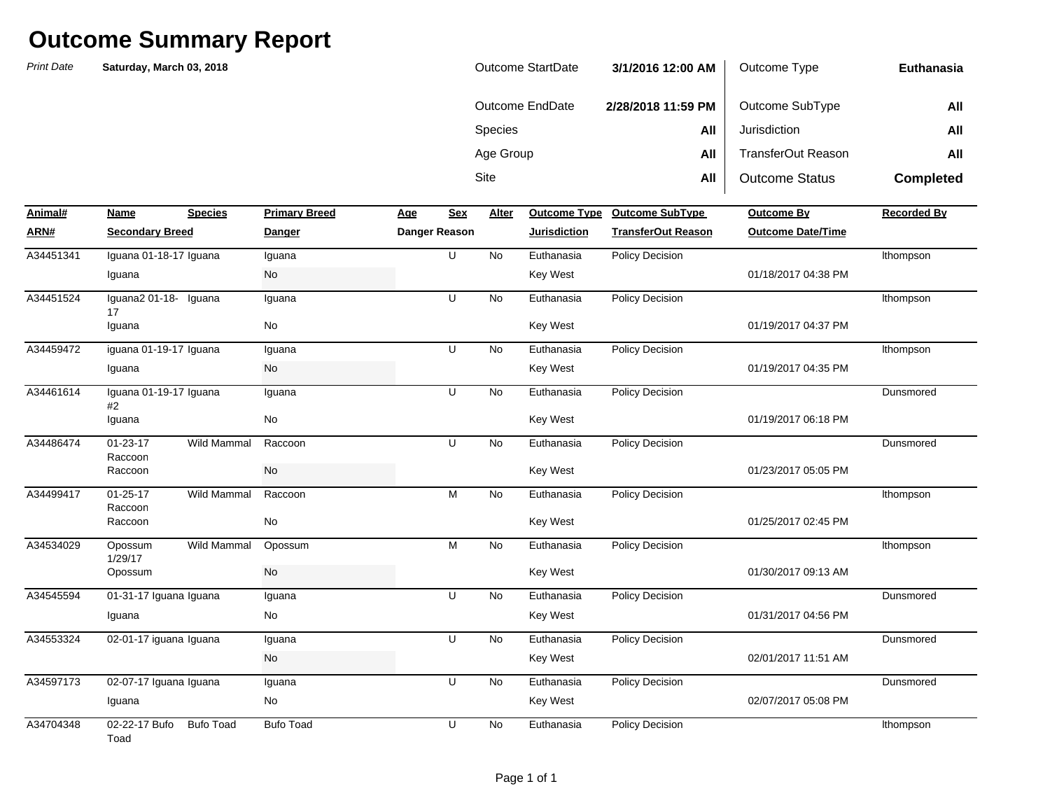| Outcome StartDate | 3/1/2016 12:00 AM  | Outcome Type              | Euthanasia       |
|-------------------|--------------------|---------------------------|------------------|
| Outcome EndDate   | 2/28/2018 11:59 PM | Outcome SubType           | All              |
| <b>Species</b>    | All                | Jurisdiction              | All              |
| Age Group         | All                | <b>TransferOut Reason</b> | All              |
| Site              | All                | <b>Outcome Status</b>     | <b>Completed</b> |

| Animal#   | Name                         | <b>Species</b>         | <b>Primary Breed</b> | <b>Age</b> | Sex           | Alter     | <b>Outcome Type</b> | <b>Outcome SubType</b>    | <b>Outcome By</b>        | <b>Recorded By</b> |
|-----------|------------------------------|------------------------|----------------------|------------|---------------|-----------|---------------------|---------------------------|--------------------------|--------------------|
| ARN#      |                              | <b>Secondary Breed</b> |                      |            | Danger Reason |           | <b>Jurisdiction</b> | <b>TransferOut Reason</b> | <b>Outcome Date/Time</b> |                    |
| A34451341 | Iguana 01-18-17 Iguana       |                        | Iquana               |            | U             | <b>No</b> | Euthanasia          | Policy Decision           |                          | Ithompson          |
|           | Iguana                       |                        | No                   |            |               |           | Key West            |                           | 01/18/2017 04:38 PM      |                    |
| A34451524 | Iquana2 01-18-<br>17         | Iguana                 | Iquana               |            | U             | No        | Euthanasia          | <b>Policy Decision</b>    |                          | Ithompson          |
|           | Iguana                       |                        | No                   |            |               |           | Key West            |                           | 01/19/2017 04:37 PM      |                    |
| A34459472 | iguana 01-19-17 Iguana       |                        | Iguana               |            | U             | <b>No</b> | Euthanasia          | <b>Policy Decision</b>    |                          | Ithompson          |
|           | Iguana                       |                        | No                   |            |               |           | <b>Key West</b>     |                           | 01/19/2017 04:35 PM      |                    |
| A34461614 | Iguana 01-19-17 Iguana<br>#2 |                        | Iguana               |            | U             | <b>No</b> | Euthanasia          | <b>Policy Decision</b>    |                          | Dunsmored          |
|           | Iguana                       |                        | No                   |            |               |           | <b>Key West</b>     |                           | 01/19/2017 06:18 PM      |                    |
| A34486474 | $01 - 23 - 17$<br>Raccoon    | <b>Wild Mammal</b>     | Raccoon              |            | U             | <b>No</b> | Euthanasia          | Policy Decision           |                          | Dunsmored          |
|           | Raccoon                      |                        | <b>No</b>            |            |               |           | Key West            |                           | 01/23/2017 05:05 PM      |                    |
| A34499417 | $01 - 25 - 17$<br>Raccoon    | Wild Mammal            | Raccoon              |            | M             | No        | Euthanasia          | <b>Policy Decision</b>    |                          | Ithompson          |
|           | Raccoon                      |                        | No                   |            |               |           | <b>Key West</b>     |                           | 01/25/2017 02:45 PM      |                    |
| A34534029 | Opossum<br>1/29/17           | Wild Mammal            | Opossum              |            | M             | No        | Euthanasia          | Policy Decision           |                          | Ithompson          |
|           | Opossum                      |                        | No                   |            |               |           | <b>Key West</b>     |                           | 01/30/2017 09:13 AM      |                    |
| A34545594 | 01-31-17 Iguana Iguana       |                        | Iguana               |            | U             | No        | Euthanasia          | <b>Policy Decision</b>    |                          | Dunsmored          |
|           | Iguana                       |                        | No                   |            |               |           | Key West            |                           | 01/31/2017 04:56 PM      |                    |
| A34553324 | 02-01-17 iguana Iguana       |                        | Iguana               |            | U             | No        | Euthanasia          | <b>Policy Decision</b>    |                          | Dunsmored          |
|           |                              |                        | No                   |            |               |           | <b>Key West</b>     |                           | 02/01/2017 11:51 AM      |                    |
| A34597173 | 02-07-17 Iguana Iguana       |                        | Iguana               |            | U             | No        | Euthanasia          | <b>Policy Decision</b>    |                          | Dunsmored          |
|           | Iguana                       |                        | No                   |            |               |           | <b>Key West</b>     |                           | 02/07/2017 05:08 PM      |                    |
| A34704348 | 02-22-17 Bufo<br>Toad        | <b>Bufo Toad</b>       | <b>Bufo Toad</b>     |            | U             | No        | Euthanasia          | <b>Policy Decision</b>    |                          | Ithompson          |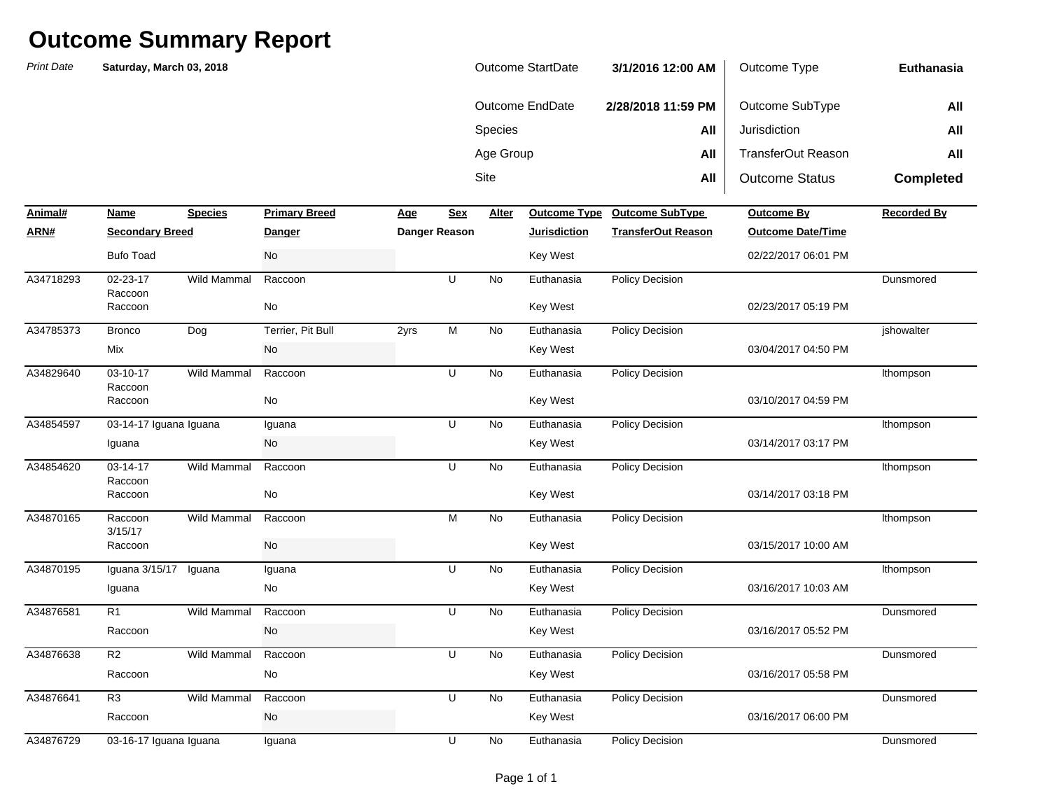*Print Date***NameSpecies Primary Breed Age Age Alter ARN# Secondary Breed Danger Danger Reason Jurisdiction TransferOut Reason Outcome Date/Time** Sitee **All** All | Outcome Status **Completed Animal#Profilled Primary Breedome SubType Outcome By Recorded By Recorded By** Species **All** Jurisdiction **All** Age Group **All** TransferOut Reason **All Euthanasia**Outcome EndDate **2/28/2018 11:59 PM** Outcome SubType **All Saturday, March 03, 2018** Outcome StartDate **3/1/2016 12:00 AM** Outcome Type 02-23-17 RaccoonWild Mammal Raccoon U No Bronco Dog Terrier, Pit Bull 2yrs M No 03-10-17 RaccoonWild Mammal Raccoon U No A34854597 03-14-17 Iguana Iguana Iguana U No Euthanasia Policy Decision Ithompson 03-14-17 RaccoonWild Mammal Raccoon U No Raccoon 3/15/17Wild Mammal Raccoon M No Iguana 3/15/17 Iguana Iguana No R1 Wild Mammal Raccoon U No R2 Wild Mammal Raccoon U No R3 Wild Mammal Raccoon U No A34876729 03-16-17 Iguana Iguana Iguana U No Euthanasia Policy Decision Dunsmored 03/16/2017 06:00 PMRaccoon No Key West 03/16/2017 05:58 PMA34876641 R3 Wild Mammal Raccoon U No Euthanasia Policy Decision Dunsmored Raccoon No Key West 03/16/2017 05:52 PMA34876638 R2 Wild Mammal Raccoon U No Euthanasia Policy Decision Dunsmored Raccoon No Key West 03/16/2017 10:03 AMA34876581 R1 Wild Mammal Raccoon U No Euthanasia Policy Decision Dunsmored Iguana No Key West 03/15/2017 10:00 AMA34870195 Iguana U Euthanasia Policy Decision lthompson Raccoon No Key West 03/14/2017 03:18 PMA34870165 Raccoon M Euthanasia Policy Decision lthompson Raccoon No Key West 03/14/2017 03:17 PMA34854620 03-14-17 Wild Mammal Raccoon U No Euthanasia Policy Decision tthompson Iguana No Key West 03/10/2017 04:59 PMRaccoon No Key West 03/04/2017 04:50 PMA34829640 Raccoon U Euthanasia Policy Decision lthompson Mix No Key West 02/23/2017 05:19 PMA34785373 Terrier, Pit Bull M Euthanasia Policy Decision jshowalter Raccoon No Key West 02/22/2017 06:01 PMA34718293 02-23-17 Wild Mammal Raccoon U No Euthanasia Policy Decision Dunsmored Bufo Toad No Key West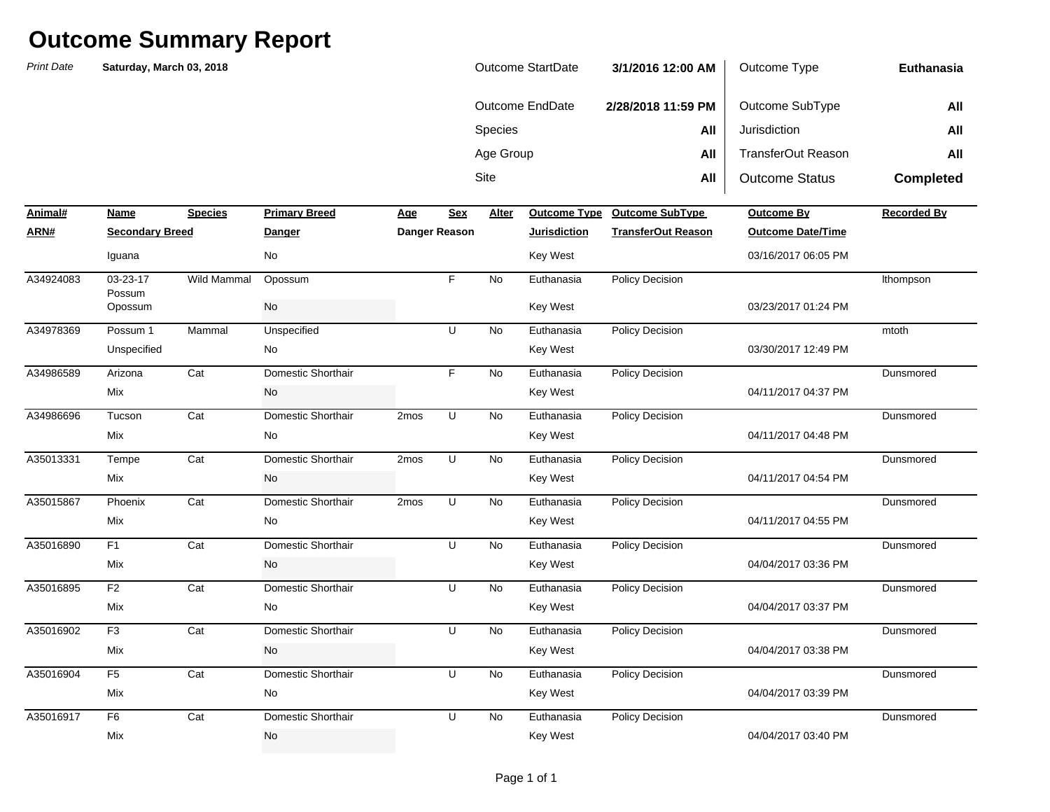*Print Date* **NameSpecies Primary Breed Age Age Alter ARN# Secondary Breed Danger Danger Reason Jurisdiction TransferOut Reason Outcome Date/Time** Sitee **All** All **Outcome Status Completed Animal#Primary Breedom Breedom Breedom Breedom Breeda By Recorded By Recorded By Species All** Jurisdiction **All All All All** Age Group **All** TransferOut Reason **All Euthanasia**Outcome EndDate **2/28/2018 11:59 PM** Outcome SubType **All Saturday, March 03, 2018** Outcome StartDate **3/1/2016 12:00 AM** Outcome Type 03-23-17 PossumWild Mammal Opossum F No Possum 1 Mammal Unspecified U No Arizona Cat Domestic Shorthair F No Tucson Cat Domestic Shorthair 2mos U No Tempe Cat Domestic Shorthair 2mos U No Phoenix Cat Domestic Shorthair 2mos U  $\overline{N}$ F1 Cat Domestic Shorthair U No 04/04/2017 03:36 PMMix No Key West 04/11/2017 04:55 PMA35016890 F1 Cat Domestic Shorthair U No Euthanasia Policy Decision Mix No Key West 04/11/2017 04:54 PMA35015867 Domestic Shorthair U Euthanasia Policy Decision Dunsmored Mix No Key West 04/11/2017 04:48 PMA35013331 Domestic Shorthair U Euthanasia Policy Decision Dunsmored Mix No No Rey West 04/11/2017 04:37 PMA34986696 Tucson Cat Domestic Shorthair 2mos U No Euthanasia Policy Decision Dunsmored Mix No Key West 03/30/2017 12:49 PMA34986589 Domestic Shorthair F Euthanasia Policy Decision Dunsmored Unspecified No No No Key West 03/23/2017 01:24 PMA34978369 Possum 1 Mammal Unspecified U No Euthanasia Policy Decision mtoth Opossum No Key West 03/16/2017 06:05 PMA34924083 03-23-17 Wild Mammal Opossum F No Euthanasia Policy Decision tthompson Iguana No Key West

| A35016895 | F2             | Cat | Domestic Shorthair | U | No. | Euthanasia | <b>Policy Decision</b> |                     | Dunsmored |
|-----------|----------------|-----|--------------------|---|-----|------------|------------------------|---------------------|-----------|
|           | Mix            |     | No                 |   |     | Key West   |                        | 04/04/2017 03:37 PM |           |
| A35016902 | F <sub>3</sub> | Cat | Domestic Shorthair | U | No. | Euthanasia | <b>Policy Decision</b> |                     | Dunsmored |
|           | Mix            |     | No                 |   |     | Key West   |                        | 04/04/2017 03:38 PM |           |
| A35016904 | F <sub>5</sub> | Cat | Domestic Shorthair | U | No. | Euthanasia | <b>Policy Decision</b> |                     | Dunsmored |
|           | Mix            |     | No                 |   |     | Key West   |                        | 04/04/2017 03:39 PM |           |
| A35016917 | F <sub>6</sub> | Cat | Domestic Shorthair | U | No. | Euthanasia | <b>Policy Decision</b> |                     | Dunsmored |
|           | Mix            |     | No                 |   |     | Key West   |                        | 04/04/2017 03:40 PM |           |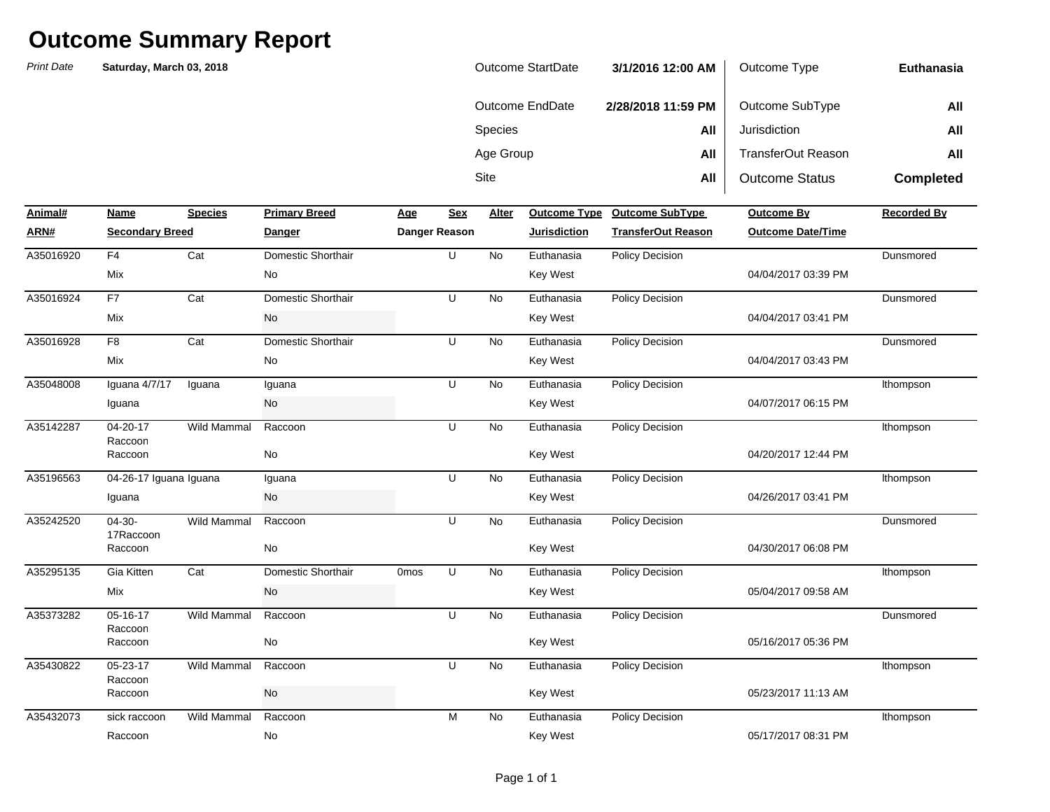| Outcome StartDate | 3/1/2016 12:00 AM  | Outcome Type          | <b>Euthanasia</b> |
|-------------------|--------------------|-----------------------|-------------------|
| Outcome EndDate   | 2/28/2018 11:59 PM | Outcome SubType       | All               |
| <b>Species</b>    | All                | Jurisdiction          | All               |
| Age Group         | All                | TransferOut Reason    | All               |
| <b>Site</b>       | All                | <b>Outcome Status</b> | <b>Completed</b>  |

| Animal#   | Name                   | <b>Species</b>     | <b>Primary Breed</b> | <u>Age</u>  | <b>Sex</b>           | Alter     | <b>Outcome Type</b> | <b>Outcome SubType</b>    | <b>Outcome By</b>        | <b>Recorded By</b> |
|-----------|------------------------|--------------------|----------------------|-------------|----------------------|-----------|---------------------|---------------------------|--------------------------|--------------------|
| ARN#      | <b>Secondary Breed</b> |                    | <b>Danger</b>        |             | <b>Danger Reason</b> |           | <b>Jurisdiction</b> | <b>TransferOut Reason</b> | <b>Outcome Date/Time</b> |                    |
| A35016920 | F <sub>4</sub>         | Cat                | Domestic Shorthair   |             | U                    | No        | Euthanasia          | Policy Decision           |                          | Dunsmored          |
|           | Mix                    |                    | No                   |             |                      |           | Key West            |                           | 04/04/2017 03:39 PM      |                    |
| A35016924 | F7                     | Cat                | Domestic Shorthair   |             | U                    | No        | Euthanasia          | Policy Decision           |                          | Dunsmored          |
|           | Mix                    |                    | No                   |             |                      |           | Key West            |                           | 04/04/2017 03:41 PM      |                    |
| A35016928 | F <sub>8</sub>         | Cat                | Domestic Shorthair   |             | U                    | No        | Euthanasia          | <b>Policy Decision</b>    |                          | Dunsmored          |
|           | Mix                    |                    | No                   |             |                      |           | Key West            |                           | 04/04/2017 03:43 PM      |                    |
| A35048008 | Iguana 4/7/17          | Iguana             | Iguana               |             | U                    | No        | Euthanasia          | <b>Policy Decision</b>    |                          | Ithompson          |
|           | Iguana                 |                    | No                   |             |                      |           | <b>Key West</b>     |                           | 04/07/2017 06:15 PM      |                    |
| A35142287 | 04-20-17               | <b>Wild Mammal</b> | Raccoon              |             | U                    | <b>No</b> | Euthanasia          | Policy Decision           |                          | Ithompson          |
|           | Raccoon<br>Raccoon     |                    | No                   |             |                      |           | <b>Key West</b>     |                           | 04/20/2017 12:44 PM      |                    |
| A35196563 | 04-26-17 Iguana Iguana |                    | Iguana               |             | U                    | <b>No</b> | Euthanasia          | Policy Decision           |                          | Ithompson          |
|           | Iguana                 |                    | No                   |             |                      |           | <b>Key West</b>     |                           | 04/26/2017 03:41 PM      |                    |
| A35242520 | $04-30-$<br>17Raccoon  | Wild Mammal        | Raccoon              |             | U                    | <b>No</b> | Euthanasia          | Policy Decision           |                          | Dunsmored          |
|           | Raccoon                |                    | No                   |             |                      |           | Key West            |                           | 04/30/2017 06:08 PM      |                    |
| A35295135 | Gia Kitten             | Cat                | Domestic Shorthair   | <b>Omos</b> | U                    | No        | Euthanasia          | Policy Decision           |                          | Ithompson          |
|           | Mix                    |                    | No                   |             |                      |           | Key West            |                           | 05/04/2017 09:58 AM      |                    |
| A35373282 | 05-16-17<br>Raccoon    | <b>Wild Mammal</b> | Raccoon              |             | U                    | <b>No</b> | Euthanasia          | Policy Decision           |                          | Dunsmored          |
|           | Raccoon                |                    | No                   |             |                      |           | <b>Key West</b>     |                           | 05/16/2017 05:36 PM      |                    |
| A35430822 | 05-23-17               | Wild Mammal        | Raccoon              |             | U                    | No        | Euthanasia          | Policy Decision           |                          | Ithompson          |
|           | Raccoon<br>Raccoon     |                    | No                   |             |                      |           | Key West            |                           | 05/23/2017 11:13 AM      |                    |
| A35432073 | sick raccoon           | <b>Wild Mammal</b> | Raccoon              |             | M                    | <b>No</b> | Euthanasia          | <b>Policy Decision</b>    |                          | Ithompson          |
|           | Raccoon                |                    | No                   |             |                      |           | <b>Key West</b>     |                           | 05/17/2017 08:31 PM      |                    |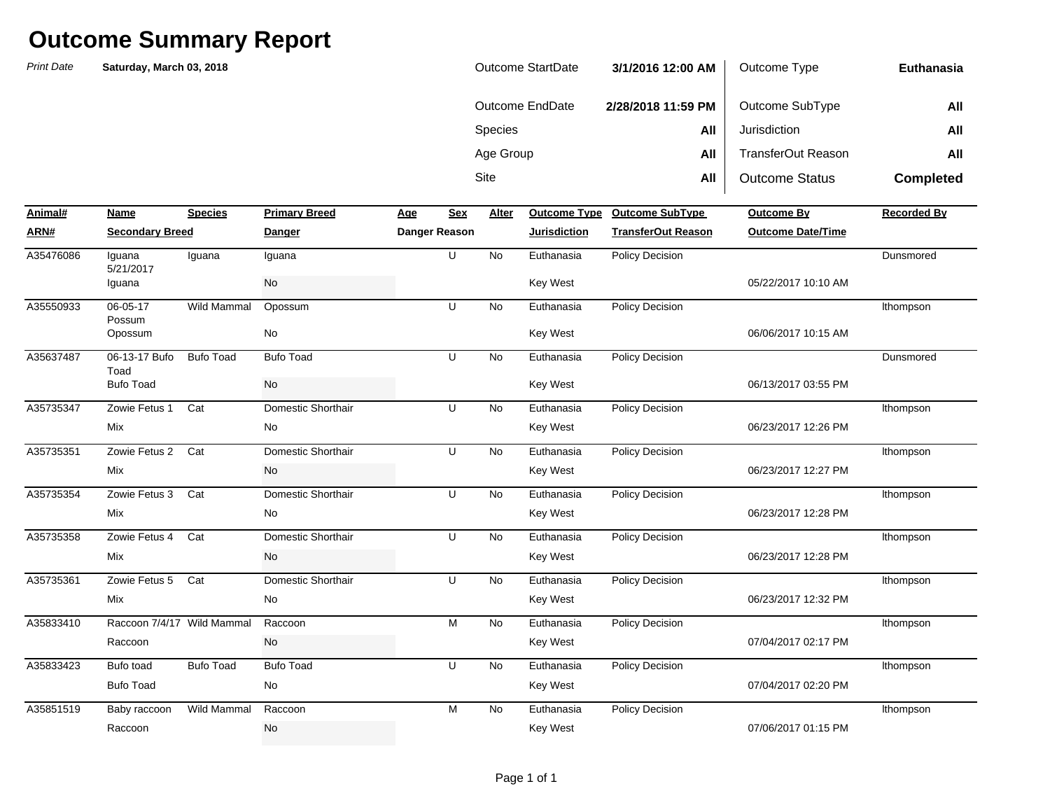| Outcome StartDate | 3/1/2016 12:00 AM  | Outcome Type          | Euthanasia       |
|-------------------|--------------------|-----------------------|------------------|
| Outcome EndDate   | 2/28/2018 11:59 PM | Outcome SubType       | All              |
| Species           | All                | Jurisdiction          | All              |
| Age Group         | All                | TransferOut Reason    | All              |
| Site              | All                | <b>Outcome Status</b> | <b>Completed</b> |

| Animal#   | Name                       | <b>Species</b>   | <b>Primary Breed</b> | Age | Sex                  | Alter     |                     | Outcome Type Outcome SubType | <b>Outcome By</b>        | <b>Recorded By</b> |
|-----------|----------------------------|------------------|----------------------|-----|----------------------|-----------|---------------------|------------------------------|--------------------------|--------------------|
| ARN#      | <b>Secondary Breed</b>     |                  | <b>Danger</b>        |     | <b>Danger Reason</b> |           | <b>Jurisdiction</b> | <b>TransferOut Reason</b>    | <b>Outcome Date/Time</b> |                    |
| A35476086 | Iguana<br>5/21/2017        | Iguana           | Iguana               |     | U                    | <b>No</b> | Euthanasia          | Policy Decision              |                          | Dunsmored          |
|           | Iguana                     |                  | No                   |     |                      |           | <b>Key West</b>     |                              | 05/22/2017 10:10 AM      |                    |
| A35550933 | 06-05-17<br>Possum         | Wild Mammal      | Opossum              |     | U                    | No        | Euthanasia          | Policy Decision              |                          | Ithompson          |
|           | Opossum                    |                  | No                   |     |                      |           | <b>Key West</b>     |                              | 06/06/2017 10:15 AM      |                    |
| A35637487 | 06-13-17 Bufo<br>Toad      | <b>Bufo Toad</b> | <b>Bufo Toad</b>     |     | U                    | No        | Euthanasia          | Policy Decision              |                          | Dunsmored          |
|           | <b>Bufo Toad</b>           |                  | No                   |     |                      |           | <b>Key West</b>     |                              | 06/13/2017 03:55 PM      |                    |
| A35735347 | Zowie Fetus 1              | Cat              | Domestic Shorthair   |     | U                    | <b>No</b> | Euthanasia          | <b>Policy Decision</b>       |                          | Ithompson          |
|           | Mix                        |                  | No                   |     |                      |           | Key West            |                              | 06/23/2017 12:26 PM      |                    |
| A35735351 | Zowie Fetus 2              | Cat              | Domestic Shorthair   |     | U                    | <b>No</b> | Euthanasia          | <b>Policy Decision</b>       |                          | Ithompson          |
|           | <b>Mix</b>                 |                  | No                   |     |                      |           | <b>Key West</b>     |                              | 06/23/2017 12:27 PM      |                    |
| A35735354 | Zowie Fetus 3              | Cat              | Domestic Shorthair   |     | U                    | <b>No</b> | Euthanasia          | Policy Decision              |                          | Ithompson          |
|           | Mix                        |                  | No                   |     |                      |           | <b>Key West</b>     |                              | 06/23/2017 12:28 PM      |                    |
| A35735358 | Zowie Fetus 4              | Cat              | Domestic Shorthair   |     | U                    | No        | Euthanasia          | Policy Decision              |                          | Ithompson          |
|           | <b>Mix</b>                 |                  | <b>No</b>            |     |                      |           | Key West            |                              | 06/23/2017 12:28 PM      |                    |
| A35735361 | Zowie Fetus 5              | Cat              | Domestic Shorthair   |     | U                    | No        | Euthanasia          | Policy Decision              |                          | Ithompson          |
|           | Mix                        |                  | No                   |     |                      |           | Key West            |                              | 06/23/2017 12:32 PM      |                    |
| A35833410 | Raccoon 7/4/17 Wild Mammal |                  | Raccoon              |     | M                    | <b>No</b> | Euthanasia          | <b>Policy Decision</b>       |                          | Ithompson          |
|           | Raccoon                    |                  | No                   |     |                      |           | Key West            |                              | 07/04/2017 02:17 PM      |                    |
| A35833423 | Bufo toad                  | <b>Bufo Toad</b> | <b>Bufo Toad</b>     |     | U                    | <b>No</b> | Euthanasia          | <b>Policy Decision</b>       |                          | Ithompson          |
|           | <b>Bufo Toad</b>           |                  | No                   |     |                      |           | <b>Key West</b>     |                              | 07/04/2017 02:20 PM      |                    |
| A35851519 | Baby raccoon               | Wild Mammal      | Raccoon              |     | M                    | <b>No</b> | Euthanasia          | <b>Policy Decision</b>       |                          | Ithompson          |
|           | Raccoon                    |                  | No                   |     |                      |           | <b>Key West</b>     |                              | 07/06/2017 01:15 PM      |                    |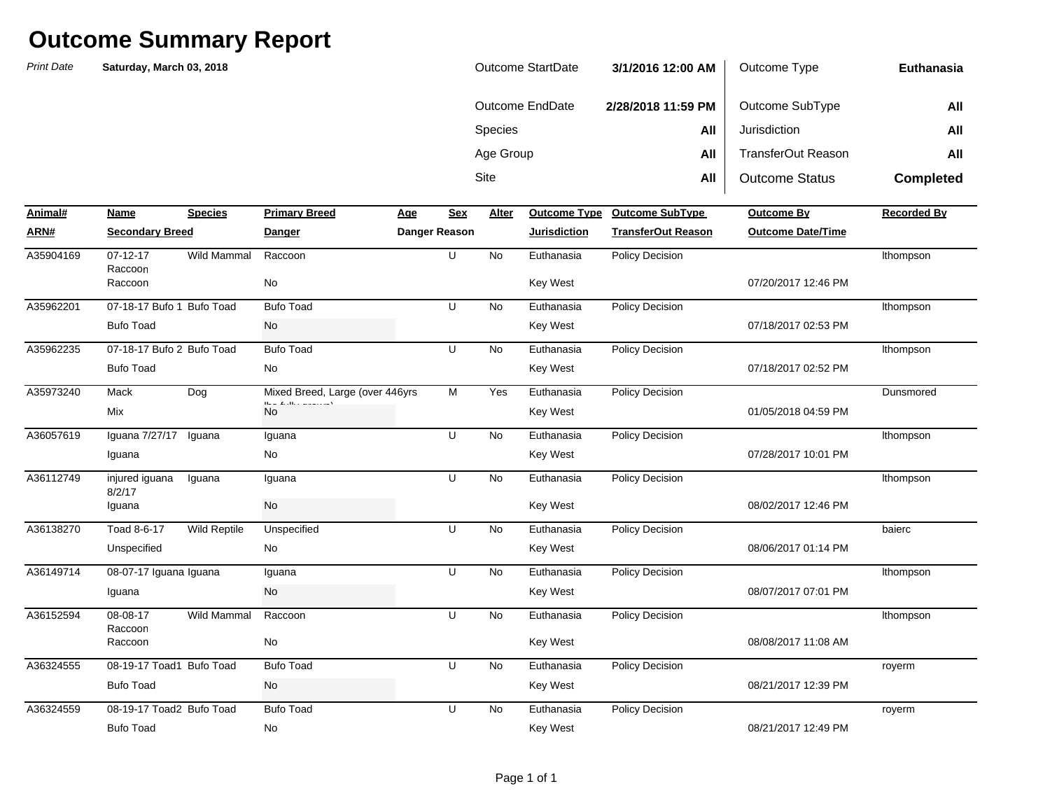| Outcome StartDate | 3/1/2016 12:00 AM  | Outcome Type          | Euthanasia       |
|-------------------|--------------------|-----------------------|------------------|
| Outcome EndDate   | 2/28/2018 11:59 PM | Outcome SubType       | All              |
| <b>Species</b>    | All                | Jurisdiction          | All              |
| Age Group         | All                | TransferOut Reason    | All              |
| Site              | All                | <b>Outcome Status</b> | <b>Completed</b> |

| Animal#   | Name                      | <b>Species</b>      | <b>Primary Breed</b>                                             | Age | Sex           | Alter     | <b>Outcome Type</b> | <b>Outcome SubType</b>    | <b>Outcome By</b>        | <b>Recorded By</b> |
|-----------|---------------------------|---------------------|------------------------------------------------------------------|-----|---------------|-----------|---------------------|---------------------------|--------------------------|--------------------|
| ARN#      | <b>Secondary Breed</b>    |                     | <b>Danger</b>                                                    |     | Danger Reason |           | <b>Jurisdiction</b> | <b>TransferOut Reason</b> | <b>Outcome Date/Time</b> |                    |
| A35904169 | $07 - 12 - 17$<br>Raccoon | <b>Wild Mammal</b>  | Raccoon                                                          |     | U             | <b>No</b> | Euthanasia          | Policy Decision           |                          | Ithompson          |
|           | Raccoon                   |                     | No                                                               |     |               |           | Key West            |                           | 07/20/2017 12:46 PM      |                    |
| A35962201 | 07-18-17 Bufo 1 Bufo Toad |                     | <b>Bufo Toad</b>                                                 |     | U             | No        | Euthanasia          | Policy Decision           |                          | Ithompson          |
|           | <b>Bufo Toad</b>          |                     | No                                                               |     |               |           | <b>Key West</b>     |                           | 07/18/2017 02:53 PM      |                    |
| A35962235 | 07-18-17 Bufo 2 Bufo Toad |                     | <b>Bufo Toad</b>                                                 |     | U             | No        | Euthanasia          | Policy Decision           |                          | Ithompson          |
|           | <b>Bufo Toad</b>          |                     | No                                                               |     |               |           | <b>Key West</b>     |                           | 07/18/2017 02:52 PM      |                    |
| A35973240 | Mack                      | Dog                 | Mixed Breed, Large (over 446yrs)                                 |     | M             | Yes       | Euthanasia          | <b>Policy Decision</b>    |                          | Dunsmored          |
|           | Mix                       |                     | $H_{\rm max}$ of $L_{\rm max}$ the component of $\lambda$<br>No. |     |               |           | Key West            |                           | 01/05/2018 04:59 PM      |                    |
| A36057619 | Iquana 7/27/17            | Iguana              | Iguana                                                           |     | U             | <b>No</b> | Euthanasia          | <b>Policy Decision</b>    |                          | Ithompson          |
|           | Iguana                    |                     | No                                                               |     |               |           | <b>Key West</b>     |                           | 07/28/2017 10:01 PM      |                    |
| A36112749 | injured iguana<br>8/2/17  | Iguana              | Iguana                                                           |     | U             | No        | Euthanasia          | <b>Policy Decision</b>    |                          | Ithompson          |
|           | Iguana                    |                     | No                                                               |     |               |           | <b>Key West</b>     |                           | 08/02/2017 12:46 PM      |                    |
| A36138270 | Toad 8-6-17               | <b>Wild Reptile</b> | Unspecified                                                      |     | U             | No        | Euthanasia          | Policy Decision           |                          | baierc             |
|           | Unspecified               |                     | No                                                               |     |               |           | <b>Key West</b>     |                           | 08/06/2017 01:14 PM      |                    |
| A36149714 | 08-07-17 Iguana Iguana    |                     | Iguana                                                           |     | U             | <b>No</b> | Euthanasia          | <b>Policy Decision</b>    |                          | Ithompson          |
|           | Iguana                    |                     | No                                                               |     |               |           | Key West            |                           | 08/07/2017 07:01 PM      |                    |
| A36152594 | 08-08-17<br>Raccoon       | Wild Mammal         | Raccoon                                                          |     | U             | No        | Euthanasia          | Policy Decision           |                          | Ithompson          |
|           | Raccoon                   |                     | No                                                               |     |               |           | <b>Key West</b>     |                           | 08/08/2017 11:08 AM      |                    |
| A36324555 | 08-19-17 Toad1 Bufo Toad  |                     | <b>Bufo Toad</b>                                                 |     | U             | <b>No</b> | Euthanasia          | Policy Decision           |                          | royerm             |
|           | <b>Bufo Toad</b>          |                     | No                                                               |     |               |           | Key West            |                           | 08/21/2017 12:39 PM      |                    |
| A36324559 | 08-19-17 Toad2 Bufo Toad  |                     | <b>Bufo Toad</b>                                                 |     | U             | <b>No</b> | Euthanasia          | <b>Policy Decision</b>    |                          | royerm             |
|           | <b>Bufo Toad</b>          |                     | No                                                               |     |               |           | Key West            |                           | 08/21/2017 12:49 PM      |                    |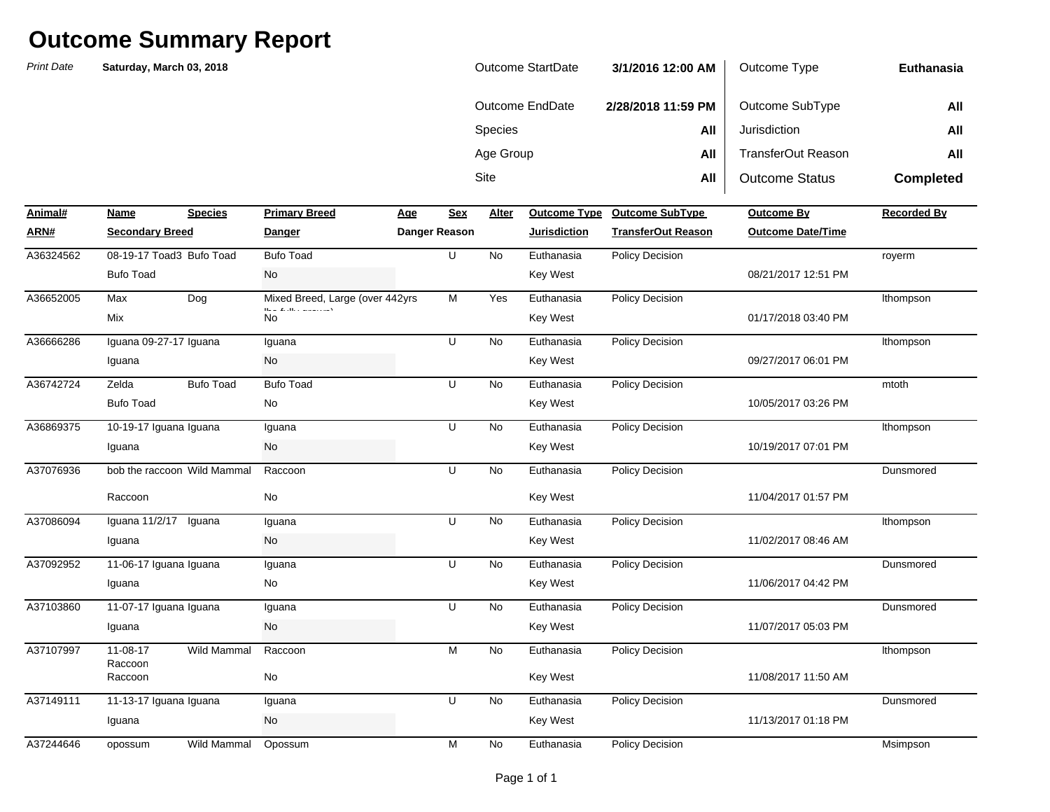## **Outcome Summary Report**

*Print Date* **Saturday, March 03, 2018** 

| <b>Outcome StartDate</b> | 3/1/2016 12:00 AM  | Outcome Type              | <b>Euthanasia</b> |
|--------------------------|--------------------|---------------------------|-------------------|
| Outcome EndDate          | 2/28/2018 11:59 PM | Outcome SubType           | All               |
| <b>Species</b>           | All                | Jurisdiction              | All               |
| Age Group                | All                | <b>TransferOut Reason</b> | All               |
| <b>Site</b>              | All                | <b>Outcome Status</b>     | <b>Completed</b>  |

| Animal#   | Name                        | <b>Species</b>   | <b>Primary Breed</b>              | Age           | Sex | Alter     | <b>Outcome Type</b> | <b>Outcome SubType</b>    | <b>Outcome By</b>        | <b>Recorded By</b> |
|-----------|-----------------------------|------------------|-----------------------------------|---------------|-----|-----------|---------------------|---------------------------|--------------------------|--------------------|
| ARN#      | <b>Secondary Breed</b>      |                  | <b>Danger</b>                     | Danger Reason |     |           | <b>Jurisdiction</b> | <b>TransferOut Reason</b> | <b>Outcome Date/Time</b> |                    |
| A36324562 | 08-19-17 Toad3 Bufo Toad    |                  | <b>Bufo Toad</b>                  |               | U   | No        | Euthanasia          | Policy Decision           |                          | royerm             |
|           | <b>Bufo Toad</b>            |                  | No                                |               |     |           | <b>Key West</b>     |                           | 08/21/2017 12:51 PM      |                    |
| A36652005 | Max                         | Dog              | Mixed Breed, Large (over 442yrs   |               | M   | Yes       | Euthanasia          | <b>Policy Decision</b>    |                          | Ithompson          |
|           | Mix                         |                  | the contract and contracts.<br>No |               |     |           | Key West            |                           | 01/17/2018 03:40 PM      |                    |
| A36666286 | Iguana 09-27-17 Iguana      |                  | Iguana                            |               | U   | No        | Euthanasia          | Policy Decision           |                          | Ithompson          |
|           | Iguana                      |                  | No                                |               |     |           | <b>Key West</b>     |                           | 09/27/2017 06:01 PM      |                    |
| A36742724 | Zelda                       | <b>Bufo Toad</b> | <b>Bufo Toad</b>                  |               | U   | <b>No</b> | Euthanasia          | <b>Policy Decision</b>    |                          | mtoth              |
|           | <b>Bufo Toad</b>            |                  | No                                |               |     |           | <b>Key West</b>     |                           | 10/05/2017 03:26 PM      |                    |
| A36869375 | 10-19-17 Iguana Iguana      |                  | Iguana                            |               | U   | <b>No</b> | Euthanasia          | <b>Policy Decision</b>    |                          | Ithompson          |
|           | Iguana                      |                  | No                                |               |     |           | Key West            |                           | 10/19/2017 07:01 PM      |                    |
| A37076936 | bob the raccoon Wild Mammal |                  | Raccoon                           |               | U   | No        | Euthanasia          | Policy Decision           |                          | Dunsmored          |
|           | Raccoon                     |                  | <b>No</b>                         |               |     |           | Key West            |                           | 11/04/2017 01:57 PM      |                    |
| A37086094 | Iguana 11/2/17 Iguana       |                  | Iguana                            |               | U   | <b>No</b> | Euthanasia          | Policy Decision           |                          | Ithompson          |
|           | Iguana                      |                  | No                                |               |     |           | Key West            |                           | 11/02/2017 08:46 AM      |                    |
| A37092952 | 11-06-17 Iguana Iguana      |                  | Iguana                            |               | U   | <b>No</b> | Euthanasia          | Policy Decision           |                          | Dunsmored          |
|           | Iguana                      |                  | No                                |               |     |           | Key West            |                           | 11/06/2017 04:42 PM      |                    |
| A37103860 | 11-07-17 Iguana Iguana      |                  | Iguana                            |               | U   | No        | Euthanasia          | Policy Decision           |                          | Dunsmored          |
|           | Iguana                      |                  | No                                |               |     |           | <b>Key West</b>     |                           | 11/07/2017 05:03 PM      |                    |
| A37107997 | 11-08-17                    | Wild Mammal      | Raccoon                           |               | M   | No        | Euthanasia          | <b>Policy Decision</b>    |                          | Ithompson          |
|           | Raccoon<br>Raccoon          |                  | No                                |               |     |           | Key West            |                           | 11/08/2017 11:50 AM      |                    |
| A37149111 | 11-13-17 Iguana Iguana      |                  | Iguana                            |               | U   | No        | Euthanasia          | Policy Decision           |                          | Dunsmored          |
|           | Iguana                      |                  | No                                |               |     |           | Key West            |                           | 11/13/2017 01:18 PM      |                    |
| A37244646 | opossum                     | Wild Mammal      | Opossum                           |               | M   | No        | Euthanasia          | <b>Policy Decision</b>    |                          | Msimpson           |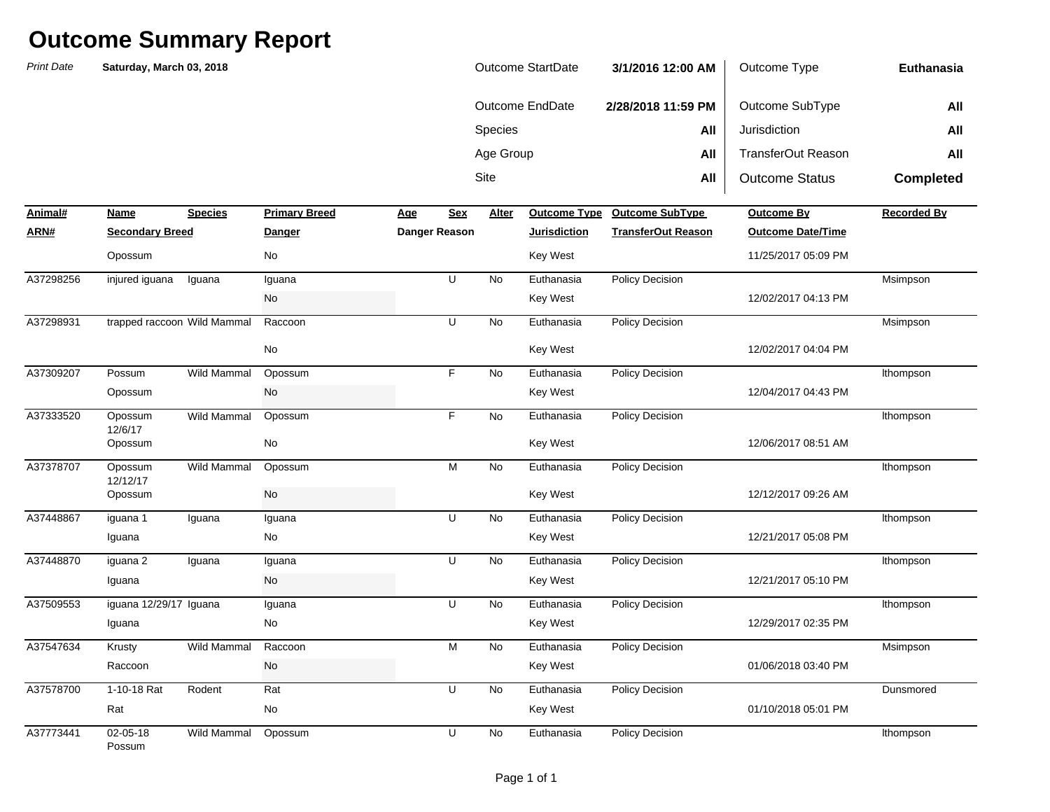## **Outcome Summary Report**

| <b>Print Date</b> | Saturday, March 03, 2018    |                |                      |     |               | <b>Outcome StartDate</b> |                        | 3/1/2016 12:00 AM         | Outcome Type              | Euthanasia       |
|-------------------|-----------------------------|----------------|----------------------|-----|---------------|--------------------------|------------------------|---------------------------|---------------------------|------------------|
|                   |                             |                |                      |     |               |                          | <b>Outcome EndDate</b> | 2/28/2018 11:59 PM        | Outcome SubType           | All              |
|                   |                             |                |                      |     |               | Species                  |                        | All                       | Jurisdiction              | All              |
|                   |                             |                |                      |     |               | Age Group                |                        | All                       | <b>TransferOut Reason</b> | All              |
|                   |                             |                |                      |     |               | Site                     |                        | All                       | <b>Outcome Status</b>     | <b>Completed</b> |
| Animal#           | <b>Name</b>                 | <b>Species</b> | <b>Primary Breed</b> | Age | <b>Sex</b>    | <b>Alter</b>             | <b>Outcome Type</b>    | <b>Outcome SubType</b>    | Outcome By                | Recorded By      |
| <u>ARN#</u>       | <b>Secondary Breed</b>      |                | <b>Danger</b>        |     | Danger Reason |                          | <b>Jurisdiction</b>    | <b>TransferOut Reason</b> | <b>Outcome Date/Time</b>  |                  |
|                   | Opossum                     |                | No                   |     |               |                          | <b>Key West</b>        |                           | 11/25/2017 05:09 PM       |                  |
| A37298256         | injured iguana              | Iguana         | Iguana               |     | $\sf U$       | No                       | Euthanasia             | Policy Decision           |                           | Msimpson         |
|                   |                             |                | No                   |     |               |                          | <b>Key West</b>        |                           | 12/02/2017 04:13 PM       |                  |
| A37298931         | trapped raccoon Wild Mammal |                | Raccoon              |     | U             | No                       | Euthanasia             | <b>Policy Decision</b>    |                           | Msimpson         |
|                   |                             |                | No                   |     |               |                          | <b>Key West</b>        |                           | 12/02/2017 04:04 PM       |                  |
| A37309207         | Possum                      | Wild Mammal    | Opossum              |     | F             | No                       | Euthanasia             | <b>Policy Decision</b>    |                           | Ithompson        |
|                   | Opossum                     |                | No                   |     |               |                          | <b>Key West</b>        |                           | 12/04/2017 04:43 PM       |                  |
| A37333520         | Opossum                     | Wild Mammal    | Opossum              |     | F             | No                       | Euthanasia             | <b>Policy Decision</b>    |                           | Ithompson        |
|                   | 12/6/17<br>Opossum          |                | No                   |     |               |                          | Key West               |                           | 12/06/2017 08:51 AM       |                  |
| A37378707         | Opossum                     | Wild Mammal    | Opossum              |     | M             | No                       | Euthanasia             | <b>Policy Decision</b>    |                           | Ithompson        |
|                   | 12/12/17<br>Opossum         |                | No                   |     |               |                          | <b>Key West</b>        |                           | 12/12/2017 09:26 AM       |                  |
| A37448867         | iguana 1                    | Iguana         | Iguana               |     | U             | No                       | Euthanasia             | <b>Policy Decision</b>    |                           | Ithompson        |
|                   | Iguana                      |                | No                   |     |               |                          | Key West               |                           | 12/21/2017 05:08 PM       |                  |
| A37448870         | iguana 2                    | Iguana         | Iguana               |     | U             | No                       | Euthanasia             | <b>Policy Decision</b>    |                           | Ithompson        |
|                   | Iguana                      |                | No                   |     |               |                          | <b>Key West</b>        |                           | 12/21/2017 05:10 PM       |                  |
| A37509553         | iguana 12/29/17 Iguana      |                | Iguana               |     | U             | No                       | Euthanasia             | Policy Decision           |                           | Ithompson        |
|                   | Iguana                      |                | No                   |     |               |                          | Key West               |                           | 12/29/2017 02:35 PM       |                  |
| A37547634         | Krusty                      | Wild Mammal    | Raccoon              |     | ${\sf M}$     | No                       | Euthanasia             | <b>Policy Decision</b>    |                           | Msimpson         |
|                   | Raccoon                     |                | No                   |     |               |                          | Key West               |                           | 01/06/2018 03:40 PM       |                  |
| A37578700         | 1-10-18 Rat                 | Rodent         | Rat                  |     | U             | No                       | Euthanasia             | Policy Decision           |                           | Dunsmored        |
|                   | Rat                         |                | No                   |     |               |                          | <b>Key West</b>        |                           | 01/10/2018 05:01 PM       |                  |
| A37773441         | 02-05-18<br>n-              | Wild Mammal    | Opossum              |     | U             | No                       | Euthanasia             | <b>Policy Decision</b>    |                           | Ithompson        |